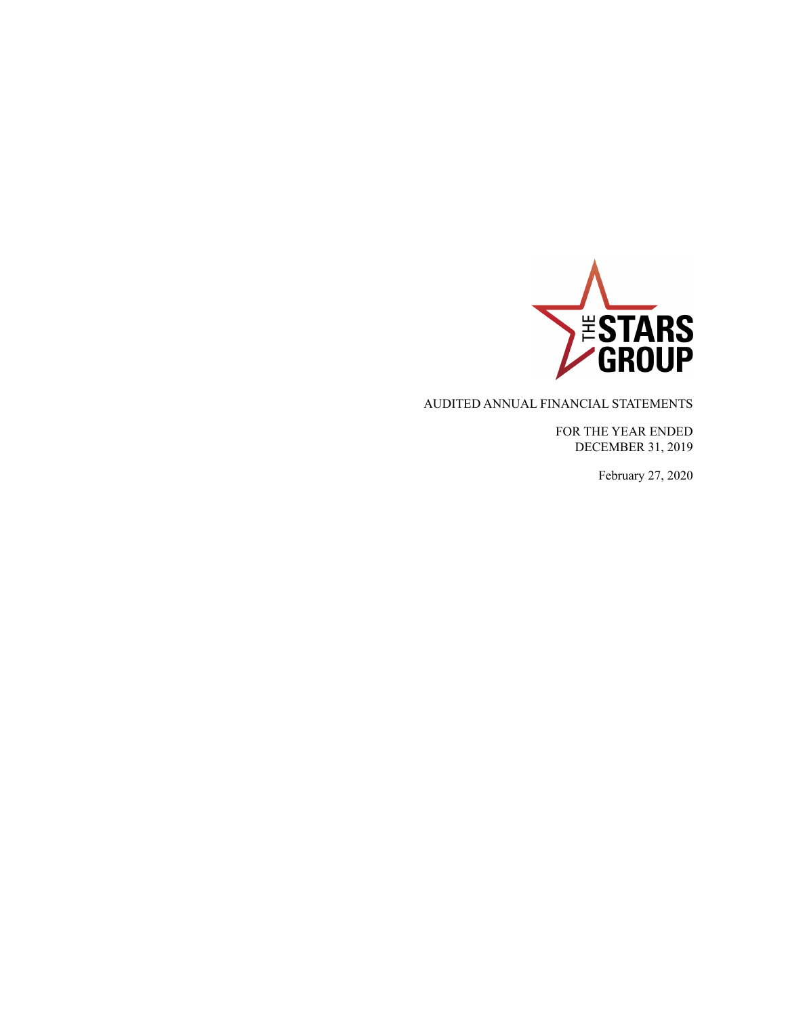

# AUDITED ANNUAL FINANCIAL STATEMENTS

FOR THE YEAR ENDED DECEMBER 31, 2019

February 27, 2020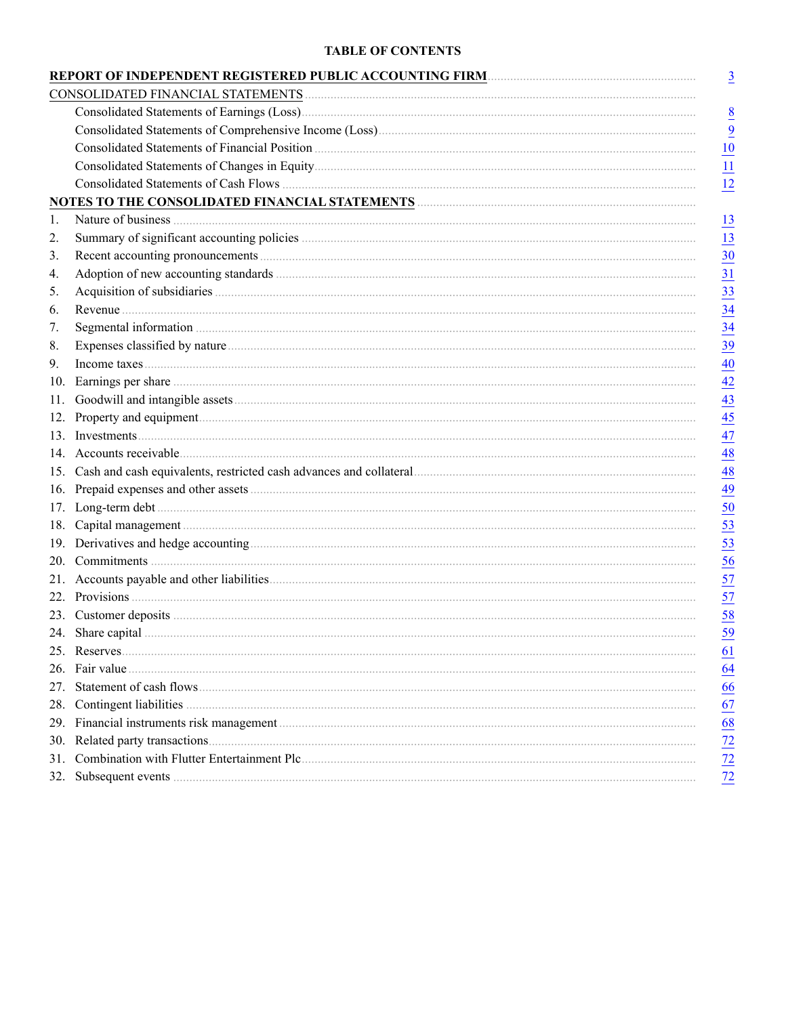# **TABLE OF CONTENTS**

|     | $\overline{3}$   |
|-----|------------------|
|     |                  |
|     | $\overline{8}$   |
|     | $\overline{9}$   |
|     | 10               |
|     | $\overline{11}$  |
|     | $\overline{12}$  |
|     |                  |
| 1.  | <u>13</u>        |
| 2.  | 13               |
| 3.  | 30               |
| 4.  | $\underline{31}$ |
| 5.  | 33               |
| 6.  | $\overline{34}$  |
| 7.  | $\frac{34}{5}$   |
| 8.  | 39               |
| 9.  | 40               |
| 10. | $\frac{42}{1}$   |
|     | 43               |
|     | 45               |
|     | 47               |
|     | 48               |
|     | 48               |
|     | 49               |
|     | 50               |
|     | $\frac{53}{2}$   |
|     | <u>53</u>        |
|     | 56               |
|     | $\frac{57}{2}$   |
|     | $\frac{57}{5}$   |
|     | <u>58</u>        |
|     | 59               |
|     | 61               |
|     | 64               |
| 27. | 66               |
|     | 67               |
|     | 68               |
|     | 72               |
|     | $\frac{72}{1}$   |
|     | 72               |
|     |                  |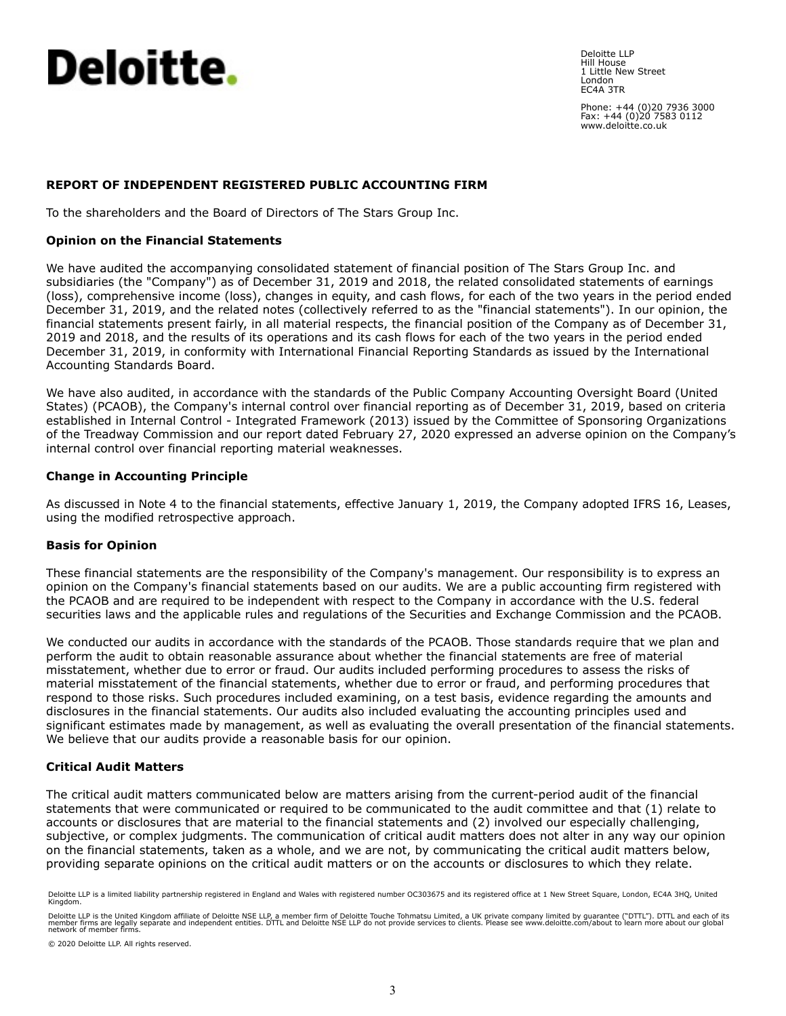# <span id="page-2-0"></span>Deloitte.

Deloitte LLP Hill House 1 Little New Street London EC4A 3TR

Phone: +44 (0)20 7936 3000 Fax: +44 (0)20 7583 0112 www.deloitte.co.uk

# **REPORT OF INDEPENDENT REGISTERED PUBLIC ACCOUNTING FIRM**

To the shareholders and the Board of Directors of The Stars Group Inc.

# **Opinion on the Financial Statements**

We have audited the accompanying consolidated statement of financial position of The Stars Group Inc. and subsidiaries (the "Company") as of December 31, 2019 and 2018, the related consolidated statements of earnings (loss), comprehensive income (loss), changes in equity, and cash flows, for each of the two years in the period ended December 31, 2019, and the related notes (collectively referred to as the "financial statements"). In our opinion, the financial statements present fairly, in all material respects, the financial position of the Company as of December 31, 2019 and 2018, and the results of its operations and its cash flows for each of the two years in the period ended December 31, 2019, in conformity with International Financial Reporting Standards as issued by the International Accounting Standards Board.

We have also audited, in accordance with the standards of the Public Company Accounting Oversight Board (United States) (PCAOB), the Company's internal control over financial reporting as of December 31, 2019, based on criteria established in Internal Control - Integrated Framework (2013) issued by the Committee of Sponsoring Organizations of the Treadway Commission and our report dated February 27, 2020 expressed an adverse opinion on the Company's internal control over financial reporting material weaknesses.

# **Change in Accounting Principle**

As discussed in Note 4 to the financial statements, effective January 1, 2019, the Company adopted IFRS 16, Leases, using the modified retrospective approach.

# **Basis for Opinion**

These financial statements are the responsibility of the Company's management. Our responsibility is to express an opinion on the Company's financial statements based on our audits. We are a public accounting firm registered with the PCAOB and are required to be independent with respect to the Company in accordance with the U.S. federal securities laws and the applicable rules and regulations of the Securities and Exchange Commission and the PCAOB.

We conducted our audits in accordance with the standards of the PCAOB. Those standards require that we plan and perform the audit to obtain reasonable assurance about whether the financial statements are free of material misstatement, whether due to error or fraud. Our audits included performing procedures to assess the risks of material misstatement of the financial statements, whether due to error or fraud, and performing procedures that respond to those risks. Such procedures included examining, on a test basis, evidence regarding the amounts and disclosures in the financial statements. Our audits also included evaluating the accounting principles used and significant estimates made by management, as well as evaluating the overall presentation of the financial statements. We believe that our audits provide a reasonable basis for our opinion.

# **Critical Audit Matters**

The critical audit matters communicated below are matters arising from the current-period audit of the financial statements that were communicated or required to be communicated to the audit committee and that (1) relate to accounts or disclosures that are material to the financial statements and (2) involved our especially challenging, subjective, or complex judgments. The communication of critical audit matters does not alter in any way our opinion on the financial statements, taken as a whole, and we are not, by communicating the critical audit matters below, providing separate opinions on the critical audit matters or on the accounts or disclosures to which they relate.

Deloitte LLP is a limited liability partnership registered in England and Wales with registered number OC303675 and its registered office at 1 New Street Square, London, EC4A 3HQ, United Kingdom.

Deloitte LLP is the United Kingdom affiliate of Deloitte NSE LLP, a member firm of Deloitte Touche Tohmatsu Limited, a UK private company limited by guarantee ("DTTL"). DTTL and each of its<br>member firms are legally separat

<sup>© 2020</sup> Deloitte LLP. All rights reserved.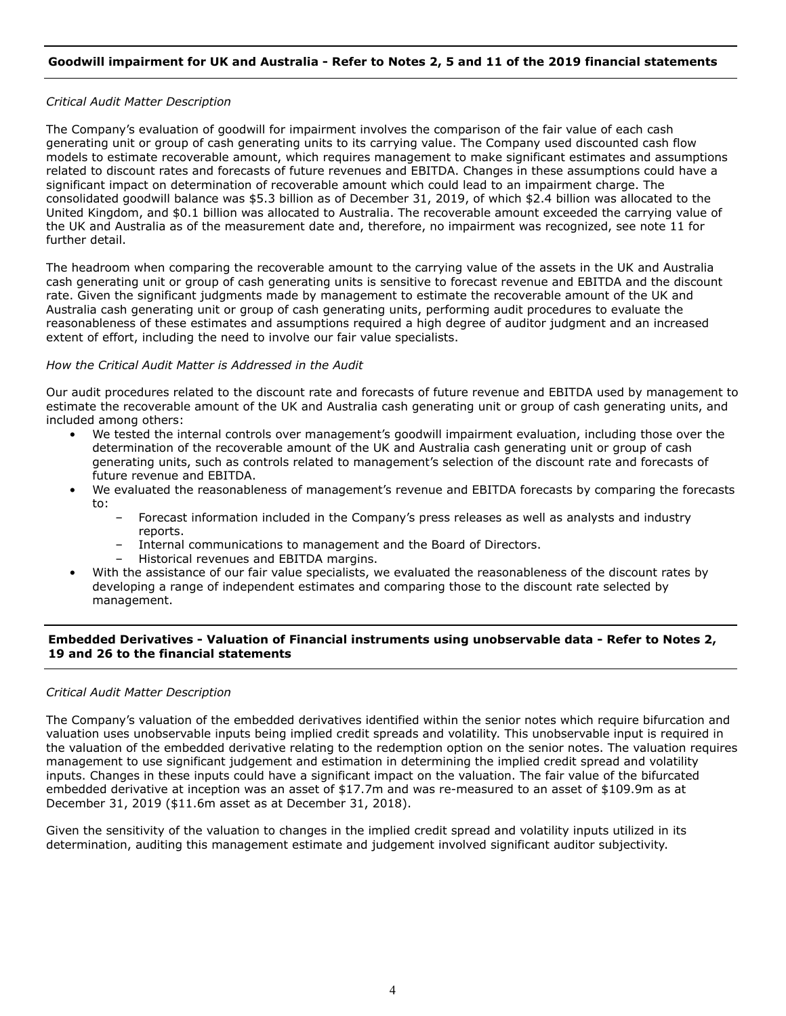## **Goodwill impairment for UK and Australia - Refer to Notes 2, 5 and 11 of the 2019 financial statements**

## *Critical Audit Matter Description*

The Company's evaluation of goodwill for impairment involves the comparison of the fair value of each cash generating unit or group of cash generating units to its carrying value. The Company used discounted cash flow models to estimate recoverable amount, which requires management to make significant estimates and assumptions related to discount rates and forecasts of future revenues and EBITDA. Changes in these assumptions could have a significant impact on determination of recoverable amount which could lead to an impairment charge. The consolidated goodwill balance was \$5.3 billion as of December 31, 2019, of which \$2.4 billion was allocated to the United Kingdom, and \$0.1 billion was allocated to Australia. The recoverable amount exceeded the carrying value of the UK and Australia as of the measurement date and, therefore, no impairment was recognized, see note 11 for further detail.

The headroom when comparing the recoverable amount to the carrying value of the assets in the UK and Australia cash generating unit or group of cash generating units is sensitive to forecast revenue and EBITDA and the discount rate. Given the significant judgments made by management to estimate the recoverable amount of the UK and Australia cash generating unit or group of cash generating units, performing audit procedures to evaluate the reasonableness of these estimates and assumptions required a high degree of auditor judgment and an increased extent of effort, including the need to involve our fair value specialists.

## *How the Critical Audit Matter is Addressed in the Audit*

Our audit procedures related to the discount rate and forecasts of future revenue and EBITDA used by management to estimate the recoverable amount of the UK and Australia cash generating unit or group of cash generating units, and included among others:

- We tested the internal controls over management's goodwill impairment evaluation, including those over the determination of the recoverable amount of the UK and Australia cash generating unit or group of cash generating units, such as controls related to management's selection of the discount rate and forecasts of future revenue and EBITDA.
- We evaluated the reasonableness of management's revenue and EBITDA forecasts by comparing the forecasts to:
	- Forecast information included in the Company's press releases as well as analysts and industry reports.
	- Internal communications to management and the Board of Directors.
	- Historical revenues and EBITDA margins.
- With the assistance of our fair value specialists, we evaluated the reasonableness of the discount rates by developing a range of independent estimates and comparing those to the discount rate selected by management.

## **Embedded Derivatives - Valuation of Financial instruments using unobservable data - Refer to Notes 2, 19 and 26 to the financial statements**

# *Critical Audit Matter Description*

The Company's valuation of the embedded derivatives identified within the senior notes which require bifurcation and valuation uses unobservable inputs being implied credit spreads and volatility. This unobservable input is required in the valuation of the embedded derivative relating to the redemption option on the senior notes. The valuation requires management to use significant judgement and estimation in determining the implied credit spread and volatility inputs. Changes in these inputs could have a significant impact on the valuation. The fair value of the bifurcated embedded derivative at inception was an asset of \$17.7m and was re-measured to an asset of \$109.9m as at December 31, 2019 (\$11.6m asset as at December 31, 2018).

Given the sensitivity of the valuation to changes in the implied credit spread and volatility inputs utilized in its determination, auditing this management estimate and judgement involved significant auditor subjectivity.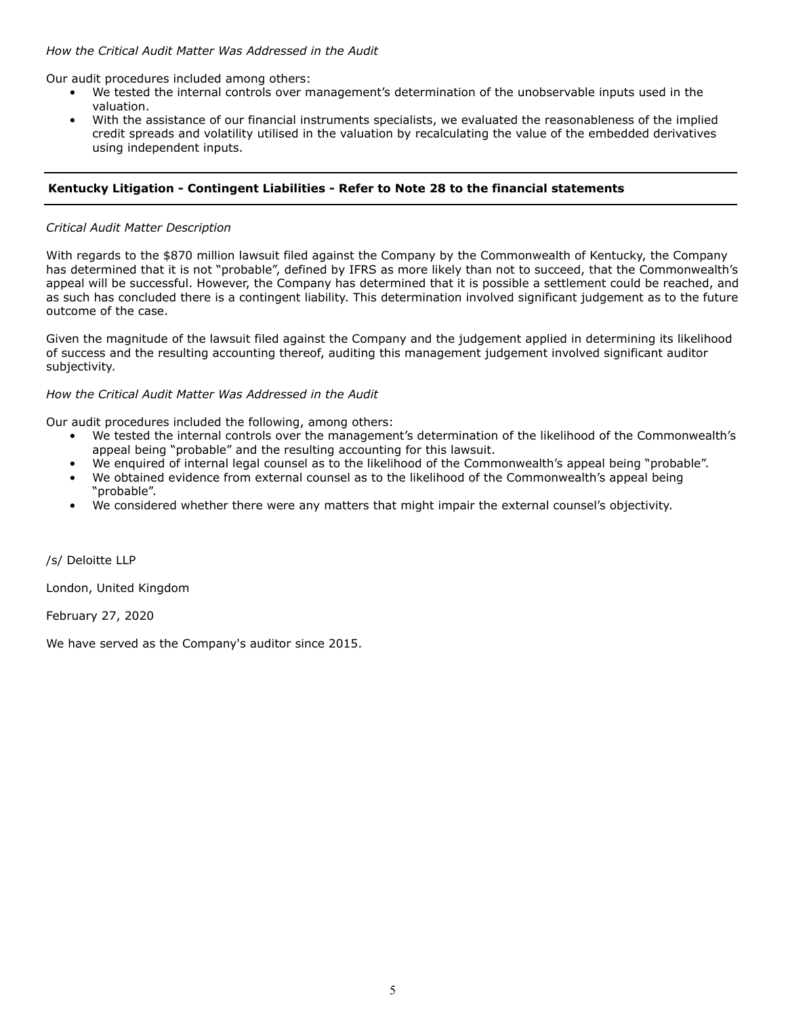# *How the Critical Audit Matter Was Addressed in the Audit*

Our audit procedures included among others:

- We tested the internal controls over management's determination of the unobservable inputs used in the valuation.
- With the assistance of our financial instruments specialists, we evaluated the reasonableness of the implied credit spreads and volatility utilised in the valuation by recalculating the value of the embedded derivatives using independent inputs.

# **Kentucky Litigation - Contingent Liabilities - Refer to Note 28 to the financial statements**

## *Critical Audit Matter Description*

With regards to the \$870 million lawsuit filed against the Company by the Commonwealth of Kentucky, the Company has determined that it is not "probable", defined by IFRS as more likely than not to succeed, that the Commonwealth's appeal will be successful. However, the Company has determined that it is possible a settlement could be reached, and as such has concluded there is a contingent liability. This determination involved significant judgement as to the future outcome of the case.

Given the magnitude of the lawsuit filed against the Company and the judgement applied in determining its likelihood of success and the resulting accounting thereof, auditing this management judgement involved significant auditor subjectivity.

## *How the Critical Audit Matter Was Addressed in the Audit*

Our audit procedures included the following, among others:

- We tested the internal controls over the management's determination of the likelihood of the Commonwealth's appeal being "probable" and the resulting accounting for this lawsuit.
- We enquired of internal legal counsel as to the likelihood of the Commonwealth's appeal being "probable".
- We obtained evidence from external counsel as to the likelihood of the Commonwealth's appeal being "probable".
- We considered whether there were any matters that might impair the external counsel's objectivity.

/s/ Deloitte LLP

London, United Kingdom

February 27, 2020

We have served as the Company's auditor since 2015.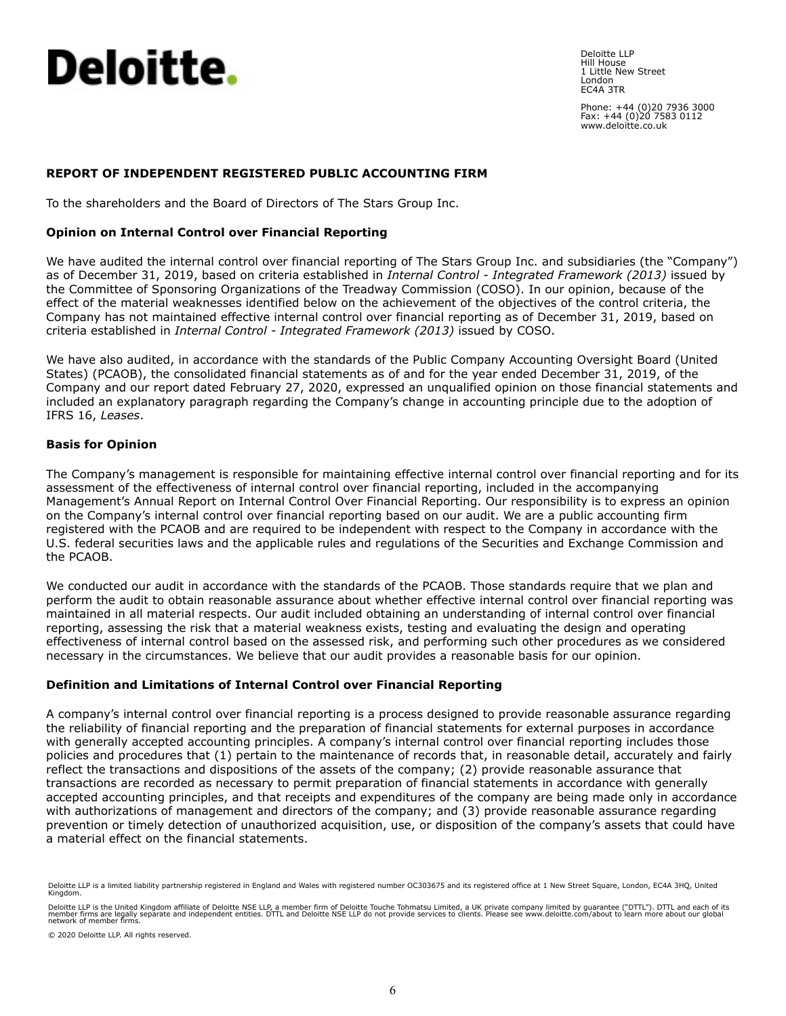# Deloitte.

Deloitte LLP Hill House 1 Little New Street London EC4A 3TR

Phone: +44 (0)20 7936 3000 Fax: +44 (0)20 7583 0112 www.deloitte.co.uk

# **REPORT OF INDEPENDENT REGISTERED PUBLIC ACCOUNTING FIRM**

To the shareholders and the Board of Directors of The Stars Group Inc.

# **Opinion on Internal Control over Financial Reporting**

We have audited the internal control over financial reporting of The Stars Group Inc. and subsidiaries (the "Company") as of December 31, 2019, based on criteria established in *Internal Control - Integrated Framework (2013)* issued by the Committee of Sponsoring Organizations of the Treadway Commission (COSO). In our opinion, because of the effect of the material weaknesses identified below on the achievement of the objectives of the control criteria, the Company has not maintained effective internal control over financial reporting as of December 31, 2019, based on criteria established in *Internal Control - Integrated Framework (2013)* issued by COSO.

We have also audited, in accordance with the standards of the Public Company Accounting Oversight Board (United States) (PCAOB), the consolidated financial statements as of and for the year ended December 31, 2019, of the Company and our report dated February 27, 2020, expressed an unqualified opinion on those financial statements and included an explanatory paragraph regarding the Company's change in accounting principle due to the adoption of IFRS 16, *Leases*.

# **Basis for Opinion**

The Company's management is responsible for maintaining effective internal control over financial reporting and for its assessment of the effectiveness of internal control over financial reporting, included in the accompanying Management's Annual Report on Internal Control Over Financial Reporting. Our responsibility is to express an opinion on the Company's internal control over financial reporting based on our audit. We are a public accounting firm registered with the PCAOB and are required to be independent with respect to the Company in accordance with the U.S. federal securities laws and the applicable rules and regulations of the Securities and Exchange Commission and the PCAOB.

We conducted our audit in accordance with the standards of the PCAOB. Those standards require that we plan and perform the audit to obtain reasonable assurance about whether effective internal control over financial reporting was maintained in all material respects. Our audit included obtaining an understanding of internal control over financial reporting, assessing the risk that a material weakness exists, testing and evaluating the design and operating effectiveness of internal control based on the assessed risk, and performing such other procedures as we considered necessary in the circumstances. We believe that our audit provides a reasonable basis for our opinion.

# **Definition and Limitations of Internal Control over Financial Reporting**

A company's internal control over financial reporting is a process designed to provide reasonable assurance regarding the reliability of financial reporting and the preparation of financial statements for external purposes in accordance with generally accepted accounting principles. A company's internal control over financial reporting includes those policies and procedures that (1) pertain to the maintenance of records that, in reasonable detail, accurately and fairly reflect the transactions and dispositions of the assets of the company; (2) provide reasonable assurance that transactions are recorded as necessary to permit preparation of financial statements in accordance with generally accepted accounting principles, and that receipts and expenditures of the company are being made only in accordance with authorizations of management and directors of the company; and (3) provide reasonable assurance regarding prevention or timely detection of unauthorized acquisition, use, or disposition of the company's assets that could have a material effect on the financial statements.

Deloitte LLP is a limited liability partnership registered in England and Wales with registered number OC303675 and its registered office at 1 New Street Square, London, EC4A 3HQ, United Kingdom.

Deloitte LLP is the United Kingdom affiliate of Deloitte NSE LLP, a member firm of Deloitte Touche Tohmatsu Limited, a UK private company limited by guarantee ("DTTL"). DTTL and each of its<br>member firms are legally separat

<sup>© 2020</sup> Deloitte LLP. All rights reserved.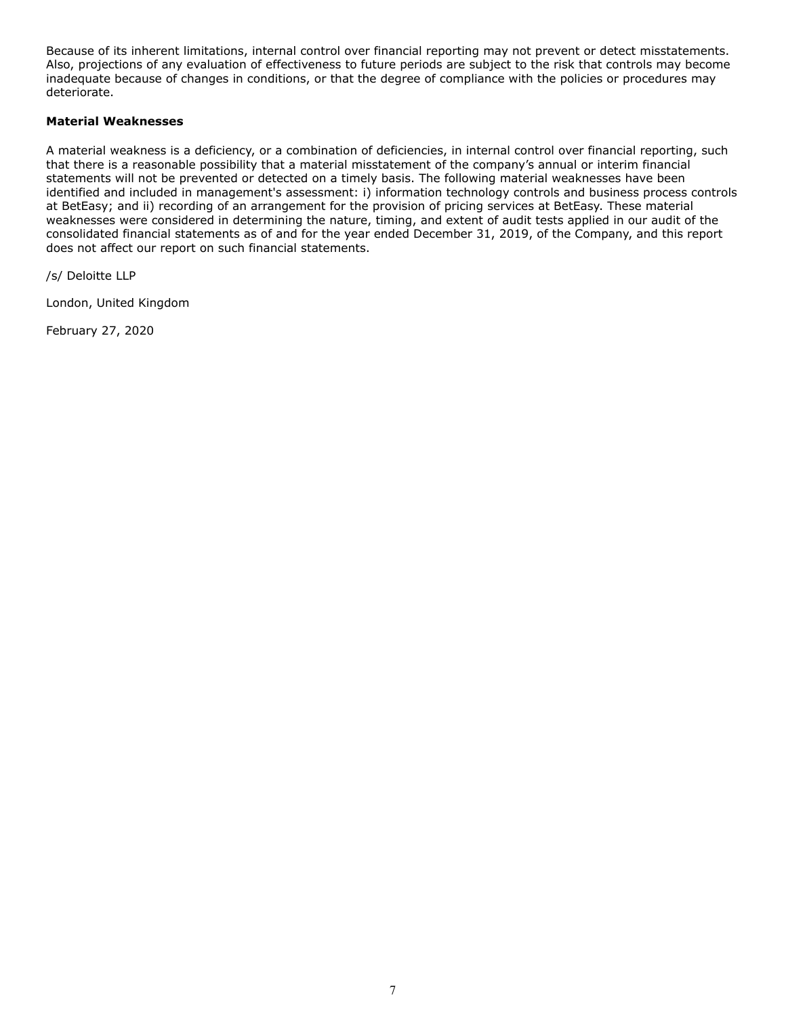Because of its inherent limitations, internal control over financial reporting may not prevent or detect misstatements. Also, projections of any evaluation of effectiveness to future periods are subject to the risk that controls may become inadequate because of changes in conditions, or that the degree of compliance with the policies or procedures may deteriorate.

## **Material Weaknesses**

A material weakness is a deficiency, or a combination of deficiencies, in internal control over financial reporting, such that there is a reasonable possibility that a material misstatement of the company's annual or interim financial statements will not be prevented or detected on a timely basis. The following material weaknesses have been identified and included in management's assessment: i) information technology controls and business process controls at BetEasy; and ii) recording of an arrangement for the provision of pricing services at BetEasy. These material weaknesses were considered in determining the nature, timing, and extent of audit tests applied in our audit of the consolidated financial statements as of and for the year ended December 31, 2019, of the Company, and this report does not affect our report on such financial statements.

/s/ Deloitte LLP

London, United Kingdom

February 27, 2020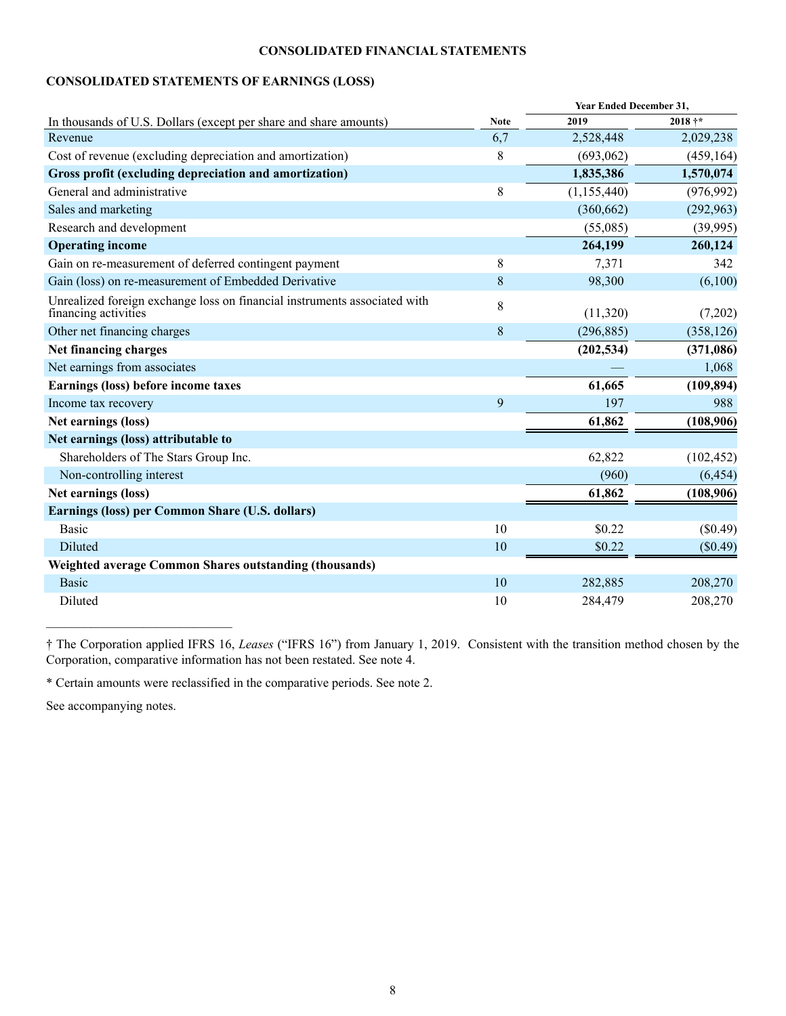# **CONSOLIDATED FINANCIAL STATEMENTS**

# <span id="page-7-0"></span>**CONSOLIDATED STATEMENTS OF EARNINGS (LOSS)**

|                                                                                                   |             | <b>Year Ended December 31,</b> |            |
|---------------------------------------------------------------------------------------------------|-------------|--------------------------------|------------|
| In thousands of U.S. Dollars (except per share and share amounts)                                 | <b>Note</b> | 2019                           | $2018 +$ * |
| Revenue                                                                                           | 6,7         | 2,528,448                      | 2,029,238  |
| Cost of revenue (excluding depreciation and amortization)                                         | 8           | (693,062)                      | (459, 164) |
| Gross profit (excluding depreciation and amortization)                                            |             | 1,835,386                      | 1,570,074  |
| General and administrative                                                                        | 8           | (1, 155, 440)                  | (976, 992) |
| Sales and marketing                                                                               |             | (360, 662)                     | (292,963)  |
| Research and development                                                                          |             | (55,085)                       | (39,995)   |
| <b>Operating income</b>                                                                           |             | 264,199                        | 260,124    |
| Gain on re-measurement of deferred contingent payment                                             | 8           | 7,371                          | 342        |
| Gain (loss) on re-measurement of Embedded Derivative                                              | 8           | 98,300                         | (6,100)    |
| Unrealized foreign exchange loss on financial instruments associated with<br>financing activities | 8           | (11,320)                       | (7,202)    |
| Other net financing charges                                                                       | 8           | (296, 885)                     | (358, 126) |
| Net financing charges                                                                             |             | (202, 534)                     | (371,086)  |
| Net earnings from associates                                                                      |             |                                | 1,068      |
| Earnings (loss) before income taxes                                                               |             | 61,665                         | (109, 894) |
| Income tax recovery                                                                               | 9           | 197                            | 988        |
| Net earnings (loss)                                                                               |             | 61,862                         | (108,906)  |
| Net earnings (loss) attributable to                                                               |             |                                |            |
| Shareholders of The Stars Group Inc.                                                              |             | 62,822                         | (102, 452) |
| Non-controlling interest                                                                          |             | (960)                          | (6, 454)   |
| Net earnings (loss)                                                                               |             | 61,862                         | (108,906)  |
| Earnings (loss) per Common Share (U.S. dollars)                                                   |             |                                |            |
| <b>Basic</b>                                                                                      | 10          | \$0.22                         | (\$0.49)   |
| Diluted                                                                                           | 10          | \$0.22                         | (\$0.49)   |
| Weighted average Common Shares outstanding (thousands)                                            |             |                                |            |
| <b>Basic</b>                                                                                      | 10          | 282,885                        | 208,270    |
| Diluted                                                                                           | 10          | 284,479                        | 208,270    |

† The Corporation applied IFRS 16, *Leases* ("IFRS 16") from January 1, 2019. Consistent with the transition method chosen by the Corporation, comparative information has not been restated. See note 4.

\* Certain amounts were reclassified in the comparative periods. See note 2.

See accompanying notes.

\_\_\_\_\_\_\_\_\_\_\_\_\_\_\_\_\_\_\_\_\_\_\_\_\_\_\_\_\_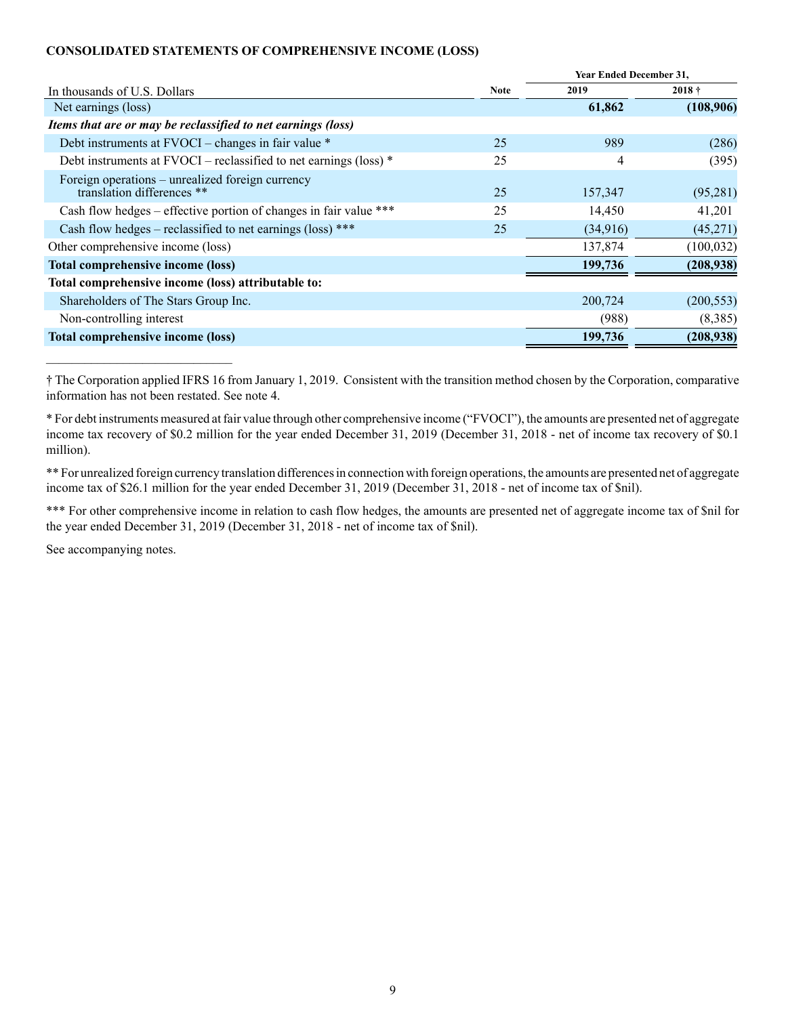# <span id="page-8-0"></span>**CONSOLIDATED STATEMENTS OF COMPREHENSIVE INCOME (LOSS)**

|                                                                                |             | <b>Year Ended December 31,</b> |            |  |
|--------------------------------------------------------------------------------|-------------|--------------------------------|------------|--|
| In thousands of U.S. Dollars                                                   | <b>Note</b> | 2019                           | $2018 +$   |  |
| Net earnings (loss)                                                            |             | 61,862                         | (108,906)  |  |
| Items that are or may be reclassified to net earnings (loss)                   |             |                                |            |  |
| Debt instruments at FVOCI – changes in fair value *                            | 25          | 989                            | (286)      |  |
| Debt instruments at $\text{FVOCI}$ – reclassified to net earnings (loss) *     | 25          | 4                              | (395)      |  |
| Foreign operations – unrealized foreign currency<br>translation differences ** | 25          | 157,347                        | (95,281)   |  |
| Cash flow hedges – effective portion of changes in fair value ***              | 25          | 14,450                         | 41,201     |  |
| Cash flow hedges – reclassified to net earnings (loss) ***                     | 25          | (34,916)                       | (45,271)   |  |
| Other comprehensive income (loss)                                              |             | 137,874                        | (100, 032) |  |
| <b>Total comprehensive income (loss)</b>                                       |             | 199,736                        | (208, 938) |  |
| Total comprehensive income (loss) attributable to:                             |             |                                |            |  |
| Shareholders of The Stars Group Inc.                                           |             | 200,724                        | (200, 553) |  |
| Non-controlling interest                                                       |             | (988)                          | (8,385)    |  |
| <b>Total comprehensive income (loss)</b>                                       |             | 199,736                        | (208, 938) |  |

† The Corporation applied IFRS 16 from January 1, 2019. Consistent with the transition method chosen by the Corporation, comparative information has not been restated. See note 4.

\* For debt instruments measured at fair value through other comprehensive income ("FVOCI"), the amounts are presented net of aggregate income tax recovery of \$0.2 million for the year ended December 31, 2019 (December 31, 2018 - net of income tax recovery of \$0.1 million).

\*\* For unrealized foreign currency translation differences in connection with foreign operations, the amounts are presented net of aggregate income tax of \$26.1 million for the year ended December 31, 2019 (December 31, 2018 - net of income tax of \$nil).

\*\*\* For other comprehensive income in relation to cash flow hedges, the amounts are presented net of aggregate income tax of \$nil for the year ended December 31, 2019 (December 31, 2018 - net of income tax of \$nil).

See accompanying notes.

\_\_\_\_\_\_\_\_\_\_\_\_\_\_\_\_\_\_\_\_\_\_\_\_\_\_\_\_\_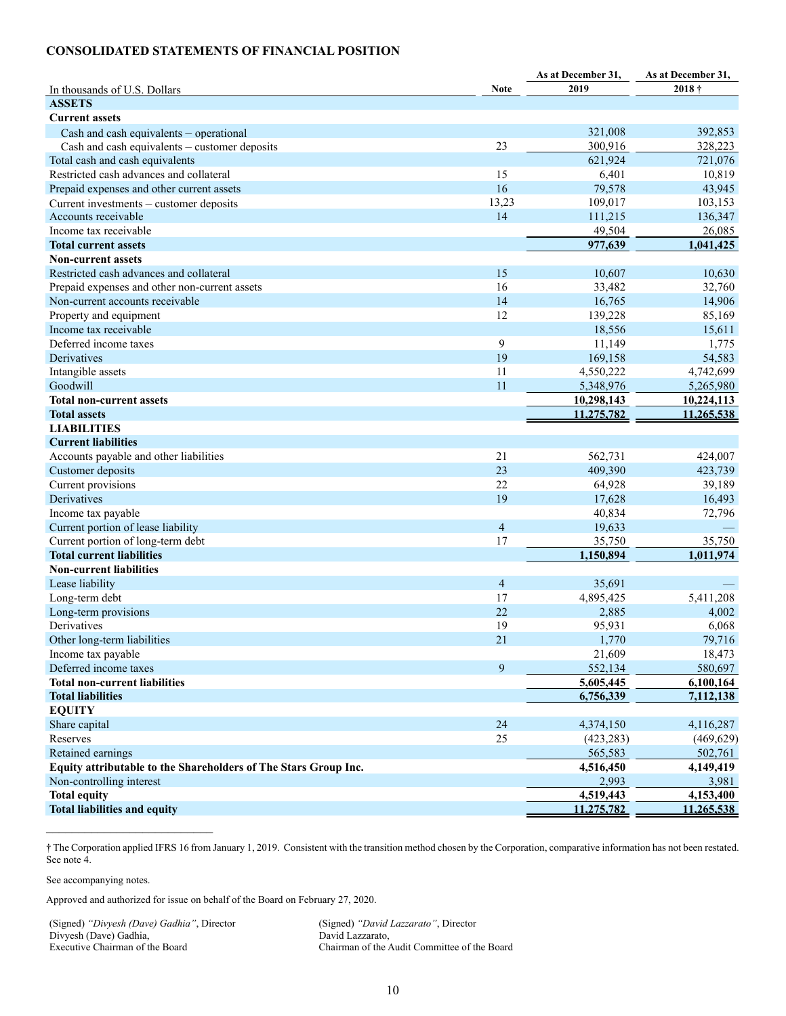# <span id="page-9-0"></span>**CONSOLIDATED STATEMENTS OF FINANCIAL POSITION**

|                                                                 |                          | As at December 31, | As at December 31, |
|-----------------------------------------------------------------|--------------------------|--------------------|--------------------|
| In thousands of U.S. Dollars                                    | <b>Note</b>              | 2019               | $2018 +$           |
| <b>ASSETS</b>                                                   |                          |                    |                    |
| <b>Current assets</b>                                           |                          |                    |                    |
| Cash and cash equivalents – operational                         |                          | 321,008            | 392,853            |
| Cash and cash equivalents – customer deposits                   | 23                       | 300,916            | 328,223            |
| Total cash and cash equivalents                                 |                          | 621,924            | 721,076            |
| Restricted cash advances and collateral                         | 15                       | 6,401              | 10,819             |
| Prepaid expenses and other current assets                       | 16                       | 79,578             | 43,945             |
| Current investments – customer deposits                         | 13,23                    | 109,017            | 103,153            |
| Accounts receivable                                             | 14                       | 111,215            | 136,347            |
| Income tax receivable                                           |                          | 49,504             | 26,085             |
| <b>Total current assets</b>                                     |                          | 977,639            | 1,041,425          |
| <b>Non-current assets</b>                                       |                          |                    |                    |
| Restricted cash advances and collateral                         | 15                       | 10,607             | 10,630             |
| Prepaid expenses and other non-current assets                   | 16                       | 33,482             | 32,760             |
| Non-current accounts receivable                                 | 14                       | 16,765             | 14,906             |
| Property and equipment                                          | 12                       | 139,228            | 85,169             |
| Income tax receivable                                           |                          | 18,556             | 15,611             |
| Deferred income taxes                                           | 9                        | 11,149             | 1,775              |
| Derivatives                                                     | 19                       | 169,158            | 54,583             |
| Intangible assets                                               | 11                       | 4,550,222          | 4,742,699          |
| Goodwill                                                        | 11                       | 5,348,976          | 5,265,980          |
| <b>Total non-current assets</b>                                 |                          | 10,298,143         | 10,224,113         |
| <b>Total assets</b>                                             |                          | 11,275,782         | 11,265,538         |
| <b>LIABILITIES</b>                                              |                          |                    |                    |
| <b>Current liabilities</b>                                      |                          |                    |                    |
| Accounts payable and other liabilities                          | 21                       | 562,731            | 424,007            |
| Customer deposits                                               | 23                       | 409,390            | 423,739            |
|                                                                 | 22                       |                    |                    |
| Current provisions<br>Derivatives                               | 19                       | 64,928             | 39,189             |
|                                                                 |                          | 17,628             | 16,493             |
| Income tax payable                                              |                          | 40,834             | 72,796             |
| Current portion of lease liability                              | $\overline{4}$           | 19,633             |                    |
| Current portion of long-term debt                               | 17                       | 35,750             | 35,750             |
| <b>Total current liabilities</b>                                |                          | 1,150,894          | 1,011,974          |
| <b>Non-current liabilities</b>                                  |                          |                    |                    |
| Lease liability                                                 | $\overline{\mathcal{A}}$ | 35,691             |                    |
| Long-term debt                                                  | 17                       | 4,895,425          | 5,411,208          |
| Long-term provisions                                            | 22                       | 2,885              | 4,002              |
| Derivatives                                                     | 19                       | 95,931             | 6,068              |
| Other long-term liabilities                                     | 21                       | 1,770              | 79,716             |
| Income tax payable                                              |                          | 21,609             | 18,473             |
| Deferred income taxes                                           | 9                        | 552,134            | 580,697            |
| <b>Total non-current liabilities</b>                            |                          | 5,605,445          | 6,100,164          |
| <b>Total liabilities</b>                                        |                          | 6,756,339          | 7,112,138          |
| <b>EQUITY</b>                                                   |                          |                    |                    |
| Share capital                                                   | 24                       | 4,374,150          | 4,116,287          |
| Reserves                                                        | 25                       | (423, 283)         | (469, 629)         |
| Retained earnings                                               |                          | 565,583            | 502,761            |
| Equity attributable to the Shareholders of The Stars Group Inc. |                          | 4,516,450          | 4,149,419          |
| Non-controlling interest                                        |                          | 2,993              | 3,981              |
| <b>Total equity</b>                                             |                          | 4,519,443          | 4,153,400          |
| <b>Total liabilities and equity</b>                             |                          | 11,275,782         | 11,265,538         |

† The Corporation applied IFRS 16 from January 1, 2019. Consistent with the transition method chosen by the Corporation, comparative information has not been restated. See note 4.

See accompanying notes.

Approved and authorized for issue on behalf of the Board on February 27, 2020.

(Signed) *"Divyesh (Dave) Gadhia"*, Director Divyesh (Dave) Gadhia, Executive Chairman of the Board

\_\_\_\_\_\_\_\_\_\_\_\_\_\_\_\_\_\_\_\_\_\_\_\_\_\_

(Signed) *"David Lazzarato"*, Director David Lazzarato, Chairman of the Audit Committee of the Board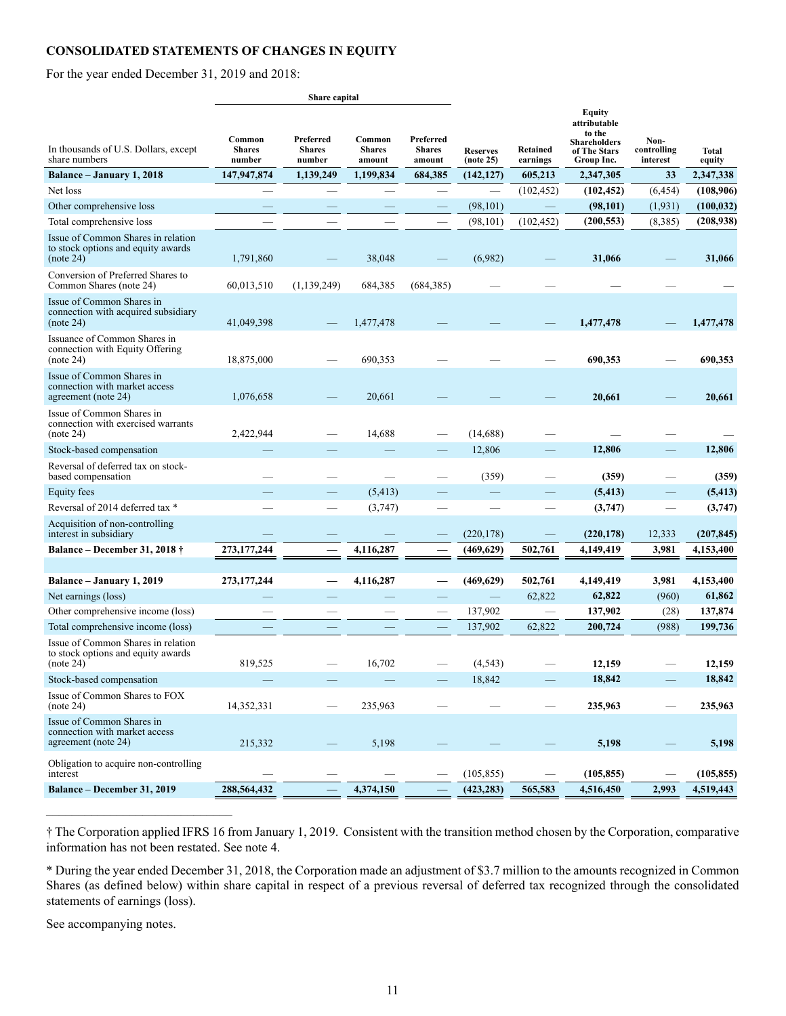# <span id="page-10-0"></span>**CONSOLIDATED STATEMENTS OF CHANGES IN EQUITY**

**Share capital**

For the year ended December 31, 2019 and 2018:

| In thousands of U.S. Dollars, except<br>share numbers                                 | Common<br><b>Shares</b><br>number | Preferred<br><b>Shares</b><br>number | Common<br><b>Shares</b><br>amount | Preferred<br><b>Shares</b><br>amount | <b>Reserves</b><br>(note 25) | <b>Retained</b><br>earnings | <b>Equity</b><br>attributable<br>to the<br><b>Shareholders</b><br>of The Stars<br>Group Inc. | Non-<br>controlling<br>interest | <b>Total</b><br>equity |
|---------------------------------------------------------------------------------------|-----------------------------------|--------------------------------------|-----------------------------------|--------------------------------------|------------------------------|-----------------------------|----------------------------------------------------------------------------------------------|---------------------------------|------------------------|
| Balance – January 1, 2018                                                             | 147,947,874                       | 1,139,249                            | 1,199,834                         | 684,385                              | (142, 127)                   | 605,213                     | 2,347,305                                                                                    | 33                              | 2,347,338              |
| Net loss                                                                              |                                   |                                      |                                   |                                      |                              | (102, 452)                  | (102, 452)                                                                                   | (6, 454)                        | (108,906)              |
| Other comprehensive loss                                                              |                                   |                                      |                                   |                                      | (98, 101)                    | $\qquad \qquad -$           | (98, 101)                                                                                    | (1,931)                         | (100, 032)             |
| Total comprehensive loss                                                              |                                   |                                      |                                   |                                      | (98, 101)                    | (102, 452)                  | (200, 553)                                                                                   | (8,385)                         | (208, 938)             |
| Issue of Common Shares in relation<br>to stock options and equity awards<br>(note 24) | 1,791,860                         |                                      | 38,048                            |                                      | (6,982)                      |                             | 31,066                                                                                       |                                 | 31,066                 |
| Conversion of Preferred Shares to<br>Common Shares (note 24)                          | 60,013,510                        | (1,139,249)                          | 684,385                           | (684, 385)                           |                              |                             |                                                                                              |                                 |                        |
| Issue of Common Shares in<br>connection with acquired subsidiary<br>(note 24)         | 41,049,398                        |                                      | 1,477,478                         |                                      |                              |                             | 1,477,478                                                                                    |                                 | 1,477,478              |
| Issuance of Common Shares in<br>connection with Equity Offering<br>(note 24)          | 18,875,000                        |                                      | 690,353                           |                                      |                              |                             | 690,353                                                                                      |                                 | 690,353                |
| Issue of Common Shares in<br>connection with market access<br>agreement (note 24)     | 1,076,658                         |                                      | 20,661                            |                                      |                              |                             | 20.661                                                                                       |                                 | 20,661                 |
| Issue of Common Shares in<br>connection with exercised warrants<br>(note 24)          | 2,422,944                         |                                      | 14,688                            |                                      | (14,688)                     |                             |                                                                                              |                                 |                        |
| Stock-based compensation                                                              |                                   |                                      |                                   |                                      | 12,806                       |                             | 12,806                                                                                       |                                 | 12,806                 |
| Reversal of deferred tax on stock-<br>based compensation                              |                                   |                                      |                                   |                                      | (359)                        |                             | (359)                                                                                        |                                 | (359)                  |
| Equity fees                                                                           |                                   |                                      | (5, 413)                          |                                      |                              |                             | (5, 413)                                                                                     |                                 | (5, 413)               |
| Reversal of 2014 deferred tax *                                                       |                                   |                                      | (3,747)                           |                                      |                              |                             | (3,747)                                                                                      |                                 | (3,747)                |
| Acquisition of non-controlling<br>interest in subsidiary                              |                                   |                                      |                                   |                                      | (220, 178)                   | —                           | (220, 178)                                                                                   | 12,333                          | (207, 845)             |
| <b>Balance - December 31, 2018 †</b>                                                  | 273, 177, 244                     |                                      | 4,116,287                         |                                      | (469, 629)                   | 502,761                     | 4,149,419                                                                                    | 3,981                           | 4,153,400              |
|                                                                                       |                                   |                                      |                                   |                                      |                              |                             |                                                                                              |                                 |                        |
| Balance - January 1, 2019                                                             | 273, 177, 244                     |                                      | 4,116,287                         |                                      | (469, 629)                   | 502,761                     | 4,149,419                                                                                    | 3,981                           | 4,153,400              |
| Net earnings (loss)                                                                   |                                   |                                      |                                   |                                      |                              | 62,822                      | 62,822                                                                                       | (960)                           | 61,862                 |
| Other comprehensive income (loss)                                                     |                                   |                                      |                                   | $\qquad \qquad$                      | 137,902                      |                             | 137,902                                                                                      | (28)                            | 137,874                |
| Total comprehensive income (loss)                                                     |                                   |                                      |                                   |                                      | 137,902                      | 62,822                      | 200,724                                                                                      | (988)                           | 199,736                |
| Issue of Common Shares in relation<br>to stock options and equity awards<br>(note 24) | 819,525                           |                                      | 16,702                            |                                      | (4, 543)                     |                             | 12,159                                                                                       |                                 | 12,159                 |
| Stock-based compensation                                                              |                                   |                                      |                                   |                                      | 18,842                       |                             | 18,842                                                                                       |                                 | 18,842                 |
| Issue of Common Shares to FOX<br>(note 24)                                            | 14,352,331                        |                                      | 235,963                           |                                      |                              |                             | 235,963                                                                                      |                                 | 235,963                |
| Issue of Common Shares in<br>connection with market access<br>agreement (note 24)     | 215,332                           |                                      | 5,198                             |                                      |                              |                             | 5,198                                                                                        |                                 | 5,198                  |
| Obligation to acquire non-controlling<br>interest                                     |                                   |                                      |                                   |                                      | (105, 855)                   |                             | (105, 855)                                                                                   |                                 | (105, 855)             |
| Balance - December 31, 2019                                                           | 288,564,432                       |                                      | 4,374,150                         |                                      | (423, 283)                   | 565,583                     | 4,516,450                                                                                    | 2,993                           | 4,519,443              |

† The Corporation applied IFRS 16 from January 1, 2019. Consistent with the transition method chosen by the Corporation, comparative information has not been restated. See note 4.

\* During the year ended December 31, 2018, the Corporation made an adjustment of \$3.7 million to the amounts recognized in Common Shares (as defined below) within share capital in respect of a previous reversal of deferred tax recognized through the consolidated statements of earnings (loss).

See accompanying notes.

\_\_\_\_\_\_\_\_\_\_\_\_\_\_\_\_\_\_\_\_\_\_\_\_\_\_\_\_\_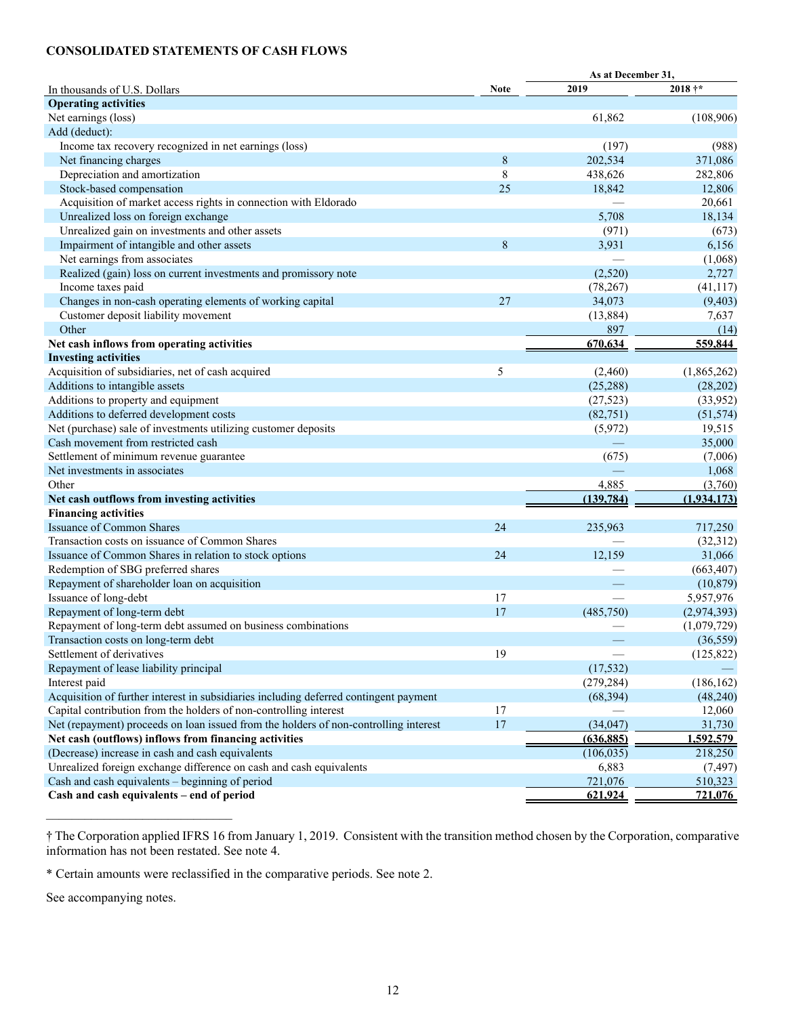# <span id="page-11-0"></span>**CONSOLIDATED STATEMENTS OF CASH FLOWS**

| 2019<br>$2018 +$ *<br>In thousands of U.S. Dollars<br>Note<br><b>Operating activities</b><br>Net earnings (loss)<br>61,862<br>(108,906)<br>Add (deduct):<br>Income tax recovery recognized in net earnings (loss)<br>(197)<br>(988)<br>Net financing charges<br>8<br>202,534<br>371,086<br>8<br>Depreciation and amortization<br>438,626<br>282,806<br>Stock-based compensation<br>25<br>18,842<br>12,806<br>Acquisition of market access rights in connection with Eldorado<br>20,661<br>Unrealized loss on foreign exchange<br>5,708<br>18,134<br>Unrealized gain on investments and other assets<br>(971)<br>(673)<br>8<br>Impairment of intangible and other assets<br>3,931<br>6,156<br>Net earnings from associates<br>(1,068)<br>2,727<br>Realized (gain) loss on current investments and promissory note<br>(2,520)<br>Income taxes paid<br>(78, 267)<br>(41, 117)<br>Changes in non-cash operating elements of working capital<br>27<br>34,073<br>(9, 403)<br>Customer deposit liability movement<br>(13, 884)<br>7,637<br>897<br>Other<br>(14)<br>559,844<br>670,634<br>Net cash inflows from operating activities<br><b>Investing activities</b><br>Acquisition of subsidiaries, net of cash acquired<br>5<br>(1,865,262)<br>(2,460)<br>Additions to intangible assets<br>(25, 288)<br>(28,202)<br>Additions to property and equipment<br>(27, 523)<br>(33,952)<br>Additions to deferred development costs<br>(82, 751)<br>(51, 574)<br>Net (purchase) sale of investments utilizing customer deposits<br>(5,972)<br>19,515<br>Cash movement from restricted cash<br>35,000<br>Settlement of minimum revenue guarantee<br>(7,006)<br>(675)<br>Net investments in associates<br>1,068<br>Other<br>4,885<br>(3,760)<br>(139, 784)<br>(1,934,173)<br>Net cash outflows from investing activities<br><b>Financing activities</b><br><b>Issuance of Common Shares</b><br>24<br>235,963<br>717,250<br>Transaction costs on issuance of Common Shares<br>(32,312)<br>24<br>Issuance of Common Shares in relation to stock options<br>12,159<br>31,066<br>Redemption of SBG preferred shares<br>(663, 407)<br>Repayment of shareholder loan on acquisition<br>(10, 879)<br>Issuance of long-debt<br>17<br>5,957,976<br>Repayment of long-term debt<br>17<br>(2,974,393)<br>(485,750)<br>Repayment of long-term debt assumed on business combinations<br>(1,079,729)<br>Transaction costs on long-term debt<br>(36, 559)<br>Settlement of derivatives<br>19<br>(125, 822)<br>(17, 532)<br>Repayment of lease liability principal<br>(279, 284)<br>Interest paid<br>(186, 162)<br>Acquisition of further interest in subsidiaries including deferred contingent payment<br>(68, 394)<br>(48,240)<br>17<br>Capital contribution from the holders of non-controlling interest<br>12,060<br>Net (repayment) proceeds on loan issued from the holders of non-controlling interest<br>17<br>(34, 047)<br>31,730<br>1,592,579<br>Net cash (outflows) inflows from financing activities<br>(636, 885)<br>218,250<br>(Decrease) increase in cash and cash equivalents<br>(106, 035)<br>Unrealized foreign exchange difference on cash and cash equivalents<br>6,883<br>(7, 497)<br>Cash and cash equivalents - beginning of period<br>721,076<br>510,323<br>Cash and cash equivalents - end of period<br>621,924<br>721,076 |  | As at December 31, |  |
|----------------------------------------------------------------------------------------------------------------------------------------------------------------------------------------------------------------------------------------------------------------------------------------------------------------------------------------------------------------------------------------------------------------------------------------------------------------------------------------------------------------------------------------------------------------------------------------------------------------------------------------------------------------------------------------------------------------------------------------------------------------------------------------------------------------------------------------------------------------------------------------------------------------------------------------------------------------------------------------------------------------------------------------------------------------------------------------------------------------------------------------------------------------------------------------------------------------------------------------------------------------------------------------------------------------------------------------------------------------------------------------------------------------------------------------------------------------------------------------------------------------------------------------------------------------------------------------------------------------------------------------------------------------------------------------------------------------------------------------------------------------------------------------------------------------------------------------------------------------------------------------------------------------------------------------------------------------------------------------------------------------------------------------------------------------------------------------------------------------------------------------------------------------------------------------------------------------------------------------------------------------------------------------------------------------------------------------------------------------------------------------------------------------------------------------------------------------------------------------------------------------------------------------------------------------------------------------------------------------------------------------------------------------------------------------------------------------------------------------------------------------------------------------------------------------------------------------------------------------------------------------------------------------------------------------------------------------------------------------------------------------------------------------------------------------------------------------------------------------------------------------------------------------------------------------------------------------------------------------------------------------------------------------------------------------------|--|--------------------|--|
|                                                                                                                                                                                                                                                                                                                                                                                                                                                                                                                                                                                                                                                                                                                                                                                                                                                                                                                                                                                                                                                                                                                                                                                                                                                                                                                                                                                                                                                                                                                                                                                                                                                                                                                                                                                                                                                                                                                                                                                                                                                                                                                                                                                                                                                                                                                                                                                                                                                                                                                                                                                                                                                                                                                                                                                                                                                                                                                                                                                                                                                                                                                                                                                                                                                                                                                      |  |                    |  |
|                                                                                                                                                                                                                                                                                                                                                                                                                                                                                                                                                                                                                                                                                                                                                                                                                                                                                                                                                                                                                                                                                                                                                                                                                                                                                                                                                                                                                                                                                                                                                                                                                                                                                                                                                                                                                                                                                                                                                                                                                                                                                                                                                                                                                                                                                                                                                                                                                                                                                                                                                                                                                                                                                                                                                                                                                                                                                                                                                                                                                                                                                                                                                                                                                                                                                                                      |  |                    |  |
|                                                                                                                                                                                                                                                                                                                                                                                                                                                                                                                                                                                                                                                                                                                                                                                                                                                                                                                                                                                                                                                                                                                                                                                                                                                                                                                                                                                                                                                                                                                                                                                                                                                                                                                                                                                                                                                                                                                                                                                                                                                                                                                                                                                                                                                                                                                                                                                                                                                                                                                                                                                                                                                                                                                                                                                                                                                                                                                                                                                                                                                                                                                                                                                                                                                                                                                      |  |                    |  |
|                                                                                                                                                                                                                                                                                                                                                                                                                                                                                                                                                                                                                                                                                                                                                                                                                                                                                                                                                                                                                                                                                                                                                                                                                                                                                                                                                                                                                                                                                                                                                                                                                                                                                                                                                                                                                                                                                                                                                                                                                                                                                                                                                                                                                                                                                                                                                                                                                                                                                                                                                                                                                                                                                                                                                                                                                                                                                                                                                                                                                                                                                                                                                                                                                                                                                                                      |  |                    |  |
|                                                                                                                                                                                                                                                                                                                                                                                                                                                                                                                                                                                                                                                                                                                                                                                                                                                                                                                                                                                                                                                                                                                                                                                                                                                                                                                                                                                                                                                                                                                                                                                                                                                                                                                                                                                                                                                                                                                                                                                                                                                                                                                                                                                                                                                                                                                                                                                                                                                                                                                                                                                                                                                                                                                                                                                                                                                                                                                                                                                                                                                                                                                                                                                                                                                                                                                      |  |                    |  |
|                                                                                                                                                                                                                                                                                                                                                                                                                                                                                                                                                                                                                                                                                                                                                                                                                                                                                                                                                                                                                                                                                                                                                                                                                                                                                                                                                                                                                                                                                                                                                                                                                                                                                                                                                                                                                                                                                                                                                                                                                                                                                                                                                                                                                                                                                                                                                                                                                                                                                                                                                                                                                                                                                                                                                                                                                                                                                                                                                                                                                                                                                                                                                                                                                                                                                                                      |  |                    |  |
|                                                                                                                                                                                                                                                                                                                                                                                                                                                                                                                                                                                                                                                                                                                                                                                                                                                                                                                                                                                                                                                                                                                                                                                                                                                                                                                                                                                                                                                                                                                                                                                                                                                                                                                                                                                                                                                                                                                                                                                                                                                                                                                                                                                                                                                                                                                                                                                                                                                                                                                                                                                                                                                                                                                                                                                                                                                                                                                                                                                                                                                                                                                                                                                                                                                                                                                      |  |                    |  |
|                                                                                                                                                                                                                                                                                                                                                                                                                                                                                                                                                                                                                                                                                                                                                                                                                                                                                                                                                                                                                                                                                                                                                                                                                                                                                                                                                                                                                                                                                                                                                                                                                                                                                                                                                                                                                                                                                                                                                                                                                                                                                                                                                                                                                                                                                                                                                                                                                                                                                                                                                                                                                                                                                                                                                                                                                                                                                                                                                                                                                                                                                                                                                                                                                                                                                                                      |  |                    |  |
|                                                                                                                                                                                                                                                                                                                                                                                                                                                                                                                                                                                                                                                                                                                                                                                                                                                                                                                                                                                                                                                                                                                                                                                                                                                                                                                                                                                                                                                                                                                                                                                                                                                                                                                                                                                                                                                                                                                                                                                                                                                                                                                                                                                                                                                                                                                                                                                                                                                                                                                                                                                                                                                                                                                                                                                                                                                                                                                                                                                                                                                                                                                                                                                                                                                                                                                      |  |                    |  |
|                                                                                                                                                                                                                                                                                                                                                                                                                                                                                                                                                                                                                                                                                                                                                                                                                                                                                                                                                                                                                                                                                                                                                                                                                                                                                                                                                                                                                                                                                                                                                                                                                                                                                                                                                                                                                                                                                                                                                                                                                                                                                                                                                                                                                                                                                                                                                                                                                                                                                                                                                                                                                                                                                                                                                                                                                                                                                                                                                                                                                                                                                                                                                                                                                                                                                                                      |  |                    |  |
|                                                                                                                                                                                                                                                                                                                                                                                                                                                                                                                                                                                                                                                                                                                                                                                                                                                                                                                                                                                                                                                                                                                                                                                                                                                                                                                                                                                                                                                                                                                                                                                                                                                                                                                                                                                                                                                                                                                                                                                                                                                                                                                                                                                                                                                                                                                                                                                                                                                                                                                                                                                                                                                                                                                                                                                                                                                                                                                                                                                                                                                                                                                                                                                                                                                                                                                      |  |                    |  |
|                                                                                                                                                                                                                                                                                                                                                                                                                                                                                                                                                                                                                                                                                                                                                                                                                                                                                                                                                                                                                                                                                                                                                                                                                                                                                                                                                                                                                                                                                                                                                                                                                                                                                                                                                                                                                                                                                                                                                                                                                                                                                                                                                                                                                                                                                                                                                                                                                                                                                                                                                                                                                                                                                                                                                                                                                                                                                                                                                                                                                                                                                                                                                                                                                                                                                                                      |  |                    |  |
|                                                                                                                                                                                                                                                                                                                                                                                                                                                                                                                                                                                                                                                                                                                                                                                                                                                                                                                                                                                                                                                                                                                                                                                                                                                                                                                                                                                                                                                                                                                                                                                                                                                                                                                                                                                                                                                                                                                                                                                                                                                                                                                                                                                                                                                                                                                                                                                                                                                                                                                                                                                                                                                                                                                                                                                                                                                                                                                                                                                                                                                                                                                                                                                                                                                                                                                      |  |                    |  |
|                                                                                                                                                                                                                                                                                                                                                                                                                                                                                                                                                                                                                                                                                                                                                                                                                                                                                                                                                                                                                                                                                                                                                                                                                                                                                                                                                                                                                                                                                                                                                                                                                                                                                                                                                                                                                                                                                                                                                                                                                                                                                                                                                                                                                                                                                                                                                                                                                                                                                                                                                                                                                                                                                                                                                                                                                                                                                                                                                                                                                                                                                                                                                                                                                                                                                                                      |  |                    |  |
|                                                                                                                                                                                                                                                                                                                                                                                                                                                                                                                                                                                                                                                                                                                                                                                                                                                                                                                                                                                                                                                                                                                                                                                                                                                                                                                                                                                                                                                                                                                                                                                                                                                                                                                                                                                                                                                                                                                                                                                                                                                                                                                                                                                                                                                                                                                                                                                                                                                                                                                                                                                                                                                                                                                                                                                                                                                                                                                                                                                                                                                                                                                                                                                                                                                                                                                      |  |                    |  |
|                                                                                                                                                                                                                                                                                                                                                                                                                                                                                                                                                                                                                                                                                                                                                                                                                                                                                                                                                                                                                                                                                                                                                                                                                                                                                                                                                                                                                                                                                                                                                                                                                                                                                                                                                                                                                                                                                                                                                                                                                                                                                                                                                                                                                                                                                                                                                                                                                                                                                                                                                                                                                                                                                                                                                                                                                                                                                                                                                                                                                                                                                                                                                                                                                                                                                                                      |  |                    |  |
|                                                                                                                                                                                                                                                                                                                                                                                                                                                                                                                                                                                                                                                                                                                                                                                                                                                                                                                                                                                                                                                                                                                                                                                                                                                                                                                                                                                                                                                                                                                                                                                                                                                                                                                                                                                                                                                                                                                                                                                                                                                                                                                                                                                                                                                                                                                                                                                                                                                                                                                                                                                                                                                                                                                                                                                                                                                                                                                                                                                                                                                                                                                                                                                                                                                                                                                      |  |                    |  |
|                                                                                                                                                                                                                                                                                                                                                                                                                                                                                                                                                                                                                                                                                                                                                                                                                                                                                                                                                                                                                                                                                                                                                                                                                                                                                                                                                                                                                                                                                                                                                                                                                                                                                                                                                                                                                                                                                                                                                                                                                                                                                                                                                                                                                                                                                                                                                                                                                                                                                                                                                                                                                                                                                                                                                                                                                                                                                                                                                                                                                                                                                                                                                                                                                                                                                                                      |  |                    |  |
|                                                                                                                                                                                                                                                                                                                                                                                                                                                                                                                                                                                                                                                                                                                                                                                                                                                                                                                                                                                                                                                                                                                                                                                                                                                                                                                                                                                                                                                                                                                                                                                                                                                                                                                                                                                                                                                                                                                                                                                                                                                                                                                                                                                                                                                                                                                                                                                                                                                                                                                                                                                                                                                                                                                                                                                                                                                                                                                                                                                                                                                                                                                                                                                                                                                                                                                      |  |                    |  |
|                                                                                                                                                                                                                                                                                                                                                                                                                                                                                                                                                                                                                                                                                                                                                                                                                                                                                                                                                                                                                                                                                                                                                                                                                                                                                                                                                                                                                                                                                                                                                                                                                                                                                                                                                                                                                                                                                                                                                                                                                                                                                                                                                                                                                                                                                                                                                                                                                                                                                                                                                                                                                                                                                                                                                                                                                                                                                                                                                                                                                                                                                                                                                                                                                                                                                                                      |  |                    |  |
|                                                                                                                                                                                                                                                                                                                                                                                                                                                                                                                                                                                                                                                                                                                                                                                                                                                                                                                                                                                                                                                                                                                                                                                                                                                                                                                                                                                                                                                                                                                                                                                                                                                                                                                                                                                                                                                                                                                                                                                                                                                                                                                                                                                                                                                                                                                                                                                                                                                                                                                                                                                                                                                                                                                                                                                                                                                                                                                                                                                                                                                                                                                                                                                                                                                                                                                      |  |                    |  |
|                                                                                                                                                                                                                                                                                                                                                                                                                                                                                                                                                                                                                                                                                                                                                                                                                                                                                                                                                                                                                                                                                                                                                                                                                                                                                                                                                                                                                                                                                                                                                                                                                                                                                                                                                                                                                                                                                                                                                                                                                                                                                                                                                                                                                                                                                                                                                                                                                                                                                                                                                                                                                                                                                                                                                                                                                                                                                                                                                                                                                                                                                                                                                                                                                                                                                                                      |  |                    |  |
|                                                                                                                                                                                                                                                                                                                                                                                                                                                                                                                                                                                                                                                                                                                                                                                                                                                                                                                                                                                                                                                                                                                                                                                                                                                                                                                                                                                                                                                                                                                                                                                                                                                                                                                                                                                                                                                                                                                                                                                                                                                                                                                                                                                                                                                                                                                                                                                                                                                                                                                                                                                                                                                                                                                                                                                                                                                                                                                                                                                                                                                                                                                                                                                                                                                                                                                      |  |                    |  |
|                                                                                                                                                                                                                                                                                                                                                                                                                                                                                                                                                                                                                                                                                                                                                                                                                                                                                                                                                                                                                                                                                                                                                                                                                                                                                                                                                                                                                                                                                                                                                                                                                                                                                                                                                                                                                                                                                                                                                                                                                                                                                                                                                                                                                                                                                                                                                                                                                                                                                                                                                                                                                                                                                                                                                                                                                                                                                                                                                                                                                                                                                                                                                                                                                                                                                                                      |  |                    |  |
|                                                                                                                                                                                                                                                                                                                                                                                                                                                                                                                                                                                                                                                                                                                                                                                                                                                                                                                                                                                                                                                                                                                                                                                                                                                                                                                                                                                                                                                                                                                                                                                                                                                                                                                                                                                                                                                                                                                                                                                                                                                                                                                                                                                                                                                                                                                                                                                                                                                                                                                                                                                                                                                                                                                                                                                                                                                                                                                                                                                                                                                                                                                                                                                                                                                                                                                      |  |                    |  |
|                                                                                                                                                                                                                                                                                                                                                                                                                                                                                                                                                                                                                                                                                                                                                                                                                                                                                                                                                                                                                                                                                                                                                                                                                                                                                                                                                                                                                                                                                                                                                                                                                                                                                                                                                                                                                                                                                                                                                                                                                                                                                                                                                                                                                                                                                                                                                                                                                                                                                                                                                                                                                                                                                                                                                                                                                                                                                                                                                                                                                                                                                                                                                                                                                                                                                                                      |  |                    |  |
|                                                                                                                                                                                                                                                                                                                                                                                                                                                                                                                                                                                                                                                                                                                                                                                                                                                                                                                                                                                                                                                                                                                                                                                                                                                                                                                                                                                                                                                                                                                                                                                                                                                                                                                                                                                                                                                                                                                                                                                                                                                                                                                                                                                                                                                                                                                                                                                                                                                                                                                                                                                                                                                                                                                                                                                                                                                                                                                                                                                                                                                                                                                                                                                                                                                                                                                      |  |                    |  |
|                                                                                                                                                                                                                                                                                                                                                                                                                                                                                                                                                                                                                                                                                                                                                                                                                                                                                                                                                                                                                                                                                                                                                                                                                                                                                                                                                                                                                                                                                                                                                                                                                                                                                                                                                                                                                                                                                                                                                                                                                                                                                                                                                                                                                                                                                                                                                                                                                                                                                                                                                                                                                                                                                                                                                                                                                                                                                                                                                                                                                                                                                                                                                                                                                                                                                                                      |  |                    |  |
|                                                                                                                                                                                                                                                                                                                                                                                                                                                                                                                                                                                                                                                                                                                                                                                                                                                                                                                                                                                                                                                                                                                                                                                                                                                                                                                                                                                                                                                                                                                                                                                                                                                                                                                                                                                                                                                                                                                                                                                                                                                                                                                                                                                                                                                                                                                                                                                                                                                                                                                                                                                                                                                                                                                                                                                                                                                                                                                                                                                                                                                                                                                                                                                                                                                                                                                      |  |                    |  |
|                                                                                                                                                                                                                                                                                                                                                                                                                                                                                                                                                                                                                                                                                                                                                                                                                                                                                                                                                                                                                                                                                                                                                                                                                                                                                                                                                                                                                                                                                                                                                                                                                                                                                                                                                                                                                                                                                                                                                                                                                                                                                                                                                                                                                                                                                                                                                                                                                                                                                                                                                                                                                                                                                                                                                                                                                                                                                                                                                                                                                                                                                                                                                                                                                                                                                                                      |  |                    |  |
|                                                                                                                                                                                                                                                                                                                                                                                                                                                                                                                                                                                                                                                                                                                                                                                                                                                                                                                                                                                                                                                                                                                                                                                                                                                                                                                                                                                                                                                                                                                                                                                                                                                                                                                                                                                                                                                                                                                                                                                                                                                                                                                                                                                                                                                                                                                                                                                                                                                                                                                                                                                                                                                                                                                                                                                                                                                                                                                                                                                                                                                                                                                                                                                                                                                                                                                      |  |                    |  |
|                                                                                                                                                                                                                                                                                                                                                                                                                                                                                                                                                                                                                                                                                                                                                                                                                                                                                                                                                                                                                                                                                                                                                                                                                                                                                                                                                                                                                                                                                                                                                                                                                                                                                                                                                                                                                                                                                                                                                                                                                                                                                                                                                                                                                                                                                                                                                                                                                                                                                                                                                                                                                                                                                                                                                                                                                                                                                                                                                                                                                                                                                                                                                                                                                                                                                                                      |  |                    |  |
|                                                                                                                                                                                                                                                                                                                                                                                                                                                                                                                                                                                                                                                                                                                                                                                                                                                                                                                                                                                                                                                                                                                                                                                                                                                                                                                                                                                                                                                                                                                                                                                                                                                                                                                                                                                                                                                                                                                                                                                                                                                                                                                                                                                                                                                                                                                                                                                                                                                                                                                                                                                                                                                                                                                                                                                                                                                                                                                                                                                                                                                                                                                                                                                                                                                                                                                      |  |                    |  |
|                                                                                                                                                                                                                                                                                                                                                                                                                                                                                                                                                                                                                                                                                                                                                                                                                                                                                                                                                                                                                                                                                                                                                                                                                                                                                                                                                                                                                                                                                                                                                                                                                                                                                                                                                                                                                                                                                                                                                                                                                                                                                                                                                                                                                                                                                                                                                                                                                                                                                                                                                                                                                                                                                                                                                                                                                                                                                                                                                                                                                                                                                                                                                                                                                                                                                                                      |  |                    |  |
|                                                                                                                                                                                                                                                                                                                                                                                                                                                                                                                                                                                                                                                                                                                                                                                                                                                                                                                                                                                                                                                                                                                                                                                                                                                                                                                                                                                                                                                                                                                                                                                                                                                                                                                                                                                                                                                                                                                                                                                                                                                                                                                                                                                                                                                                                                                                                                                                                                                                                                                                                                                                                                                                                                                                                                                                                                                                                                                                                                                                                                                                                                                                                                                                                                                                                                                      |  |                    |  |
|                                                                                                                                                                                                                                                                                                                                                                                                                                                                                                                                                                                                                                                                                                                                                                                                                                                                                                                                                                                                                                                                                                                                                                                                                                                                                                                                                                                                                                                                                                                                                                                                                                                                                                                                                                                                                                                                                                                                                                                                                                                                                                                                                                                                                                                                                                                                                                                                                                                                                                                                                                                                                                                                                                                                                                                                                                                                                                                                                                                                                                                                                                                                                                                                                                                                                                                      |  |                    |  |
|                                                                                                                                                                                                                                                                                                                                                                                                                                                                                                                                                                                                                                                                                                                                                                                                                                                                                                                                                                                                                                                                                                                                                                                                                                                                                                                                                                                                                                                                                                                                                                                                                                                                                                                                                                                                                                                                                                                                                                                                                                                                                                                                                                                                                                                                                                                                                                                                                                                                                                                                                                                                                                                                                                                                                                                                                                                                                                                                                                                                                                                                                                                                                                                                                                                                                                                      |  |                    |  |
|                                                                                                                                                                                                                                                                                                                                                                                                                                                                                                                                                                                                                                                                                                                                                                                                                                                                                                                                                                                                                                                                                                                                                                                                                                                                                                                                                                                                                                                                                                                                                                                                                                                                                                                                                                                                                                                                                                                                                                                                                                                                                                                                                                                                                                                                                                                                                                                                                                                                                                                                                                                                                                                                                                                                                                                                                                                                                                                                                                                                                                                                                                                                                                                                                                                                                                                      |  |                    |  |
|                                                                                                                                                                                                                                                                                                                                                                                                                                                                                                                                                                                                                                                                                                                                                                                                                                                                                                                                                                                                                                                                                                                                                                                                                                                                                                                                                                                                                                                                                                                                                                                                                                                                                                                                                                                                                                                                                                                                                                                                                                                                                                                                                                                                                                                                                                                                                                                                                                                                                                                                                                                                                                                                                                                                                                                                                                                                                                                                                                                                                                                                                                                                                                                                                                                                                                                      |  |                    |  |
|                                                                                                                                                                                                                                                                                                                                                                                                                                                                                                                                                                                                                                                                                                                                                                                                                                                                                                                                                                                                                                                                                                                                                                                                                                                                                                                                                                                                                                                                                                                                                                                                                                                                                                                                                                                                                                                                                                                                                                                                                                                                                                                                                                                                                                                                                                                                                                                                                                                                                                                                                                                                                                                                                                                                                                                                                                                                                                                                                                                                                                                                                                                                                                                                                                                                                                                      |  |                    |  |
|                                                                                                                                                                                                                                                                                                                                                                                                                                                                                                                                                                                                                                                                                                                                                                                                                                                                                                                                                                                                                                                                                                                                                                                                                                                                                                                                                                                                                                                                                                                                                                                                                                                                                                                                                                                                                                                                                                                                                                                                                                                                                                                                                                                                                                                                                                                                                                                                                                                                                                                                                                                                                                                                                                                                                                                                                                                                                                                                                                                                                                                                                                                                                                                                                                                                                                                      |  |                    |  |
|                                                                                                                                                                                                                                                                                                                                                                                                                                                                                                                                                                                                                                                                                                                                                                                                                                                                                                                                                                                                                                                                                                                                                                                                                                                                                                                                                                                                                                                                                                                                                                                                                                                                                                                                                                                                                                                                                                                                                                                                                                                                                                                                                                                                                                                                                                                                                                                                                                                                                                                                                                                                                                                                                                                                                                                                                                                                                                                                                                                                                                                                                                                                                                                                                                                                                                                      |  |                    |  |
|                                                                                                                                                                                                                                                                                                                                                                                                                                                                                                                                                                                                                                                                                                                                                                                                                                                                                                                                                                                                                                                                                                                                                                                                                                                                                                                                                                                                                                                                                                                                                                                                                                                                                                                                                                                                                                                                                                                                                                                                                                                                                                                                                                                                                                                                                                                                                                                                                                                                                                                                                                                                                                                                                                                                                                                                                                                                                                                                                                                                                                                                                                                                                                                                                                                                                                                      |  |                    |  |
|                                                                                                                                                                                                                                                                                                                                                                                                                                                                                                                                                                                                                                                                                                                                                                                                                                                                                                                                                                                                                                                                                                                                                                                                                                                                                                                                                                                                                                                                                                                                                                                                                                                                                                                                                                                                                                                                                                                                                                                                                                                                                                                                                                                                                                                                                                                                                                                                                                                                                                                                                                                                                                                                                                                                                                                                                                                                                                                                                                                                                                                                                                                                                                                                                                                                                                                      |  |                    |  |
|                                                                                                                                                                                                                                                                                                                                                                                                                                                                                                                                                                                                                                                                                                                                                                                                                                                                                                                                                                                                                                                                                                                                                                                                                                                                                                                                                                                                                                                                                                                                                                                                                                                                                                                                                                                                                                                                                                                                                                                                                                                                                                                                                                                                                                                                                                                                                                                                                                                                                                                                                                                                                                                                                                                                                                                                                                                                                                                                                                                                                                                                                                                                                                                                                                                                                                                      |  |                    |  |
|                                                                                                                                                                                                                                                                                                                                                                                                                                                                                                                                                                                                                                                                                                                                                                                                                                                                                                                                                                                                                                                                                                                                                                                                                                                                                                                                                                                                                                                                                                                                                                                                                                                                                                                                                                                                                                                                                                                                                                                                                                                                                                                                                                                                                                                                                                                                                                                                                                                                                                                                                                                                                                                                                                                                                                                                                                                                                                                                                                                                                                                                                                                                                                                                                                                                                                                      |  |                    |  |
|                                                                                                                                                                                                                                                                                                                                                                                                                                                                                                                                                                                                                                                                                                                                                                                                                                                                                                                                                                                                                                                                                                                                                                                                                                                                                                                                                                                                                                                                                                                                                                                                                                                                                                                                                                                                                                                                                                                                                                                                                                                                                                                                                                                                                                                                                                                                                                                                                                                                                                                                                                                                                                                                                                                                                                                                                                                                                                                                                                                                                                                                                                                                                                                                                                                                                                                      |  |                    |  |
|                                                                                                                                                                                                                                                                                                                                                                                                                                                                                                                                                                                                                                                                                                                                                                                                                                                                                                                                                                                                                                                                                                                                                                                                                                                                                                                                                                                                                                                                                                                                                                                                                                                                                                                                                                                                                                                                                                                                                                                                                                                                                                                                                                                                                                                                                                                                                                                                                                                                                                                                                                                                                                                                                                                                                                                                                                                                                                                                                                                                                                                                                                                                                                                                                                                                                                                      |  |                    |  |
|                                                                                                                                                                                                                                                                                                                                                                                                                                                                                                                                                                                                                                                                                                                                                                                                                                                                                                                                                                                                                                                                                                                                                                                                                                                                                                                                                                                                                                                                                                                                                                                                                                                                                                                                                                                                                                                                                                                                                                                                                                                                                                                                                                                                                                                                                                                                                                                                                                                                                                                                                                                                                                                                                                                                                                                                                                                                                                                                                                                                                                                                                                                                                                                                                                                                                                                      |  |                    |  |
|                                                                                                                                                                                                                                                                                                                                                                                                                                                                                                                                                                                                                                                                                                                                                                                                                                                                                                                                                                                                                                                                                                                                                                                                                                                                                                                                                                                                                                                                                                                                                                                                                                                                                                                                                                                                                                                                                                                                                                                                                                                                                                                                                                                                                                                                                                                                                                                                                                                                                                                                                                                                                                                                                                                                                                                                                                                                                                                                                                                                                                                                                                                                                                                                                                                                                                                      |  |                    |  |
|                                                                                                                                                                                                                                                                                                                                                                                                                                                                                                                                                                                                                                                                                                                                                                                                                                                                                                                                                                                                                                                                                                                                                                                                                                                                                                                                                                                                                                                                                                                                                                                                                                                                                                                                                                                                                                                                                                                                                                                                                                                                                                                                                                                                                                                                                                                                                                                                                                                                                                                                                                                                                                                                                                                                                                                                                                                                                                                                                                                                                                                                                                                                                                                                                                                                                                                      |  |                    |  |

† The Corporation applied IFRS 16 from January 1, 2019. Consistent with the transition method chosen by the Corporation, comparative information has not been restated. See note 4.

\* Certain amounts were reclassified in the comparative periods. See note 2.

See accompanying notes.

\_\_\_\_\_\_\_\_\_\_\_\_\_\_\_\_\_\_\_\_\_\_\_\_\_\_\_\_\_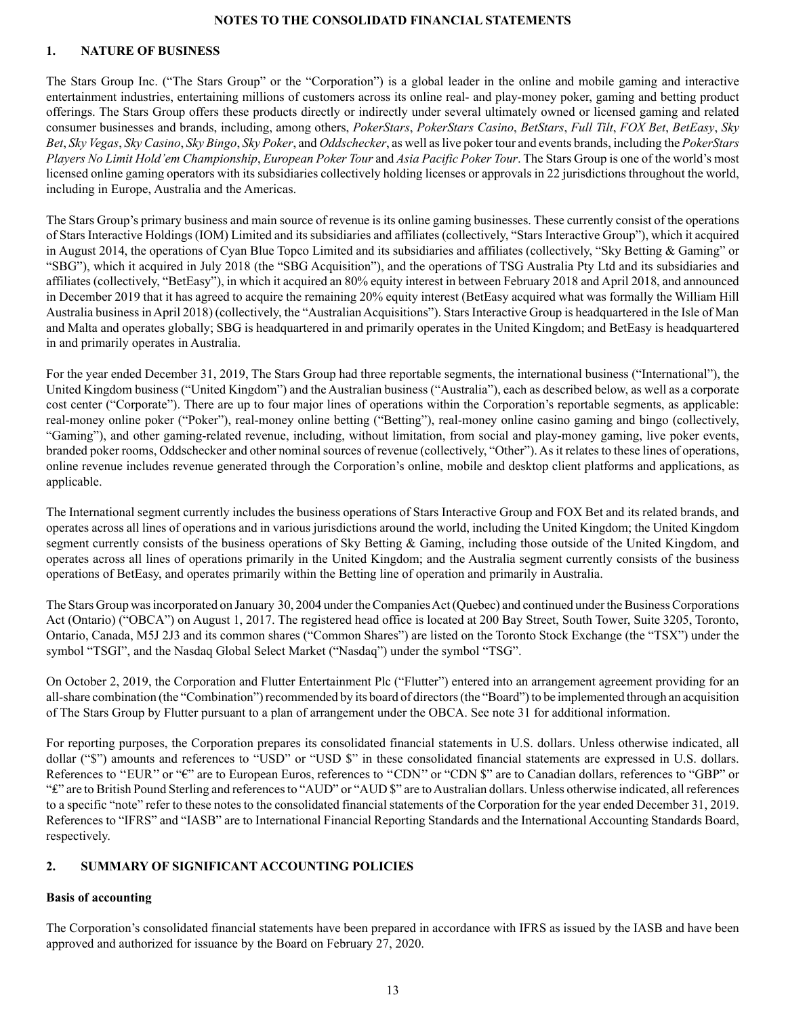## **NOTES TO THE CONSOLIDATD FINANCIAL STATEMENTS**

## <span id="page-12-0"></span>**1. NATURE OF BUSINESS**

The Stars Group Inc. ("The Stars Group" or the "Corporation") is a global leader in the online and mobile gaming and interactive entertainment industries, entertaining millions of customers across its online real- and play-money poker, gaming and betting product offerings. The Stars Group offers these products directly or indirectly under several ultimately owned or licensed gaming and related consumer businesses and brands, including, among others, *PokerStars*, *PokerStars Casino*, *BetStars*, *Full Tilt*, *FOX Bet*, *BetEasy*, *Sky Bet*, *Sky Vegas*, *Sky Casino*, *Sky Bingo*, *Sky Poker*, and *Oddschecker*, as well as live poker tour and events brands, including the *PokerStars Players No Limit Hold'em Championship*, *European Poker Tour* and *Asia Pacific Poker Tour*. The Stars Group is one of the world's most licensed online gaming operators with its subsidiaries collectively holding licenses or approvals in 22 jurisdictions throughout the world, including in Europe, Australia and the Americas.

The Stars Group's primary business and main source of revenue is its online gaming businesses. These currently consist of the operations of Stars Interactive Holdings (IOM) Limited and its subsidiaries and affiliates (collectively, "Stars Interactive Group"), which it acquired in August 2014, the operations of Cyan Blue Topco Limited and its subsidiaries and affiliates (collectively, "Sky Betting & Gaming" or "SBG"), which it acquired in July 2018 (the "SBG Acquisition"), and the operations of TSG Australia Pty Ltd and its subsidiaries and affiliates (collectively, "BetEasy"), in which it acquired an 80% equity interest in between February 2018 and April 2018, and announced in December 2019 that it has agreed to acquire the remaining 20% equity interest (BetEasy acquired what was formally the William Hill Australia business in April 2018) (collectively, the "Australian Acquisitions"). Stars Interactive Group is headquartered in the Isle of Man and Malta and operates globally; SBG is headquartered in and primarily operates in the United Kingdom; and BetEasy is headquartered in and primarily operates in Australia.

For the year ended December 31, 2019, The Stars Group had three reportable segments, the international business ("International"), the United Kingdom business ("United Kingdom") and the Australian business ("Australia"), each as described below, as well as a corporate cost center ("Corporate"). There are up to four major lines of operations within the Corporation's reportable segments, as applicable: real-money online poker ("Poker"), real-money online betting ("Betting"), real-money online casino gaming and bingo (collectively, "Gaming"), and other gaming-related revenue, including, without limitation, from social and play-money gaming, live poker events, branded poker rooms, Oddschecker and other nominal sources of revenue (collectively, "Other"). As it relates to these lines of operations, online revenue includes revenue generated through the Corporation's online, mobile and desktop client platforms and applications, as applicable.

The International segment currently includes the business operations of Stars Interactive Group and FOX Bet and its related brands, and operates across all lines of operations and in various jurisdictions around the world, including the United Kingdom; the United Kingdom segment currently consists of the business operations of Sky Betting & Gaming, including those outside of the United Kingdom, and operates across all lines of operations primarily in the United Kingdom; and the Australia segment currently consists of the business operations of BetEasy, and operates primarily within the Betting line of operation and primarily in Australia.

The Stars Group was incorporated on January 30, 2004 under the Companies Act (Quebec) and continued under the Business Corporations Act (Ontario) ("OBCA") on August 1, 2017. The registered head office is located at 200 Bay Street, South Tower, Suite 3205, Toronto, Ontario, Canada, M5J 2J3 and its common shares ("Common Shares") are listed on the Toronto Stock Exchange (the "TSX") under the symbol "TSGI", and the Nasdaq Global Select Market ("Nasdaq") under the symbol "TSG".

On October 2, 2019, the Corporation and Flutter Entertainment Plc ("Flutter") entered into an arrangement agreement providing for an all-share combination (the "Combination") recommended by its board of directors (the "Board") to be implemented through an acquisition of The Stars Group by Flutter pursuant to a plan of arrangement under the OBCA. See note 31 for additional information.

For reporting purposes, the Corporation prepares its consolidated financial statements in U.S. dollars. Unless otherwise indicated, all dollar ("\$") amounts and references to "USD" or "USD \$" in these consolidated financial statements are expressed in U.S. dollars. References to "EUR" or "€" are to European Euros, references to "CDN" or "CDN \$" are to Canadian dollars, references to "GBP" or "₤" are to British Pound Sterling and references to "AUD" or "AUD \$" are to Australian dollars. Unless otherwise indicated, all references to a specific "note" refer to these notes to the consolidated financial statements of the Corporation for the year ended December 31, 2019. References to "IFRS" and "IASB" are to International Financial Reporting Standards and the International Accounting Standards Board, respectively.

# **2. SUMMARY OF SIGNIFICANT ACCOUNTING POLICIES**

# **Basis of accounting**

The Corporation's consolidated financial statements have been prepared in accordance with IFRS as issued by the IASB and have been approved and authorized for issuance by the Board on February 27, 2020.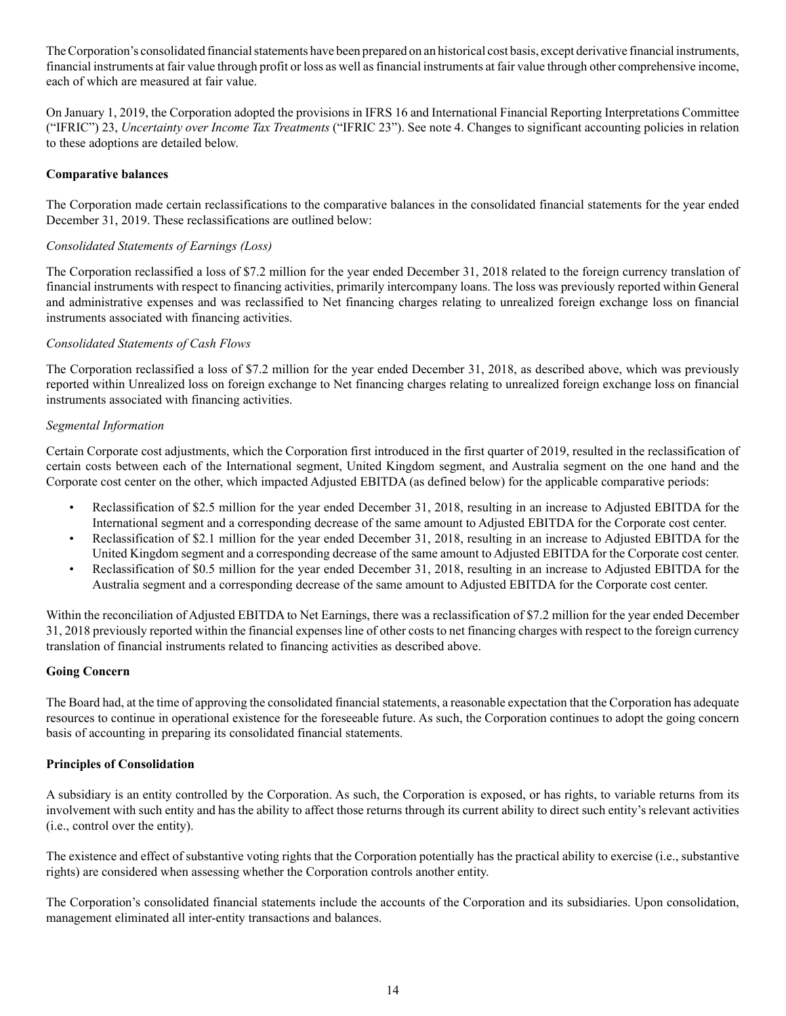The Corporation's consolidated financial statements have been prepared on an historical cost basis, except derivative financial instruments, financial instruments at fair value through profit or loss as well as financial instruments at fair value through other comprehensive income, each of which are measured at fair value.

On January 1, 2019, the Corporation adopted the provisions in IFRS 16 and International Financial Reporting Interpretations Committee ("IFRIC") 23, *Uncertainty over Income Tax Treatments* ("IFRIC 23"). See note 4. Changes to significant accounting policies in relation to these adoptions are detailed below.

# **Comparative balances**

The Corporation made certain reclassifications to the comparative balances in the consolidated financial statements for the year ended December 31, 2019. These reclassifications are outlined below:

# *Consolidated Statements of Earnings (Loss)*

The Corporation reclassified a loss of \$7.2 million for the year ended December 31, 2018 related to the foreign currency translation of financial instruments with respect to financing activities, primarily intercompany loans. The loss was previously reported within General and administrative expenses and was reclassified to Net financing charges relating to unrealized foreign exchange loss on financial instruments associated with financing activities.

# *Consolidated Statements of Cash Flows*

The Corporation reclassified a loss of \$7.2 million for the year ended December 31, 2018, as described above, which was previously reported within Unrealized loss on foreign exchange to Net financing charges relating to unrealized foreign exchange loss on financial instruments associated with financing activities.

# *Segmental Information*

Certain Corporate cost adjustments, which the Corporation first introduced in the first quarter of 2019, resulted in the reclassification of certain costs between each of the International segment, United Kingdom segment, and Australia segment on the one hand and the Corporate cost center on the other, which impacted Adjusted EBITDA (as defined below) for the applicable comparative periods:

- Reclassification of \$2.5 million for the year ended December 31, 2018, resulting in an increase to Adjusted EBITDA for the International segment and a corresponding decrease of the same amount to Adjusted EBITDA for the Corporate cost center.
- Reclassification of \$2.1 million for the year ended December 31, 2018, resulting in an increase to Adjusted EBITDA for the United Kingdom segment and a corresponding decrease of the same amount to Adjusted EBITDA for the Corporate cost center.
- Reclassification of \$0.5 million for the year ended December 31, 2018, resulting in an increase to Adjusted EBITDA for the Australia segment and a corresponding decrease of the same amount to Adjusted EBITDA for the Corporate cost center.

Within the reconciliation of Adjusted EBITDA to Net Earnings, there was a reclassification of \$7.2 million for the year ended December 31, 2018 previously reported within the financial expenses line of other costs to net financing charges with respect to the foreign currency translation of financial instruments related to financing activities as described above.

# **Going Concern**

The Board had, at the time of approving the consolidated financial statements, a reasonable expectation that the Corporation has adequate resources to continue in operational existence for the foreseeable future. As such, the Corporation continues to adopt the going concern basis of accounting in preparing its consolidated financial statements.

# **Principles of Consolidation**

A subsidiary is an entity controlled by the Corporation. As such, the Corporation is exposed, or has rights, to variable returns from its involvement with such entity and has the ability to affect those returns through its current ability to direct such entity's relevant activities (i.e., control over the entity).

The existence and effect of substantive voting rights that the Corporation potentially has the practical ability to exercise (i.e., substantive rights) are considered when assessing whether the Corporation controls another entity.

The Corporation's consolidated financial statements include the accounts of the Corporation and its subsidiaries. Upon consolidation, management eliminated all inter-entity transactions and balances.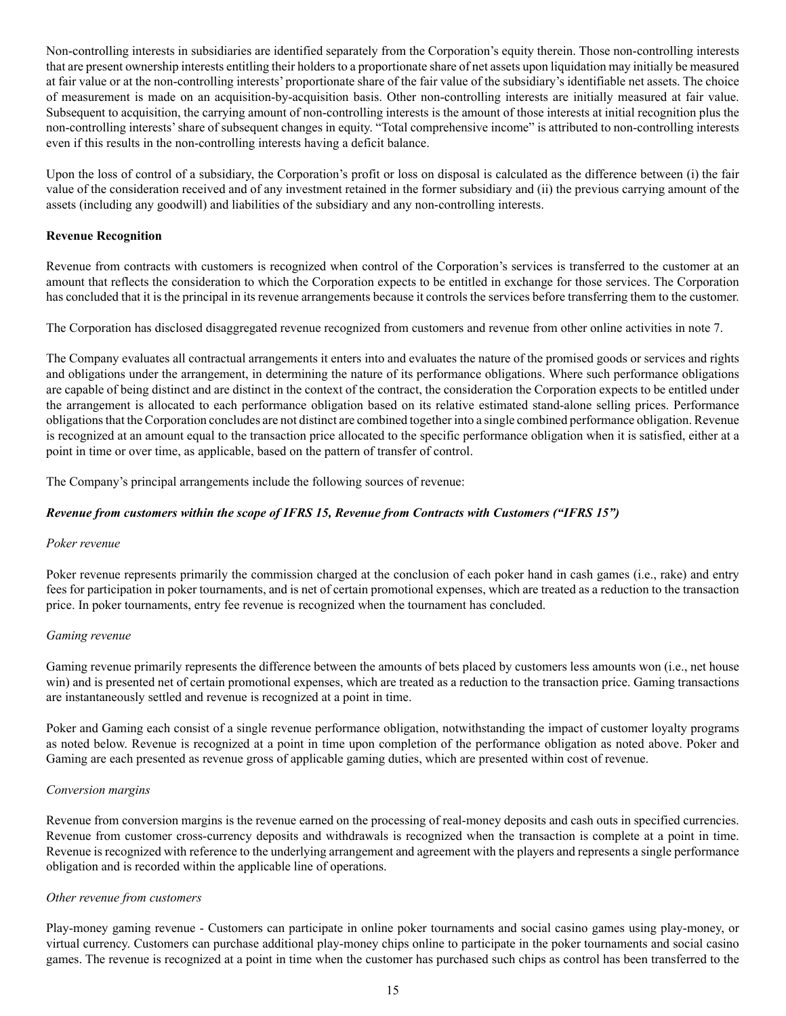Non-controlling interests in subsidiaries are identified separately from the Corporation's equity therein. Those non-controlling interests that are present ownership interests entitling their holders to a proportionate share of net assets upon liquidation may initially be measured at fair value or at the non-controlling interests' proportionate share of the fair value of the subsidiary's identifiable net assets. The choice of measurement is made on an acquisition-by-acquisition basis. Other non-controlling interests are initially measured at fair value. Subsequent to acquisition, the carrying amount of non-controlling interests is the amount of those interests at initial recognition plus the non-controlling interests' share of subsequent changes in equity. "Total comprehensive income" is attributed to non-controlling interests even if this results in the non-controlling interests having a deficit balance.

Upon the loss of control of a subsidiary, the Corporation's profit or loss on disposal is calculated as the difference between (i) the fair value of the consideration received and of any investment retained in the former subsidiary and (ii) the previous carrying amount of the assets (including any goodwill) and liabilities of the subsidiary and any non-controlling interests.

## **Revenue Recognition**

Revenue from contracts with customers is recognized when control of the Corporation's services is transferred to the customer at an amount that reflects the consideration to which the Corporation expects to be entitled in exchange for those services. The Corporation has concluded that it is the principal in its revenue arrangements because it controls the services before transferring them to the customer.

The Corporation has disclosed disaggregated revenue recognized from customers and revenue from other online activities in note 7.

The Company evaluates all contractual arrangements it enters into and evaluates the nature of the promised goods or services and rights and obligations under the arrangement, in determining the nature of its performance obligations. Where such performance obligations are capable of being distinct and are distinct in the context of the contract, the consideration the Corporation expects to be entitled under the arrangement is allocated to each performance obligation based on its relative estimated stand-alone selling prices. Performance obligations that the Corporation concludes are not distinct are combined together into a single combined performance obligation. Revenue is recognized at an amount equal to the transaction price allocated to the specific performance obligation when it is satisfied, either at a point in time or over time, as applicable, based on the pattern of transfer of control.

The Company's principal arrangements include the following sources of revenue:

# *Revenue from customers within the scope of IFRS 15, Revenue from Contracts with Customers ("IFRS 15")*

#### *Poker revenue*

Poker revenue represents primarily the commission charged at the conclusion of each poker hand in cash games (i.e., rake) and entry fees for participation in poker tournaments, and is net of certain promotional expenses, which are treated as a reduction to the transaction price. In poker tournaments, entry fee revenue is recognized when the tournament has concluded.

#### *Gaming revenue*

Gaming revenue primarily represents the difference between the amounts of bets placed by customers less amounts won (i.e., net house win) and is presented net of certain promotional expenses, which are treated as a reduction to the transaction price. Gaming transactions are instantaneously settled and revenue is recognized at a point in time.

Poker and Gaming each consist of a single revenue performance obligation, notwithstanding the impact of customer loyalty programs as noted below. Revenue is recognized at a point in time upon completion of the performance obligation as noted above. Poker and Gaming are each presented as revenue gross of applicable gaming duties, which are presented within cost of revenue.

#### *Conversion margins*

Revenue from conversion margins is the revenue earned on the processing of real-money deposits and cash outs in specified currencies. Revenue from customer cross-currency deposits and withdrawals is recognized when the transaction is complete at a point in time. Revenue is recognized with reference to the underlying arrangement and agreement with the players and represents a single performance obligation and is recorded within the applicable line of operations.

#### *Other revenue from customers*

Play-money gaming revenue - Customers can participate in online poker tournaments and social casino games using play-money, or virtual currency. Customers can purchase additional play-money chips online to participate in the poker tournaments and social casino games. The revenue is recognized at a point in time when the customer has purchased such chips as control has been transferred to the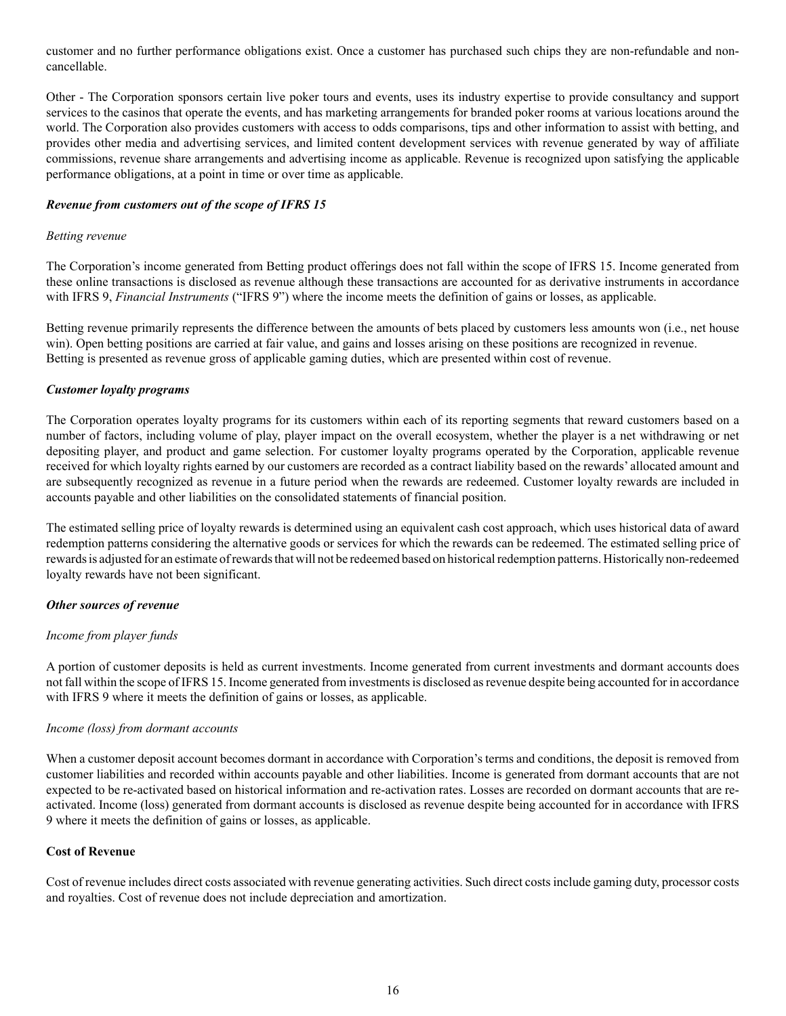customer and no further performance obligations exist. Once a customer has purchased such chips they are non-refundable and noncancellable.

Other - The Corporation sponsors certain live poker tours and events, uses its industry expertise to provide consultancy and support services to the casinos that operate the events, and has marketing arrangements for branded poker rooms at various locations around the world. The Corporation also provides customers with access to odds comparisons, tips and other information to assist with betting, and provides other media and advertising services, and limited content development services with revenue generated by way of affiliate commissions, revenue share arrangements and advertising income as applicable. Revenue is recognized upon satisfying the applicable performance obligations, at a point in time or over time as applicable.

# *Revenue from customers out of the scope of IFRS 15*

#### *Betting revenue*

The Corporation's income generated from Betting product offerings does not fall within the scope of IFRS 15. Income generated from these online transactions is disclosed as revenue although these transactions are accounted for as derivative instruments in accordance with IFRS 9, *Financial Instruments* ("IFRS 9") where the income meets the definition of gains or losses, as applicable.

Betting revenue primarily represents the difference between the amounts of bets placed by customers less amounts won (i.e., net house win). Open betting positions are carried at fair value, and gains and losses arising on these positions are recognized in revenue. Betting is presented as revenue gross of applicable gaming duties, which are presented within cost of revenue.

## *Customer loyalty programs*

The Corporation operates loyalty programs for its customers within each of its reporting segments that reward customers based on a number of factors, including volume of play, player impact on the overall ecosystem, whether the player is a net withdrawing or net depositing player, and product and game selection. For customer loyalty programs operated by the Corporation, applicable revenue received for which loyalty rights earned by our customers are recorded as a contract liability based on the rewards' allocated amount and are subsequently recognized as revenue in a future period when the rewards are redeemed. Customer loyalty rewards are included in accounts payable and other liabilities on the consolidated statements of financial position.

The estimated selling price of loyalty rewards is determined using an equivalent cash cost approach, which uses historical data of award redemption patterns considering the alternative goods or services for which the rewards can be redeemed. The estimated selling price of rewards is adjusted for an estimate of rewards that will not be redeemed based on historical redemption patterns. Historically non-redeemed loyalty rewards have not been significant.

#### *Other sources of revenue*

# *Income from player funds*

A portion of customer deposits is held as current investments. Income generated from current investments and dormant accounts does not fall within the scope of IFRS 15. Income generated from investments is disclosed as revenue despite being accounted for in accordance with IFRS 9 where it meets the definition of gains or losses, as applicable.

#### *Income (loss) from dormant accounts*

When a customer deposit account becomes dormant in accordance with Corporation's terms and conditions, the deposit is removed from customer liabilities and recorded within accounts payable and other liabilities. Income is generated from dormant accounts that are not expected to be re-activated based on historical information and re-activation rates. Losses are recorded on dormant accounts that are reactivated. Income (loss) generated from dormant accounts is disclosed as revenue despite being accounted for in accordance with IFRS 9 where it meets the definition of gains or losses, as applicable.

#### **Cost of Revenue**

Cost of revenue includes direct costs associated with revenue generating activities. Such direct costs include gaming duty, processor costs and royalties. Cost of revenue does not include depreciation and amortization.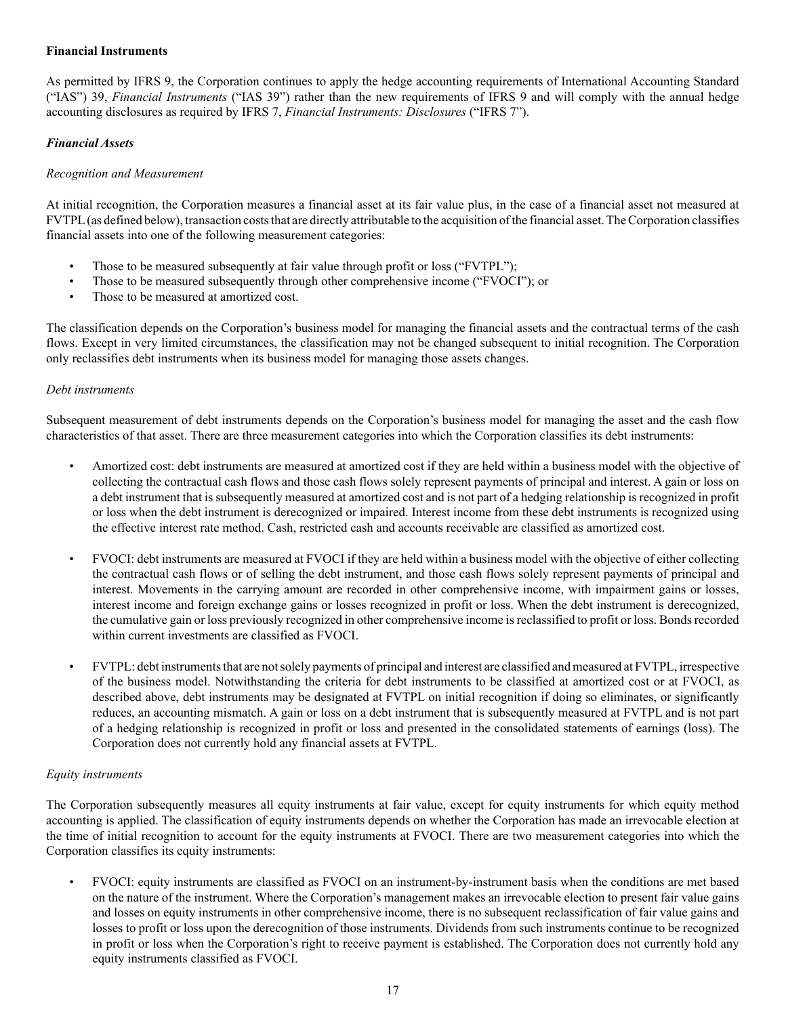# **Financial Instruments**

As permitted by IFRS 9, the Corporation continues to apply the hedge accounting requirements of International Accounting Standard ("IAS") 39, *Financial Instruments* ("IAS 39") rather than the new requirements of IFRS 9 and will comply with the annual hedge accounting disclosures as required by IFRS 7, *Financial Instruments: Disclosures* ("IFRS 7").

## *Financial Assets*

## *Recognition and Measurement*

At initial recognition, the Corporation measures a financial asset at its fair value plus, in the case of a financial asset not measured at FVTPL (as defined below), transaction costs that are directly attributable to the acquisition of the financial asset. The Corporation classifies financial assets into one of the following measurement categories:

- Those to be measured subsequently at fair value through profit or loss ("FVTPL");
- Those to be measured subsequently through other comprehensive income ("FVOCI"); or
- Those to be measured at amortized cost.

The classification depends on the Corporation's business model for managing the financial assets and the contractual terms of the cash flows. Except in very limited circumstances, the classification may not be changed subsequent to initial recognition. The Corporation only reclassifies debt instruments when its business model for managing those assets changes.

#### *Debt instruments*

Subsequent measurement of debt instruments depends on the Corporation's business model for managing the asset and the cash flow characteristics of that asset. There are three measurement categories into which the Corporation classifies its debt instruments:

- Amortized cost: debt instruments are measured at amortized cost if they are held within a business model with the objective of collecting the contractual cash flows and those cash flows solely represent payments of principal and interest. A gain or loss on a debt instrument that is subsequently measured at amortized cost and is not part of a hedging relationship is recognized in profit or loss when the debt instrument is derecognized or impaired. Interest income from these debt instruments is recognized using the effective interest rate method. Cash, restricted cash and accounts receivable are classified as amortized cost.
- FVOCI: debt instruments are measured at FVOCI if they are held within a business model with the objective of either collecting the contractual cash flows or of selling the debt instrument, and those cash flows solely represent payments of principal and interest. Movements in the carrying amount are recorded in other comprehensive income, with impairment gains or losses, interest income and foreign exchange gains or losses recognized in profit or loss. When the debt instrument is derecognized, the cumulative gain or loss previously recognized in other comprehensive income is reclassified to profit or loss. Bonds recorded within current investments are classified as FVOCI.
- FVTPL: debt instruments that are not solely payments of principal and interest are classified and measured at FVTPL, irrespective of the business model. Notwithstanding the criteria for debt instruments to be classified at amortized cost or at FVOCI, as described above, debt instruments may be designated at FVTPL on initial recognition if doing so eliminates, or significantly reduces, an accounting mismatch. A gain or loss on a debt instrument that is subsequently measured at FVTPL and is not part of a hedging relationship is recognized in profit or loss and presented in the consolidated statements of earnings (loss). The Corporation does not currently hold any financial assets at FVTPL.

#### *Equity instruments*

The Corporation subsequently measures all equity instruments at fair value, except for equity instruments for which equity method accounting is applied. The classification of equity instruments depends on whether the Corporation has made an irrevocable election at the time of initial recognition to account for the equity instruments at FVOCI. There are two measurement categories into which the Corporation classifies its equity instruments:

• FVOCI: equity instruments are classified as FVOCI on an instrument-by-instrument basis when the conditions are met based on the nature of the instrument. Where the Corporation's management makes an irrevocable election to present fair value gains and losses on equity instruments in other comprehensive income, there is no subsequent reclassification of fair value gains and losses to profit or loss upon the derecognition of those instruments. Dividends from such instruments continue to be recognized in profit or loss when the Corporation's right to receive payment is established. The Corporation does not currently hold any equity instruments classified as FVOCI.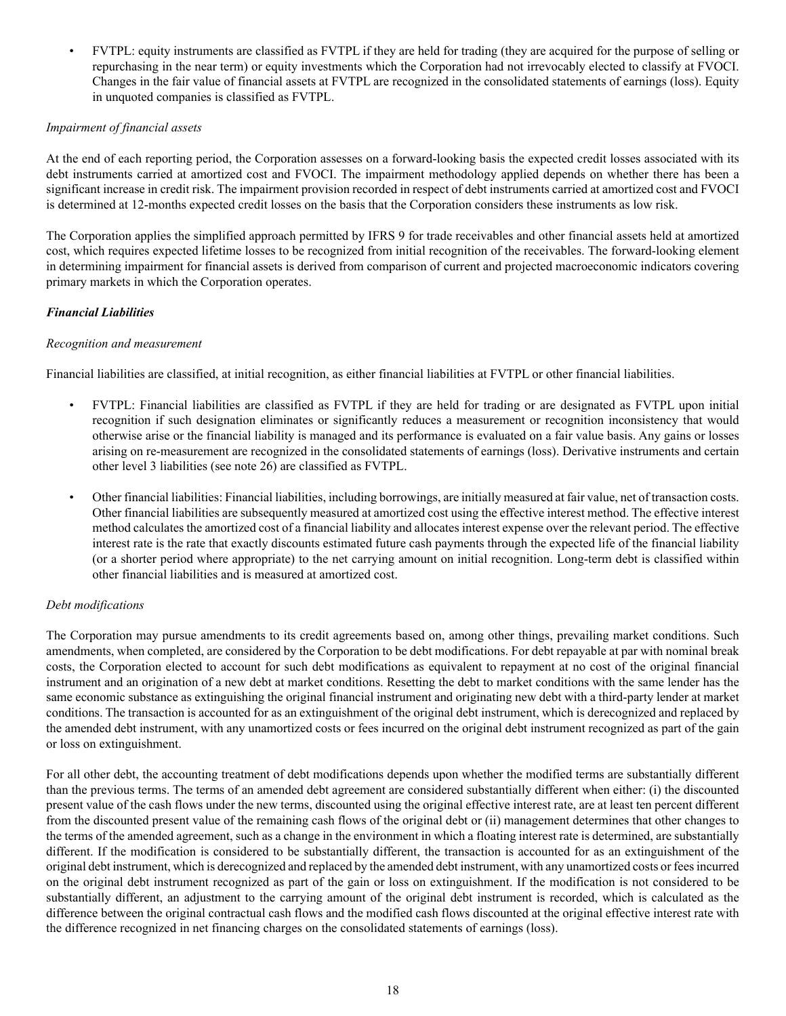• FVTPL: equity instruments are classified as FVTPL if they are held for trading (they are acquired for the purpose of selling or repurchasing in the near term) or equity investments which the Corporation had not irrevocably elected to classify at FVOCI. Changes in the fair value of financial assets at FVTPL are recognized in the consolidated statements of earnings (loss). Equity in unquoted companies is classified as FVTPL.

# *Impairment of financial assets*

At the end of each reporting period, the Corporation assesses on a forward-looking basis the expected credit losses associated with its debt instruments carried at amortized cost and FVOCI. The impairment methodology applied depends on whether there has been a significant increase in credit risk. The impairment provision recorded in respect of debt instruments carried at amortized cost and FVOCI is determined at 12-months expected credit losses on the basis that the Corporation considers these instruments as low risk.

The Corporation applies the simplified approach permitted by IFRS 9 for trade receivables and other financial assets held at amortized cost, which requires expected lifetime losses to be recognized from initial recognition of the receivables. The forward-looking element in determining impairment for financial assets is derived from comparison of current and projected macroeconomic indicators covering primary markets in which the Corporation operates.

# *Financial Liabilities*

# *Recognition and measurement*

Financial liabilities are classified, at initial recognition, as either financial liabilities at FVTPL or other financial liabilities.

- FVTPL: Financial liabilities are classified as FVTPL if they are held for trading or are designated as FVTPL upon initial recognition if such designation eliminates or significantly reduces a measurement or recognition inconsistency that would otherwise arise or the financial liability is managed and its performance is evaluated on a fair value basis. Any gains or losses arising on re-measurement are recognized in the consolidated statements of earnings (loss). Derivative instruments and certain other level 3 liabilities (see note 26) are classified as FVTPL.
- Other financial liabilities: Financial liabilities, including borrowings, are initially measured at fair value, net of transaction costs. Other financial liabilities are subsequently measured at amortized cost using the effective interest method. The effective interest method calculates the amortized cost of a financial liability and allocates interest expense over the relevant period. The effective interest rate is the rate that exactly discounts estimated future cash payments through the expected life of the financial liability (or a shorter period where appropriate) to the net carrying amount on initial recognition. Long-term debt is classified within other financial liabilities and is measured at amortized cost.

# *Debt modifications*

The Corporation may pursue amendments to its credit agreements based on, among other things, prevailing market conditions. Such amendments, when completed, are considered by the Corporation to be debt modifications. For debt repayable at par with nominal break costs, the Corporation elected to account for such debt modifications as equivalent to repayment at no cost of the original financial instrument and an origination of a new debt at market conditions. Resetting the debt to market conditions with the same lender has the same economic substance as extinguishing the original financial instrument and originating new debt with a third-party lender at market conditions. The transaction is accounted for as an extinguishment of the original debt instrument, which is derecognized and replaced by the amended debt instrument, with any unamortized costs or fees incurred on the original debt instrument recognized as part of the gain or loss on extinguishment.

For all other debt, the accounting treatment of debt modifications depends upon whether the modified terms are substantially different than the previous terms. The terms of an amended debt agreement are considered substantially different when either: (i) the discounted present value of the cash flows under the new terms, discounted using the original effective interest rate, are at least ten percent different from the discounted present value of the remaining cash flows of the original debt or (ii) management determines that other changes to the terms of the amended agreement, such as a change in the environment in which a floating interest rate is determined, are substantially different. If the modification is considered to be substantially different, the transaction is accounted for as an extinguishment of the original debt instrument, which is derecognized and replaced by the amended debt instrument, with any unamortized costs or fees incurred on the original debt instrument recognized as part of the gain or loss on extinguishment. If the modification is not considered to be substantially different, an adjustment to the carrying amount of the original debt instrument is recorded, which is calculated as the difference between the original contractual cash flows and the modified cash flows discounted at the original effective interest rate with the difference recognized in net financing charges on the consolidated statements of earnings (loss).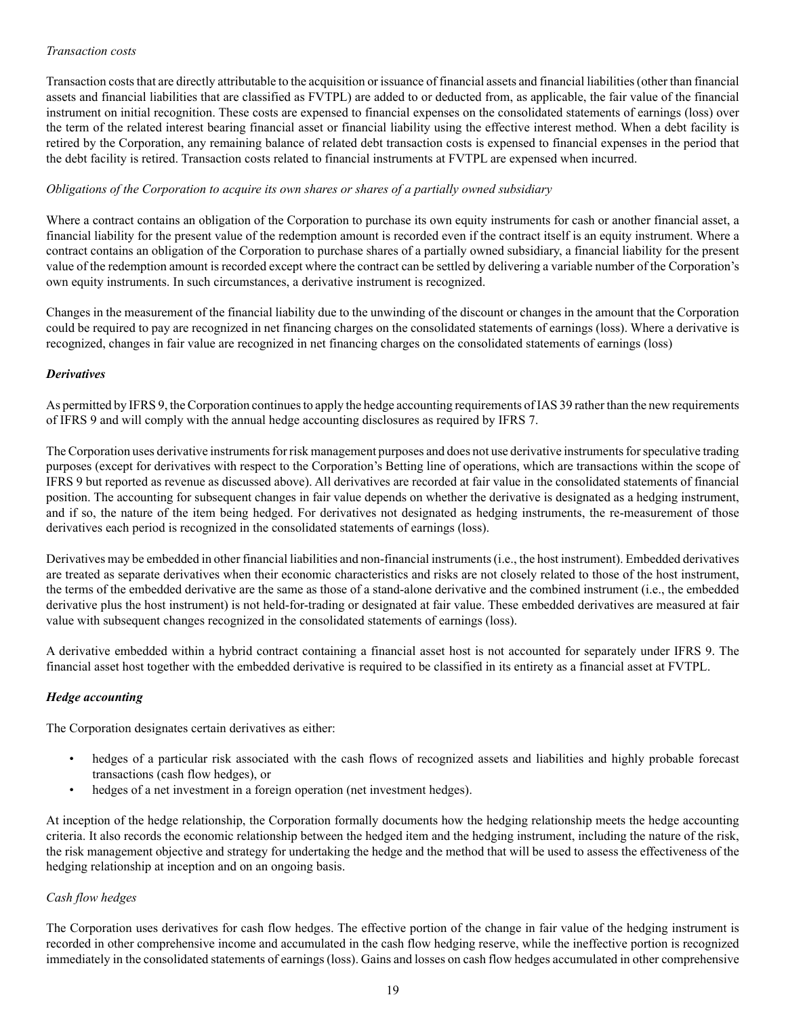# *Transaction costs*

Transaction costs that are directly attributable to the acquisition or issuance of financial assets and financial liabilities (other than financial assets and financial liabilities that are classified as FVTPL) are added to or deducted from, as applicable, the fair value of the financial instrument on initial recognition. These costs are expensed to financial expenses on the consolidated statements of earnings (loss) over the term of the related interest bearing financial asset or financial liability using the effective interest method. When a debt facility is retired by the Corporation, any remaining balance of related debt transaction costs is expensed to financial expenses in the period that the debt facility is retired. Transaction costs related to financial instruments at FVTPL are expensed when incurred.

# *Obligations of the Corporation to acquire its own shares or shares of a partially owned subsidiary*

Where a contract contains an obligation of the Corporation to purchase its own equity instruments for cash or another financial asset, a financial liability for the present value of the redemption amount is recorded even if the contract itself is an equity instrument. Where a contract contains an obligation of the Corporation to purchase shares of a partially owned subsidiary, a financial liability for the present value of the redemption amount is recorded except where the contract can be settled by delivering a variable number of the Corporation's own equity instruments. In such circumstances, a derivative instrument is recognized.

Changes in the measurement of the financial liability due to the unwinding of the discount or changes in the amount that the Corporation could be required to pay are recognized in net financing charges on the consolidated statements of earnings (loss). Where a derivative is recognized, changes in fair value are recognized in net financing charges on the consolidated statements of earnings (loss)

# *Derivatives*

As permitted by IFRS 9, the Corporation continues to apply the hedge accounting requirements of IAS 39 rather than the new requirements of IFRS 9 and will comply with the annual hedge accounting disclosures as required by IFRS 7.

The Corporation uses derivative instruments for risk management purposes and does not use derivative instruments for speculative trading purposes (except for derivatives with respect to the Corporation's Betting line of operations, which are transactions within the scope of IFRS 9 but reported as revenue as discussed above). All derivatives are recorded at fair value in the consolidated statements of financial position. The accounting for subsequent changes in fair value depends on whether the derivative is designated as a hedging instrument, and if so, the nature of the item being hedged. For derivatives not designated as hedging instruments, the re-measurement of those derivatives each period is recognized in the consolidated statements of earnings (loss).

Derivatives may be embedded in other financial liabilities and non-financial instruments (i.e., the host instrument). Embedded derivatives are treated as separate derivatives when their economic characteristics and risks are not closely related to those of the host instrument, the terms of the embedded derivative are the same as those of a stand-alone derivative and the combined instrument (i.e., the embedded derivative plus the host instrument) is not held-for-trading or designated at fair value. These embedded derivatives are measured at fair value with subsequent changes recognized in the consolidated statements of earnings (loss).

A derivative embedded within a hybrid contract containing a financial asset host is not accounted for separately under IFRS 9. The financial asset host together with the embedded derivative is required to be classified in its entirety as a financial asset at FVTPL.

# *Hedge accounting*

The Corporation designates certain derivatives as either:

- hedges of a particular risk associated with the cash flows of recognized assets and liabilities and highly probable forecast transactions (cash flow hedges), or
- hedges of a net investment in a foreign operation (net investment hedges).

At inception of the hedge relationship, the Corporation formally documents how the hedging relationship meets the hedge accounting criteria. It also records the economic relationship between the hedged item and the hedging instrument, including the nature of the risk, the risk management objective and strategy for undertaking the hedge and the method that will be used to assess the effectiveness of the hedging relationship at inception and on an ongoing basis.

# *Cash flow hedges*

The Corporation uses derivatives for cash flow hedges. The effective portion of the change in fair value of the hedging instrument is recorded in other comprehensive income and accumulated in the cash flow hedging reserve, while the ineffective portion is recognized immediately in the consolidated statements of earnings (loss). Gains and losses on cash flow hedges accumulated in other comprehensive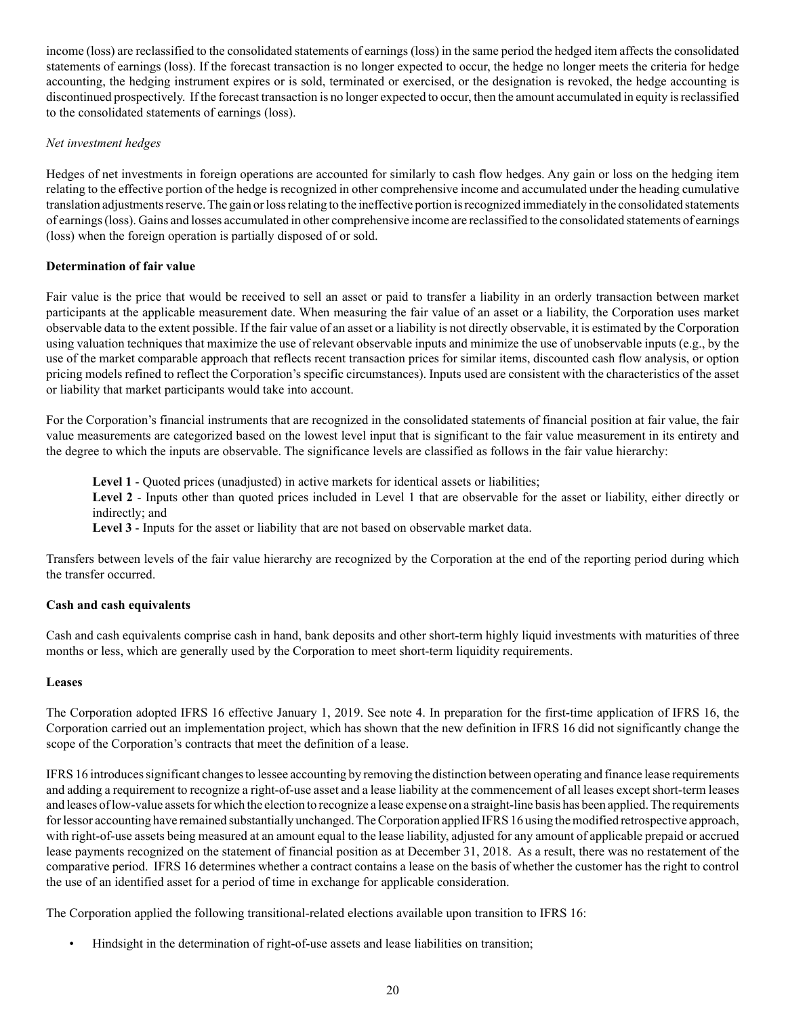income (loss) are reclassified to the consolidated statements of earnings (loss) in the same period the hedged item affects the consolidated statements of earnings (loss). If the forecast transaction is no longer expected to occur, the hedge no longer meets the criteria for hedge accounting, the hedging instrument expires or is sold, terminated or exercised, or the designation is revoked, the hedge accounting is discontinued prospectively. If the forecast transaction is no longer expected to occur, then the amount accumulated in equity is reclassified to the consolidated statements of earnings (loss).

# *Net investment hedges*

Hedges of net investments in foreign operations are accounted for similarly to cash flow hedges. Any gain or loss on the hedging item relating to the effective portion of the hedge is recognized in other comprehensive income and accumulated under the heading cumulative translation adjustments reserve. The gain or loss relating to the ineffective portion is recognized immediately in the consolidated statements of earnings (loss). Gains and losses accumulated in other comprehensive income are reclassified to the consolidated statements of earnings (loss) when the foreign operation is partially disposed of or sold.

# **Determination of fair value**

Fair value is the price that would be received to sell an asset or paid to transfer a liability in an orderly transaction between market participants at the applicable measurement date. When measuring the fair value of an asset or a liability, the Corporation uses market observable data to the extent possible. If the fair value of an asset or a liability is not directly observable, it is estimated by the Corporation using valuation techniques that maximize the use of relevant observable inputs and minimize the use of unobservable inputs (e.g., by the use of the market comparable approach that reflects recent transaction prices for similar items, discounted cash flow analysis, or option pricing models refined to reflect the Corporation's specific circumstances). Inputs used are consistent with the characteristics of the asset or liability that market participants would take into account.

For the Corporation's financial instruments that are recognized in the consolidated statements of financial position at fair value, the fair value measurements are categorized based on the lowest level input that is significant to the fair value measurement in its entirety and the degree to which the inputs are observable. The significance levels are classified as follows in the fair value hierarchy:

Level 1 - Quoted prices (unadjusted) in active markets for identical assets or liabilities; Level 2 - Inputs other than quoted prices included in Level 1 that are observable for the asset or liability, either directly or indirectly; and Level 3 - Inputs for the asset or liability that are not based on observable market data.

Transfers between levels of the fair value hierarchy are recognized by the Corporation at the end of the reporting period during which the transfer occurred.

# **Cash and cash equivalents**

Cash and cash equivalents comprise cash in hand, bank deposits and other short-term highly liquid investments with maturities of three months or less, which are generally used by the Corporation to meet short-term liquidity requirements.

# **Leases**

The Corporation adopted IFRS 16 effective January 1, 2019. See note 4. In preparation for the first-time application of IFRS 16, the Corporation carried out an implementation project, which has shown that the new definition in IFRS 16 did not significantly change the scope of the Corporation's contracts that meet the definition of a lease.

IFRS 16 introduces significant changes to lessee accounting by removing the distinction between operating and finance lease requirements and adding a requirement to recognize a right-of-use asset and a lease liability at the commencement of all leases except short-term leases and leases of low-value assets for which the election to recognize a lease expense on a straight-line basis has been applied. The requirements for lessor accounting have remained substantially unchanged. The Corporation applied IFRS 16 using the modified retrospective approach, with right-of-use assets being measured at an amount equal to the lease liability, adjusted for any amount of applicable prepaid or accrued lease payments recognized on the statement of financial position as at December 31, 2018. As a result, there was no restatement of the comparative period. IFRS 16 determines whether a contract contains a lease on the basis of whether the customer has the right to control the use of an identified asset for a period of time in exchange for applicable consideration.

The Corporation applied the following transitional-related elections available upon transition to IFRS 16:

• Hindsight in the determination of right-of-use assets and lease liabilities on transition;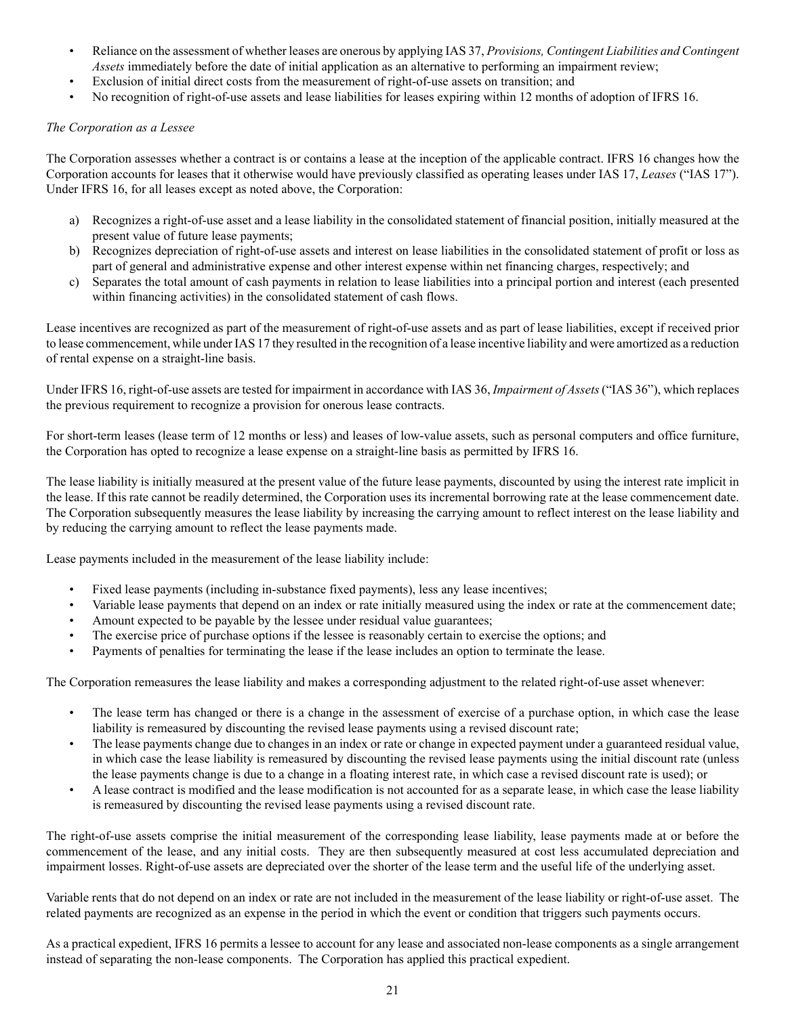- Reliance on the assessment of whether leases are onerous by applying IAS 37, *Provisions, Contingent Liabilities and Contingent Assets* immediately before the date of initial application as an alternative to performing an impairment review;
- Exclusion of initial direct costs from the measurement of right-of-use assets on transition; and
- No recognition of right-of-use assets and lease liabilities for leases expiring within 12 months of adoption of IFRS 16.

# *The Corporation as a Lessee*

The Corporation assesses whether a contract is or contains a lease at the inception of the applicable contract. IFRS 16 changes how the Corporation accounts for leases that it otherwise would have previously classified as operating leases under IAS 17, *Leases* ("IAS 17"). Under IFRS 16, for all leases except as noted above, the Corporation:

- a) Recognizes a right-of-use asset and a lease liability in the consolidated statement of financial position, initially measured at the present value of future lease payments;
- b) Recognizes depreciation of right-of-use assets and interest on lease liabilities in the consolidated statement of profit or loss as part of general and administrative expense and other interest expense within net financing charges, respectively; and
- c) Separates the total amount of cash payments in relation to lease liabilities into a principal portion and interest (each presented within financing activities) in the consolidated statement of cash flows.

Lease incentives are recognized as part of the measurement of right-of-use assets and as part of lease liabilities, except if received prior to lease commencement, while under IAS 17 they resulted in the recognition of a lease incentive liability and were amortized as a reduction of rental expense on a straight-line basis.

Under IFRS 16, right-of-use assets are tested for impairment in accordance with IAS 36, *Impairment of Assets* ("IAS 36"), which replaces the previous requirement to recognize a provision for onerous lease contracts.

For short-term leases (lease term of 12 months or less) and leases of low-value assets, such as personal computers and office furniture, the Corporation has opted to recognize a lease expense on a straight-line basis as permitted by IFRS 16.

The lease liability is initially measured at the present value of the future lease payments, discounted by using the interest rate implicit in the lease. If this rate cannot be readily determined, the Corporation uses its incremental borrowing rate at the lease commencement date. The Corporation subsequently measures the lease liability by increasing the carrying amount to reflect interest on the lease liability and by reducing the carrying amount to reflect the lease payments made.

Lease payments included in the measurement of the lease liability include:

- Fixed lease payments (including in-substance fixed payments), less any lease incentives;
- Variable lease payments that depend on an index or rate initially measured using the index or rate at the commencement date;
- Amount expected to be payable by the lessee under residual value guarantees;
- The exercise price of purchase options if the lessee is reasonably certain to exercise the options; and
- Payments of penalties for terminating the lease if the lease includes an option to terminate the lease.

The Corporation remeasures the lease liability and makes a corresponding adjustment to the related right-of-use asset whenever:

- The lease term has changed or there is a change in the assessment of exercise of a purchase option, in which case the lease liability is remeasured by discounting the revised lease payments using a revised discount rate;
- The lease payments change due to changes in an index or rate or change in expected payment under a guaranteed residual value, in which case the lease liability is remeasured by discounting the revised lease payments using the initial discount rate (unless the lease payments change is due to a change in a floating interest rate, in which case a revised discount rate is used); or
- A lease contract is modified and the lease modification is not accounted for as a separate lease, in which case the lease liability is remeasured by discounting the revised lease payments using a revised discount rate.

The right-of-use assets comprise the initial measurement of the corresponding lease liability, lease payments made at or before the commencement of the lease, and any initial costs. They are then subsequently measured at cost less accumulated depreciation and impairment losses. Right-of-use assets are depreciated over the shorter of the lease term and the useful life of the underlying asset.

Variable rents that do not depend on an index or rate are not included in the measurement of the lease liability or right-of-use asset. The related payments are recognized as an expense in the period in which the event or condition that triggers such payments occurs.

As a practical expedient, IFRS 16 permits a lessee to account for any lease and associated non-lease components as a single arrangement instead of separating the non-lease components. The Corporation has applied this practical expedient.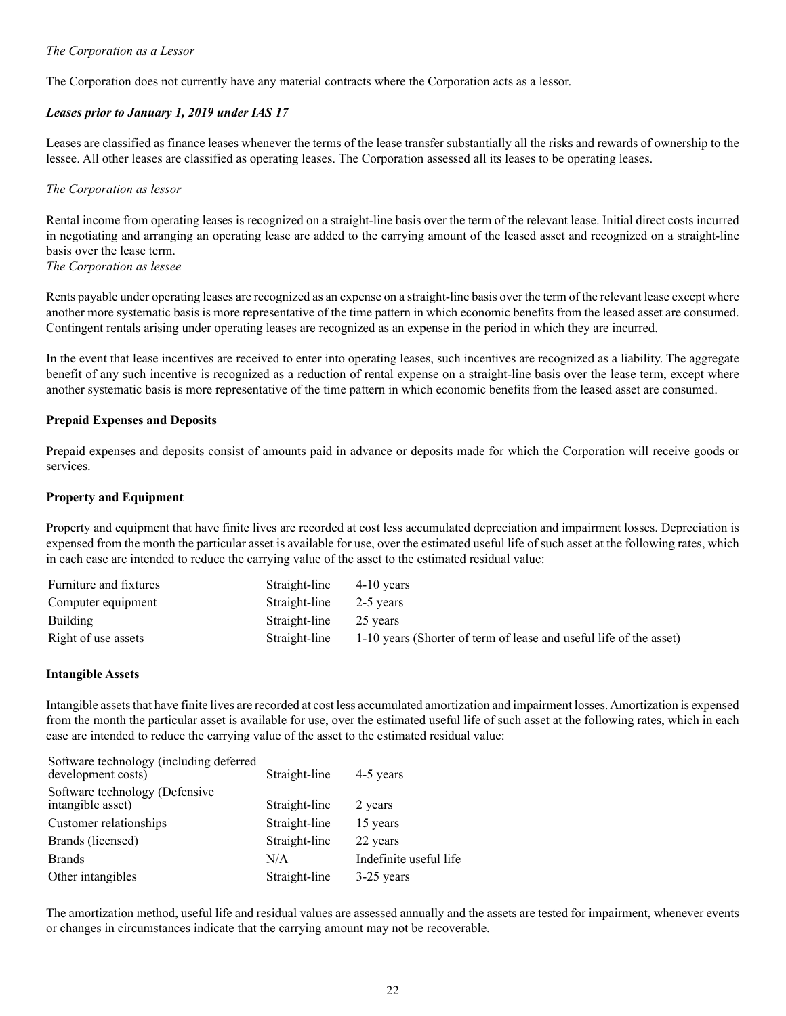## *The Corporation as a Lessor*

The Corporation does not currently have any material contracts where the Corporation acts as a lessor.

# *Leases prior to January 1, 2019 under IAS 17*

Leases are classified as finance leases whenever the terms of the lease transfer substantially all the risks and rewards of ownership to the lessee. All other leases are classified as operating leases. The Corporation assessed all its leases to be operating leases.

#### *The Corporation as lessor*

Rental income from operating leases is recognized on a straight-line basis over the term of the relevant lease. Initial direct costs incurred in negotiating and arranging an operating lease are added to the carrying amount of the leased asset and recognized on a straight-line basis over the lease term.

# *The Corporation as lessee*

Rents payable under operating leases are recognized as an expense on a straight-line basis over the term of the relevant lease except where another more systematic basis is more representative of the time pattern in which economic benefits from the leased asset are consumed. Contingent rentals arising under operating leases are recognized as an expense in the period in which they are incurred.

In the event that lease incentives are received to enter into operating leases, such incentives are recognized as a liability. The aggregate benefit of any such incentive is recognized as a reduction of rental expense on a straight-line basis over the lease term, except where another systematic basis is more representative of the time pattern in which economic benefits from the leased asset are consumed.

#### **Prepaid Expenses and Deposits**

Prepaid expenses and deposits consist of amounts paid in advance or deposits made for which the Corporation will receive goods or services.

## **Property and Equipment**

Property and equipment that have finite lives are recorded at cost less accumulated depreciation and impairment losses. Depreciation is expensed from the month the particular asset is available for use, over the estimated useful life of such asset at the following rates, which in each case are intended to reduce the carrying value of the asset to the estimated residual value:

| Furniture and fixtures | Straight-line           | $4-10$ vears                                                       |
|------------------------|-------------------------|--------------------------------------------------------------------|
| Computer equipment     | Straight-line 2-5 years |                                                                    |
| <b>Building</b>        | Straight-line           | 25 years                                                           |
| Right of use assets    | Straight-line           | 1-10 years (Shorter of term of lease and useful life of the asset) |

#### **Intangible Assets**

Intangible assets that have finite lives are recorded at cost less accumulated amortization and impairment losses. Amortization is expensed from the month the particular asset is available for use, over the estimated useful life of such asset at the following rates, which in each case are intended to reduce the carrying value of the asset to the estimated residual value:

| Software technology (including deferred |                                                     |                       |
|-----------------------------------------|-----------------------------------------------------|-----------------------|
| المفووم المتواصية والمتحداث             | $\alpha_{\text{final}}$ and $\alpha_{\text{final}}$ | $\sqrt{2}$ $\sqrt{2}$ |

| development costs)                                  | $50a$ gigin-ilile | $4 - 5$ years          |
|-----------------------------------------------------|-------------------|------------------------|
| Software technology (Defensive<br>intangible asset) | Straight-line     | 2 years                |
| Customer relationships                              | Straight-line     | 15 years               |
| Brands (licensed)                                   | Straight-line     | 22 years               |
| <b>Brands</b>                                       | N/A               | Indefinite useful life |
| Other intangibles                                   | Straight-line     | $3-25$ years           |
|                                                     |                   |                        |

The amortization method, useful life and residual values are assessed annually and the assets are tested for impairment, whenever events or changes in circumstances indicate that the carrying amount may not be recoverable.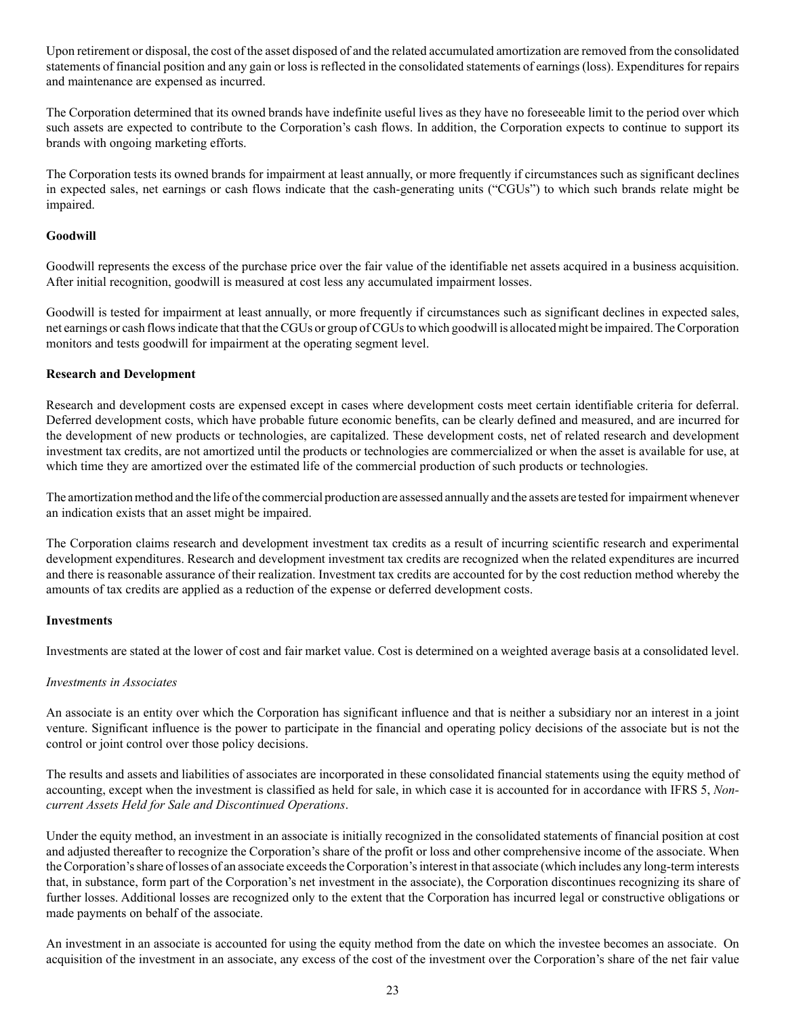Upon retirement or disposal, the cost of the asset disposed of and the related accumulated amortization are removed from the consolidated statements of financial position and any gain or loss is reflected in the consolidated statements of earnings (loss). Expenditures for repairs and maintenance are expensed as incurred.

The Corporation determined that its owned brands have indefinite useful lives as they have no foreseeable limit to the period over which such assets are expected to contribute to the Corporation's cash flows. In addition, the Corporation expects to continue to support its brands with ongoing marketing efforts.

The Corporation tests its owned brands for impairment at least annually, or more frequently if circumstances such as significant declines in expected sales, net earnings or cash flows indicate that the cash-generating units ("CGUs") to which such brands relate might be impaired.

## **Goodwill**

Goodwill represents the excess of the purchase price over the fair value of the identifiable net assets acquired in a business acquisition. After initial recognition, goodwill is measured at cost less any accumulated impairment losses.

Goodwill is tested for impairment at least annually, or more frequently if circumstances such as significant declines in expected sales, net earnings or cash flows indicate that that the CGUs or group of CGUs to which goodwill is allocated might be impaired. The Corporation monitors and tests goodwill for impairment at the operating segment level.

## **Research and Development**

Research and development costs are expensed except in cases where development costs meet certain identifiable criteria for deferral. Deferred development costs, which have probable future economic benefits, can be clearly defined and measured, and are incurred for the development of new products or technologies, are capitalized. These development costs, net of related research and development investment tax credits, are not amortized until the products or technologies are commercialized or when the asset is available for use, at which time they are amortized over the estimated life of the commercial production of such products or technologies.

The amortization method and the life of the commercial production are assessed annually and the assets are tested for impairment whenever an indication exists that an asset might be impaired.

The Corporation claims research and development investment tax credits as a result of incurring scientific research and experimental development expenditures. Research and development investment tax credits are recognized when the related expenditures are incurred and there is reasonable assurance of their realization. Investment tax credits are accounted for by the cost reduction method whereby the amounts of tax credits are applied as a reduction of the expense or deferred development costs.

#### **Investments**

Investments are stated at the lower of cost and fair market value. Cost is determined on a weighted average basis at a consolidated level.

#### *Investments in Associates*

An associate is an entity over which the Corporation has significant influence and that is neither a subsidiary nor an interest in a joint venture. Significant influence is the power to participate in the financial and operating policy decisions of the associate but is not the control or joint control over those policy decisions.

The results and assets and liabilities of associates are incorporated in these consolidated financial statements using the equity method of accounting, except when the investment is classified as held for sale, in which case it is accounted for in accordance with IFRS 5, *Noncurrent Assets Held for Sale and Discontinued Operations*.

Under the equity method, an investment in an associate is initially recognized in the consolidated statements of financial position at cost and adjusted thereafter to recognize the Corporation's share of the profit or loss and other comprehensive income of the associate. When the Corporation's share of losses of an associate exceeds the Corporation's interest in that associate (which includes any long-term interests that, in substance, form part of the Corporation's net investment in the associate), the Corporation discontinues recognizing its share of further losses. Additional losses are recognized only to the extent that the Corporation has incurred legal or constructive obligations or made payments on behalf of the associate.

An investment in an associate is accounted for using the equity method from the date on which the investee becomes an associate. On acquisition of the investment in an associate, any excess of the cost of the investment over the Corporation's share of the net fair value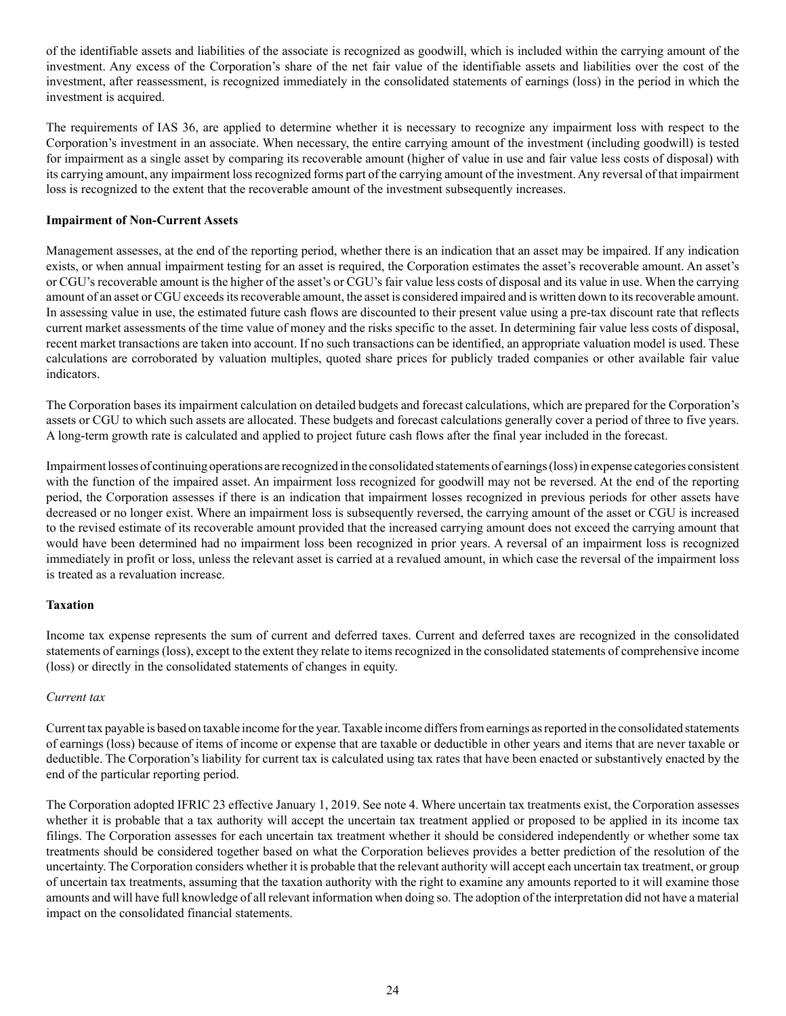of the identifiable assets and liabilities of the associate is recognized as goodwill, which is included within the carrying amount of the investment. Any excess of the Corporation's share of the net fair value of the identifiable assets and liabilities over the cost of the investment, after reassessment, is recognized immediately in the consolidated statements of earnings (loss) in the period in which the investment is acquired.

The requirements of IAS 36, are applied to determine whether it is necessary to recognize any impairment loss with respect to the Corporation's investment in an associate. When necessary, the entire carrying amount of the investment (including goodwill) is tested for impairment as a single asset by comparing its recoverable amount (higher of value in use and fair value less costs of disposal) with its carrying amount, any impairment loss recognized forms part of the carrying amount of the investment. Any reversal of that impairment loss is recognized to the extent that the recoverable amount of the investment subsequently increases.

# **Impairment of Non-Current Assets**

Management assesses, at the end of the reporting period, whether there is an indication that an asset may be impaired. If any indication exists, or when annual impairment testing for an asset is required, the Corporation estimates the asset's recoverable amount. An asset's or CGU's recoverable amount is the higher of the asset's or CGU's fair value less costs of disposal and its value in use. When the carrying amount of an asset or CGU exceeds its recoverable amount, the asset is considered impaired and is written down to its recoverable amount. In assessing value in use, the estimated future cash flows are discounted to their present value using a pre-tax discount rate that reflects current market assessments of the time value of money and the risks specific to the asset. In determining fair value less costs of disposal, recent market transactions are taken into account. If no such transactions can be identified, an appropriate valuation model is used. These calculations are corroborated by valuation multiples, quoted share prices for publicly traded companies or other available fair value indicators.

The Corporation bases its impairment calculation on detailed budgets and forecast calculations, which are prepared for the Corporation's assets or CGU to which such assets are allocated. These budgets and forecast calculations generally cover a period of three to five years. A long-term growth rate is calculated and applied to project future cash flows after the final year included in the forecast.

Impairment losses of continuing operations are recognized in the consolidated statements of earnings (loss) in expense categories consistent with the function of the impaired asset. An impairment loss recognized for goodwill may not be reversed. At the end of the reporting period, the Corporation assesses if there is an indication that impairment losses recognized in previous periods for other assets have decreased or no longer exist. Where an impairment loss is subsequently reversed, the carrying amount of the asset or CGU is increased to the revised estimate of its recoverable amount provided that the increased carrying amount does not exceed the carrying amount that would have been determined had no impairment loss been recognized in prior years. A reversal of an impairment loss is recognized immediately in profit or loss, unless the relevant asset is carried at a revalued amount, in which case the reversal of the impairment loss is treated as a revaluation increase.

# **Taxation**

Income tax expense represents the sum of current and deferred taxes. Current and deferred taxes are recognized in the consolidated statements of earnings (loss), except to the extent they relate to items recognized in the consolidated statements of comprehensive income (loss) or directly in the consolidated statements of changes in equity.

#### *Current tax*

Current tax payable is based on taxable income for the year. Taxable income differs from earnings as reported in the consolidated statements of earnings (loss) because of items of income or expense that are taxable or deductible in other years and items that are never taxable or deductible. The Corporation's liability for current tax is calculated using tax rates that have been enacted or substantively enacted by the end of the particular reporting period.

The Corporation adopted IFRIC 23 effective January 1, 2019. See note 4. Where uncertain tax treatments exist, the Corporation assesses whether it is probable that a tax authority will accept the uncertain tax treatment applied or proposed to be applied in its income tax filings. The Corporation assesses for each uncertain tax treatment whether it should be considered independently or whether some tax treatments should be considered together based on what the Corporation believes provides a better prediction of the resolution of the uncertainty. The Corporation considers whether it is probable that the relevant authority will accept each uncertain tax treatment, or group of uncertain tax treatments, assuming that the taxation authority with the right to examine any amounts reported to it will examine those amounts and will have full knowledge of all relevant information when doing so. The adoption of the interpretation did not have a material impact on the consolidated financial statements.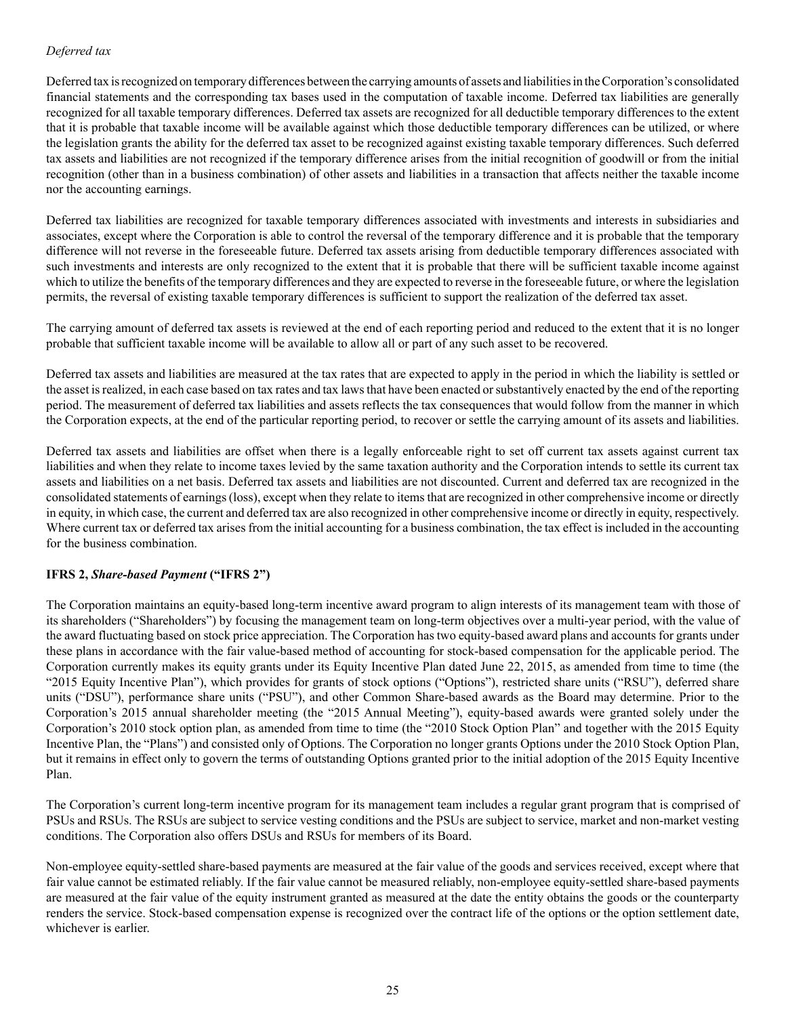# *Deferred tax*

Deferred tax is recognized on temporary differences between the carrying amounts of assets and liabilities in the Corporation's consolidated financial statements and the corresponding tax bases used in the computation of taxable income. Deferred tax liabilities are generally recognized for all taxable temporary differences. Deferred tax assets are recognized for all deductible temporary differences to the extent that it is probable that taxable income will be available against which those deductible temporary differences can be utilized, or where the legislation grants the ability for the deferred tax asset to be recognized against existing taxable temporary differences. Such deferred tax assets and liabilities are not recognized if the temporary difference arises from the initial recognition of goodwill or from the initial recognition (other than in a business combination) of other assets and liabilities in a transaction that affects neither the taxable income nor the accounting earnings.

Deferred tax liabilities are recognized for taxable temporary differences associated with investments and interests in subsidiaries and associates, except where the Corporation is able to control the reversal of the temporary difference and it is probable that the temporary difference will not reverse in the foreseeable future. Deferred tax assets arising from deductible temporary differences associated with such investments and interests are only recognized to the extent that it is probable that there will be sufficient taxable income against which to utilize the benefits of the temporary differences and they are expected to reverse in the foreseeable future, or where the legislation permits, the reversal of existing taxable temporary differences is sufficient to support the realization of the deferred tax asset.

The carrying amount of deferred tax assets is reviewed at the end of each reporting period and reduced to the extent that it is no longer probable that sufficient taxable income will be available to allow all or part of any such asset to be recovered.

Deferred tax assets and liabilities are measured at the tax rates that are expected to apply in the period in which the liability is settled or the asset is realized, in each case based on tax rates and tax laws that have been enacted or substantively enacted by the end of the reporting period. The measurement of deferred tax liabilities and assets reflects the tax consequences that would follow from the manner in which the Corporation expects, at the end of the particular reporting period, to recover or settle the carrying amount of its assets and liabilities.

Deferred tax assets and liabilities are offset when there is a legally enforceable right to set off current tax assets against current tax liabilities and when they relate to income taxes levied by the same taxation authority and the Corporation intends to settle its current tax assets and liabilities on a net basis. Deferred tax assets and liabilities are not discounted. Current and deferred tax are recognized in the consolidated statements of earnings (loss), except when they relate to items that are recognized in other comprehensive income or directly in equity, in which case, the current and deferred tax are also recognized in other comprehensive income or directly in equity, respectively. Where current tax or deferred tax arises from the initial accounting for a business combination, the tax effect is included in the accounting for the business combination.

# **IFRS 2,** *Share-based Payment* **("IFRS 2")**

The Corporation maintains an equity-based long-term incentive award program to align interests of its management team with those of its shareholders ("Shareholders") by focusing the management team on long-term objectives over a multi-year period, with the value of the award fluctuating based on stock price appreciation. The Corporation has two equity-based award plans and accounts for grants under these plans in accordance with the fair value-based method of accounting for stock-based compensation for the applicable period. The Corporation currently makes its equity grants under its Equity Incentive Plan dated June 22, 2015, as amended from time to time (the "2015 Equity Incentive Plan"), which provides for grants of stock options ("Options"), restricted share units ("RSU"), deferred share units ("DSU"), performance share units ("PSU"), and other Common Share-based awards as the Board may determine. Prior to the Corporation's 2015 annual shareholder meeting (the "2015 Annual Meeting"), equity-based awards were granted solely under the Corporation's 2010 stock option plan, as amended from time to time (the "2010 Stock Option Plan" and together with the 2015 Equity Incentive Plan, the "Plans") and consisted only of Options. The Corporation no longer grants Options under the 2010 Stock Option Plan, but it remains in effect only to govern the terms of outstanding Options granted prior to the initial adoption of the 2015 Equity Incentive Plan.

The Corporation's current long-term incentive program for its management team includes a regular grant program that is comprised of PSUs and RSUs. The RSUs are subject to service vesting conditions and the PSUs are subject to service, market and non-market vesting conditions. The Corporation also offers DSUs and RSUs for members of its Board.

Non-employee equity-settled share-based payments are measured at the fair value of the goods and services received, except where that fair value cannot be estimated reliably. If the fair value cannot be measured reliably, non-employee equity-settled share-based payments are measured at the fair value of the equity instrument granted as measured at the date the entity obtains the goods or the counterparty renders the service. Stock-based compensation expense is recognized over the contract life of the options or the option settlement date, whichever is earlier.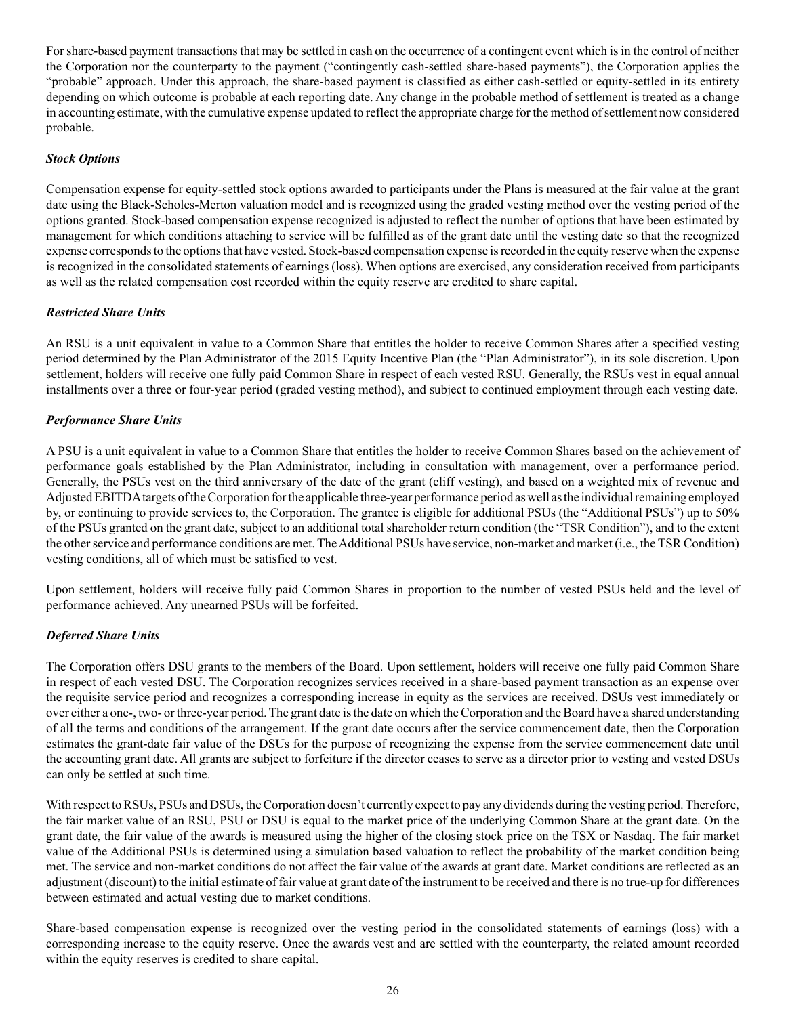For share-based payment transactions that may be settled in cash on the occurrence of a contingent event which is in the control of neither the Corporation nor the counterparty to the payment ("contingently cash-settled share-based payments"), the Corporation applies the "probable" approach. Under this approach, the share-based payment is classified as either cash-settled or equity-settled in its entirety depending on which outcome is probable at each reporting date. Any change in the probable method of settlement is treated as a change in accounting estimate, with the cumulative expense updated to reflect the appropriate charge for the method of settlement now considered probable.

# *Stock Options*

Compensation expense for equity-settled stock options awarded to participants under the Plans is measured at the fair value at the grant date using the Black-Scholes-Merton valuation model and is recognized using the graded vesting method over the vesting period of the options granted. Stock-based compensation expense recognized is adjusted to reflect the number of options that have been estimated by management for which conditions attaching to service will be fulfilled as of the grant date until the vesting date so that the recognized expense corresponds to the options that have vested. Stock-based compensation expense is recorded in the equity reserve when the expense is recognized in the consolidated statements of earnings (loss). When options are exercised, any consideration received from participants as well as the related compensation cost recorded within the equity reserve are credited to share capital.

# *Restricted Share Units*

An RSU is a unit equivalent in value to a Common Share that entitles the holder to receive Common Shares after a specified vesting period determined by the Plan Administrator of the 2015 Equity Incentive Plan (the "Plan Administrator"), in its sole discretion. Upon settlement, holders will receive one fully paid Common Share in respect of each vested RSU. Generally, the RSUs vest in equal annual installments over a three or four-year period (graded vesting method), and subject to continued employment through each vesting date.

# *Performance Share Units*

A PSU is a unit equivalent in value to a Common Share that entitles the holder to receive Common Shares based on the achievement of performance goals established by the Plan Administrator, including in consultation with management, over a performance period. Generally, the PSUs vest on the third anniversary of the date of the grant (cliff vesting), and based on a weighted mix of revenue and Adjusted EBITDA targets of the Corporation for the applicable three-year performance period as well as the individual remaining employed by, or continuing to provide services to, the Corporation. The grantee is eligible for additional PSUs (the "Additional PSUs") up to 50% of the PSUs granted on the grant date, subject to an additional total shareholder return condition (the "TSR Condition"), and to the extent the other service and performance conditions are met. The Additional PSUs have service, non-market and market (i.e., the TSR Condition) vesting conditions, all of which must be satisfied to vest.

Upon settlement, holders will receive fully paid Common Shares in proportion to the number of vested PSUs held and the level of performance achieved. Any unearned PSUs will be forfeited.

# *Deferred Share Units*

The Corporation offers DSU grants to the members of the Board. Upon settlement, holders will receive one fully paid Common Share in respect of each vested DSU. The Corporation recognizes services received in a share-based payment transaction as an expense over the requisite service period and recognizes a corresponding increase in equity as the services are received. DSUs vest immediately or over either a one-, two- or three-year period. The grant date is the date on which the Corporation and the Board have a shared understanding of all the terms and conditions of the arrangement. If the grant date occurs after the service commencement date, then the Corporation estimates the grant-date fair value of the DSUs for the purpose of recognizing the expense from the service commencement date until the accounting grant date. All grants are subject to forfeiture if the director ceases to serve as a director prior to vesting and vested DSUs can only be settled at such time.

With respect to RSUs, PSUs and DSUs, the Corporation doesn't currently expect to pay any dividends during the vesting period. Therefore, the fair market value of an RSU, PSU or DSU is equal to the market price of the underlying Common Share at the grant date. On the grant date, the fair value of the awards is measured using the higher of the closing stock price on the TSX or Nasdaq. The fair market value of the Additional PSUs is determined using a simulation based valuation to reflect the probability of the market condition being met. The service and non-market conditions do not affect the fair value of the awards at grant date. Market conditions are reflected as an adjustment (discount) to the initial estimate of fair value at grant date of the instrument to be received and there is no true-up for differences between estimated and actual vesting due to market conditions.

Share-based compensation expense is recognized over the vesting period in the consolidated statements of earnings (loss) with a corresponding increase to the equity reserve. Once the awards vest and are settled with the counterparty, the related amount recorded within the equity reserves is credited to share capital.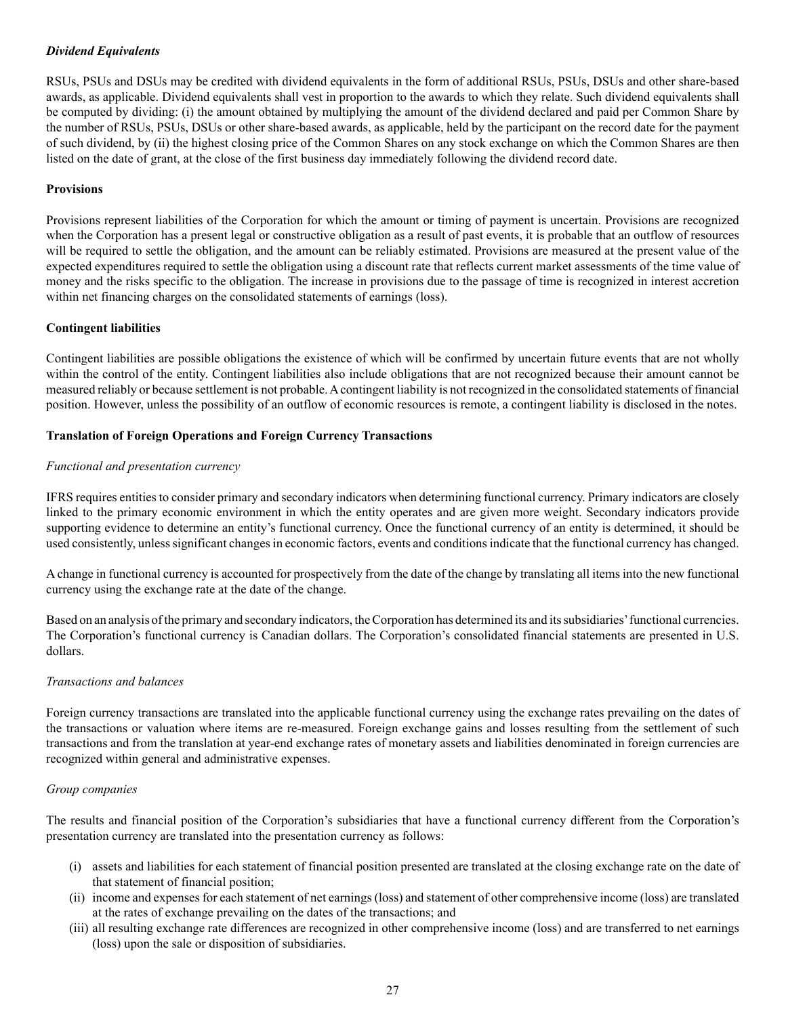# *Dividend Equivalents*

RSUs, PSUs and DSUs may be credited with dividend equivalents in the form of additional RSUs, PSUs, DSUs and other share-based awards, as applicable. Dividend equivalents shall vest in proportion to the awards to which they relate. Such dividend equivalents shall be computed by dividing: (i) the amount obtained by multiplying the amount of the dividend declared and paid per Common Share by the number of RSUs, PSUs, DSUs or other share-based awards, as applicable, held by the participant on the record date for the payment of such dividend, by (ii) the highest closing price of the Common Shares on any stock exchange on which the Common Shares are then listed on the date of grant, at the close of the first business day immediately following the dividend record date.

## **Provisions**

Provisions represent liabilities of the Corporation for which the amount or timing of payment is uncertain. Provisions are recognized when the Corporation has a present legal or constructive obligation as a result of past events, it is probable that an outflow of resources will be required to settle the obligation, and the amount can be reliably estimated. Provisions are measured at the present value of the expected expenditures required to settle the obligation using a discount rate that reflects current market assessments of the time value of money and the risks specific to the obligation. The increase in provisions due to the passage of time is recognized in interest accretion within net financing charges on the consolidated statements of earnings (loss).

## **Contingent liabilities**

Contingent liabilities are possible obligations the existence of which will be confirmed by uncertain future events that are not wholly within the control of the entity. Contingent liabilities also include obligations that are not recognized because their amount cannot be measured reliably or because settlement is not probable. A contingent liability is not recognized in the consolidated statements of financial position. However, unless the possibility of an outflow of economic resources is remote, a contingent liability is disclosed in the notes.

## **Translation of Foreign Operations and Foreign Currency Transactions**

## *Functional and presentation currency*

IFRS requires entities to consider primary and secondary indicators when determining functional currency. Primary indicators are closely linked to the primary economic environment in which the entity operates and are given more weight. Secondary indicators provide supporting evidence to determine an entity's functional currency. Once the functional currency of an entity is determined, it should be used consistently, unless significant changes in economic factors, events and conditions indicate that the functional currency has changed.

A change in functional currency is accounted for prospectively from the date of the change by translating all items into the new functional currency using the exchange rate at the date of the change.

Based on an analysis of the primary and secondary indicators, the Corporation has determined its and its subsidiaries' functional currencies. The Corporation's functional currency is Canadian dollars. The Corporation's consolidated financial statements are presented in U.S. dollars.

#### *Transactions and balances*

Foreign currency transactions are translated into the applicable functional currency using the exchange rates prevailing on the dates of the transactions or valuation where items are re-measured. Foreign exchange gains and losses resulting from the settlement of such transactions and from the translation at year-end exchange rates of monetary assets and liabilities denominated in foreign currencies are recognized within general and administrative expenses.

#### *Group companies*

The results and financial position of the Corporation's subsidiaries that have a functional currency different from the Corporation's presentation currency are translated into the presentation currency as follows:

- (i) assets and liabilities for each statement of financial position presented are translated at the closing exchange rate on the date of that statement of financial position;
- (ii) income and expenses for each statement of net earnings (loss) and statement of other comprehensive income (loss) are translated at the rates of exchange prevailing on the dates of the transactions; and
- (iii) all resulting exchange rate differences are recognized in other comprehensive income (loss) and are transferred to net earnings (loss) upon the sale or disposition of subsidiaries.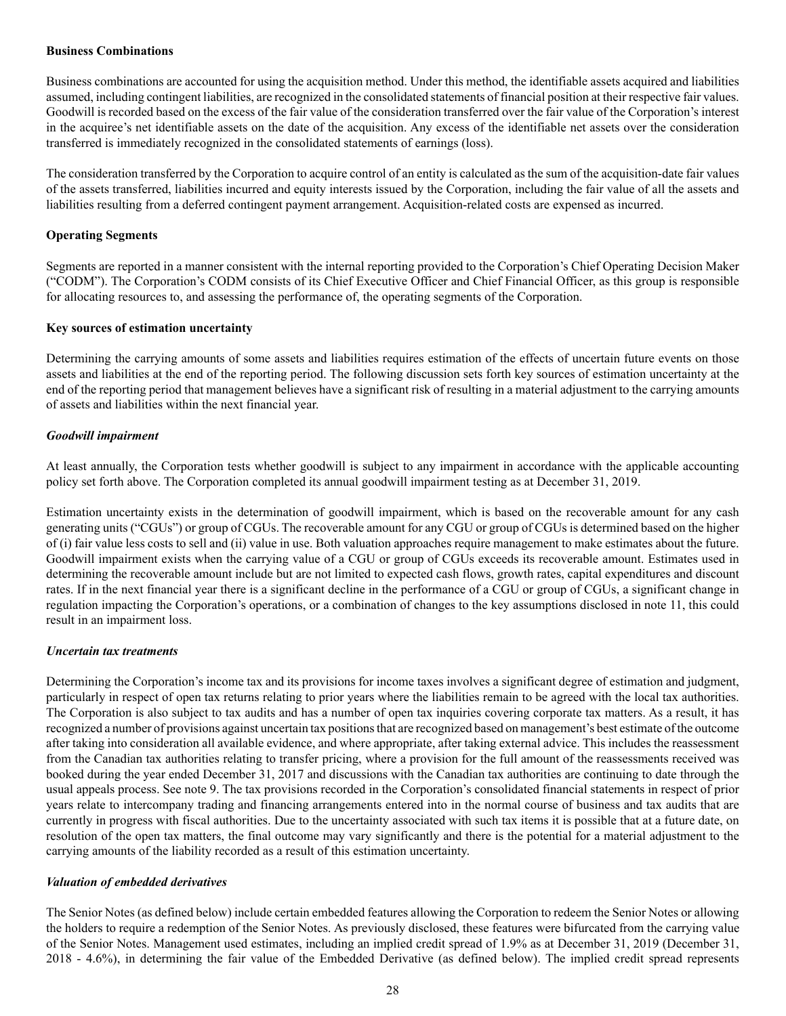## **Business Combinations**

Business combinations are accounted for using the acquisition method. Under this method, the identifiable assets acquired and liabilities assumed, including contingent liabilities, are recognized in the consolidated statements of financial position at their respective fair values. Goodwill is recorded based on the excess of the fair value of the consideration transferred over the fair value of the Corporation's interest in the acquiree's net identifiable assets on the date of the acquisition. Any excess of the identifiable net assets over the consideration transferred is immediately recognized in the consolidated statements of earnings (loss).

The consideration transferred by the Corporation to acquire control of an entity is calculated as the sum of the acquisition-date fair values of the assets transferred, liabilities incurred and equity interests issued by the Corporation, including the fair value of all the assets and liabilities resulting from a deferred contingent payment arrangement. Acquisition-related costs are expensed as incurred.

## **Operating Segments**

Segments are reported in a manner consistent with the internal reporting provided to the Corporation's Chief Operating Decision Maker ("CODM"). The Corporation's CODM consists of its Chief Executive Officer and Chief Financial Officer, as this group is responsible for allocating resources to, and assessing the performance of, the operating segments of the Corporation.

## **Key sources of estimation uncertainty**

Determining the carrying amounts of some assets and liabilities requires estimation of the effects of uncertain future events on those assets and liabilities at the end of the reporting period. The following discussion sets forth key sources of estimation uncertainty at the end of the reporting period that management believes have a significant risk of resulting in a material adjustment to the carrying amounts of assets and liabilities within the next financial year.

## *Goodwill impairment*

At least annually, the Corporation tests whether goodwill is subject to any impairment in accordance with the applicable accounting policy set forth above. The Corporation completed its annual goodwill impairment testing as at December 31, 2019.

Estimation uncertainty exists in the determination of goodwill impairment, which is based on the recoverable amount for any cash generating units ("CGUs") or group of CGUs. The recoverable amount for any CGU or group of CGUs is determined based on the higher of (i) fair value less costs to sell and (ii) value in use. Both valuation approaches require management to make estimates about the future. Goodwill impairment exists when the carrying value of a CGU or group of CGUs exceeds its recoverable amount. Estimates used in determining the recoverable amount include but are not limited to expected cash flows, growth rates, capital expenditures and discount rates. If in the next financial year there is a significant decline in the performance of a CGU or group of CGUs, a significant change in regulation impacting the Corporation's operations, or a combination of changes to the key assumptions disclosed in note 11, this could result in an impairment loss.

#### *Uncertain tax treatments*

Determining the Corporation's income tax and its provisions for income taxes involves a significant degree of estimation and judgment, particularly in respect of open tax returns relating to prior years where the liabilities remain to be agreed with the local tax authorities. The Corporation is also subject to tax audits and has a number of open tax inquiries covering corporate tax matters. As a result, it has recognized a number of provisions against uncertain tax positions that are recognized based on management's best estimate of the outcome after taking into consideration all available evidence, and where appropriate, after taking external advice. This includes the reassessment from the Canadian tax authorities relating to transfer pricing, where a provision for the full amount of the reassessments received was booked during the year ended December 31, 2017 and discussions with the Canadian tax authorities are continuing to date through the usual appeals process. See note 9. The tax provisions recorded in the Corporation's consolidated financial statements in respect of prior years relate to intercompany trading and financing arrangements entered into in the normal course of business and tax audits that are currently in progress with fiscal authorities. Due to the uncertainty associated with such tax items it is possible that at a future date, on resolution of the open tax matters, the final outcome may vary significantly and there is the potential for a material adjustment to the carrying amounts of the liability recorded as a result of this estimation uncertainty.

# *Valuation of embedded derivatives*

The Senior Notes (as defined below) include certain embedded features allowing the Corporation to redeem the Senior Notes or allowing the holders to require a redemption of the Senior Notes. As previously disclosed, these features were bifurcated from the carrying value of the Senior Notes. Management used estimates, including an implied credit spread of 1.9% as at December 31, 2019 (December 31, 2018 - 4.6%), in determining the fair value of the Embedded Derivative (as defined below). The implied credit spread represents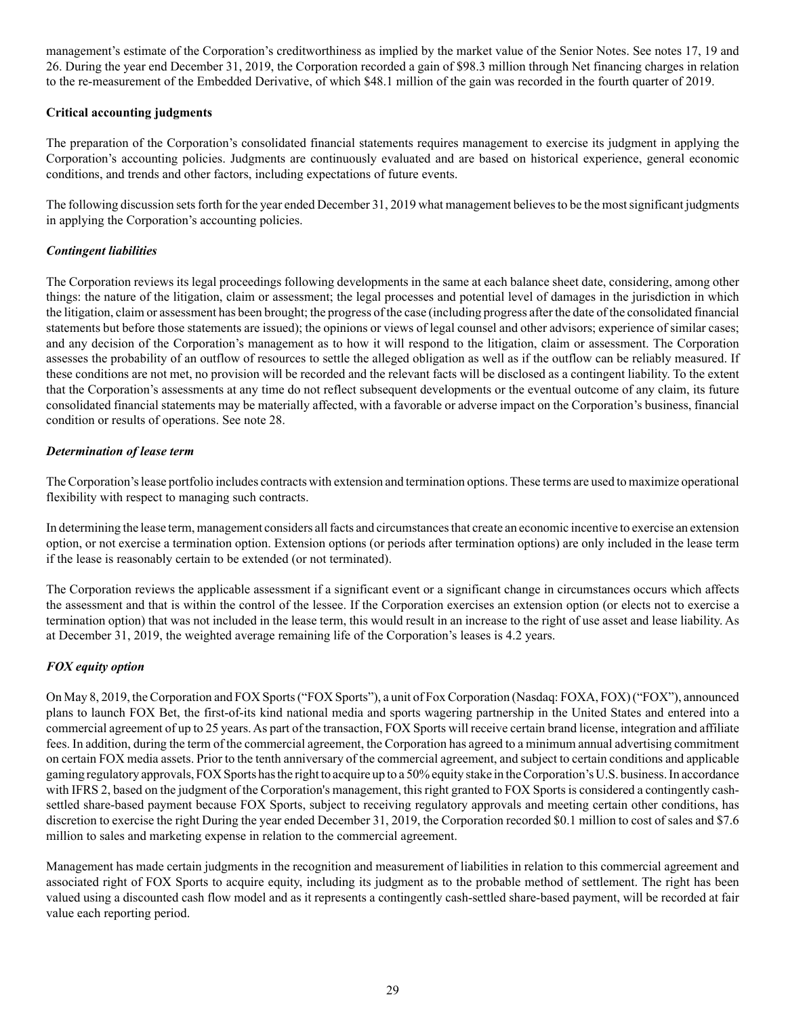management's estimate of the Corporation's creditworthiness as implied by the market value of the Senior Notes. See notes 17, 19 and 26. During the year end December 31, 2019, the Corporation recorded a gain of \$98.3 million through Net financing charges in relation to the re-measurement of the Embedded Derivative, of which \$48.1 million of the gain was recorded in the fourth quarter of 2019.

# **Critical accounting judgments**

The preparation of the Corporation's consolidated financial statements requires management to exercise its judgment in applying the Corporation's accounting policies. Judgments are continuously evaluated and are based on historical experience, general economic conditions, and trends and other factors, including expectations of future events.

The following discussion sets forth for the year ended December 31, 2019 what management believes to be the most significant judgments in applying the Corporation's accounting policies.

# *Contingent liabilities*

The Corporation reviews its legal proceedings following developments in the same at each balance sheet date, considering, among other things: the nature of the litigation, claim or assessment; the legal processes and potential level of damages in the jurisdiction in which the litigation, claim or assessment has been brought; the progress of the case (including progress after the date of the consolidated financial statements but before those statements are issued); the opinions or views of legal counsel and other advisors; experience of similar cases; and any decision of the Corporation's management as to how it will respond to the litigation, claim or assessment. The Corporation assesses the probability of an outflow of resources to settle the alleged obligation as well as if the outflow can be reliably measured. If these conditions are not met, no provision will be recorded and the relevant facts will be disclosed as a contingent liability. To the extent that the Corporation's assessments at any time do not reflect subsequent developments or the eventual outcome of any claim, its future consolidated financial statements may be materially affected, with a favorable or adverse impact on the Corporation's business, financial condition or results of operations. See note 28.

# *Determination of lease term*

The Corporation's lease portfolio includes contracts with extension and termination options. These terms are used to maximize operational flexibility with respect to managing such contracts.

In determining the lease term, management considers all facts and circumstances that create an economic incentive to exercise an extension option, or not exercise a termination option. Extension options (or periods after termination options) are only included in the lease term if the lease is reasonably certain to be extended (or not terminated).

The Corporation reviews the applicable assessment if a significant event or a significant change in circumstances occurs which affects the assessment and that is within the control of the lessee. If the Corporation exercises an extension option (or elects not to exercise a termination option) that was not included in the lease term, this would result in an increase to the right of use asset and lease liability. As at December 31, 2019, the weighted average remaining life of the Corporation's leases is 4.2 years.

# *FOX equity option*

On May 8, 2019, the Corporation and FOX Sports ("FOX Sports"), a unit of Fox Corporation (Nasdaq: FOXA, FOX) ("FOX"), announced plans to launch FOX Bet, the first-of-its kind national media and sports wagering partnership in the United States and entered into a commercial agreement of up to 25 years. As part of the transaction, FOX Sports will receive certain brand license, integration and affiliate fees. In addition, during the term of the commercial agreement, the Corporation has agreed to a minimum annual advertising commitment on certain FOX media assets. Prior to the tenth anniversary of the commercial agreement, and subject to certain conditions and applicable gaming regulatory approvals, FOX Sports has the right to acquire up to a 50% equity stake in the Corporation's U.S. business. In accordance with IFRS 2, based on the judgment of the Corporation's management, this right granted to FOX Sports is considered a contingently cashsettled share-based payment because FOX Sports, subject to receiving regulatory approvals and meeting certain other conditions, has discretion to exercise the right During the year ended December 31, 2019, the Corporation recorded \$0.1 million to cost of sales and \$7.6 million to sales and marketing expense in relation to the commercial agreement.

Management has made certain judgments in the recognition and measurement of liabilities in relation to this commercial agreement and associated right of FOX Sports to acquire equity, including its judgment as to the probable method of settlement. The right has been valued using a discounted cash flow model and as it represents a contingently cash-settled share-based payment, will be recorded at fair value each reporting period.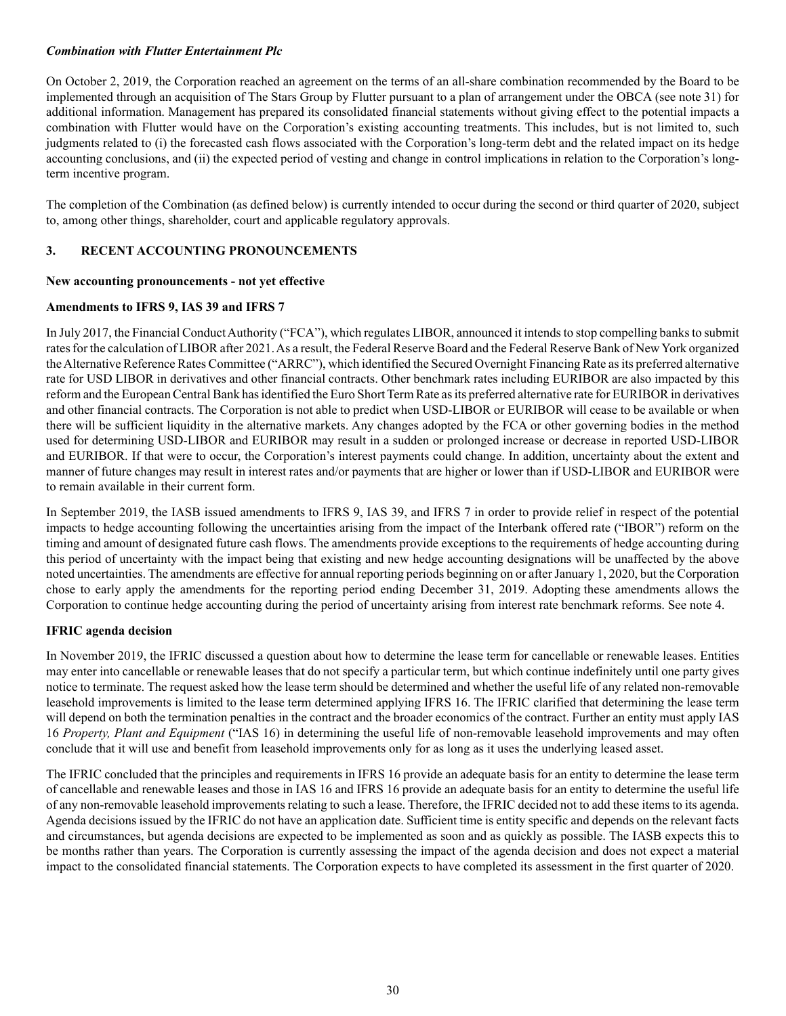# <span id="page-29-0"></span>*Combination with Flutter Entertainment Plc*

On October 2, 2019, the Corporation reached an agreement on the terms of an all-share combination recommended by the Board to be implemented through an acquisition of The Stars Group by Flutter pursuant to a plan of arrangement under the OBCA (see note 31) for additional information. Management has prepared its consolidated financial statements without giving effect to the potential impacts a combination with Flutter would have on the Corporation's existing accounting treatments. This includes, but is not limited to, such judgments related to (i) the forecasted cash flows associated with the Corporation's long-term debt and the related impact on its hedge accounting conclusions, and (ii) the expected period of vesting and change in control implications in relation to the Corporation's longterm incentive program.

The completion of the Combination (as defined below) is currently intended to occur during the second or third quarter of 2020, subject to, among other things, shareholder, court and applicable regulatory approvals.

# **3. RECENT ACCOUNTING PRONOUNCEMENTS**

# **New accounting pronouncements - not yet effective**

# **Amendments to IFRS 9, IAS 39 and IFRS 7**

In July 2017, the Financial Conduct Authority ("FCA"), which regulates LIBOR, announced it intends to stop compelling banks to submit rates for the calculation of LIBOR after 2021. As a result, the Federal Reserve Board and the Federal Reserve Bank of New York organized the Alternative Reference Rates Committee ("ARRC"), which identified the Secured Overnight Financing Rate as its preferred alternative rate for USD LIBOR in derivatives and other financial contracts. Other benchmark rates including EURIBOR are also impacted by this reform and the European Central Bank has identified the Euro Short Term Rate as its preferred alternative rate for EURIBOR in derivatives and other financial contracts. The Corporation is not able to predict when USD-LIBOR or EURIBOR will cease to be available or when there will be sufficient liquidity in the alternative markets. Any changes adopted by the FCA or other governing bodies in the method used for determining USD-LIBOR and EURIBOR may result in a sudden or prolonged increase or decrease in reported USD-LIBOR and EURIBOR. If that were to occur, the Corporation's interest payments could change. In addition, uncertainty about the extent and manner of future changes may result in interest rates and/or payments that are higher or lower than if USD-LIBOR and EURIBOR were to remain available in their current form.

In September 2019, the IASB issued amendments to IFRS 9, IAS 39, and IFRS 7 in order to provide relief in respect of the potential impacts to hedge accounting following the uncertainties arising from the impact of the Interbank offered rate ("IBOR") reform on the timing and amount of designated future cash flows. The amendments provide exceptions to the requirements of hedge accounting during this period of uncertainty with the impact being that existing and new hedge accounting designations will be unaffected by the above noted uncertainties. The amendments are effective for annual reporting periods beginning on or after January 1, 2020, but the Corporation chose to early apply the amendments for the reporting period ending December 31, 2019. Adopting these amendments allows the Corporation to continue hedge accounting during the period of uncertainty arising from interest rate benchmark reforms. See note 4.

# **IFRIC agenda decision**

In November 2019, the IFRIC discussed a question about how to determine the lease term for cancellable or renewable leases. Entities may enter into cancellable or renewable leases that do not specify a particular term, but which continue indefinitely until one party gives notice to terminate. The request asked how the lease term should be determined and whether the useful life of any related non-removable leasehold improvements is limited to the lease term determined applying IFRS 16. The IFRIC clarified that determining the lease term will depend on both the termination penalties in the contract and the broader economics of the contract. Further an entity must apply IAS 16 *Property, Plant and Equipment* ("IAS 16) in determining the useful life of non-removable leasehold improvements and may often conclude that it will use and benefit from leasehold improvements only for as long as it uses the underlying leased asset.

The IFRIC concluded that the principles and requirements in IFRS 16 provide an adequate basis for an entity to determine the lease term of cancellable and renewable leases and those in IAS 16 and IFRS 16 provide an adequate basis for an entity to determine the useful life of any non-removable leasehold improvements relating to such a lease. Therefore, the IFRIC decided not to add these items to its agenda. Agenda decisions issued by the IFRIC do not have an application date. Sufficient time is entity specific and depends on the relevant facts and circumstances, but agenda decisions are expected to be implemented as soon and as quickly as possible. The IASB expects this to be months rather than years. The Corporation is currently assessing the impact of the agenda decision and does not expect a material impact to the consolidated financial statements. The Corporation expects to have completed its assessment in the first quarter of 2020.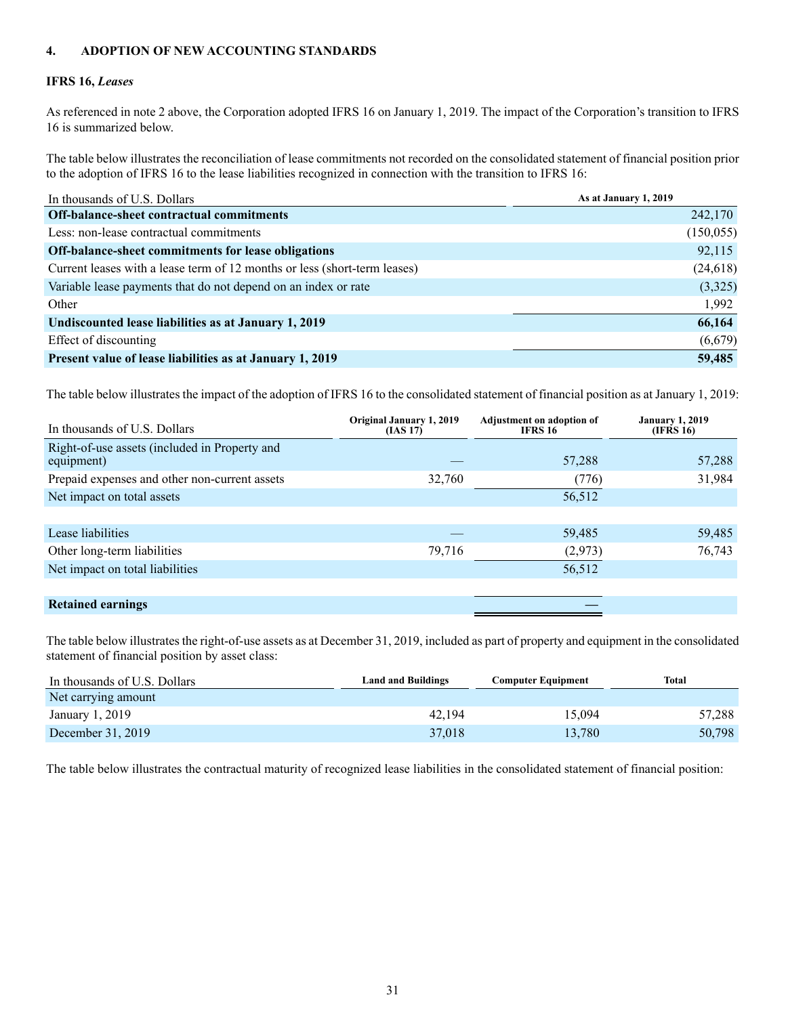# <span id="page-30-0"></span>**4. ADOPTION OF NEW ACCOUNTING STANDARDS**

# **IFRS 16,** *Leases*

As referenced in note 2 above, the Corporation adopted IFRS 16 on January 1, 2019. The impact of the Corporation's transition to IFRS 16 is summarized below.

The table below illustrates the reconciliation of lease commitments not recorded on the consolidated statement of financial position prior to the adoption of IFRS 16 to the lease liabilities recognized in connection with the transition to IFRS 16:

| In thousands of U.S. Dollars                                              | As at January 1, 2019 |
|---------------------------------------------------------------------------|-----------------------|
| Off-balance-sheet contractual commitments                                 | 242,170               |
| Less: non-lease contractual commitments                                   | (150, 055)            |
| Off-balance-sheet commitments for lease obligations                       | 92,115                |
| Current leases with a lease term of 12 months or less (short-term leases) | (24, 618)             |
| Variable lease payments that do not depend on an index or rate            | (3,325)               |
| Other                                                                     | 1,992                 |
| Undiscounted lease liabilities as at January 1, 2019                      | 66,164                |
| Effect of discounting                                                     | (6,679)               |
| Present value of lease liabilities as at January 1, 2019                  | 59,485                |

The table below illustrates the impact of the adoption of IFRS 16 to the consolidated statement of financial position as at January 1, 2019:

| In thousands of U.S. Dollars                                | Original January 1, 2019<br>(IAS17) | <b>Adjustment on adoption of</b><br><b>IFRS 16</b> | <b>January 1, 2019</b><br>(IFRS 16) |
|-------------------------------------------------------------|-------------------------------------|----------------------------------------------------|-------------------------------------|
| Right-of-use assets (included in Property and<br>equipment) |                                     | 57,288                                             | 57,288                              |
| Prepaid expenses and other non-current assets               | 32,760                              | (776)                                              | 31,984                              |
| Net impact on total assets                                  |                                     | 56,512                                             |                                     |
|                                                             |                                     |                                                    |                                     |
| Lease liabilities                                           |                                     | 59,485                                             | 59,485                              |
| Other long-term liabilities                                 | 79,716                              | (2,973)                                            | 76,743                              |
| Net impact on total liabilities                             |                                     | 56,512                                             |                                     |
|                                                             |                                     |                                                    |                                     |
| <b>Retained earnings</b>                                    |                                     |                                                    |                                     |

The table below illustrates the right-of-use assets as at December 31, 2019, included as part of property and equipment in the consolidated statement of financial position by asset class:

| In thousands of U.S. Dollars | <b>Land and Buildings</b> | Computer Equipment | Total  |
|------------------------------|---------------------------|--------------------|--------|
| Net carrying amount          |                           |                    |        |
| January 1, 2019              | 42.194                    | 15.094             | 57,288 |
| December 31, 2019            | 37,018                    | 13,780             | 50,798 |

The table below illustrates the contractual maturity of recognized lease liabilities in the consolidated statement of financial position: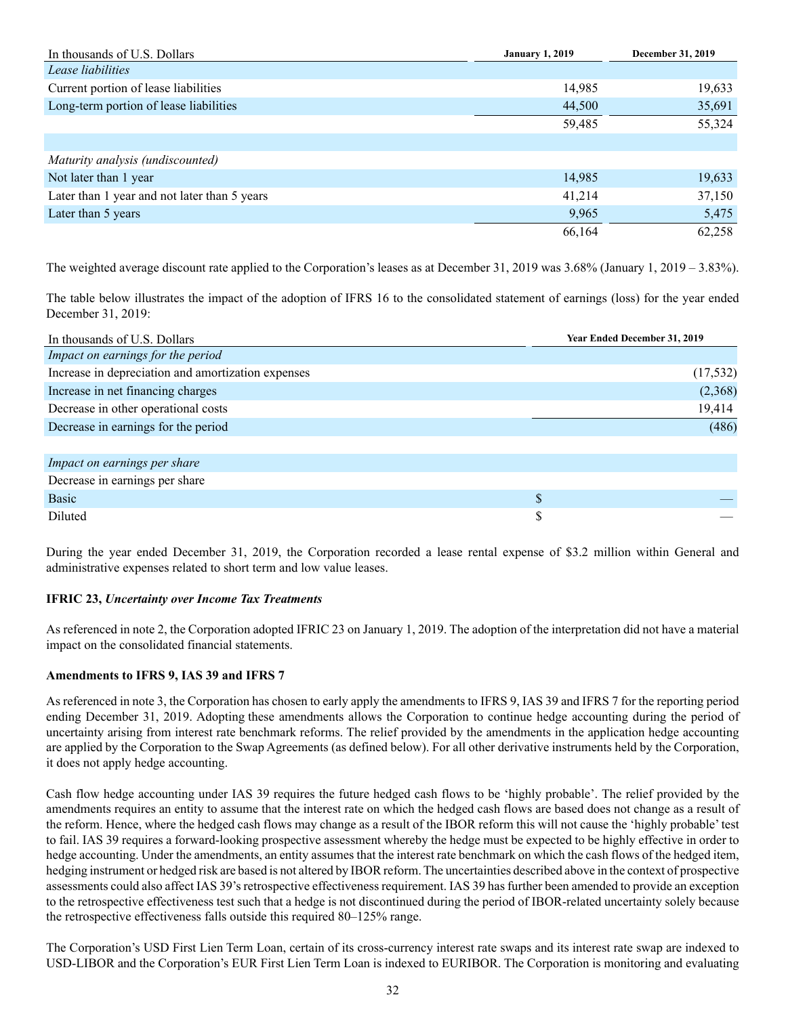| In thousands of U.S. Dollars                 | <b>January 1, 2019</b> | December 31, 2019 |
|----------------------------------------------|------------------------|-------------------|
| Lease liabilities                            |                        |                   |
| Current portion of lease liabilities         | 14,985                 | 19,633            |
| Long-term portion of lease liabilities       | 44,500                 | 35,691            |
|                                              | 59,485                 | 55,324            |
|                                              |                        |                   |
| Maturity analysis (undiscounted)             |                        |                   |
| Not later than 1 year                        | 14,985                 | 19,633            |
| Later than 1 year and not later than 5 years | 41,214                 | 37,150            |
| Later than 5 years                           | 9,965                  | 5,475             |
|                                              | 66,164                 | 62,258            |

The weighted average discount rate applied to the Corporation's leases as at December 31, 2019 was 3.68% (January 1, 2019 – 3.83%).

The table below illustrates the impact of the adoption of IFRS 16 to the consolidated statement of earnings (loss) for the year ended December 31, 2019:

| In thousands of U.S. Dollars                       | <b>Year Ended December 31, 2019</b> |
|----------------------------------------------------|-------------------------------------|
| Impact on earnings for the period                  |                                     |
| Increase in depreciation and amortization expenses | (17, 532)                           |
| Increase in net financing charges                  | (2,368)                             |
| Decrease in other operational costs                | 19,414                              |
| Decrease in earnings for the period                | (486)                               |
|                                                    |                                     |
| Impact on earnings per share                       |                                     |
| Decrease in earnings per share                     |                                     |
| <b>Basic</b>                                       |                                     |
| Diluted                                            | \$                                  |

During the year ended December 31, 2019, the Corporation recorded a lease rental expense of \$3.2 million within General and administrative expenses related to short term and low value leases.

# **IFRIC 23,** *Uncertainty over Income Tax Treatments*

As referenced in note 2, the Corporation adopted IFRIC 23 on January 1, 2019. The adoption of the interpretation did not have a material impact on the consolidated financial statements.

#### **Amendments to IFRS 9, IAS 39 and IFRS 7**

As referenced in note 3, the Corporation has chosen to early apply the amendments to IFRS 9, IAS 39 and IFRS 7 for the reporting period ending December 31, 2019. Adopting these amendments allows the Corporation to continue hedge accounting during the period of uncertainty arising from interest rate benchmark reforms. The relief provided by the amendments in the application hedge accounting are applied by the Corporation to the Swap Agreements (as defined below). For all other derivative instruments held by the Corporation, it does not apply hedge accounting.

Cash flow hedge accounting under IAS 39 requires the future hedged cash flows to be 'highly probable'. The relief provided by the amendments requires an entity to assume that the interest rate on which the hedged cash flows are based does not change as a result of the reform. Hence, where the hedged cash flows may change as a result of the IBOR reform this will not cause the 'highly probable' test to fail. IAS 39 requires a forward-looking prospective assessment whereby the hedge must be expected to be highly effective in order to hedge accounting. Under the amendments, an entity assumes that the interest rate benchmark on which the cash flows of the hedged item, hedging instrument or hedged risk are based is not altered by IBOR reform. The uncertainties described above in the context of prospective assessments could also affect IAS 39's retrospective effectiveness requirement. IAS 39 has further been amended to provide an exception to the retrospective effectiveness test such that a hedge is not discontinued during the period of IBOR-related uncertainty solely because the retrospective effectiveness falls outside this required 80–125% range.

The Corporation's USD First Lien Term Loan, certain of its cross-currency interest rate swaps and its interest rate swap are indexed to USD-LIBOR and the Corporation's EUR First Lien Term Loan is indexed to EURIBOR. The Corporation is monitoring and evaluating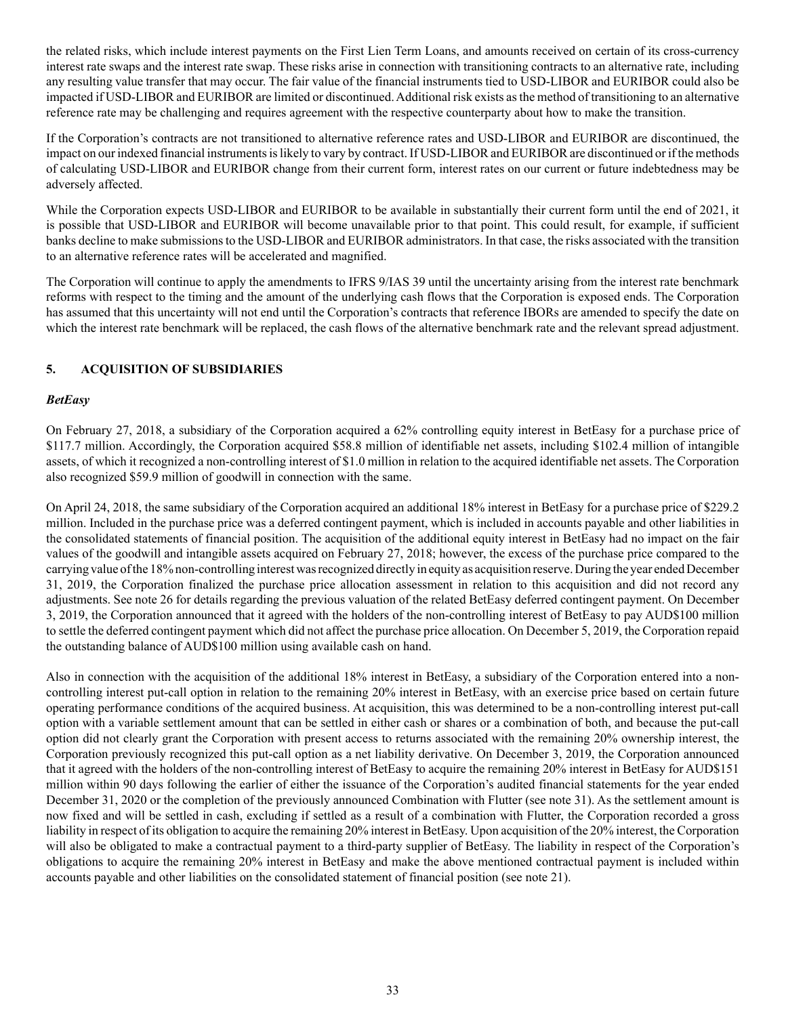<span id="page-32-0"></span>the related risks, which include interest payments on the First Lien Term Loans, and amounts received on certain of its cross-currency interest rate swaps and the interest rate swap. These risks arise in connection with transitioning contracts to an alternative rate, including any resulting value transfer that may occur. The fair value of the financial instruments tied to USD-LIBOR and EURIBOR could also be impacted if USD-LIBOR and EURIBOR are limited or discontinued. Additional risk exists as the method of transitioning to an alternative reference rate may be challenging and requires agreement with the respective counterparty about how to make the transition.

If the Corporation's contracts are not transitioned to alternative reference rates and USD-LIBOR and EURIBOR are discontinued, the impact on our indexed financial instruments is likely to vary by contract. If USD-LIBOR and EURIBOR are discontinued or if the methods of calculating USD-LIBOR and EURIBOR change from their current form, interest rates on our current or future indebtedness may be adversely affected.

While the Corporation expects USD-LIBOR and EURIBOR to be available in substantially their current form until the end of 2021, it is possible that USD-LIBOR and EURIBOR will become unavailable prior to that point. This could result, for example, if sufficient banks decline to make submissions to the USD-LIBOR and EURIBOR administrators. In that case, the risks associated with the transition to an alternative reference rates will be accelerated and magnified.

The Corporation will continue to apply the amendments to IFRS 9/IAS 39 until the uncertainty arising from the interest rate benchmark reforms with respect to the timing and the amount of the underlying cash flows that the Corporation is exposed ends. The Corporation has assumed that this uncertainty will not end until the Corporation's contracts that reference IBORs are amended to specify the date on which the interest rate benchmark will be replaced, the cash flows of the alternative benchmark rate and the relevant spread adjustment.

# **5. ACQUISITION OF SUBSIDIARIES**

# *BetEasy*

On February 27, 2018, a subsidiary of the Corporation acquired a 62% controlling equity interest in BetEasy for a purchase price of \$117.7 million. Accordingly, the Corporation acquired \$58.8 million of identifiable net assets, including \$102.4 million of intangible assets, of which it recognized a non-controlling interest of \$1.0 million in relation to the acquired identifiable net assets. The Corporation also recognized \$59.9 million of goodwill in connection with the same.

On April 24, 2018, the same subsidiary of the Corporation acquired an additional 18% interest in BetEasy for a purchase price of \$229.2 million. Included in the purchase price was a deferred contingent payment, which is included in accounts payable and other liabilities in the consolidated statements of financial position. The acquisition of the additional equity interest in BetEasy had no impact on the fair values of the goodwill and intangible assets acquired on February 27, 2018; however, the excess of the purchase price compared to the carrying value of the 18% non-controlling interest was recognized directly in equity as acquisition reserve. During the year ended December 31, 2019, the Corporation finalized the purchase price allocation assessment in relation to this acquisition and did not record any adjustments. See note 26 for details regarding the previous valuation of the related BetEasy deferred contingent payment. On December 3, 2019, the Corporation announced that it agreed with the holders of the non-controlling interest of BetEasy to pay AUD\$100 million to settle the deferred contingent payment which did not affect the purchase price allocation. On December 5, 2019, the Corporation repaid the outstanding balance of AUD\$100 million using available cash on hand.

Also in connection with the acquisition of the additional 18% interest in BetEasy, a subsidiary of the Corporation entered into a noncontrolling interest put-call option in relation to the remaining 20% interest in BetEasy, with an exercise price based on certain future operating performance conditions of the acquired business. At acquisition, this was determined to be a non-controlling interest put-call option with a variable settlement amount that can be settled in either cash or shares or a combination of both, and because the put-call option did not clearly grant the Corporation with present access to returns associated with the remaining 20% ownership interest, the Corporation previously recognized this put-call option as a net liability derivative. On December 3, 2019, the Corporation announced that it agreed with the holders of the non-controlling interest of BetEasy to acquire the remaining 20% interest in BetEasy for AUD\$151 million within 90 days following the earlier of either the issuance of the Corporation's audited financial statements for the year ended December 31, 2020 or the completion of the previously announced Combination with Flutter (see note 31). As the settlement amount is now fixed and will be settled in cash, excluding if settled as a result of a combination with Flutter, the Corporation recorded a gross liability in respect of its obligation to acquire the remaining 20% interest in BetEasy. Upon acquisition of the 20% interest, the Corporation will also be obligated to make a contractual payment to a third-party supplier of BetEasy. The liability in respect of the Corporation's obligations to acquire the remaining 20% interest in BetEasy and make the above mentioned contractual payment is included within accounts payable and other liabilities on the consolidated statement of financial position (see note 21).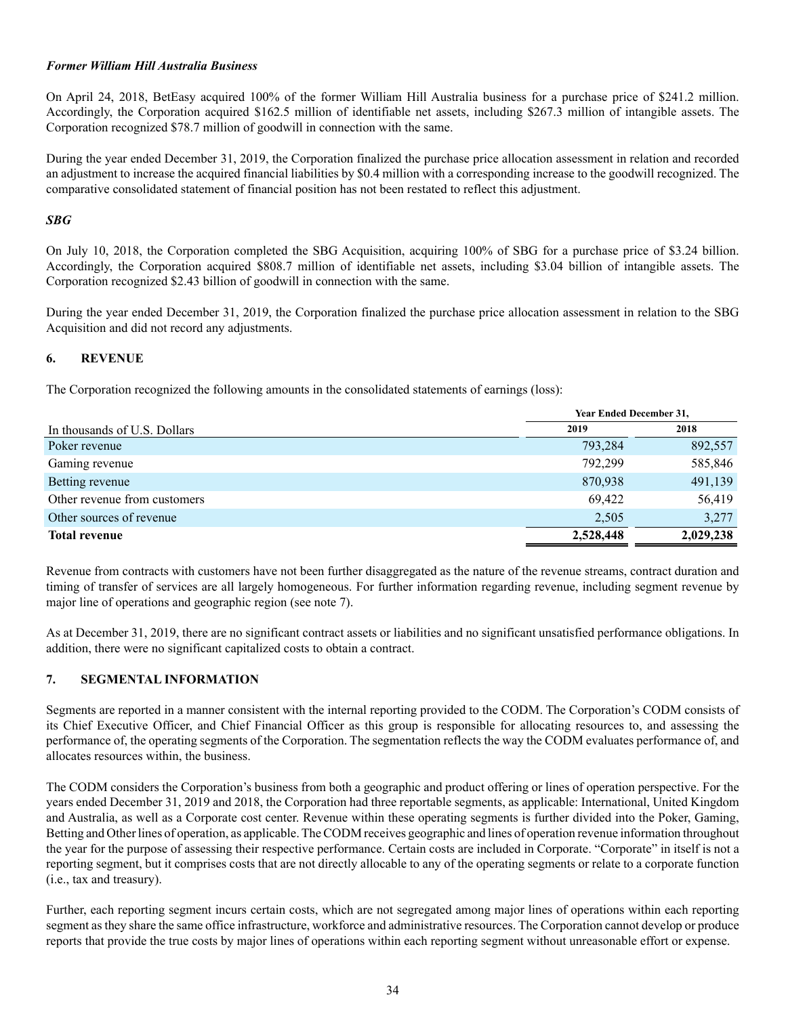# <span id="page-33-0"></span>*Former William Hill Australia Business*

On April 24, 2018, BetEasy acquired 100% of the former William Hill Australia business for a purchase price of \$241.2 million. Accordingly, the Corporation acquired \$162.5 million of identifiable net assets, including \$267.3 million of intangible assets. The Corporation recognized \$78.7 million of goodwill in connection with the same.

During the year ended December 31, 2019, the Corporation finalized the purchase price allocation assessment in relation and recorded an adjustment to increase the acquired financial liabilities by \$0.4 million with a corresponding increase to the goodwill recognized. The comparative consolidated statement of financial position has not been restated to reflect this adjustment.

# *SBG*

On July 10, 2018, the Corporation completed the SBG Acquisition, acquiring 100% of SBG for a purchase price of \$3.24 billion. Accordingly, the Corporation acquired \$808.7 million of identifiable net assets, including \$3.04 billion of intangible assets. The Corporation recognized \$2.43 billion of goodwill in connection with the same.

During the year ended December 31, 2019, the Corporation finalized the purchase price allocation assessment in relation to the SBG Acquisition and did not record any adjustments.

# **6. REVENUE**

The Corporation recognized the following amounts in the consolidated statements of earnings (loss):

|                              | <b>Year Ended December 31,</b> |           |
|------------------------------|--------------------------------|-----------|
| In thousands of U.S. Dollars | 2019                           | 2018      |
| Poker revenue                | 793,284                        | 892,557   |
| Gaming revenue               | 792,299                        | 585,846   |
| Betting revenue              | 870,938                        | 491,139   |
| Other revenue from customers | 69,422                         | 56,419    |
| Other sources of revenue     | 2,505                          | 3,277     |
| <b>Total revenue</b>         | 2,528,448                      | 2,029,238 |

Revenue from contracts with customers have not been further disaggregated as the nature of the revenue streams, contract duration and timing of transfer of services are all largely homogeneous. For further information regarding revenue, including segment revenue by major line of operations and geographic region (see note 7).

As at December 31, 2019, there are no significant contract assets or liabilities and no significant unsatisfied performance obligations. In addition, there were no significant capitalized costs to obtain a contract.

# **7. SEGMENTAL INFORMATION**

Segments are reported in a manner consistent with the internal reporting provided to the CODM. The Corporation's CODM consists of its Chief Executive Officer, and Chief Financial Officer as this group is responsible for allocating resources to, and assessing the performance of, the operating segments of the Corporation. The segmentation reflects the way the CODM evaluates performance of, and allocates resources within, the business.

The CODM considers the Corporation's business from both a geographic and product offering or lines of operation perspective. For the years ended December 31, 2019 and 2018, the Corporation had three reportable segments, as applicable: International, United Kingdom and Australia, as well as a Corporate cost center. Revenue within these operating segments is further divided into the Poker, Gaming, Betting and Other lines of operation, as applicable. The CODM receives geographic and lines of operation revenue information throughout the year for the purpose of assessing their respective performance. Certain costs are included in Corporate. "Corporate" in itself is not a reporting segment, but it comprises costs that are not directly allocable to any of the operating segments or relate to a corporate function (i.e., tax and treasury).

Further, each reporting segment incurs certain costs, which are not segregated among major lines of operations within each reporting segment as they share the same office infrastructure, workforce and administrative resources. The Corporation cannot develop or produce reports that provide the true costs by major lines of operations within each reporting segment without unreasonable effort or expense.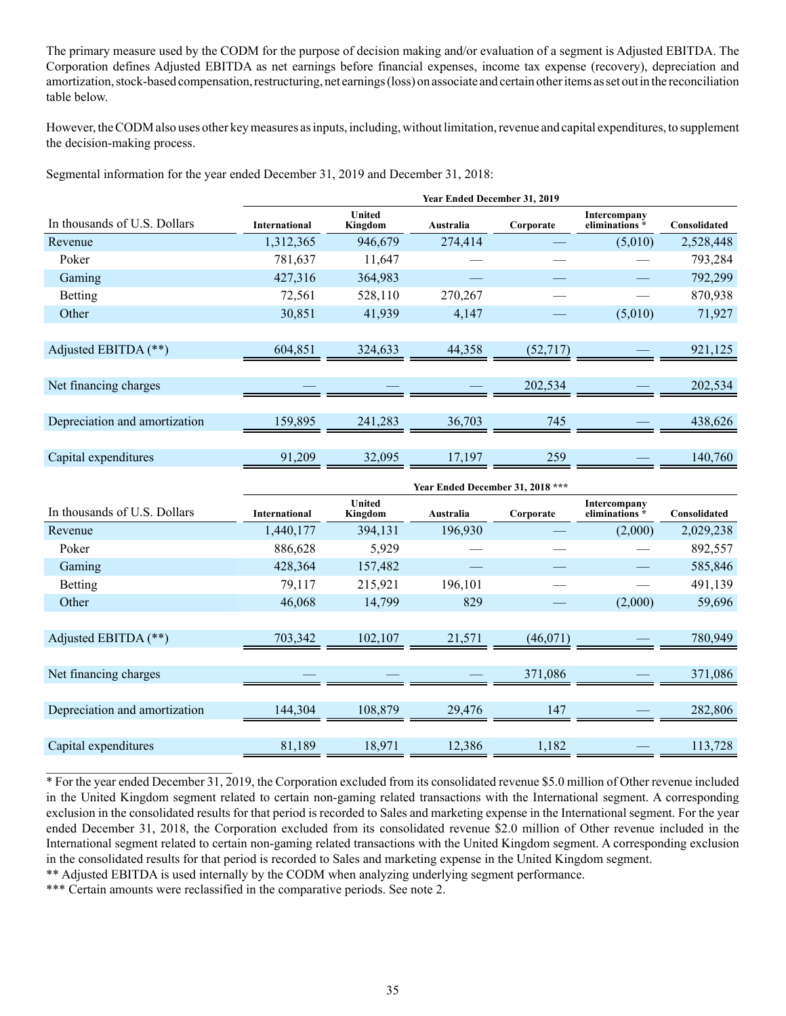The primary measure used by the CODM for the purpose of decision making and/or evaluation of a segment is Adjusted EBITDA. The Corporation defines Adjusted EBITDA as net earnings before financial expenses, income tax expense (recovery), depreciation and amortization, stock-based compensation, restructuring, net earnings (loss) on associate and certain other items as set out in the reconciliation table below.

However, the CODM also uses other key measures as inputs, including, without limitation, revenue and capital expenditures, to supplement the decision-making process.

Segmental information for the year ended December 31, 2019 and December 31, 2018:

|                               | <b>Year Ended December 31, 2019</b> |                          |           |           |                                           |              |
|-------------------------------|-------------------------------------|--------------------------|-----------|-----------|-------------------------------------------|--------------|
| In thousands of U.S. Dollars  | <b>International</b>                | <b>United</b><br>Kingdom | Australia | Corporate | Intercompany<br>eliminations <sup>*</sup> | Consolidated |
| Revenue                       | 1,312,365                           | 946,679                  | 274,414   |           | (5,010)                                   | 2,528,448    |
| Poker                         | 781,637                             | 11,647                   |           |           |                                           | 793,284      |
| Gaming                        | 427,316                             | 364,983                  |           |           |                                           | 792,299      |
| Betting                       | 72,561                              | 528,110                  | 270,267   |           |                                           | 870,938      |
| Other                         | 30,851                              | 41,939                   | 4,147     |           | (5,010)                                   | 71,927       |
|                               |                                     |                          |           |           |                                           |              |
| Adjusted EBITDA (**)          | 604,851                             | 324,633                  | 44,358    | (52, 717) |                                           | 921,125      |
|                               |                                     |                          |           |           |                                           |              |
| Net financing charges         |                                     |                          |           | 202,534   |                                           | 202,534      |
|                               |                                     |                          |           |           |                                           |              |
| Depreciation and amortization | 159,895                             | 241,283                  | 36,703    | 745       |                                           | 438,626      |
|                               |                                     |                          |           |           |                                           |              |
| Capital expenditures          | 91,209                              | 32,095                   | 17,197    | 259       |                                           | 140,760      |

|                               | Year Ended December 31, 2018 *** |                          |           |           |                                |              |
|-------------------------------|----------------------------------|--------------------------|-----------|-----------|--------------------------------|--------------|
| In thousands of U.S. Dollars  | <b>International</b>             | <b>United</b><br>Kingdom | Australia | Corporate | Intercompany<br>eliminations * | Consolidated |
| Revenue                       | 1,440,177                        | 394,131                  | 196,930   |           | (2,000)                        | 2,029,238    |
| Poker                         | 886,628                          | 5,929                    |           |           |                                | 892,557      |
| Gaming                        | 428,364                          | 157,482                  |           |           |                                | 585,846      |
| Betting                       | 79,117                           | 215,921                  | 196,101   |           |                                | 491,139      |
| Other                         | 46,068                           | 14,799                   | 829       |           | (2,000)                        | 59,696       |
|                               |                                  |                          |           |           |                                |              |
| Adjusted EBITDA (**)          | 703,342                          | 102,107                  | 21,571    | (46, 071) |                                | 780,949      |
|                               |                                  |                          |           |           |                                |              |
| Net financing charges         |                                  |                          |           | 371,086   |                                | 371,086      |
|                               |                                  |                          |           |           |                                |              |
| Depreciation and amortization | 144,304                          | 108,879                  | 29,476    | 147       |                                | 282,806      |
|                               |                                  |                          |           |           |                                |              |
| Capital expenditures          | 81,189                           | 18,971                   | 12,386    | 1,182     |                                | 113,728      |

\_\_\_\_\_\_\_\_\_\_\_\_\_\_\_\_\_\_\_\_\_\_\_\_\_\_\_\_\_ \* For the year ended December 31, 2019, the Corporation excluded from its consolidated revenue \$5.0 million of Other revenue included in the United Kingdom segment related to certain non-gaming related transactions with the International segment. A corresponding exclusion in the consolidated results for that period is recorded to Sales and marketing expense in the International segment. For the year ended December 31, 2018, the Corporation excluded from its consolidated revenue \$2.0 million of Other revenue included in the International segment related to certain non-gaming related transactions with the United Kingdom segment. A corresponding exclusion in the consolidated results for that period is recorded to Sales and marketing expense in the United Kingdom segment.

\*\* Adjusted EBITDA is used internally by the CODM when analyzing underlying segment performance.

\*\*\* Certain amounts were reclassified in the comparative periods. See note 2.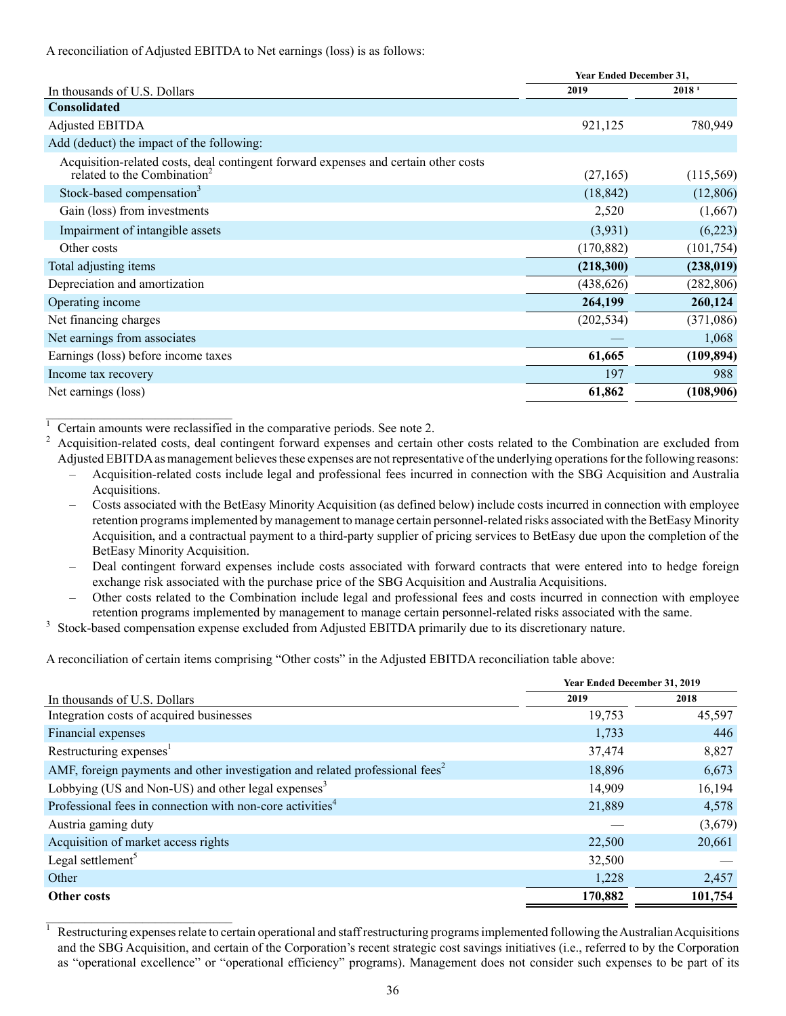A reconciliation of Adjusted EBITDA to Net earnings (loss) is as follows:

|                                                                                                                                | <b>Year Ended December 31,</b> |                   |  |
|--------------------------------------------------------------------------------------------------------------------------------|--------------------------------|-------------------|--|
| In thousands of U.S. Dollars                                                                                                   | 2019                           | 2018 <sup>1</sup> |  |
| <b>Consolidated</b>                                                                                                            |                                |                   |  |
| Adjusted EBITDA                                                                                                                | 921,125                        | 780,949           |  |
| Add (deduct) the impact of the following:                                                                                      |                                |                   |  |
| Acquisition-related costs, deal contingent forward expenses and certain other costs<br>related to the Combination <sup>2</sup> | (27,165)                       | (115, 569)        |  |
| Stock-based compensation <sup>3</sup>                                                                                          | (18, 842)                      | (12,806)          |  |
| Gain (loss) from investments                                                                                                   | 2,520                          | (1,667)           |  |
| Impairment of intangible assets                                                                                                | (3,931)                        | (6,223)           |  |
| Other costs                                                                                                                    | (170, 882)                     | (101, 754)        |  |
| Total adjusting items                                                                                                          | (218,300)                      | (238, 019)        |  |
| Depreciation and amortization                                                                                                  | (438, 626)                     | (282, 806)        |  |
| Operating income                                                                                                               | 264,199                        | 260,124           |  |
| Net financing charges                                                                                                          | (202, 534)                     | (371,086)         |  |
| Net earnings from associates                                                                                                   |                                | 1,068             |  |
| Earnings (loss) before income taxes                                                                                            | 61,665                         | (109, 894)        |  |
| Income tax recovery                                                                                                            | 197                            | 988               |  |
| Net earnings (loss)                                                                                                            | 61,862                         | (108,906)         |  |

\_\_\_\_\_\_\_\_\_\_\_\_\_\_\_\_\_\_\_\_\_\_\_\_\_\_\_\_\_ <sup>1</sup> Certain amounts were reclassified in the comparative periods. See note 2.<br><sup>2</sup> Acquisition-related costs, deal continuent forward expenses and certain

\_\_\_\_\_\_\_\_\_\_\_\_\_\_\_\_\_\_\_\_\_\_\_\_\_\_\_\_\_

<sup>2</sup> Acquisition-related costs, deal contingent forward expenses and certain other costs related to the Combination are excluded from Adjusted EBITDA as management believes these expenses are not representative of the underlying operations for the following reasons:

– Acquisition-related costs include legal and professional fees incurred in connection with the SBG Acquisition and Australia Acquisitions.

- Costs associated with the BetEasy Minority Acquisition (as defined below) include costs incurred in connection with employee retention programs implemented by management to manage certain personnel-related risks associated with the BetEasy Minority Acquisition, and a contractual payment to a third-party supplier of pricing services to BetEasy due upon the completion of the BetEasy Minority Acquisition.
- Deal contingent forward expenses include costs associated with forward contracts that were entered into to hedge foreign exchange risk associated with the purchase price of the SBG Acquisition and Australia Acquisitions.
- Other costs related to the Combination include legal and professional fees and costs incurred in connection with employee retention programs implemented by management to manage certain personnel-related risks associated with the same.

3 Stock-based compensation expense excluded from Adjusted EBITDA primarily due to its discretionary nature.

A reconciliation of certain items comprising "Other costs" in the Adjusted EBITDA reconciliation table above:

|                                                                                          | <b>Year Ended December 31, 2019</b> |         |
|------------------------------------------------------------------------------------------|-------------------------------------|---------|
| In thousands of U.S. Dollars                                                             | 2019                                | 2018    |
| Integration costs of acquired businesses                                                 | 19,753                              | 45,597  |
| Financial expenses                                                                       | 1,733                               | 446     |
| Restructuring expenses <sup>1</sup>                                                      | 37,474                              | 8,827   |
| AMF, foreign payments and other investigation and related professional fees <sup>2</sup> | 18,896                              | 6,673   |
| Lobbying (US and Non-US) and other legal expenses <sup>3</sup>                           | 14,909                              | 16,194  |
| Professional fees in connection with non-core activities <sup>4</sup>                    | 21,889                              | 4,578   |
| Austria gaming duty                                                                      |                                     | (3,679) |
| Acquisition of market access rights                                                      | 22,500                              | 20,661  |
| Legal settlement <sup>5</sup>                                                            | 32,500                              |         |
| Other                                                                                    | 1,228                               | 2,457   |
| <b>Other costs</b>                                                                       | 170,882                             | 101,754 |

Restructuring expenses relate to certain operational and staff restructuring programs implemented following the Australian Acquisitions and the SBG Acquisition, and certain of the Corporation's recent strategic cost savings initiatives (i.e., referred to by the Corporation as "operational excellence" or "operational efficiency" programs). Management does not consider such expenses to be part of its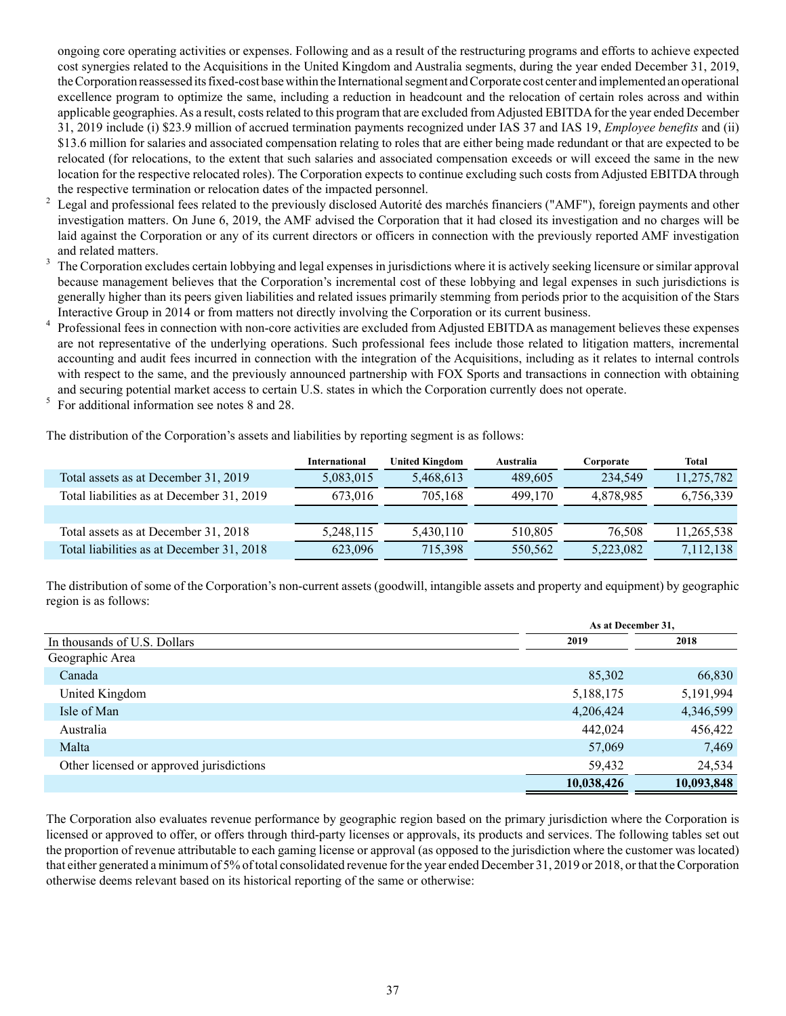ongoing core operating activities or expenses. Following and as a result of the restructuring programs and efforts to achieve expected cost synergies related to the Acquisitions in the United Kingdom and Australia segments, during the year ended December 31, 2019, the Corporation reassessed its fixed-cost base within the International segment and Corporate cost center and implemented an operational excellence program to optimize the same, including a reduction in headcount and the relocation of certain roles across and within applicable geographies. As a result, costs related to this program that are excluded from Adjusted EBITDA for the year ended December 31, 2019 include (i) \$23.9 million of accrued termination payments recognized under IAS 37 and IAS 19, *Employee benefits* and (ii) \$13.6 million for salaries and associated compensation relating to roles that are either being made redundant or that are expected to be relocated (for relocations, to the extent that such salaries and associated compensation exceeds or will exceed the same in the new location for the respective relocated roles). The Corporation expects to continue excluding such costs from Adjusted EBITDA through the respective termination or relocation dates of the impacted personnel.

- <sup>2</sup> Legal and professional fees related to the previously disclosed Autorité des marchés financiers ("AMF"), foreign payments and other investigation matters. On June 6, 2019, the AMF advised the Corporation that it had closed its investigation and no charges will be laid against the Corporation or any of its current directors or officers in connection with the previously reported AMF investigation and related matters.
- The Corporation excludes certain lobbying and legal expenses in jurisdictions where it is actively seeking licensure or similar approval because management believes that the Corporation's incremental cost of these lobbying and legal expenses in such jurisdictions is generally higher than its peers given liabilities and related issues primarily stemming from periods prior to the acquisition of the Stars Interactive Group in 2014 or from matters not directly involving the Corporation or its current business.
- 4 Professional fees in connection with non-core activities are excluded from Adjusted EBITDA as management believes these expenses are not representative of the underlying operations. Such professional fees include those related to litigation matters, incremental accounting and audit fees incurred in connection with the integration of the Acquisitions, including as it relates to internal controls with respect to the same, and the previously announced partnership with FOX Sports and transactions in connection with obtaining and securing potential market access to certain U.S. states in which the Corporation currently does not operate.
- 5 For additional information see notes 8 and 28.

The distribution of the Corporation's assets and liabilities by reporting segment is as follows:

|                                           | <b>International</b> | <b>United Kingdom</b> | Australia | Corporate | <b>Total</b> |
|-------------------------------------------|----------------------|-----------------------|-----------|-----------|--------------|
| Total assets as at December 31, 2019      | 5,083,015            | 5,468,613             | 489,605   | 234,549   | 11,275,782   |
| Total liabilities as at December 31, 2019 | 673.016              | 705.168               | 499,170   | 4,878,985 | 6,756,339    |
|                                           |                      |                       |           |           |              |
| Total assets as at December 31, 2018      | 5,248,115            | 5,430,110             | 510,805   | 76.508    | 11,265,538   |
| Total liabilities as at December 31, 2018 | 623,096              | 715,398               | 550,562   | 5,223,082 | 7,112,138    |

The distribution of some of the Corporation's non-current assets (goodwill, intangible assets and property and equipment) by geographic region is as follows:

|                                          | As at December 31, |            |
|------------------------------------------|--------------------|------------|
| In thousands of U.S. Dollars             | 2019               | 2018       |
| Geographic Area                          |                    |            |
| Canada                                   | 85,302             | 66,830     |
| United Kingdom                           | 5,188,175          | 5,191,994  |
| Isle of Man                              | 4,206,424          | 4,346,599  |
| Australia                                | 442,024            | 456,422    |
| Malta                                    | 57,069             | 7,469      |
| Other licensed or approved jurisdictions | 59,432             | 24,534     |
|                                          | 10,038,426         | 10,093,848 |

The Corporation also evaluates revenue performance by geographic region based on the primary jurisdiction where the Corporation is licensed or approved to offer, or offers through third-party licenses or approvals, its products and services. The following tables set out the proportion of revenue attributable to each gaming license or approval (as opposed to the jurisdiction where the customer was located) that either generated a minimum of 5% of total consolidated revenue for the year ended December 31, 2019 or 2018, or that the Corporation otherwise deems relevant based on its historical reporting of the same or otherwise: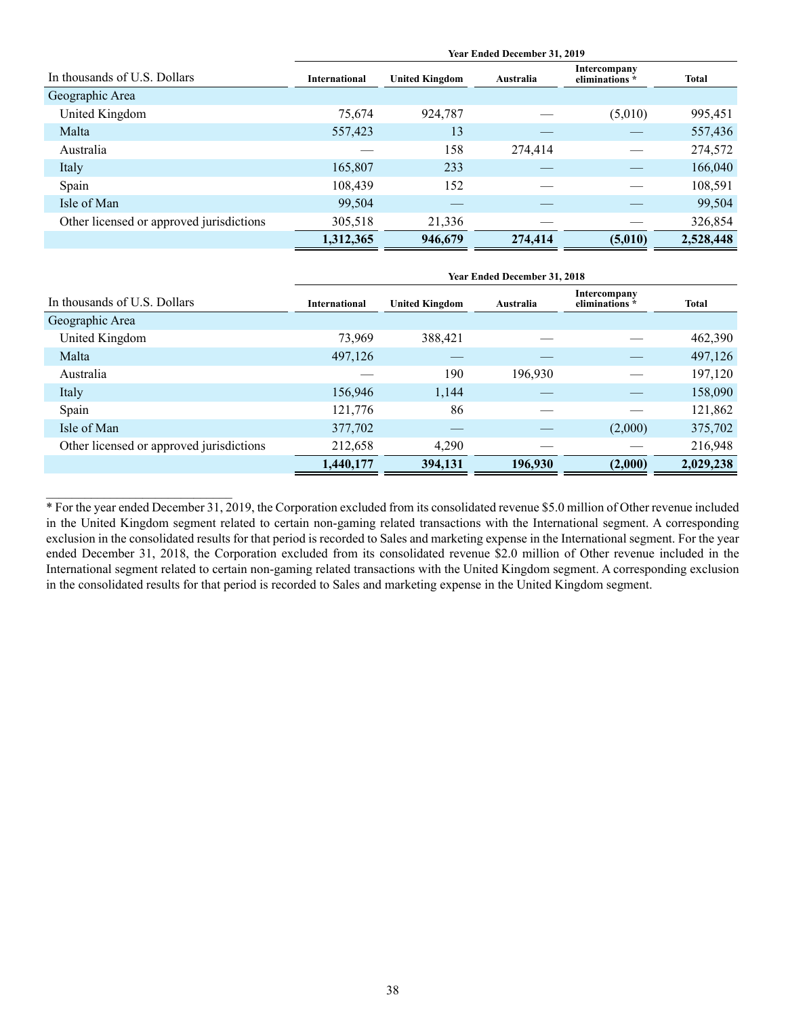|                                          | <b>Year Ended December 31, 2019</b> |                       |           |                                |           |  |
|------------------------------------------|-------------------------------------|-----------------------|-----------|--------------------------------|-----------|--|
| In thousands of U.S. Dollars             | <b>International</b>                | <b>United Kingdom</b> | Australia | Intercompany<br>eliminations * | Total     |  |
| Geographic Area                          |                                     |                       |           |                                |           |  |
| United Kingdom                           | 75,674                              | 924,787               |           | (5,010)                        | 995,451   |  |
| Malta                                    | 557,423                             | 13                    |           |                                | 557,436   |  |
| Australia                                |                                     | 158                   | 274,414   |                                | 274,572   |  |
| Italy                                    | 165,807                             | 233                   |           |                                | 166,040   |  |
| Spain                                    | 108,439                             | 152                   |           |                                | 108,591   |  |
| Isle of Man                              | 99,504                              |                       |           |                                | 99,504    |  |
| Other licensed or approved jurisdictions | 305,518                             | 21,336                |           |                                | 326,854   |  |
|                                          | 1,312,365                           | 946,679               | 274,414   | (5,010)                        | 2,528,448 |  |

|                                          | <b>Year Ended December 31, 2018</b> |                       |           |                                           |              |  |
|------------------------------------------|-------------------------------------|-----------------------|-----------|-------------------------------------------|--------------|--|
| In thousands of U.S. Dollars             | <b>International</b>                | <b>United Kingdom</b> | Australia | Intercompany<br>eliminations <sup>*</sup> | <b>Total</b> |  |
| Geographic Area                          |                                     |                       |           |                                           |              |  |
| United Kingdom                           | 73,969                              | 388,421               |           |                                           | 462,390      |  |
| Malta                                    | 497,126                             |                       |           |                                           | 497,126      |  |
| Australia                                |                                     | 190                   | 196,930   |                                           | 197,120      |  |
| Italy                                    | 156,946                             | 1,144                 |           |                                           | 158,090      |  |
| Spain                                    | 121,776                             | 86                    |           |                                           | 121,862      |  |
| Isle of Man                              | 377,702                             |                       |           | (2,000)                                   | 375,702      |  |
| Other licensed or approved jurisdictions | 212,658                             | 4,290                 |           |                                           | 216,948      |  |
|                                          | 1,440,177                           | 394,131               | 196,930   | (2,000)                                   | 2,029,238    |  |

 $*$  For the year ended December 31, 2019, the Corporation excluded from its consolidated revenue \$5.0 million of Other revenue included in the United Kingdom segment related to certain non-gaming related transactions with the International segment. A corresponding exclusion in the consolidated results for that period is recorded to Sales and marketing expense in the International segment. For the year ended December 31, 2018, the Corporation excluded from its consolidated revenue \$2.0 million of Other revenue included in the International segment related to certain non-gaming related transactions with the United Kingdom segment. A corresponding exclusion in the consolidated results for that period is recorded to Sales and marketing expense in the United Kingdom segment.

\_\_\_\_\_\_\_\_\_\_\_\_\_\_\_\_\_\_\_\_\_\_\_\_\_\_\_\_\_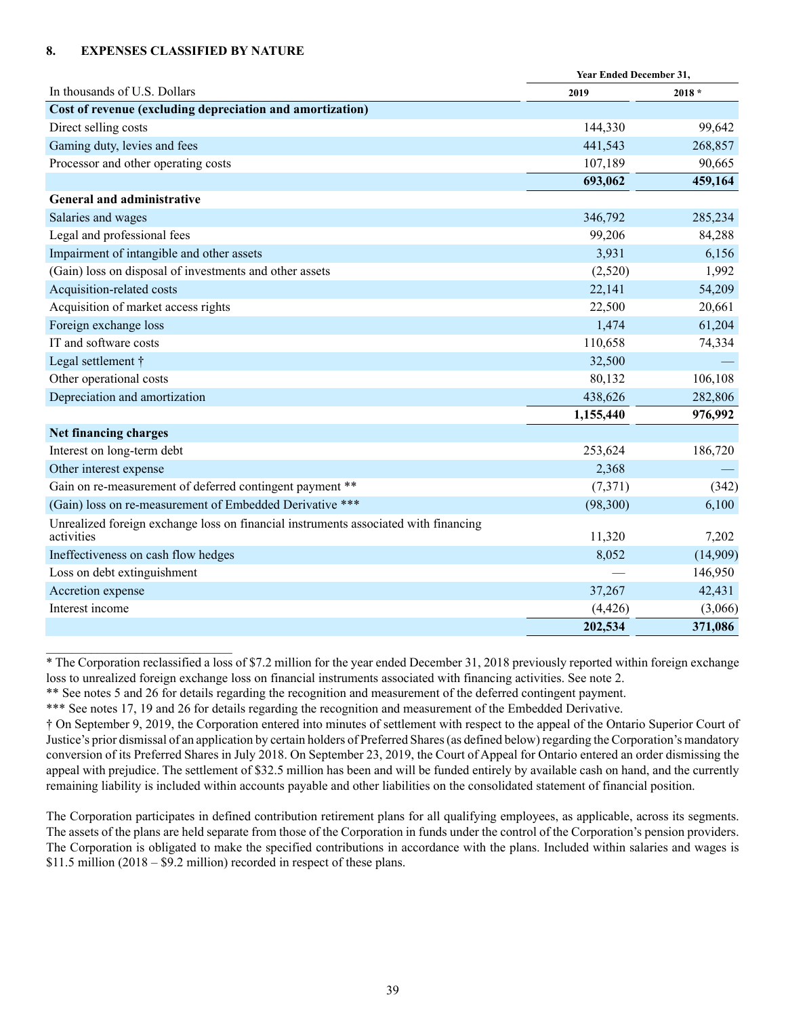### **8. EXPENSES CLASSIFIED BY NATURE**

\_\_\_\_\_\_\_\_\_\_\_\_\_\_\_\_\_\_\_\_\_\_\_\_\_\_\_\_\_

|                                                                                                   | <b>Year Ended December 31,</b> |          |
|---------------------------------------------------------------------------------------------------|--------------------------------|----------|
| In thousands of U.S. Dollars                                                                      | 2019                           | $2018 *$ |
| Cost of revenue (excluding depreciation and amortization)                                         |                                |          |
| Direct selling costs                                                                              | 144,330                        | 99,642   |
| Gaming duty, levies and fees                                                                      | 441,543                        | 268,857  |
| Processor and other operating costs                                                               | 107,189                        | 90,665   |
|                                                                                                   | 693,062                        | 459,164  |
| <b>General and administrative</b>                                                                 |                                |          |
| Salaries and wages                                                                                | 346,792                        | 285,234  |
| Legal and professional fees                                                                       | 99,206                         | 84,288   |
| Impairment of intangible and other assets                                                         | 3,931                          | 6,156    |
| (Gain) loss on disposal of investments and other assets                                           | (2,520)                        | 1,992    |
| Acquisition-related costs                                                                         | 22,141                         | 54,209   |
| Acquisition of market access rights                                                               | 22,500                         | 20,661   |
| Foreign exchange loss                                                                             | 1,474                          | 61,204   |
| IT and software costs                                                                             | 110,658                        | 74,334   |
| Legal settlement †                                                                                | 32,500                         |          |
| Other operational costs                                                                           | 80,132                         | 106,108  |
| Depreciation and amortization                                                                     | 438,626                        | 282,806  |
|                                                                                                   | 1,155,440                      | 976,992  |
| Net financing charges                                                                             |                                |          |
| Interest on long-term debt                                                                        | 253,624                        | 186,720  |
| Other interest expense                                                                            | 2,368                          |          |
| Gain on re-measurement of deferred contingent payment **                                          | (7,371)                        | (342)    |
| (Gain) loss on re-measurement of Embedded Derivative ***                                          | (98, 300)                      | 6,100    |
| Unrealized foreign exchange loss on financial instruments associated with financing<br>activities | 11,320                         | 7,202    |
| Ineffectiveness on cash flow hedges                                                               | 8,052                          | (14,909) |
| Loss on debt extinguishment                                                                       |                                | 146,950  |
| Accretion expense                                                                                 | 37,267                         | 42,431   |
| Interest income                                                                                   | (4, 426)                       | (3,066)  |
|                                                                                                   | 202,534                        | 371,086  |

\* The Corporation reclassified a loss of \$7.2 million for the year ended December 31, 2018 previously reported within foreign exchange loss to unrealized foreign exchange loss on financial instruments associated with financing activities. See note 2.

\*\* See notes 5 and 26 for details regarding the recognition and measurement of the deferred contingent payment.

\*\*\* See notes 17, 19 and 26 for details regarding the recognition and measurement of the Embedded Derivative.

† On September 9, 2019, the Corporation entered into minutes of settlement with respect to the appeal of the Ontario Superior Court of Justice's prior dismissal of an application by certain holders of Preferred Shares (as defined below) regarding the Corporation's mandatory conversion of its Preferred Shares in July 2018. On September 23, 2019, the Court of Appeal for Ontario entered an order dismissing the appeal with prejudice. The settlement of \$32.5 million has been and will be funded entirely by available cash on hand, and the currently remaining liability is included within accounts payable and other liabilities on the consolidated statement of financial position.

The Corporation participates in defined contribution retirement plans for all qualifying employees, as applicable, across its segments. The assets of the plans are held separate from those of the Corporation in funds under the control of the Corporation's pension providers. The Corporation is obligated to make the specified contributions in accordance with the plans. Included within salaries and wages is \$11.5 million (2018 – \$9.2 million) recorded in respect of these plans.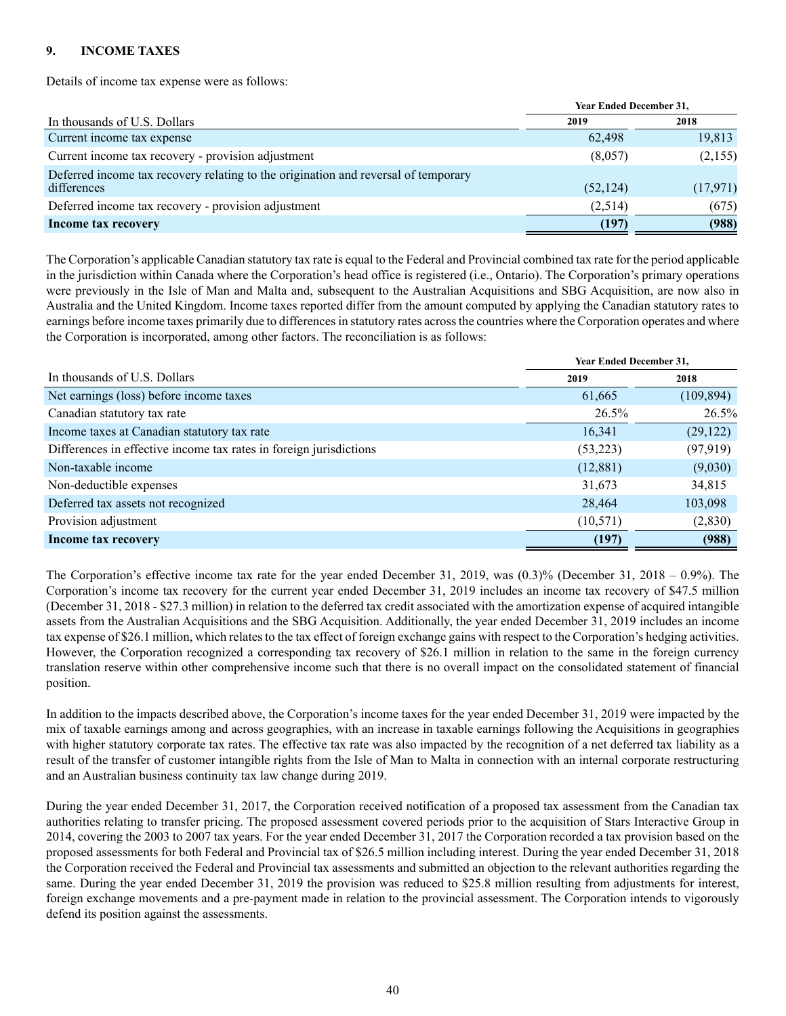### **9. INCOME TAXES**

Details of income tax expense were as follows:

|                                                                                                   | <b>Year Ended December 31,</b> |           |  |
|---------------------------------------------------------------------------------------------------|--------------------------------|-----------|--|
| In thousands of U.S. Dollars                                                                      | 2019                           | 2018      |  |
| Current income tax expense                                                                        | 62,498                         | 19,813    |  |
| Current income tax recovery - provision adjustment                                                | (8,057)                        | (2,155)   |  |
| Deferred income tax recovery relating to the origination and reversal of temporary<br>differences | (52, 124)                      | (17, 971) |  |
| Deferred income tax recovery - provision adjustment                                               | (2,514)                        | (675)     |  |
| Income tax recovery                                                                               | (197)                          | (988)     |  |

The Corporation's applicable Canadian statutory tax rate is equal to the Federal and Provincial combined tax rate for the period applicable in the jurisdiction within Canada where the Corporation's head office is registered (i.e., Ontario). The Corporation's primary operations were previously in the Isle of Man and Malta and, subsequent to the Australian Acquisitions and SBG Acquisition, are now also in Australia and the United Kingdom. Income taxes reported differ from the amount computed by applying the Canadian statutory rates to earnings before income taxes primarily due to differences in statutory rates across the countries where the Corporation operates and where the Corporation is incorporated, among other factors. The reconciliation is as follows:

|                                                                    | <b>Year Ended December 31.</b> |            |
|--------------------------------------------------------------------|--------------------------------|------------|
| In thousands of U.S. Dollars                                       | 2019                           | 2018       |
| Net earnings (loss) before income taxes                            | 61,665                         | (109, 894) |
| Canadian statutory tax rate                                        | 26.5%                          | 26.5%      |
| Income taxes at Canadian statutory tax rate                        | 16,341                         | (29, 122)  |
| Differences in effective income tax rates in foreign jurisdictions | (53, 223)                      | (97, 919)  |
| Non-taxable income                                                 | (12, 881)                      | (9,030)    |
| Non-deductible expenses                                            | 31,673                         | 34,815     |
| Deferred tax assets not recognized                                 | 28,464                         | 103,098    |
| Provision adjustment                                               | (10, 571)                      | (2,830)    |
| <b>Income tax recovery</b>                                         | (197)                          | (988)      |

The Corporation's effective income tax rate for the year ended December 31, 2019, was (0.3)% (December 31, 2018 – 0.9%). The Corporation's income tax recovery for the current year ended December 31, 2019 includes an income tax recovery of \$47.5 million (December 31, 2018 - \$27.3 million) in relation to the deferred tax credit associated with the amortization expense of acquired intangible assets from the Australian Acquisitions and the SBG Acquisition. Additionally, the year ended December 31, 2019 includes an income tax expense of \$26.1 million, which relates to the tax effect of foreign exchange gains with respect to the Corporation's hedging activities. However, the Corporation recognized a corresponding tax recovery of \$26.1 million in relation to the same in the foreign currency translation reserve within other comprehensive income such that there is no overall impact on the consolidated statement of financial position.

In addition to the impacts described above, the Corporation's income taxes for the year ended December 31, 2019 were impacted by the mix of taxable earnings among and across geographies, with an increase in taxable earnings following the Acquisitions in geographies with higher statutory corporate tax rates. The effective tax rate was also impacted by the recognition of a net deferred tax liability as a result of the transfer of customer intangible rights from the Isle of Man to Malta in connection with an internal corporate restructuring and an Australian business continuity tax law change during 2019.

During the year ended December 31, 2017, the Corporation received notification of a proposed tax assessment from the Canadian tax authorities relating to transfer pricing. The proposed assessment covered periods prior to the acquisition of Stars Interactive Group in 2014, covering the 2003 to 2007 tax years. For the year ended December 31, 2017 the Corporation recorded a tax provision based on the proposed assessments for both Federal and Provincial tax of \$26.5 million including interest. During the year ended December 31, 2018 the Corporation received the Federal and Provincial tax assessments and submitted an objection to the relevant authorities regarding the same. During the year ended December 31, 2019 the provision was reduced to \$25.8 million resulting from adjustments for interest, foreign exchange movements and a pre-payment made in relation to the provincial assessment. The Corporation intends to vigorously defend its position against the assessments.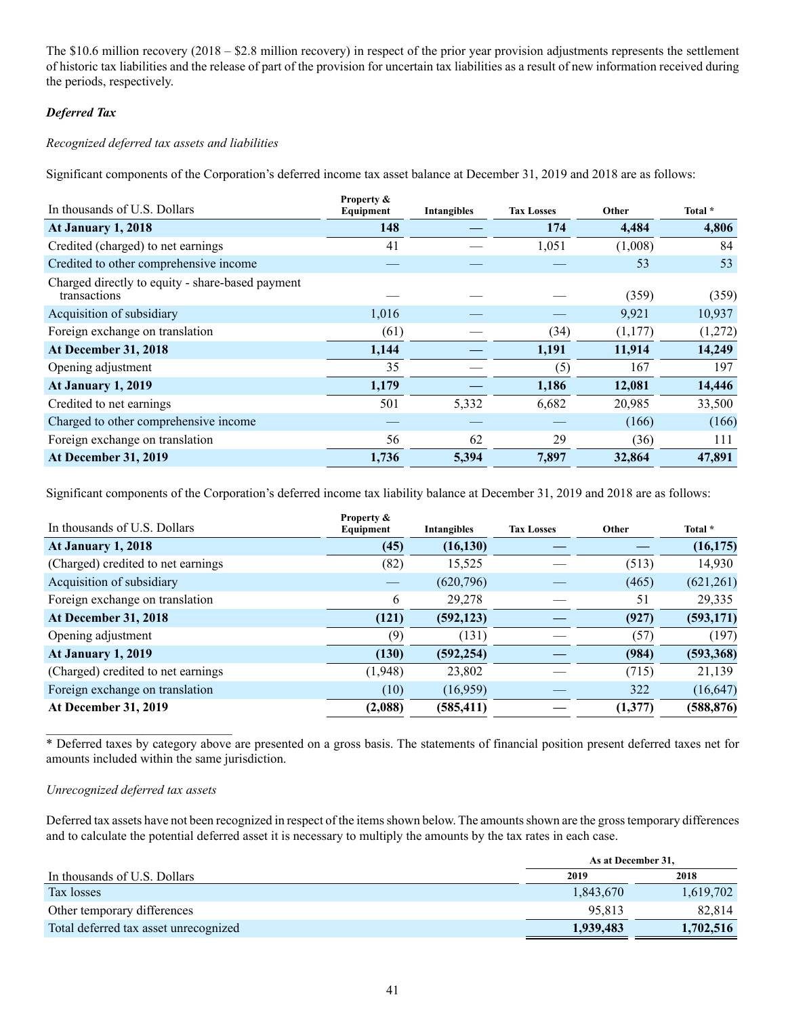The \$10.6 million recovery (2018 – \$2.8 million recovery) in respect of the prior year provision adjustments represents the settlement of historic tax liabilities and the release of part of the provision for uncertain tax liabilities as a result of new information received during the periods, respectively.

# *Deferred Tax*

## *Recognized deferred tax assets and liabilities*

Significant components of the Corporation's deferred income tax asset balance at December 31, 2019 and 2018 are as follows:

| In thousands of U.S. Dollars                                            | Property &<br>Equipment | <b>Intangibles</b> | <b>Tax Losses</b> | Other   | Total * |
|-------------------------------------------------------------------------|-------------------------|--------------------|-------------------|---------|---------|
| At January 1, 2018                                                      | 148                     |                    | 174               | 4,484   | 4,806   |
| Credited (charged) to net earnings                                      | 41                      |                    | 1,051             | (1,008) | 84      |
| Credited to other comprehensive income                                  |                         |                    |                   | 53      | 53      |
| Charged directly to equity - share-based payment<br><i>transactions</i> |                         |                    |                   | (359)   | (359)   |
| Acquisition of subsidiary                                               | 1,016                   |                    |                   | 9,921   | 10,937  |
| Foreign exchange on translation                                         | (61)                    |                    | (34)              | (1,177) | (1,272) |
| At December 31, 2018                                                    | 1,144                   |                    | 1,191             | 11,914  | 14,249  |
| Opening adjustment                                                      | 35                      |                    | (5)               | 167     | 197     |
| <b>At January 1, 2019</b>                                               | 1,179                   |                    | 1,186             | 12,081  | 14,446  |
| Credited to net earnings                                                | 501                     | 5,332              | 6,682             | 20,985  | 33,500  |
| Charged to other comprehensive income                                   |                         |                    |                   | (166)   | (166)   |
| Foreign exchange on translation                                         | 56                      | 62                 | 29                | (36)    | 111     |
| <b>At December 31, 2019</b>                                             | 1,736                   | 5,394              | 7,897             | 32,864  | 47,891  |

Significant components of the Corporation's deferred income tax liability balance at December 31, 2019 and 2018 are as follows:

| In thousands of U.S. Dollars       | Property &<br>Equipment | Intangibles | <b>Tax Losses</b> | Other   | Total *    |
|------------------------------------|-------------------------|-------------|-------------------|---------|------------|
| <b>At January 1, 2018</b>          | (45)                    | (16, 130)   |                   |         | (16, 175)  |
| (Charged) credited to net earnings | (82)                    | 15,525      |                   | (513)   | 14,930     |
| Acquisition of subsidiary          |                         | (620, 796)  |                   | (465)   | (621, 261) |
| Foreign exchange on translation    | 6                       | 29,278      |                   | 51      | 29,335     |
| <b>At December 31, 2018</b>        | (121)                   | (592, 123)  |                   | (927)   | (593, 171) |
| Opening adjustment                 | (9)                     | (131)       |                   | (57)    | (197)      |
| <b>At January 1, 2019</b>          | (130)                   | (592, 254)  |                   | (984)   | (593,368)  |
| (Charged) credited to net earnings | (1,948)                 | 23,802      |                   | (715)   | 21,139     |
| Foreign exchange on translation    | (10)                    | (16,959)    |                   | 322     | (16, 647)  |
| <b>At December 31, 2019</b>        | (2,088)                 | (585, 411)  |                   | (1,377) | (588, 876) |

\* Deferred taxes by category above are presented on a gross basis. The statements of financial position present deferred taxes net for amounts included within the same jurisdiction.

### *Unrecognized deferred tax assets*

\_\_\_\_\_\_\_\_\_\_\_\_\_\_\_\_\_\_\_\_\_\_\_\_\_\_\_\_\_

Deferred tax assets have not been recognized in respect of the items shown below. The amounts shown are the gross temporary differences and to calculate the potential deferred asset it is necessary to multiply the amounts by the tax rates in each case.

|                                       | As at December 31, |           |  |
|---------------------------------------|--------------------|-----------|--|
| In thousands of U.S. Dollars          | 2019               | 2018      |  |
| Tax losses                            | 1,843,670          | 1,619,702 |  |
| Other temporary differences           | 95.813             | 82.814    |  |
| Total deferred tax asset unrecognized | 1,939,483          | 1,702,516 |  |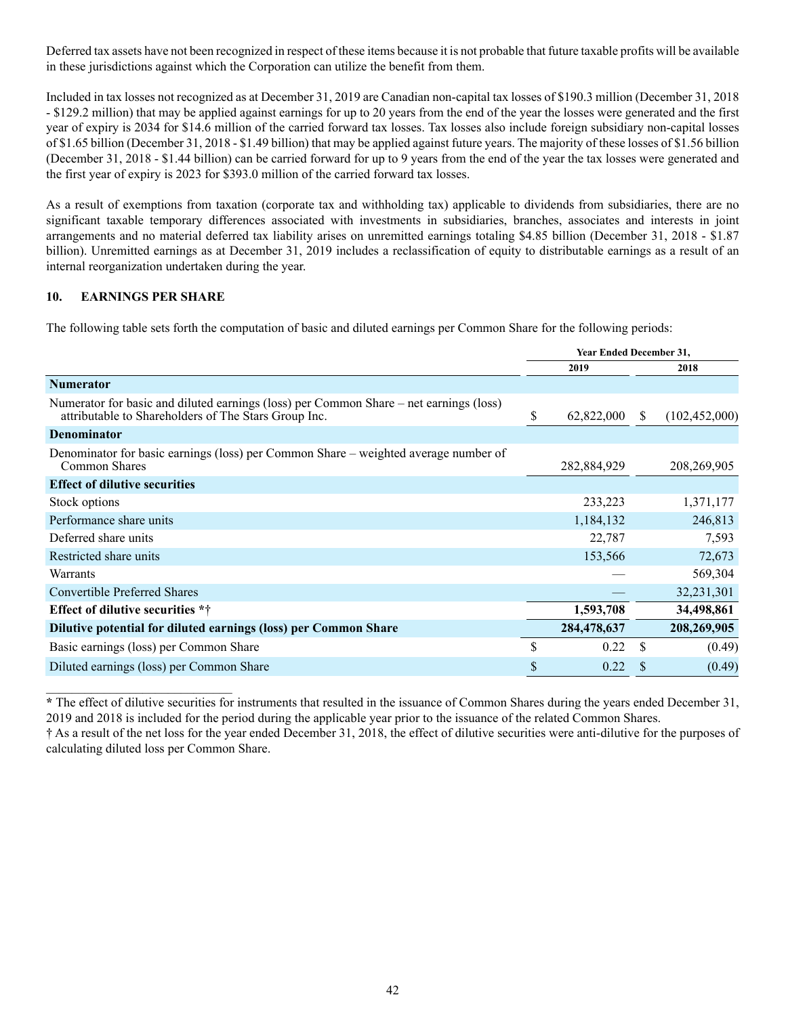Deferred tax assets have not been recognized in respect of these items because it is not probable that future taxable profits will be available in these jurisdictions against which the Corporation can utilize the benefit from them.

Included in tax losses not recognized as at December 31, 2019 are Canadian non-capital tax losses of \$190.3 million (December 31, 2018 - \$129.2 million) that may be applied against earnings for up to 20 years from the end of the year the losses were generated and the first year of expiry is 2034 for \$14.6 million of the carried forward tax losses. Tax losses also include foreign subsidiary non-capital losses of \$1.65 billion (December 31, 2018 - \$1.49 billion) that may be applied against future years. The majority of these losses of \$1.56 billion (December 31, 2018 - \$1.44 billion) can be carried forward for up to 9 years from the end of the year the tax losses were generated and the first year of expiry is 2023 for \$393.0 million of the carried forward tax losses.

As a result of exemptions from taxation (corporate tax and withholding tax) applicable to dividends from subsidiaries, there are no significant taxable temporary differences associated with investments in subsidiaries, branches, associates and interests in joint arrangements and no material deferred tax liability arises on unremitted earnings totaling \$4.85 billion (December 31, 2018 - \$1.87 billion). Unremitted earnings as at December 31, 2019 includes a reclassification of equity to distributable earnings as a result of an internal reorganization undertaken during the year.

### **10. EARNINGS PER SHARE**

\_\_\_\_\_\_\_\_\_\_\_\_\_\_\_\_\_\_\_\_\_\_\_\_\_\_\_\_\_

The following table sets forth the computation of basic and diluted earnings per Common Share for the following periods:

| 2018            |
|-----------------|
|                 |
| (102, 452, 000) |
|                 |
| 208,269,905     |
|                 |
| 1,371,177       |
| 246,813         |
| 7,593           |
| 72,673          |
| 569,304         |
| 32,231,301      |
| 34,498,861      |
| 208,269,905     |
| (0.49)          |
| (0.49)          |
|                 |

**\*** The effect of dilutive securities for instruments that resulted in the issuance of Common Shares during the years ended December 31, 2019 and 2018 is included for the period during the applicable year prior to the issuance of the related Common Shares.

† As a result of the net loss for the year ended December 31, 2018, the effect of dilutive securities were anti-dilutive for the purposes of calculating diluted loss per Common Share.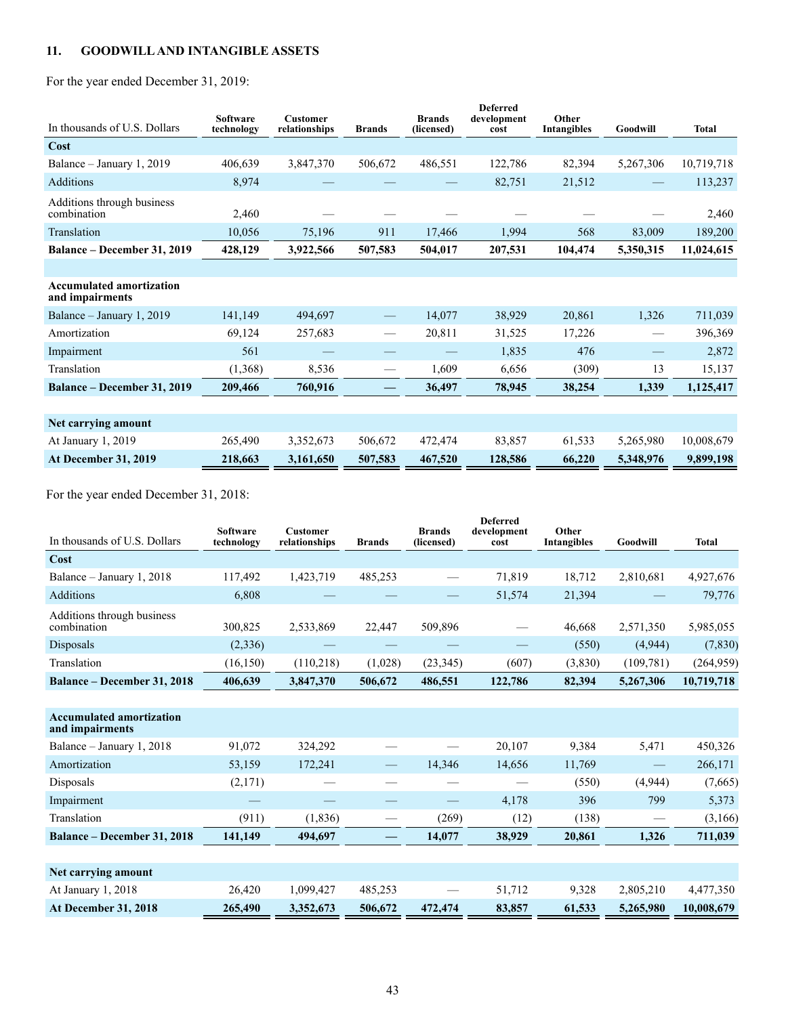# **11. GOODWILL AND INTANGIBLE ASSETS**

For the year ended December 31, 2019:

|                                                    | <b>Software</b> | <b>Customer</b> |                               | <b>Brands</b> | <b>Deferred</b><br>development | Other              |           |              |
|----------------------------------------------------|-----------------|-----------------|-------------------------------|---------------|--------------------------------|--------------------|-----------|--------------|
| In thousands of U.S. Dollars                       | technology      | relationships   | <b>Brands</b>                 | (licensed)    | cost                           | <b>Intangibles</b> | Goodwill  | <b>Total</b> |
| Cost                                               |                 |                 |                               |               |                                |                    |           |              |
| Balance - January 1, 2019                          | 406,639         | 3,847,370       | 506,672                       | 486,551       | 122,786                        | 82,394             | 5,267,306 | 10,719,718   |
| Additions                                          | 8,974           |                 |                               |               | 82,751                         | 21,512             |           | 113,237      |
| Additions through business<br>combination          | 2,460           |                 |                               |               |                                |                    |           | 2,460        |
| Translation                                        | 10,056          | 75,196          | 911                           | 17,466        | 1,994                          | 568                | 83,009    | 189,200      |
| Balance - December 31, 2019                        | 428,129         | 3,922,566       | 507,583                       | 504,017       | 207,531                        | 104,474            | 5,350,315 | 11,024,615   |
|                                                    |                 |                 |                               |               |                                |                    |           |              |
| <b>Accumulated amortization</b><br>and impairments |                 |                 |                               |               |                                |                    |           |              |
| Balance – January 1, 2019                          | 141,149         | 494,697         | $\overbrace{\phantom{12333}}$ | 14,077        | 38,929                         | 20,861             | 1,326     | 711,039      |
| Amortization                                       | 69,124          | 257,683         |                               | 20,811        | 31,525                         | 17,226             |           | 396,369      |
| Impairment                                         | 561             |                 |                               |               | 1,835                          | 476                |           | 2,872        |
| Translation                                        | (1,368)         | 8,536           |                               | 1,609         | 6,656                          | (309)              | 13        | 15,137       |
| <b>Balance - December 31, 2019</b>                 | 209,466         | 760,916         |                               | 36,497        | 78,945                         | 38,254             | 1,339     | 1,125,417    |
|                                                    |                 |                 |                               |               |                                |                    |           |              |
| Net carrying amount                                |                 |                 |                               |               |                                |                    |           |              |
| At January 1, 2019                                 | 265,490         | 3,352,673       | 506,672                       | 472,474       | 83,857                         | 61,533             | 5,265,980 | 10,008,679   |
| <b>At December 31, 2019</b>                        | 218,663         | 3,161,650       | 507,583                       | 467,520       | 128,586                        | 66,220             | 5,348,976 | 9,899,198    |

For the year ended December 31, 2018:

| In thousands of U.S. Dollars                       | <b>Software</b><br>technology | <b>Customer</b><br>relationships | <b>Brands</b>                  | <b>Brands</b><br>(licensed) | <b>Deferred</b><br>$d$ evelopment<br>cost | Other<br><b>Intangibles</b> | Goodwill        | <b>Total</b> |
|----------------------------------------------------|-------------------------------|----------------------------------|--------------------------------|-----------------------------|-------------------------------------------|-----------------------------|-----------------|--------------|
| Cost                                               |                               |                                  |                                |                             |                                           |                             |                 |              |
| Balance - January 1, 2018                          | 117,492                       | 1,423,719                        | 485,253                        |                             | 71,819                                    | 18,712                      | 2,810,681       | 4,927,676    |
| Additions                                          | 6,808                         |                                  |                                |                             | 51,574                                    | 21,394                      |                 | 79,776       |
| Additions through business<br>combination          | 300,825                       | 2,533,869                        | 22,447                         | 509,896                     |                                           | 46,668                      | 2,571,350       | 5,985,055    |
| Disposals                                          | (2,336)                       |                                  |                                |                             |                                           | (550)                       | (4,944)         | (7, 830)     |
| Translation                                        | (16, 150)                     | (110,218)                        | (1,028)                        | (23, 345)                   | (607)                                     | (3,830)                     | (109, 781)      | (264, 959)   |
| Balance - December 31, 2018                        | 406,639                       | 3,847,370                        | 506,672                        | 486,551                     | 122,786                                   | 82,394                      | 5,267,306       | 10,719,718   |
|                                                    |                               |                                  |                                |                             |                                           |                             |                 |              |
| <b>Accumulated amortization</b><br>and impairments |                               |                                  |                                |                             |                                           |                             |                 |              |
| Balance - January 1, 2018                          | 91,072                        | 324,292                          |                                |                             | 20,107                                    | 9.384                       | 5,471           | 450,326      |
| Amortization                                       | 53,159                        | 172,241                          |                                | 14,346                      | 14,656                                    | 11,769                      |                 | 266,171      |
| Disposals                                          | (2,171)                       |                                  |                                |                             |                                           | (550)                       | (4,944)         | (7,665)      |
| Impairment                                         |                               |                                  |                                |                             | 4,178                                     | 396                         | 799             | 5,373        |
| Translation                                        | (911)                         | (1, 836)                         | $\overbrace{\hspace{25mm}}^{}$ | (269)                       | (12)                                      | (138)                       | $\qquad \qquad$ | (3,166)      |
| <b>Balance - December 31, 2018</b>                 | 141,149                       | 494.697                          |                                | 14,077                      | 38,929                                    | 20,861                      | 1,326           | 711,039      |
|                                                    |                               |                                  |                                |                             |                                           |                             |                 |              |
| Net carrying amount                                |                               |                                  |                                |                             |                                           |                             |                 |              |
| At January 1, 2018                                 | 26,420                        | 1,099,427                        | 485,253                        |                             | 51,712                                    | 9,328                       | 2,805,210       | 4,477,350    |
| At December 31, 2018                               | 265,490                       | 3,352,673                        | 506,672                        | 472,474                     | 83,857                                    | 61,533                      | 5,265,980       | 10,008,679   |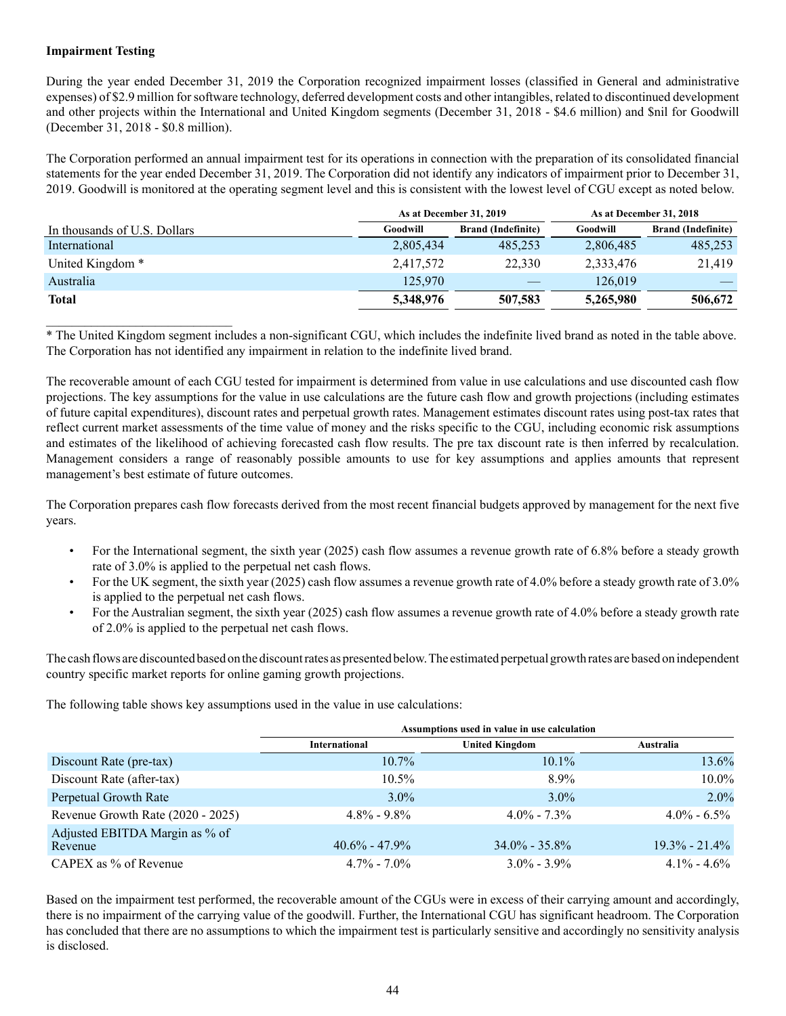### **Impairment Testing**

\_\_\_\_\_\_\_\_\_\_\_\_\_\_\_\_\_\_\_\_\_\_\_\_\_\_\_\_\_

During the year ended December 31, 2019 the Corporation recognized impairment losses (classified in General and administrative expenses) of \$2.9 million for software technology, deferred development costs and other intangibles, related to discontinued development and other projects within the International and United Kingdom segments (December 31, 2018 - \$4.6 million) and \$nil for Goodwill (December 31, 2018 - \$0.8 million).

The Corporation performed an annual impairment test for its operations in connection with the preparation of its consolidated financial statements for the year ended December 31, 2019. The Corporation did not identify any indicators of impairment prior to December 31, 2019. Goodwill is monitored at the operating segment level and this is consistent with the lowest level of CGU except as noted below.

|                              | As at December 31, 2019 |                           | As at December 31, 2018 |                           |
|------------------------------|-------------------------|---------------------------|-------------------------|---------------------------|
| In thousands of U.S. Dollars | Goodwill                | <b>Brand (Indefinite)</b> | Goodwill                | <b>Brand (Indefinite)</b> |
| International                | 2,805,434               | 485,253                   | 2,806,485               | 485,253                   |
| United Kingdom <sup>*</sup>  | 2,417,572               | 22,330                    | 2,333,476               | 21,419                    |
| Australia                    | 125,970                 |                           | 126,019                 |                           |
| Total                        | 5,348,976               | 507,583                   | 5,265,980               | 506,672                   |

\* The United Kingdom segment includes a non-significant CGU, which includes the indefinite lived brand as noted in the table above. The Corporation has not identified any impairment in relation to the indefinite lived brand.

The recoverable amount of each CGU tested for impairment is determined from value in use calculations and use discounted cash flow projections. The key assumptions for the value in use calculations are the future cash flow and growth projections (including estimates of future capital expenditures), discount rates and perpetual growth rates. Management estimates discount rates using post-tax rates that reflect current market assessments of the time value of money and the risks specific to the CGU, including economic risk assumptions and estimates of the likelihood of achieving forecasted cash flow results. The pre tax discount rate is then inferred by recalculation. Management considers a range of reasonably possible amounts to use for key assumptions and applies amounts that represent management's best estimate of future outcomes.

The Corporation prepares cash flow forecasts derived from the most recent financial budgets approved by management for the next five years.

- For the International segment, the sixth year (2025) cash flow assumes a revenue growth rate of 6.8% before a steady growth rate of 3.0% is applied to the perpetual net cash flows.
- For the UK segment, the sixth year (2025) cash flow assumes a revenue growth rate of 4.0% before a steady growth rate of 3.0% is applied to the perpetual net cash flows.
- For the Australian segment, the sixth year (2025) cash flow assumes a revenue growth rate of 4.0% before a steady growth rate of 2.0% is applied to the perpetual net cash flows.

The cash flows are discounted based on the discount rates as presented below. The estimated perpetual growth rates are based on independent country specific market reports for online gaming growth projections.

The following table shows key assumptions used in the value in use calculations:

|                                           | Assumptions used in value in use calculation |                       |                   |  |  |
|-------------------------------------------|----------------------------------------------|-----------------------|-------------------|--|--|
|                                           | <b>International</b>                         | <b>United Kingdom</b> | Australia         |  |  |
| Discount Rate (pre-tax)                   | $10.7\%$                                     | $10.1\%$              | 13.6%             |  |  |
| Discount Rate (after-tax)                 | $10.5\%$                                     | $8.9\%$               | $10.0\%$          |  |  |
| Perpetual Growth Rate                     | $3.0\%$                                      | $3.0\%$               | 2.0%              |  |  |
| Revenue Growth Rate (2020 - 2025)         | $4.8\% - 9.8\%$                              | $4.0\% - 7.3\%$       | $4.0\% - 6.5\%$   |  |  |
| Adjusted EBITDA Margin as % of<br>Revenue | $40.6\% - 47.9\%$                            | $34.0\% - 35.8\%$     | $19.3\% - 21.4\%$ |  |  |
| CAPEX as % of Revenue                     | $4.7\% - 7.0\%$                              | $3.0\% - 3.9\%$       | $4.1\% - 4.6\%$   |  |  |

Based on the impairment test performed, the recoverable amount of the CGUs were in excess of their carrying amount and accordingly, there is no impairment of the carrying value of the goodwill. Further, the International CGU has significant headroom. The Corporation has concluded that there are no assumptions to which the impairment test is particularly sensitive and accordingly no sensitivity analysis is disclosed.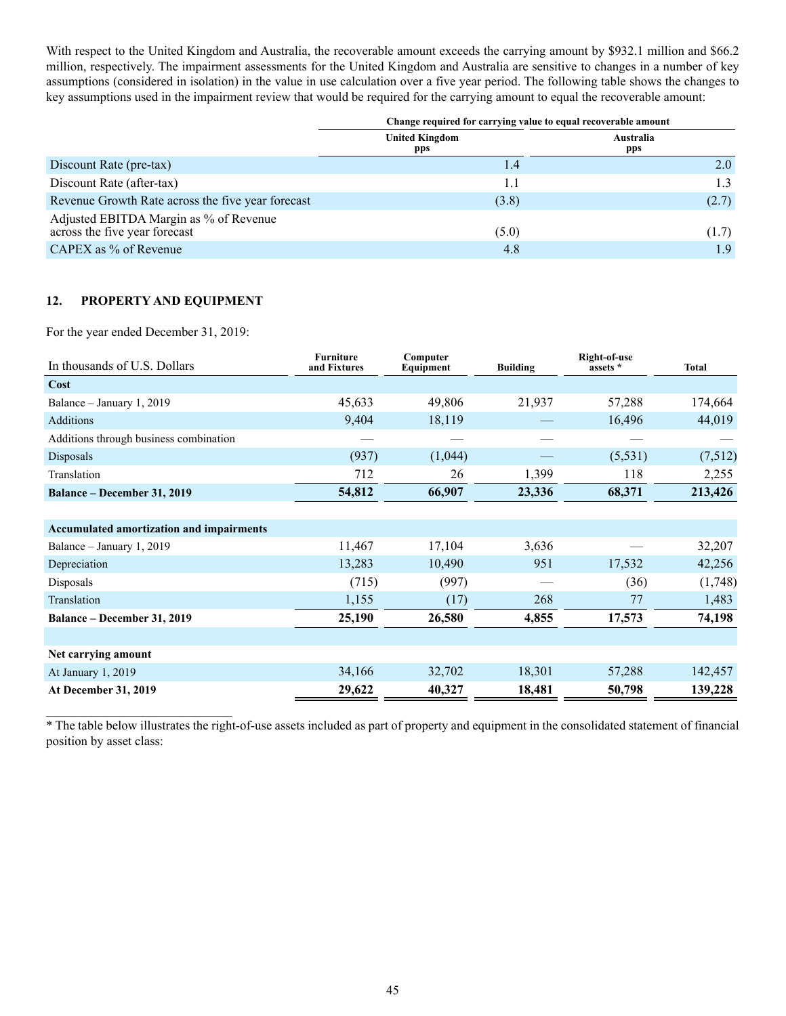With respect to the United Kingdom and Australia, the recoverable amount exceeds the carrying amount by \$932.1 million and \$66.2 million, respectively. The impairment assessments for the United Kingdom and Australia are sensitive to changes in a number of key assumptions (considered in isolation) in the value in use calculation over a five year period. The following table shows the changes to key assumptions used in the impairment review that would be required for the carrying amount to equal the recoverable amount:

|                                                                         | Change required for carrying value to equal recoverable amount |                  |  |  |
|-------------------------------------------------------------------------|----------------------------------------------------------------|------------------|--|--|
|                                                                         | <b>United Kingdom</b><br>pps                                   | Australia<br>pps |  |  |
| Discount Rate (pre-tax)                                                 | 1.4                                                            | 2.0              |  |  |
| Discount Rate (after-tax)                                               | 1.1                                                            | 1.3              |  |  |
| Revenue Growth Rate across the five year forecast                       | (3.8)                                                          | (2.7)            |  |  |
| Adjusted EBITDA Margin as % of Revenue<br>across the five year forecast | (5.0)                                                          | (1.7)            |  |  |
| CAPEX as % of Revenue                                                   | 4.8                                                            | 1.9              |  |  |

### **12. PROPERTY AND EQUIPMENT**

For the year ended December 31, 2019:

\_\_\_\_\_\_\_\_\_\_\_\_\_\_\_\_\_\_\_\_\_\_\_\_\_\_\_\_\_

| In thousands of U.S. Dollars                    | <b>Furniture</b><br>and Fixtures | Computer<br>Equipment | <b>Building</b> | Right-of-use<br>assets * | <b>Total</b> |
|-------------------------------------------------|----------------------------------|-----------------------|-----------------|--------------------------|--------------|
| Cost                                            |                                  |                       |                 |                          |              |
| Balance – January 1, 2019                       | 45,633                           | 49,806                | 21,937          | 57,288                   | 174,664      |
| Additions                                       | 9,404                            | 18,119                |                 | 16,496                   | 44,019       |
| Additions through business combination          |                                  |                       |                 |                          |              |
| Disposals                                       | (937)                            | (1,044)               |                 | (5,531)                  | (7,512)      |
| Translation                                     | 712                              | 26                    | 1,399           | 118                      | 2,255        |
| <b>Balance – December 31, 2019</b>              | 54,812                           | 66,907                | 23,336          | 68,371                   | 213,426      |
|                                                 |                                  |                       |                 |                          |              |
| <b>Accumulated amortization and impairments</b> |                                  |                       |                 |                          |              |
| Balance – January 1, 2019                       | 11,467                           | 17,104                | 3,636           |                          | 32,207       |
| Depreciation                                    | 13,283                           | 10,490                | 951             | 17,532                   | 42,256       |
| Disposals                                       | (715)                            | (997)                 |                 | (36)                     | (1,748)      |
| Translation                                     | 1,155                            | (17)                  | 268             | 77                       | 1,483        |
| Balance - December 31, 2019                     | 25,190                           | 26,580                | 4,855           | 17,573                   | 74,198       |
|                                                 |                                  |                       |                 |                          |              |
| Net carrying amount                             |                                  |                       |                 |                          |              |
| At January 1, 2019                              | 34,166                           | 32,702                | 18,301          | 57,288                   | 142,457      |
| <b>At December 31, 2019</b>                     | 29,622                           | 40,327                | 18,481          | 50,798                   | 139,228      |

\* The table below illustrates the right-of-use assets included as part of property and equipment in the consolidated statement of financial position by asset class: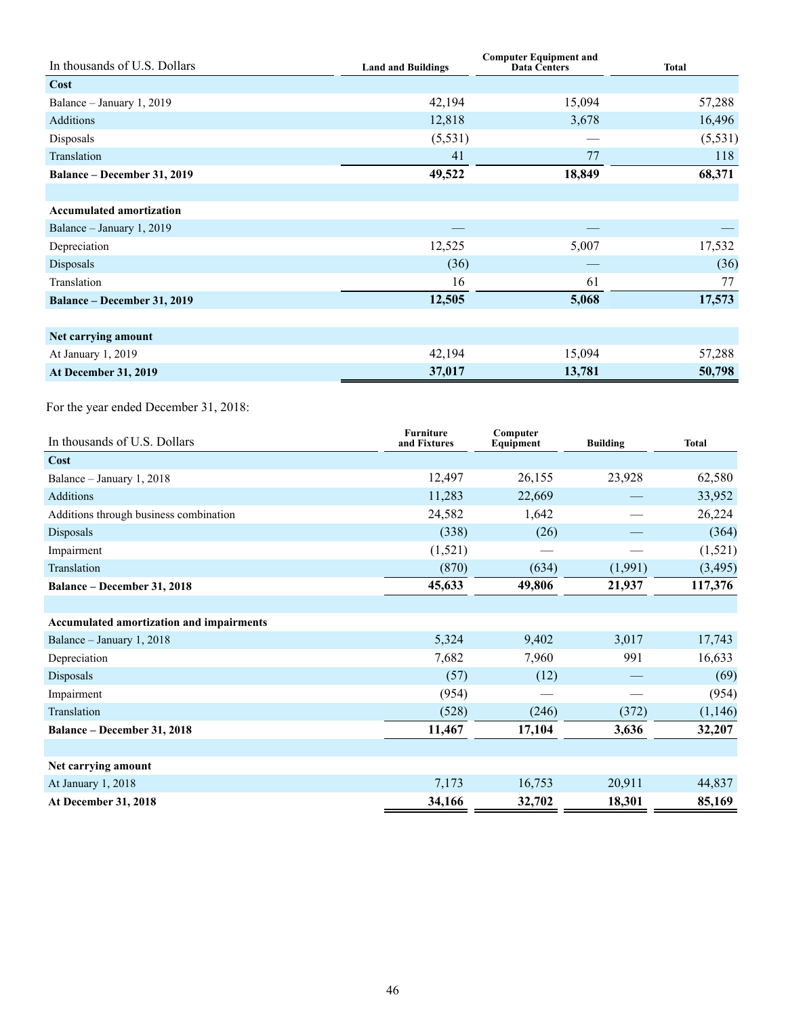| In thousands of U.S. Dollars    | <b>Land and Buildings</b> | <b>Computer Equipment and</b><br>Data Centers | <b>Total</b> |
|---------------------------------|---------------------------|-----------------------------------------------|--------------|
| Cost                            |                           |                                               |              |
| Balance – January 1, 2019       | 42,194                    | 15,094                                        | 57,288       |
| <b>Additions</b>                | 12,818                    | 3,678                                         | 16,496       |
| Disposals                       | (5, 531)                  |                                               | (5, 531)     |
| Translation                     | 41                        | 77                                            | 118          |
| Balance – December 31, 2019     | 49,522                    | 18,849                                        | 68,371       |
|                                 |                           |                                               |              |
| <b>Accumulated amortization</b> |                           |                                               |              |
| Balance – January 1, 2019       |                           |                                               |              |
| Depreciation                    | 12,525                    | 5,007                                         | 17,532       |
| Disposals                       | (36)                      |                                               | (36)         |
| Translation                     | 16                        | 61                                            | 77           |
| Balance – December 31, 2019     | 12,505                    | 5,068                                         | 17,573       |
|                                 |                           |                                               |              |
| Net carrying amount             |                           |                                               |              |
| At January 1, 2019              | 42,194                    | 15,094                                        | 57,288       |
| <b>At December 31, 2019</b>     | 37,017                    | 13,781                                        | 50,798       |

For the year ended December 31, 2018:

| In thousands of U.S. Dollars                    | <b>Furniture</b><br>and Fixtures | Computer<br>Equipment | <b>Building</b> | <b>Total</b> |
|-------------------------------------------------|----------------------------------|-----------------------|-----------------|--------------|
| Cost                                            |                                  |                       |                 |              |
| Balance - January 1, 2018                       | 12,497                           | 26,155                | 23,928          | 62,580       |
| Additions                                       | 11,283                           | 22,669                |                 | 33,952       |
| Additions through business combination          | 24,582                           | 1,642                 |                 | 26,224       |
| Disposals                                       | (338)                            | (26)                  |                 | (364)        |
| Impairment                                      | (1,521)                          |                       |                 | (1,521)      |
| Translation                                     | (870)                            | (634)                 | (1,991)         | (3, 495)     |
| Balance - December 31, 2018                     | 45,633                           | 49,806                | 21,937          | 117,376      |
|                                                 |                                  |                       |                 |              |
| <b>Accumulated amortization and impairments</b> |                                  |                       |                 |              |
| Balance - January 1, 2018                       | 5,324                            | 9,402                 | 3,017           | 17,743       |
| Depreciation                                    | 7,682                            | 7,960                 | 991             | 16,633       |
| Disposals                                       | (57)                             | (12)                  |                 | (69)         |
| Impairment                                      | (954)                            |                       |                 | (954)        |
| Translation                                     | (528)                            | (246)                 | (372)           | (1, 146)     |
| <b>Balance - December 31, 2018</b>              | 11,467                           | 17,104                | 3,636           | 32,207       |
|                                                 |                                  |                       |                 |              |
| Net carrying amount                             |                                  |                       |                 |              |
| At January 1, 2018                              | 7,173                            | 16,753                | 20,911          | 44,837       |
| <b>At December 31, 2018</b>                     | 34,166                           | 32,702                | 18,301          | 85,169       |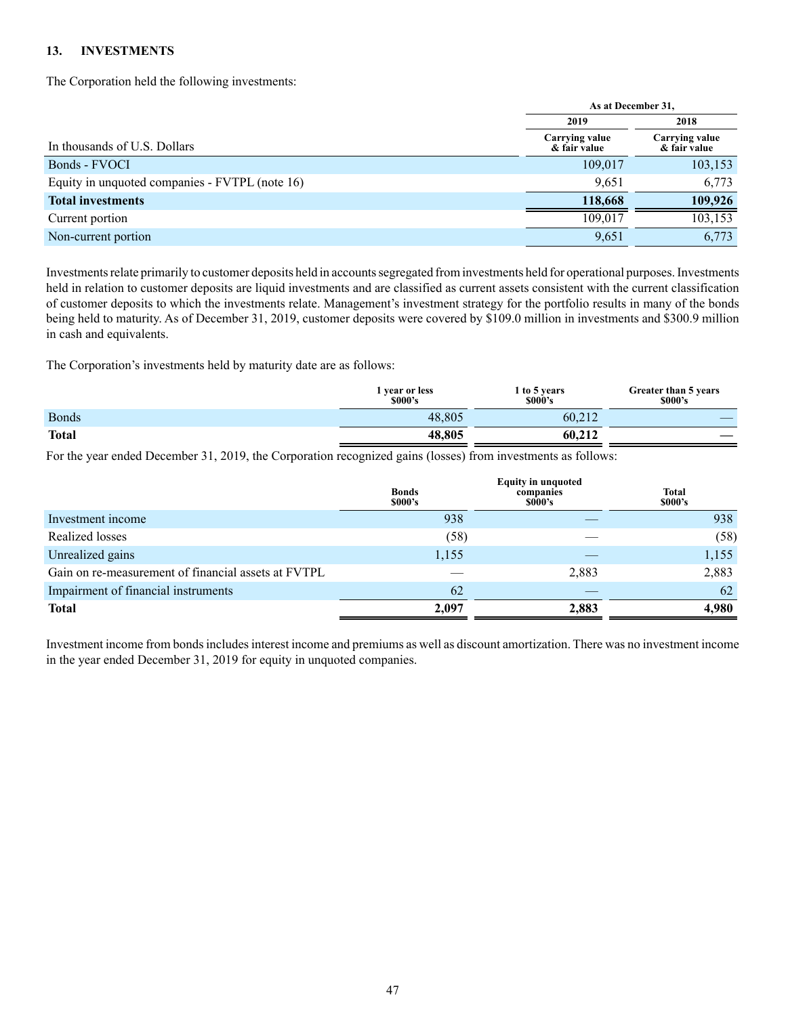### **13. INVESTMENTS**

The Corporation held the following investments:

|                                                | As at December 31,             |                                |  |
|------------------------------------------------|--------------------------------|--------------------------------|--|
|                                                | 2019                           | 2018                           |  |
| In thousands of U.S. Dollars                   | Carrying value<br>& fair value | Carrying value<br>& fair value |  |
| Bonds - FVOCI                                  | 109,017                        | 103,153                        |  |
| Equity in unquoted companies - FVTPL (note 16) | 9.651                          | 6,773                          |  |
| <b>Total investments</b>                       | 118,668                        | 109,926                        |  |
| Current portion                                | 109,017                        | 103,153                        |  |
| Non-current portion                            | 9.651                          | 6,773                          |  |

Investments relate primarily to customer deposits held in accounts segregated from investments held for operational purposes. Investments held in relation to customer deposits are liquid investments and are classified as current assets consistent with the current classification of customer deposits to which the investments relate. Management's investment strategy for the portfolio results in many of the bonds being held to maturity. As of December 31, 2019, customer deposits were covered by \$109.0 million in investments and \$300.9 million in cash and equivalents.

The Corporation's investments held by maturity date are as follows:

|              | gear or less<br>\$000's | 1 to 5 years<br>\$000's | Greater than 5 years<br>\$000's |
|--------------|-------------------------|-------------------------|---------------------------------|
| <b>Bonds</b> | 48.805                  | 60.212                  |                                 |
| <b>Total</b> | 48,805                  | 60.212                  |                                 |

For the year ended December 31, 2019, the Corporation recognized gains (losses) from investments as follows:

|                                                     | <b>Bonds</b><br>\$000's | <b>Equity in unquoted</b><br>companies<br>\$000's | <b>Total</b><br>\$000's |
|-----------------------------------------------------|-------------------------|---------------------------------------------------|-------------------------|
| Investment income                                   | 938                     |                                                   | 938                     |
| Realized losses                                     | (58)                    |                                                   | (58)                    |
| Unrealized gains                                    | 1,155                   |                                                   | 1,155                   |
| Gain on re-measurement of financial assets at FVTPL |                         | 2,883                                             | 2,883                   |
| Impairment of financial instruments                 | 62                      |                                                   | 62                      |
| <b>Total</b>                                        | 2.097                   | 2,883                                             | 4,980                   |

Investment income from bonds includes interest income and premiums as well as discount amortization. There was no investment income in the year ended December 31, 2019 for equity in unquoted companies.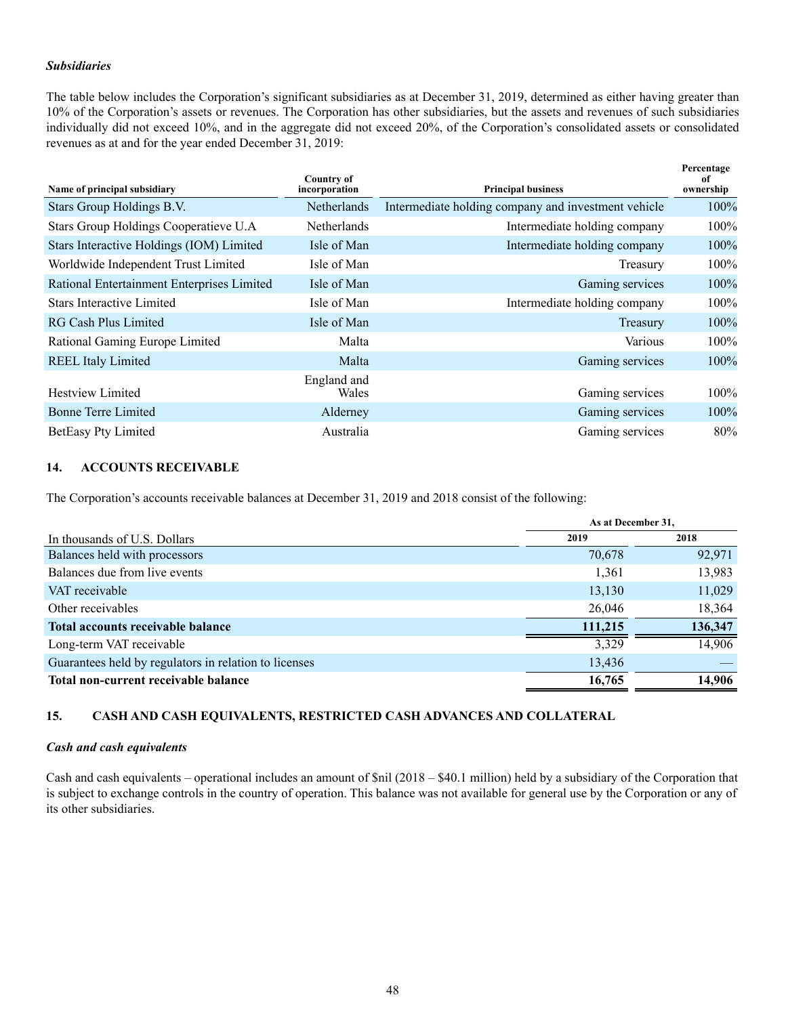### *Subsidiaries*

The table below includes the Corporation's significant subsidiaries as at December 31, 2019, determined as either having greater than 10% of the Corporation's assets or revenues. The Corporation has other subsidiaries, but the assets and revenues of such subsidiaries individually did not exceed 10%, and in the aggregate did not exceed 20%, of the Corporation's consolidated assets or consolidated revenues as at and for the year ended December 31, 2019:

| Country of<br>incorporation | <b>Principal business</b>                           | Percentage<br>of<br>ownership |
|-----------------------------|-----------------------------------------------------|-------------------------------|
| <b>Netherlands</b>          | Intermediate holding company and investment vehicle | 100%                          |
| <b>Netherlands</b>          | Intermediate holding company                        | 100%                          |
| Isle of Man                 | Intermediate holding company                        | 100%                          |
| Isle of Man                 | Treasury                                            | 100%                          |
| Isle of Man                 | Gaming services                                     | 100%                          |
| Isle of Man                 | Intermediate holding company                        | 100%                          |
| Isle of Man                 | Treasury                                            | 100%                          |
| Malta                       | Various                                             | 100%                          |
| Malta                       | Gaming services                                     | 100%                          |
| England and<br>Wales        | Gaming services                                     | 100%                          |
| Alderney                    | Gaming services                                     | 100%                          |
| Australia                   | Gaming services                                     | 80%                           |
|                             |                                                     |                               |

### **14. ACCOUNTS RECEIVABLE**

The Corporation's accounts receivable balances at December 31, 2019 and 2018 consist of the following:

| As at December 31, |         |
|--------------------|---------|
| 2019               | 2018    |
| 70,678             | 92,971  |
| 1,361              | 13,983  |
| 13,130             | 11,029  |
| 26,046             | 18,364  |
| 111,215            | 136,347 |
| 3,329              | 14,906  |
| 13,436             |         |
| 16,765             | 14,906  |
|                    |         |

# **15. CASH AND CASH EQUIVALENTS, RESTRICTED CASH ADVANCES AND COLLATERAL**

### *Cash and cash equivalents*

Cash and cash equivalents – operational includes an amount of \$nil (2018 – \$40.1 million) held by a subsidiary of the Corporation that is subject to exchange controls in the country of operation. This balance was not available for general use by the Corporation or any of its other subsidiaries.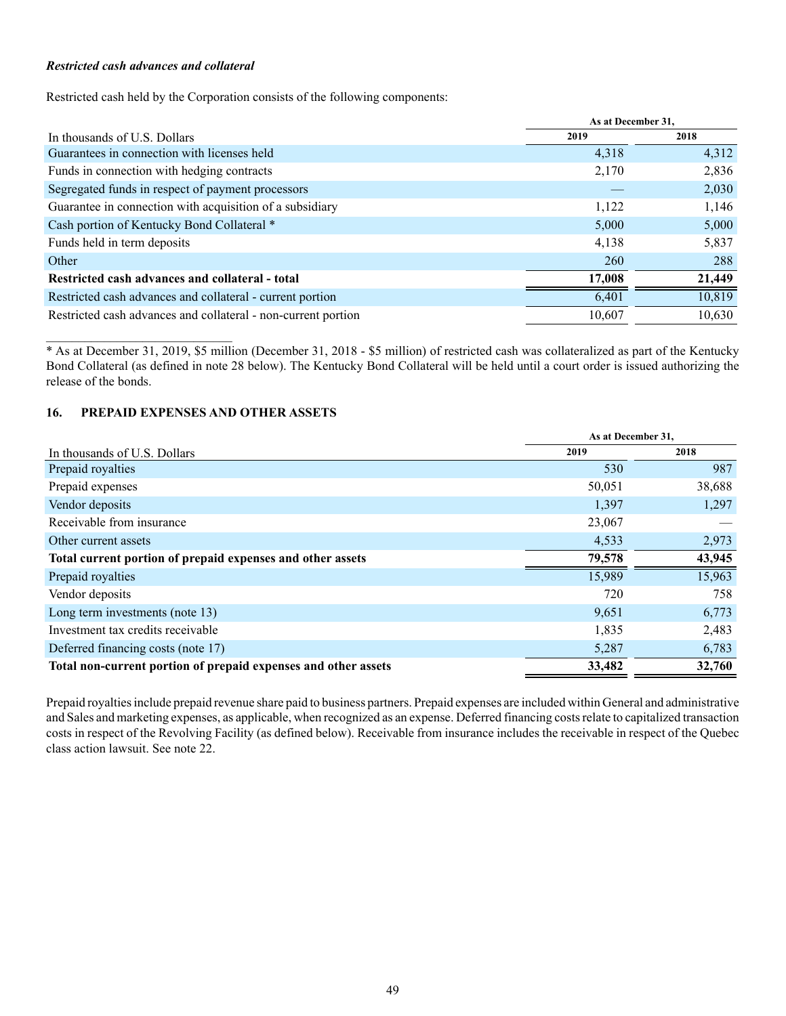### *Restricted cash advances and collateral*

\_\_\_\_\_\_\_\_\_\_\_\_\_\_\_\_\_\_\_\_\_\_\_\_\_\_\_\_\_

Restricted cash held by the Corporation consists of the following components:

|                                                               | As at December 31. |        |  |
|---------------------------------------------------------------|--------------------|--------|--|
| In thousands of U.S. Dollars                                  | 2019               | 2018   |  |
| Guarantees in connection with licenses held                   | 4,318              | 4,312  |  |
| Funds in connection with hedging contracts                    | 2,170              | 2,836  |  |
| Segregated funds in respect of payment processors             |                    | 2,030  |  |
| Guarantee in connection with acquisition of a subsidiary      | 1,122              | 1,146  |  |
| Cash portion of Kentucky Bond Collateral *                    | 5,000              | 5,000  |  |
| Funds held in term deposits                                   | 4,138              | 5,837  |  |
| Other                                                         | <b>260</b>         | 288    |  |
| Restricted cash advances and collateral - total               | 17,008             | 21,449 |  |
| Restricted cash advances and collateral - current portion     | 6,401              | 10,819 |  |
| Restricted cash advances and collateral - non-current portion | 10,607             | 10,630 |  |

\* As at December 31, 2019, \$5 million (December 31, 2018 - \$5 million) of restricted cash was collateralized as part of the Kentucky Bond Collateral (as defined in note 28 below). The Kentucky Bond Collateral will be held until a court order is issued authorizing the release of the bonds.

# **16. PREPAID EXPENSES AND OTHER ASSETS**

|                                                                | As at December 31, |        |  |
|----------------------------------------------------------------|--------------------|--------|--|
| In thousands of U.S. Dollars                                   | 2019               | 2018   |  |
| Prepaid royalties                                              | 530                | 987    |  |
| Prepaid expenses                                               | 50,051             | 38,688 |  |
| Vendor deposits                                                | 1,397              | 1,297  |  |
| Receivable from insurance                                      | 23,067             |        |  |
| Other current assets                                           | 4,533              | 2,973  |  |
| Total current portion of prepaid expenses and other assets     | 79,578             | 43,945 |  |
| Prepaid royalties                                              | 15,989             | 15,963 |  |
| Vendor deposits                                                | 720                | 758    |  |
| Long term investments (note 13)                                | 9,651              | 6,773  |  |
| Investment tax credits receivable                              | 1,835              | 2,483  |  |
| Deferred financing costs (note 17)                             | 5,287              | 6,783  |  |
| Total non-current portion of prepaid expenses and other assets | 33,482             | 32,760 |  |

Prepaid royalties include prepaid revenue share paid to business partners. Prepaid expenses are included within General and administrative and Sales and marketing expenses, as applicable, when recognized as an expense. Deferred financing costs relate to capitalized transaction costs in respect of the Revolving Facility (as defined below). Receivable from insurance includes the receivable in respect of the Quebec class action lawsuit. See note 22.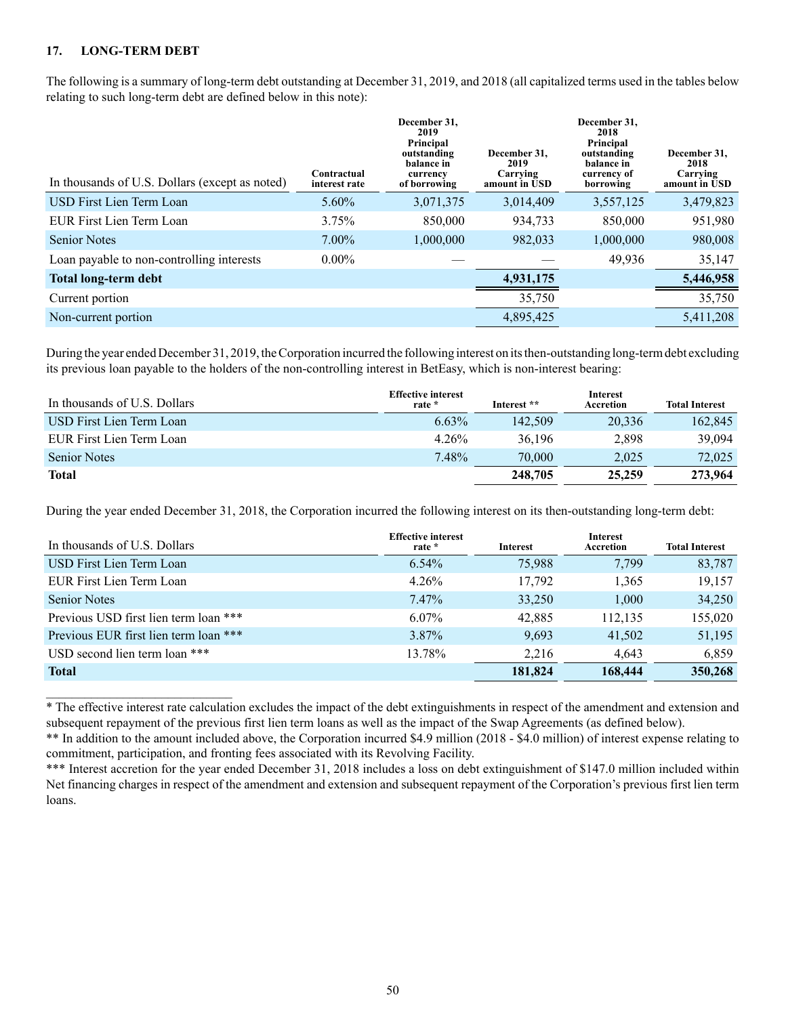### **17. LONG-TERM DEBT**

\_\_\_\_\_\_\_\_\_\_\_\_\_\_\_\_\_\_\_\_\_\_\_\_\_\_\_\_\_

The following is a summary of long-term debt outstanding at December 31, 2019, and 2018 (all capitalized terms used in the tables below relating to such long-term debt are defined below in this note):

| In thousands of U.S. Dollars (except as noted) | Contractual<br>interest rate | December 31.<br>2019<br>Principal<br>outstanding<br>balance in<br>currency<br>of borrowing | December 31.<br>2019<br>Carrying<br>amount in USD | December 31.<br>2018<br>Principal<br>outstanding<br>balance in<br>currency of<br>borrowing | December 31,<br>2018<br>Carrying<br>amount in USD |
|------------------------------------------------|------------------------------|--------------------------------------------------------------------------------------------|---------------------------------------------------|--------------------------------------------------------------------------------------------|---------------------------------------------------|
| USD First Lien Term Loan                       | $5.60\%$                     | 3,071,375                                                                                  | 3,014,409                                         | 3,557,125                                                                                  | 3,479,823                                         |
| EUR First Lien Term Loan                       | 3.75%                        | 850,000                                                                                    | 934,733                                           | 850,000                                                                                    | 951,980                                           |
| <b>Senior Notes</b>                            | $7.00\%$                     | 1,000,000                                                                                  | 982,033                                           | 1,000,000                                                                                  | 980,008                                           |
| Loan payable to non-controlling interests      | $0.00\%$                     |                                                                                            |                                                   | 49,936                                                                                     | 35,147                                            |
| <b>Total long-term debt</b>                    |                              |                                                                                            | 4,931,175                                         |                                                                                            | 5,446,958                                         |
| Current portion                                |                              |                                                                                            | 35,750                                            |                                                                                            | 35,750                                            |
| Non-current portion                            |                              |                                                                                            | 4,895,425                                         |                                                                                            | 5,411,208                                         |

During the year ended December 31, 2019, the Corporation incurred the following interest on its then-outstanding long-term debt excluding its previous loan payable to the holders of the non-controlling interest in BetEasy, which is non-interest bearing:

| In thousands of U.S. Dollars | <b>Effective interest</b><br>rate * | Interest ** | Interest<br>Accretion | <b>Total Interest</b> |
|------------------------------|-------------------------------------|-------------|-----------------------|-----------------------|
| USD First Lien Term Loan     | $6.63\%$                            | 142.509     | 20.336                | 162,845               |
| EUR First Lien Term Loan     | $4.26\%$                            | 36.196      | 2,898                 | 39.094                |
| <b>Senior Notes</b>          | 7.48%                               | 70.000      | 2.025                 | 72,025                |
| <b>Total</b>                 |                                     | 248,705     | 25,259                | 273,964               |

During the year ended December 31, 2018, the Corporation incurred the following interest on its then-outstanding long-term debt:

| In thousands of U.S. Dollars          | <b>Effective interest</b><br>rate * | <b>Interest</b> | <b>Interest</b><br>Accretion | <b>Total Interest</b> |
|---------------------------------------|-------------------------------------|-----------------|------------------------------|-----------------------|
| USD First Lien Term Loan              | $6.54\%$                            | 75,988          | 7,799                        | 83,787                |
| EUR First Lien Term Loan              | 4.26%                               | 17.792          | 1,365                        | 19,157                |
| <b>Senior Notes</b>                   | 7.47%                               | 33,250          | 1,000                        | 34,250                |
| Previous USD first lien term loan *** | $6.07\%$                            | 42,885          | 112,135                      | 155,020               |
| Previous EUR first lien term loan *** | 3.87%                               | 9.693           | 41,502                       | 51,195                |
| USD second lien term loan ***         | 13.78%                              | 2.216           | 4,643                        | 6,859                 |
| <b>Total</b>                          |                                     | 181,824         | 168,444                      | 350,268               |

\* The effective interest rate calculation excludes the impact of the debt extinguishments in respect of the amendment and extension and subsequent repayment of the previous first lien term loans as well as the impact of the Swap Agreements (as defined below).

\*\* In addition to the amount included above, the Corporation incurred \$4.9 million (2018 - \$4.0 million) of interest expense relating to commitment, participation, and fronting fees associated with its Revolving Facility.

\*\*\* Interest accretion for the year ended December 31, 2018 includes a loss on debt extinguishment of \$147.0 million included within Net financing charges in respect of the amendment and extension and subsequent repayment of the Corporation's previous first lien term loans.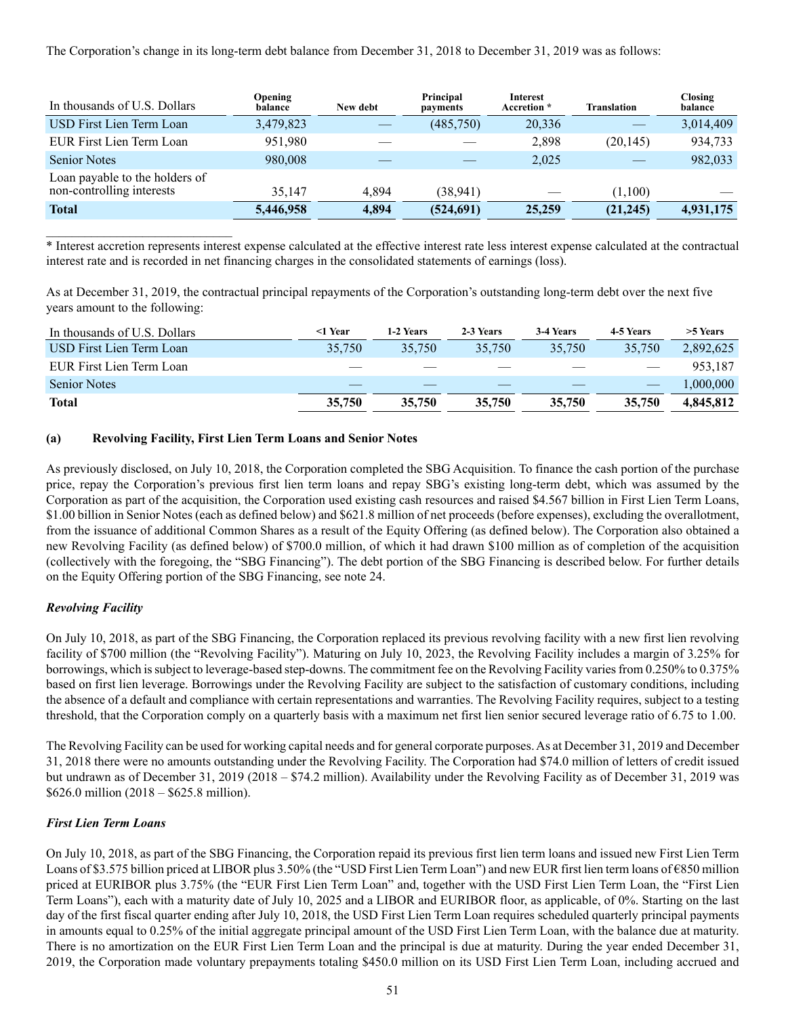The Corporation's change in its long-term debt balance from December 31, 2018 to December 31, 2019 was as follows:

| In thousands of U.S. Dollars                                | Opening<br>balance | New debt | Principal<br>payments | Interest<br>Accretion * | Translation | Closing<br>balance |
|-------------------------------------------------------------|--------------------|----------|-----------------------|-------------------------|-------------|--------------------|
| USD First Lien Term Loan                                    | 3,479,823          |          | (485,750)             | 20,336                  |             | 3,014,409          |
| EUR First Lien Term Loan                                    | 951,980            |          |                       | 2,898                   | (20, 145)   | 934,733            |
| <b>Senior Notes</b>                                         | 980,008            |          |                       | 2,025                   |             | 982,033            |
| Loan payable to the holders of<br>non-controlling interests | 35.147             | 4.894    | (38,941)              |                         | (1.100)     |                    |
| <b>Total</b>                                                | 5,446,958          | 4.894    | (524, 691)            | 25,259                  | (21, 245)   | 4,931,175          |

\* Interest accretion represents interest expense calculated at the effective interest rate less interest expense calculated at the contractual interest rate and is recorded in net financing charges in the consolidated statements of earnings (loss).

As at December 31, 2019, the contractual principal repayments of the Corporation's outstanding long-term debt over the next five years amount to the following:

| In thousands of U.S. Dollars | $\leq 1$ Year | 1-2 Years | 2-3 Years | 3-4 Years | 4-5 Years | >5 Years  |
|------------------------------|---------------|-----------|-----------|-----------|-----------|-----------|
| USD First Lien Term Loan     | 35,750        | 35,750    | 35,750    | 35,750    | 35,750    | 2,892,625 |
| EUR First Lien Term Loan     |               |           |           |           |           | 953.187   |
| <b>Senior Notes</b>          |               |           |           |           |           | 000,000   |
| <b>Total</b>                 | 35,750        | 35,750    | 35,750    | 35,750    | 35,750    | 4,845,812 |

### **(a) Revolving Facility, First Lien Term Loans and Senior Notes**

As previously disclosed, on July 10, 2018, the Corporation completed the SBG Acquisition. To finance the cash portion of the purchase price, repay the Corporation's previous first lien term loans and repay SBG's existing long-term debt, which was assumed by the Corporation as part of the acquisition, the Corporation used existing cash resources and raised \$4.567 billion in First Lien Term Loans, \$1.00 billion in Senior Notes (each as defined below) and \$621.8 million of net proceeds (before expenses), excluding the overallotment, from the issuance of additional Common Shares as a result of the Equity Offering (as defined below). The Corporation also obtained a new Revolving Facility (as defined below) of \$700.0 million, of which it had drawn \$100 million as of completion of the acquisition (collectively with the foregoing, the "SBG Financing"). The debt portion of the SBG Financing is described below. For further details on the Equity Offering portion of the SBG Financing, see note 24.

# *Revolving Facility*

\_\_\_\_\_\_\_\_\_\_\_\_\_\_\_\_\_\_\_\_\_\_\_\_\_\_\_\_\_

On July 10, 2018, as part of the SBG Financing, the Corporation replaced its previous revolving facility with a new first lien revolving facility of \$700 million (the "Revolving Facility"). Maturing on July 10, 2023, the Revolving Facility includes a margin of 3.25% for borrowings, which is subject to leverage-based step-downs. The commitment fee on the Revolving Facility varies from 0.250% to 0.375% based on first lien leverage. Borrowings under the Revolving Facility are subject to the satisfaction of customary conditions, including the absence of a default and compliance with certain representations and warranties. The Revolving Facility requires, subject to a testing threshold, that the Corporation comply on a quarterly basis with a maximum net first lien senior secured leverage ratio of 6.75 to 1.00.

The Revolving Facility can be used for working capital needs and for general corporate purposes. As at December 31, 2019 and December 31, 2018 there were no amounts outstanding under the Revolving Facility. The Corporation had \$74.0 million of letters of credit issued but undrawn as of December 31, 2019 (2018 – \$74.2 million). Availability under the Revolving Facility as of December 31, 2019 was \$626.0 million (2018 – \$625.8 million).

# *First Lien Term Loans*

On July 10, 2018, as part of the SBG Financing, the Corporation repaid its previous first lien term loans and issued new First Lien Term Loans of \$3.575 billion priced at LIBOR plus 3.50% (the "USD First Lien Term Loan") and new EUR first lien term loans of €850 million priced at EURIBOR plus 3.75% (the "EUR First Lien Term Loan" and, together with the USD First Lien Term Loan, the "First Lien Term Loans"), each with a maturity date of July 10, 2025 and a LIBOR and EURIBOR floor, as applicable, of 0%. Starting on the last day of the first fiscal quarter ending after July 10, 2018, the USD First Lien Term Loan requires scheduled quarterly principal payments in amounts equal to 0.25% of the initial aggregate principal amount of the USD First Lien Term Loan, with the balance due at maturity. There is no amortization on the EUR First Lien Term Loan and the principal is due at maturity. During the year ended December 31, 2019, the Corporation made voluntary prepayments totaling \$450.0 million on its USD First Lien Term Loan, including accrued and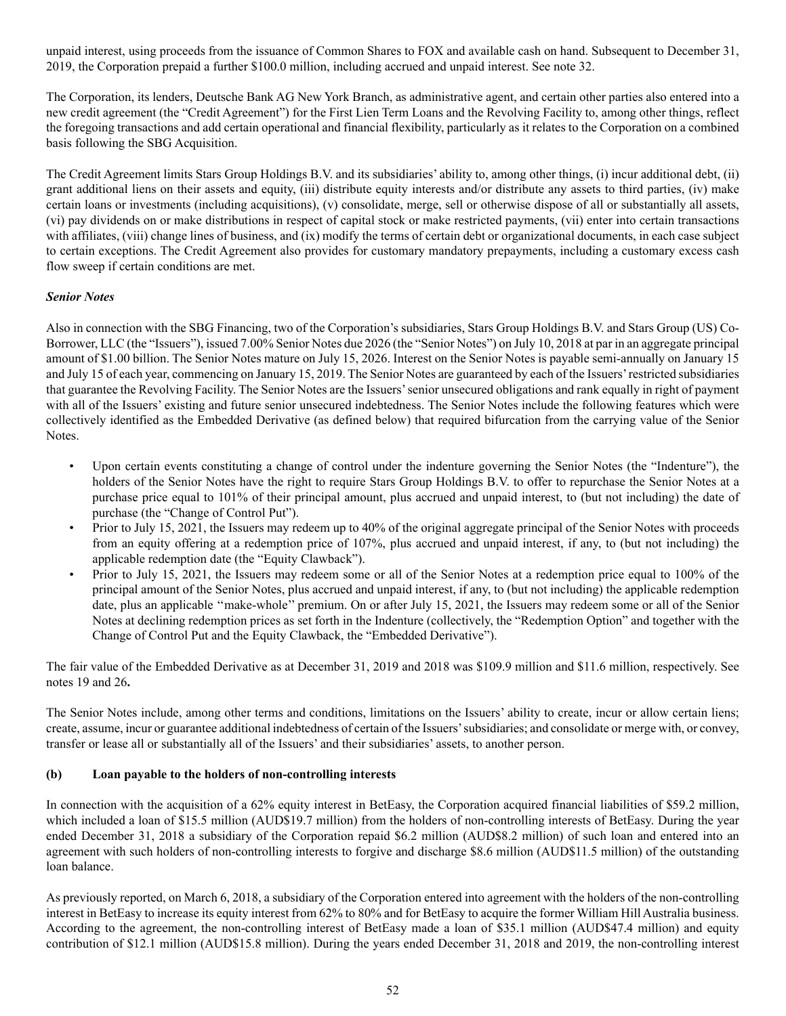unpaid interest, using proceeds from the issuance of Common Shares to FOX and available cash on hand. Subsequent to December 31, 2019, the Corporation prepaid a further \$100.0 million, including accrued and unpaid interest. See note 32.

The Corporation, its lenders, Deutsche Bank AG New York Branch, as administrative agent, and certain other parties also entered into a new credit agreement (the "Credit Agreement") for the First Lien Term Loans and the Revolving Facility to, among other things, reflect the foregoing transactions and add certain operational and financial flexibility, particularly as it relates to the Corporation on a combined basis following the SBG Acquisition.

The Credit Agreement limits Stars Group Holdings B.V. and its subsidiaries' ability to, among other things, (i) incur additional debt, (ii) grant additional liens on their assets and equity, (iii) distribute equity interests and/or distribute any assets to third parties, (iv) make certain loans or investments (including acquisitions), (v) consolidate, merge, sell or otherwise dispose of all or substantially all assets, (vi) pay dividends on or make distributions in respect of capital stock or make restricted payments, (vii) enter into certain transactions with affiliates, (viii) change lines of business, and (ix) modify the terms of certain debt or organizational documents, in each case subject to certain exceptions. The Credit Agreement also provides for customary mandatory prepayments, including a customary excess cash flow sweep if certain conditions are met.

# *Senior Notes*

Also in connection with the SBG Financing, two of the Corporation's subsidiaries, Stars Group Holdings B.V. and Stars Group (US) Co-Borrower, LLC (the "Issuers"), issued 7.00% Senior Notes due 2026 (the "Senior Notes") on July 10, 2018 at par in an aggregate principal amount of \$1.00 billion. The Senior Notes mature on July 15, 2026. Interest on the Senior Notes is payable semi-annually on January 15 and July 15 of each year, commencing on January 15, 2019. The Senior Notes are guaranteed by each of the Issuers' restricted subsidiaries that guarantee the Revolving Facility. The Senior Notes are the Issuers' senior unsecured obligations and rank equally in right of payment with all of the Issuers' existing and future senior unsecured indebtedness. The Senior Notes include the following features which were collectively identified as the Embedded Derivative (as defined below) that required bifurcation from the carrying value of the Senior Notes.

- Upon certain events constituting a change of control under the indenture governing the Senior Notes (the "Indenture"), the holders of the Senior Notes have the right to require Stars Group Holdings B.V. to offer to repurchase the Senior Notes at a purchase price equal to 101% of their principal amount, plus accrued and unpaid interest, to (but not including) the date of purchase (the "Change of Control Put").
- Prior to July 15, 2021, the Issuers may redeem up to 40% of the original aggregate principal of the Senior Notes with proceeds from an equity offering at a redemption price of 107%, plus accrued and unpaid interest, if any, to (but not including) the applicable redemption date (the "Equity Clawback").
- Prior to July 15, 2021, the Issuers may redeem some or all of the Senior Notes at a redemption price equal to 100% of the principal amount of the Senior Notes, plus accrued and unpaid interest, if any, to (but not including) the applicable redemption date, plus an applicable ''make-whole'' premium. On or after July 15, 2021, the Issuers may redeem some or all of the Senior Notes at declining redemption prices as set forth in the Indenture (collectively, the "Redemption Option" and together with the Change of Control Put and the Equity Clawback, the "Embedded Derivative").

The fair value of the Embedded Derivative as at December 31, 2019 and 2018 was \$109.9 million and \$11.6 million, respectively. See notes 19 and 26**.**

The Senior Notes include, among other terms and conditions, limitations on the Issuers' ability to create, incur or allow certain liens; create, assume, incur or guarantee additional indebtedness of certain of the Issuers' subsidiaries; and consolidate or merge with, or convey, transfer or lease all or substantially all of the Issuers' and their subsidiaries' assets, to another person.

### **(b) Loan payable to the holders of non-controlling interests**

In connection with the acquisition of a 62% equity interest in BetEasy, the Corporation acquired financial liabilities of \$59.2 million, which included a loan of \$15.5 million (AUD\$19.7 million) from the holders of non-controlling interests of BetEasy. During the year ended December 31, 2018 a subsidiary of the Corporation repaid \$6.2 million (AUD\$8.2 million) of such loan and entered into an agreement with such holders of non-controlling interests to forgive and discharge \$8.6 million (AUD\$11.5 million) of the outstanding loan balance.

As previously reported, on March 6, 2018, a subsidiary of the Corporation entered into agreement with the holders of the non-controlling interest in BetEasy to increase its equity interest from 62% to 80% and for BetEasy to acquire the former William Hill Australia business. According to the agreement, the non-controlling interest of BetEasy made a loan of \$35.1 million (AUD\$47.4 million) and equity contribution of \$12.1 million (AUD\$15.8 million). During the years ended December 31, 2018 and 2019, the non-controlling interest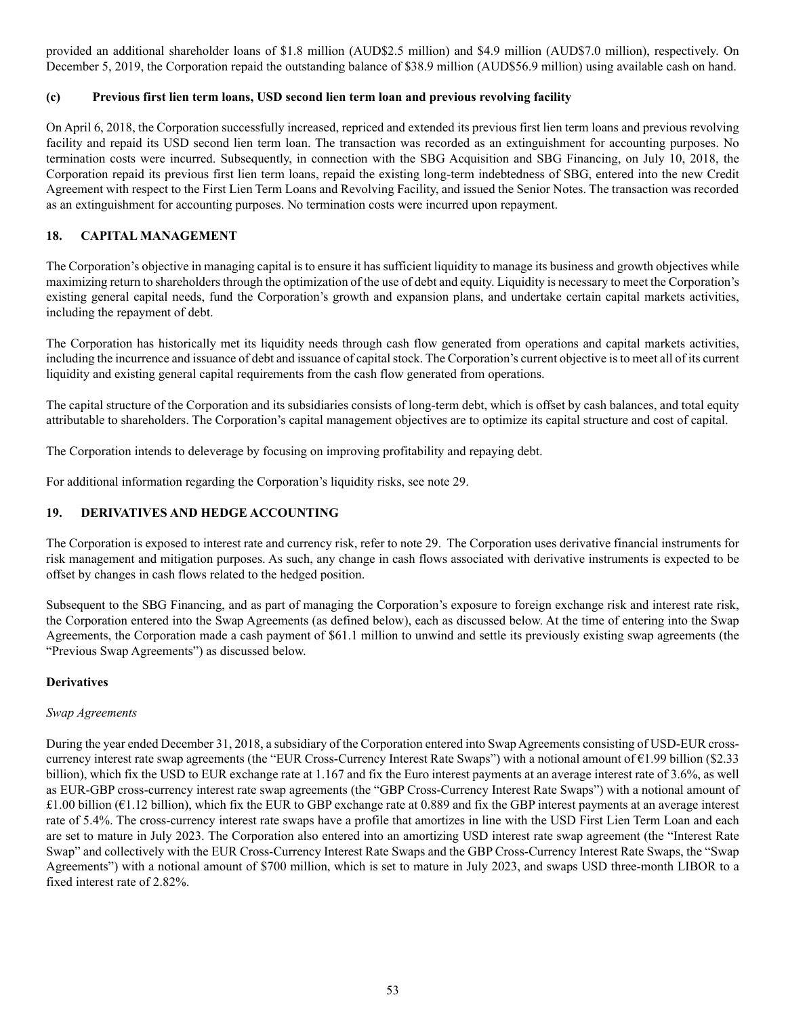provided an additional shareholder loans of \$1.8 million (AUD\$2.5 million) and \$4.9 million (AUD\$7.0 million), respectively. On December 5, 2019, the Corporation repaid the outstanding balance of \$38.9 million (AUD\$56.9 million) using available cash on hand.

## **(c) Previous first lien term loans, USD second lien term loan and previous revolving facility**

On April 6, 2018, the Corporation successfully increased, repriced and extended its previous first lien term loans and previous revolving facility and repaid its USD second lien term loan. The transaction was recorded as an extinguishment for accounting purposes. No termination costs were incurred. Subsequently, in connection with the SBG Acquisition and SBG Financing, on July 10, 2018, the Corporation repaid its previous first lien term loans, repaid the existing long-term indebtedness of SBG, entered into the new Credit Agreement with respect to the First Lien Term Loans and Revolving Facility, and issued the Senior Notes. The transaction was recorded as an extinguishment for accounting purposes. No termination costs were incurred upon repayment.

### **18. CAPITAL MANAGEMENT**

The Corporation's objective in managing capital is to ensure it has sufficient liquidity to manage its business and growth objectives while maximizing return to shareholders through the optimization of the use of debt and equity. Liquidity is necessary to meet the Corporation's existing general capital needs, fund the Corporation's growth and expansion plans, and undertake certain capital markets activities, including the repayment of debt.

The Corporation has historically met its liquidity needs through cash flow generated from operations and capital markets activities, including the incurrence and issuance of debt and issuance of capital stock. The Corporation's current objective is to meet all of its current liquidity and existing general capital requirements from the cash flow generated from operations.

The capital structure of the Corporation and its subsidiaries consists of long-term debt, which is offset by cash balances, and total equity attributable to shareholders. The Corporation's capital management objectives are to optimize its capital structure and cost of capital.

The Corporation intends to deleverage by focusing on improving profitability and repaying debt.

For additional information regarding the Corporation's liquidity risks, see note 29.

# **19. DERIVATIVES AND HEDGE ACCOUNTING**

The Corporation is exposed to interest rate and currency risk, refer to note 29. The Corporation uses derivative financial instruments for risk management and mitigation purposes. As such, any change in cash flows associated with derivative instruments is expected to be offset by changes in cash flows related to the hedged position.

Subsequent to the SBG Financing, and as part of managing the Corporation's exposure to foreign exchange risk and interest rate risk, the Corporation entered into the Swap Agreements (as defined below), each as discussed below. At the time of entering into the Swap Agreements, the Corporation made a cash payment of \$61.1 million to unwind and settle its previously existing swap agreements (the "Previous Swap Agreements") as discussed below.

### **Derivatives**

### *Swap Agreements*

During the year ended December 31, 2018, a subsidiary of the Corporation entered into Swap Agreements consisting of USD-EUR crosscurrency interest rate swap agreements (the "EUR Cross-Currency Interest Rate Swaps") with a notional amount of  $\epsilon$ 1.99 billion (\$2.33) billion), which fix the USD to EUR exchange rate at 1.167 and fix the Euro interest payments at an average interest rate of 3.6%, as well as EUR-GBP cross-currency interest rate swap agreements (the "GBP Cross-Currency Interest Rate Swaps") with a notional amount of £1.00 billion (€1.12 billion), which fix the EUR to GBP exchange rate at 0.889 and fix the GBP interest payments at an average interest rate of 5.4%. The cross-currency interest rate swaps have a profile that amortizes in line with the USD First Lien Term Loan and each are set to mature in July 2023. The Corporation also entered into an amortizing USD interest rate swap agreement (the "Interest Rate Swap" and collectively with the EUR Cross-Currency Interest Rate Swaps and the GBP Cross-Currency Interest Rate Swaps, the "Swap Agreements") with a notional amount of \$700 million, which is set to mature in July 2023, and swaps USD three-month LIBOR to a fixed interest rate of 2.82%.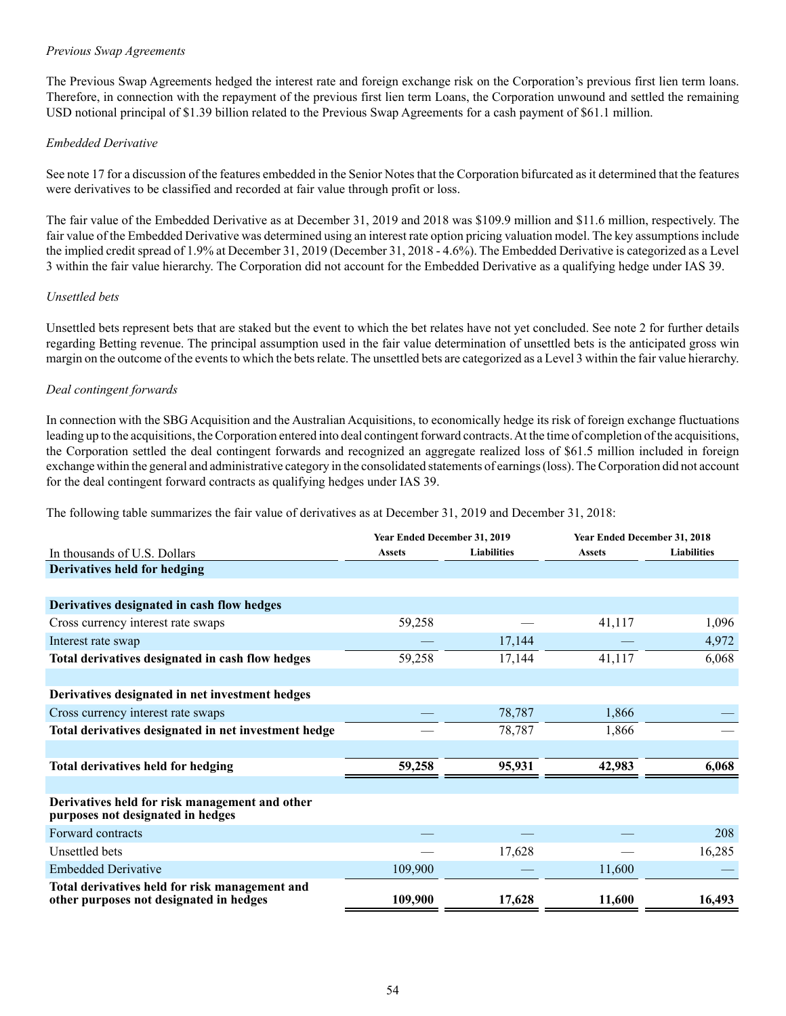#### *Previous Swap Agreements*

The Previous Swap Agreements hedged the interest rate and foreign exchange risk on the Corporation's previous first lien term loans. Therefore, in connection with the repayment of the previous first lien term Loans, the Corporation unwound and settled the remaining USD notional principal of \$1.39 billion related to the Previous Swap Agreements for a cash payment of \$61.1 million.

#### *Embedded Derivative*

See note 17 for a discussion of the features embedded in the Senior Notes that the Corporation bifurcated as it determined that the features were derivatives to be classified and recorded at fair value through profit or loss.

The fair value of the Embedded Derivative as at December 31, 2019 and 2018 was \$109.9 million and \$11.6 million, respectively. The fair value of the Embedded Derivative was determined using an interest rate option pricing valuation model. The key assumptions include the implied credit spread of 1.9% at December 31, 2019 (December 31, 2018 - 4.6%). The Embedded Derivative is categorized as a Level 3 within the fair value hierarchy. The Corporation did not account for the Embedded Derivative as a qualifying hedge under IAS 39.

### *Unsettled bets*

Unsettled bets represent bets that are staked but the event to which the bet relates have not yet concluded. See note 2 for further details regarding Betting revenue. The principal assumption used in the fair value determination of unsettled bets is the anticipated gross win margin on the outcome of the events to which the bets relate. The unsettled bets are categorized as a Level 3 within the fair value hierarchy.

#### *Deal contingent forwards*

In connection with the SBG Acquisition and the Australian Acquisitions, to economically hedge its risk of foreign exchange fluctuations leading up to the acquisitions, the Corporation entered into deal contingent forward contracts. At the time of completion of the acquisitions, the Corporation settled the deal contingent forwards and recognized an aggregate realized loss of \$61.5 million included in foreign exchange within the general and administrative category in the consolidated statements of earnings (loss). The Corporation did not account for the deal contingent forward contracts as qualifying hedges under IAS 39.

The following table summarizes the fair value of derivatives as at December 31, 2019 and December 31, 2018:

|                                                                                           | Year Ended December 31, 2019 |                    | <b>Year Ended December 31, 2018</b> |                    |
|-------------------------------------------------------------------------------------------|------------------------------|--------------------|-------------------------------------|--------------------|
| In thousands of U.S. Dollars                                                              | <b>Assets</b>                | <b>Liabilities</b> | <b>Assets</b>                       | <b>Liabilities</b> |
| Derivatives held for hedging                                                              |                              |                    |                                     |                    |
|                                                                                           |                              |                    |                                     |                    |
| Derivatives designated in cash flow hedges                                                |                              |                    |                                     |                    |
| Cross currency interest rate swaps                                                        | 59,258                       |                    | 41,117                              | 1,096              |
| Interest rate swap                                                                        |                              | 17,144             |                                     | 4,972              |
| Total derivatives designated in cash flow hedges                                          | 59,258                       | 17,144             | 41,117                              | 6,068              |
|                                                                                           |                              |                    |                                     |                    |
| Derivatives designated in net investment hedges                                           |                              |                    |                                     |                    |
| Cross currency interest rate swaps                                                        |                              | 78,787             | 1,866                               |                    |
| Total derivatives designated in net investment hedge                                      |                              | 78,787             | 1,866                               |                    |
|                                                                                           |                              |                    |                                     |                    |
| <b>Total derivatives held for hedging</b>                                                 | 59,258                       | 95,931             | 42,983                              | 6,068              |
|                                                                                           |                              |                    |                                     |                    |
| Derivatives held for risk management and other<br>purposes not designated in hedges       |                              |                    |                                     |                    |
| Forward contracts                                                                         |                              |                    |                                     | 208                |
| Unsettled bets                                                                            |                              | 17,628             |                                     | 16,285             |
| <b>Embedded Derivative</b>                                                                | 109,900                      |                    | 11,600                              |                    |
| Total derivatives held for risk management and<br>other purposes not designated in hedges | 109,900                      | 17,628             | 11,600                              | 16,493             |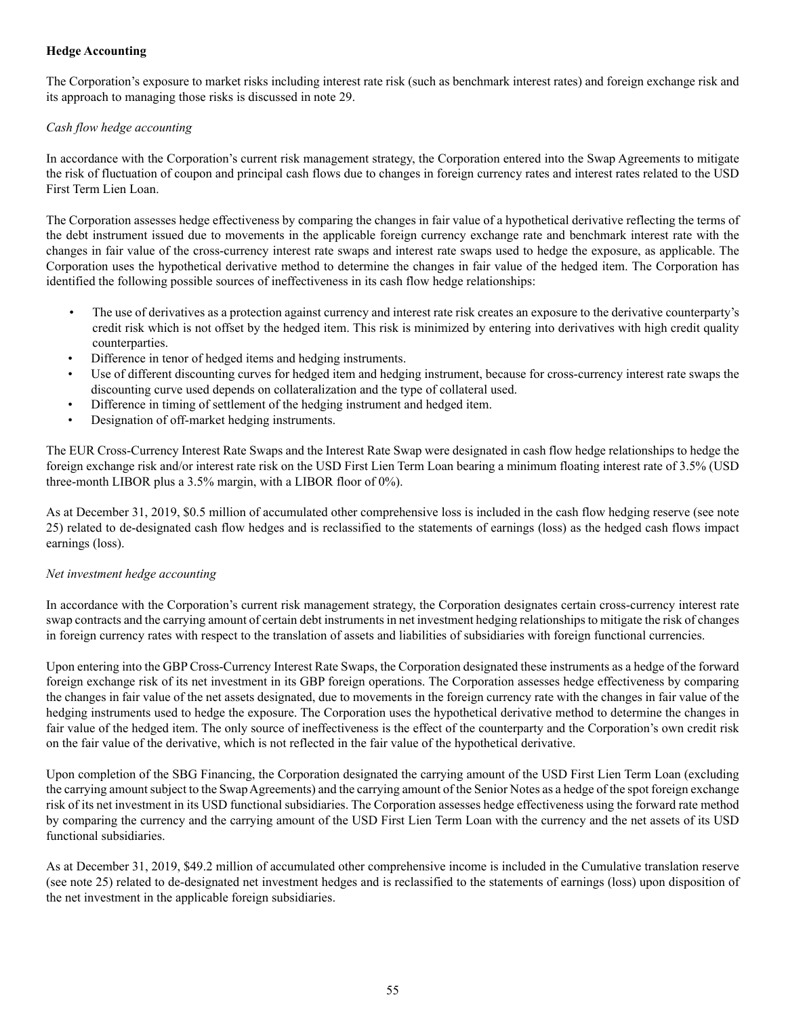### **Hedge Accounting**

The Corporation's exposure to market risks including interest rate risk (such as benchmark interest rates) and foreign exchange risk and its approach to managing those risks is discussed in note 29.

### *Cash flow hedge accounting*

In accordance with the Corporation's current risk management strategy, the Corporation entered into the Swap Agreements to mitigate the risk of fluctuation of coupon and principal cash flows due to changes in foreign currency rates and interest rates related to the USD First Term Lien Loan.

The Corporation assesses hedge effectiveness by comparing the changes in fair value of a hypothetical derivative reflecting the terms of the debt instrument issued due to movements in the applicable foreign currency exchange rate and benchmark interest rate with the changes in fair value of the cross-currency interest rate swaps and interest rate swaps used to hedge the exposure, as applicable. The Corporation uses the hypothetical derivative method to determine the changes in fair value of the hedged item. The Corporation has identified the following possible sources of ineffectiveness in its cash flow hedge relationships:

- The use of derivatives as a protection against currency and interest rate risk creates an exposure to the derivative counterparty's credit risk which is not offset by the hedged item. This risk is minimized by entering into derivatives with high credit quality counterparties.
- Difference in tenor of hedged items and hedging instruments.
- Use of different discounting curves for hedged item and hedging instrument, because for cross-currency interest rate swaps the discounting curve used depends on collateralization and the type of collateral used.
- Difference in timing of settlement of the hedging instrument and hedged item.
- Designation of off-market hedging instruments.

The EUR Cross-Currency Interest Rate Swaps and the Interest Rate Swap were designated in cash flow hedge relationships to hedge the foreign exchange risk and/or interest rate risk on the USD First Lien Term Loan bearing a minimum floating interest rate of 3.5% (USD three-month LIBOR plus a 3.5% margin, with a LIBOR floor of 0%).

As at December 31, 2019, \$0.5 million of accumulated other comprehensive loss is included in the cash flow hedging reserve (see note 25) related to de-designated cash flow hedges and is reclassified to the statements of earnings (loss) as the hedged cash flows impact earnings (loss).

### *Net investment hedge accounting*

In accordance with the Corporation's current risk management strategy, the Corporation designates certain cross-currency interest rate swap contracts and the carrying amount of certain debt instruments in net investment hedging relationships to mitigate the risk of changes in foreign currency rates with respect to the translation of assets and liabilities of subsidiaries with foreign functional currencies.

Upon entering into the GBP Cross-Currency Interest Rate Swaps, the Corporation designated these instruments as a hedge of the forward foreign exchange risk of its net investment in its GBP foreign operations. The Corporation assesses hedge effectiveness by comparing the changes in fair value of the net assets designated, due to movements in the foreign currency rate with the changes in fair value of the hedging instruments used to hedge the exposure. The Corporation uses the hypothetical derivative method to determine the changes in fair value of the hedged item. The only source of ineffectiveness is the effect of the counterparty and the Corporation's own credit risk on the fair value of the derivative, which is not reflected in the fair value of the hypothetical derivative.

Upon completion of the SBG Financing, the Corporation designated the carrying amount of the USD First Lien Term Loan (excluding the carrying amount subject to the Swap Agreements) and the carrying amount of the Senior Notes as a hedge of the spot foreign exchange risk of its net investment in its USD functional subsidiaries. The Corporation assesses hedge effectiveness using the forward rate method by comparing the currency and the carrying amount of the USD First Lien Term Loan with the currency and the net assets of its USD functional subsidiaries.

As at December 31, 2019, \$49.2 million of accumulated other comprehensive income is included in the Cumulative translation reserve (see note 25) related to de-designated net investment hedges and is reclassified to the statements of earnings (loss) upon disposition of the net investment in the applicable foreign subsidiaries.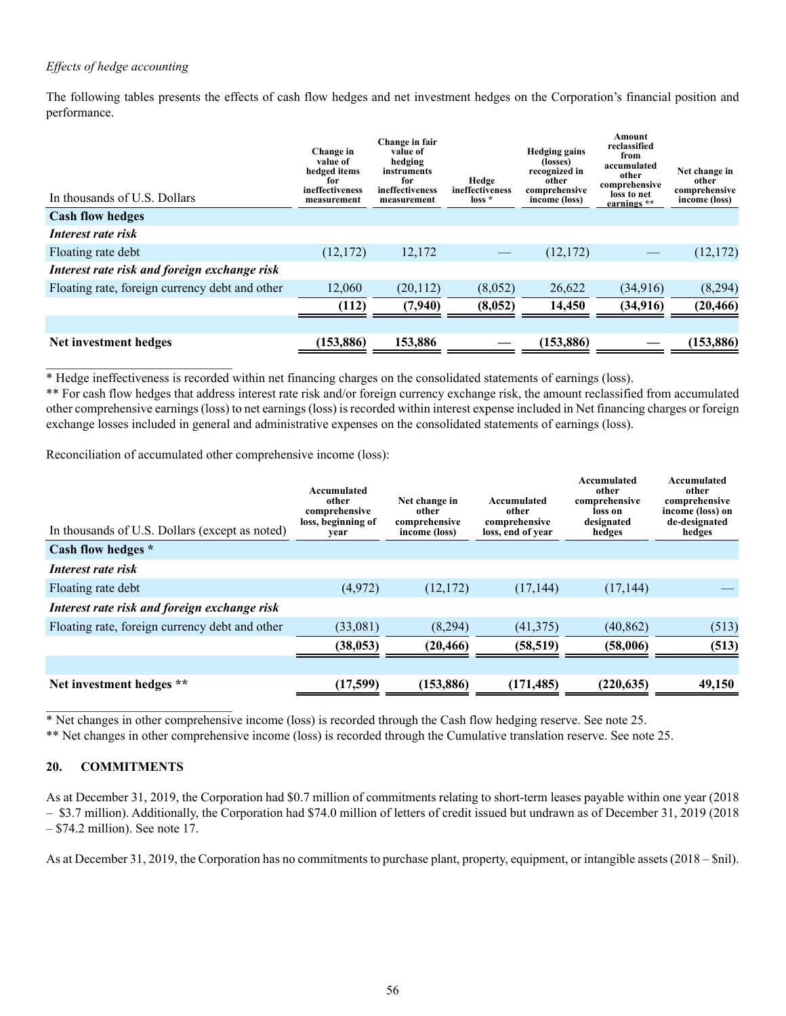### *Effects of hedge accounting*

 $\mathcal{L}_\text{max}$  , where  $\mathcal{L}_\text{max}$  and  $\mathcal{L}_\text{max}$  and  $\mathcal{L}_\text{max}$ 

The following tables presents the effects of cash flow hedges and net investment hedges on the Corporation's financial position and performance.

| In thousands of U.S. Dollars                   | Change in<br>value of<br>hedged items<br>for<br>ineffectiveness<br>measurement | Change in fair<br>value of<br>hedging<br>instruments<br>for<br>ineffectiveness<br>measurement | Hedge<br>ineffectiveness<br>$loss *$ | <b>Hedging gains</b><br>(losses)<br>recognized in<br>other<br>comprehensive<br>income (loss) | Amount<br>reclassified<br>from<br>accumulated<br>other<br>comprehensive<br>loss to net<br>earnings ** | Net change in<br>other<br>comprehensive<br>income (loss) |
|------------------------------------------------|--------------------------------------------------------------------------------|-----------------------------------------------------------------------------------------------|--------------------------------------|----------------------------------------------------------------------------------------------|-------------------------------------------------------------------------------------------------------|----------------------------------------------------------|
| <b>Cash flow hedges</b>                        |                                                                                |                                                                                               |                                      |                                                                                              |                                                                                                       |                                                          |
| Interest rate risk                             |                                                                                |                                                                                               |                                      |                                                                                              |                                                                                                       |                                                          |
| Floating rate debt                             | (12, 172)                                                                      | 12,172                                                                                        |                                      | (12, 172)                                                                                    |                                                                                                       | (12, 172)                                                |
| Interest rate risk and foreign exchange risk   |                                                                                |                                                                                               |                                      |                                                                                              |                                                                                                       |                                                          |
| Floating rate, foreign currency debt and other | 12,060                                                                         | (20, 112)                                                                                     | (8,052)                              | 26,622                                                                                       | (34,916)                                                                                              | (8,294)                                                  |
|                                                | (112)                                                                          | (7,940)                                                                                       | (8,052)                              | 14,450                                                                                       | (34,916)                                                                                              | (20, 466)                                                |
|                                                |                                                                                |                                                                                               |                                      |                                                                                              |                                                                                                       |                                                          |
| Net investment hedges                          | (153,886)                                                                      | 153,886                                                                                       |                                      | (153, 886)                                                                                   |                                                                                                       | (153, 886)                                               |

\* Hedge ineffectiveness is recorded within net financing charges on the consolidated statements of earnings (loss).

\*\* For cash flow hedges that address interest rate risk and/or foreign currency exchange risk, the amount reclassified from accumulated other comprehensive earnings (loss) to net earnings (loss) is recorded within interest expense included in Net financing charges or foreign exchange losses included in general and administrative expenses on the consolidated statements of earnings (loss).

Reconciliation of accumulated other comprehensive income (loss):

| In thousands of U.S. Dollars (except as noted) | Accumulated<br>other<br>comprehensive<br>loss, beginning of<br>year | Net change in<br>other<br>comprehensive<br>income (loss) | Accumulated<br>other<br>comprehensive<br>loss, end of year | Accumulated<br>other<br>comprehensive<br>loss on<br>designated<br>hedges | Accumulated<br>other<br>comprehensive<br>income (loss) on<br>de-designated<br>hedges |
|------------------------------------------------|---------------------------------------------------------------------|----------------------------------------------------------|------------------------------------------------------------|--------------------------------------------------------------------------|--------------------------------------------------------------------------------------|
| Cash flow hedges *                             |                                                                     |                                                          |                                                            |                                                                          |                                                                                      |
| Interest rate risk                             |                                                                     |                                                          |                                                            |                                                                          |                                                                                      |
| Floating rate debt                             | (4,972)                                                             | (12, 172)                                                | (17, 144)                                                  | (17, 144)                                                                |                                                                                      |
| Interest rate risk and foreign exchange risk   |                                                                     |                                                          |                                                            |                                                                          |                                                                                      |
| Floating rate, foreign currency debt and other | (33,081)                                                            | (8,294)                                                  | (41, 375)                                                  | (40, 862)                                                                | (513)                                                                                |
|                                                | (38, 053)                                                           | (20, 466)                                                | (58, 519)                                                  | (58,006)                                                                 | (513)                                                                                |
|                                                |                                                                     |                                                          |                                                            |                                                                          |                                                                                      |
| Net investment hedges **                       | (17,599)                                                            | (153, 886)                                               | (171, 485)                                                 | (220, 635)                                                               | 49,150                                                                               |
|                                                |                                                                     |                                                          |                                                            |                                                                          |                                                                                      |

\* Net changes in other comprehensive income (loss) is recorded through the Cash flow hedging reserve. See note 25.

\*\* Net changes in other comprehensive income (loss) is recorded through the Cumulative translation reserve. See note 25.

### **20. COMMITMENTS**

As at December 31, 2019, the Corporation had \$0.7 million of commitments relating to short-term leases payable within one year (2018 – \$3.7 million). Additionally, the Corporation had \$74.0 million of letters of credit issued but undrawn as of December 31, 2019 (2018 – \$74.2 million). See note 17.

As at December 31, 2019, the Corporation has no commitments to purchase plant, property, equipment, or intangible assets (2018 – \$nil).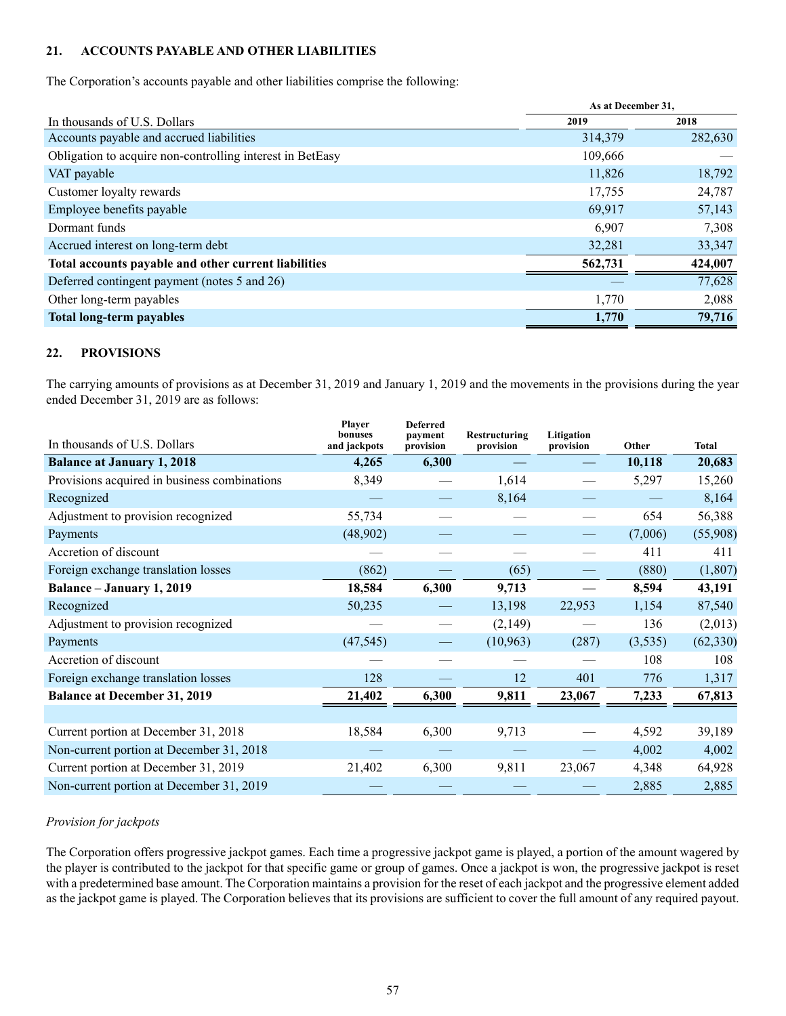### **21. ACCOUNTS PAYABLE AND OTHER LIABILITIES**

The Corporation's accounts payable and other liabilities comprise the following:

|                                                           | As at December 31, |         |
|-----------------------------------------------------------|--------------------|---------|
| In thousands of U.S. Dollars                              | 2019               | 2018    |
| Accounts payable and accrued liabilities                  | 314,379            | 282,630 |
| Obligation to acquire non-controlling interest in BetEasy | 109,666            |         |
| VAT payable                                               | 11,826             | 18,792  |
| Customer loyalty rewards                                  | 17,755             | 24,787  |
| Employee benefits payable                                 | 69,917             | 57,143  |
| Dormant funds                                             | 6,907              | 7,308   |
| Accrued interest on long-term debt                        | 32,281             | 33,347  |
| Total accounts payable and other current liabilities      | 562,731            | 424,007 |
| Deferred contingent payment (notes 5 and 26)              |                    | 77,628  |
| Other long-term payables                                  | 1,770              | 2,088   |
| <b>Total long-term payables</b>                           | 1,770              | 79,716  |

# **22. PROVISIONS**

The carrying amounts of provisions as at December 31, 2019 and January 1, 2019 and the movements in the provisions during the year ended December 31, 2019 are as follows:

| In thousands of U.S. Dollars                 | <b>Player</b><br>bonuses<br>and jackpots | <b>Deferred</b><br>payment<br>provision | Restructuring<br>provision | Litigation<br>provision | Other   | <b>Total</b> |
|----------------------------------------------|------------------------------------------|-----------------------------------------|----------------------------|-------------------------|---------|--------------|
| <b>Balance at January 1, 2018</b>            | 4,265                                    | 6,300                                   |                            |                         | 10,118  | 20,683       |
| Provisions acquired in business combinations | 8,349                                    |                                         | 1,614                      |                         | 5,297   | 15,260       |
| Recognized                                   |                                          |                                         | 8,164                      |                         |         | 8,164        |
| Adjustment to provision recognized           | 55,734                                   |                                         |                            |                         | 654     | 56,388       |
| Payments                                     | (48,902)                                 |                                         |                            |                         | (7,006) | (55,908)     |
| Accretion of discount                        |                                          |                                         |                            |                         | 411     | 411          |
| Foreign exchange translation losses          | (862)                                    |                                         | (65)                       |                         | (880)   | (1, 807)     |
| Balance - January 1, 2019                    | 18,584                                   | 6,300                                   | 9,713                      |                         | 8,594   | 43,191       |
| Recognized                                   | 50,235                                   |                                         | 13,198                     | 22,953                  | 1,154   | 87,540       |
| Adjustment to provision recognized           |                                          |                                         | (2,149)                    |                         | 136     | (2,013)      |
| Payments                                     | (47, 545)                                |                                         | (10, 963)                  | (287)                   | (3,535) | (62, 330)    |
| Accretion of discount                        |                                          |                                         |                            |                         | 108     | 108          |
| Foreign exchange translation losses          | 128                                      |                                         | 12                         | 401                     | 776     | 1,317        |
| <b>Balance at December 31, 2019</b>          | 21,402                                   | 6,300                                   | 9,811                      | 23,067                  | 7,233   | 67,813       |
|                                              |                                          |                                         |                            |                         |         |              |
| Current portion at December 31, 2018         | 18,584                                   | 6,300                                   | 9,713                      |                         | 4,592   | 39,189       |
| Non-current portion at December 31, 2018     |                                          |                                         |                            |                         | 4,002   | 4,002        |
| Current portion at December 31, 2019         | 21,402                                   | 6,300                                   | 9,811                      | 23,067                  | 4,348   | 64,928       |
| Non-current portion at December 31, 2019     |                                          |                                         |                            |                         | 2,885   | 2,885        |

# *Provision for jackpots*

The Corporation offers progressive jackpot games. Each time a progressive jackpot game is played, a portion of the amount wagered by the player is contributed to the jackpot for that specific game or group of games. Once a jackpot is won, the progressive jackpot is reset with a predetermined base amount. The Corporation maintains a provision for the reset of each jackpot and the progressive element added as the jackpot game is played. The Corporation believes that its provisions are sufficient to cover the full amount of any required payout.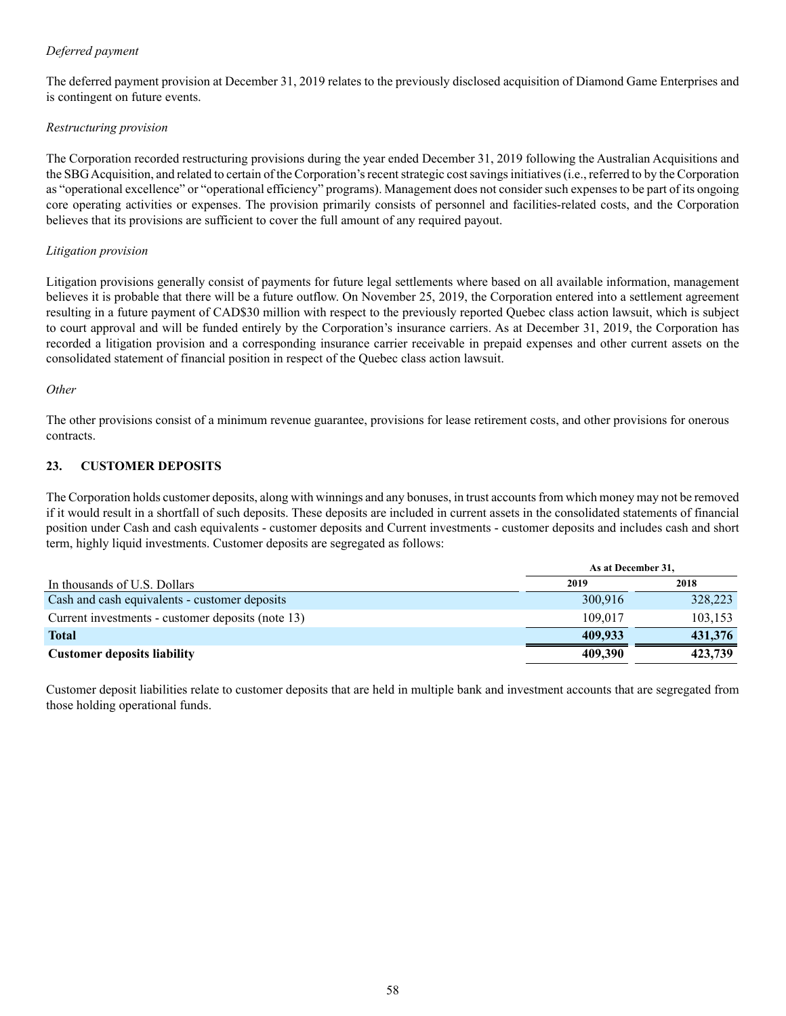## *Deferred payment*

The deferred payment provision at December 31, 2019 relates to the previously disclosed acquisition of Diamond Game Enterprises and is contingent on future events.

### *Restructuring provision*

The Corporation recorded restructuring provisions during the year ended December 31, 2019 following the Australian Acquisitions and the SBG Acquisition, and related to certain of the Corporation's recent strategic cost savings initiatives (i.e., referred to by the Corporation as "operational excellence" or "operational efficiency" programs). Management does not consider such expenses to be part of its ongoing core operating activities or expenses. The provision primarily consists of personnel and facilities-related costs, and the Corporation believes that its provisions are sufficient to cover the full amount of any required payout.

### *Litigation provision*

Litigation provisions generally consist of payments for future legal settlements where based on all available information, management believes it is probable that there will be a future outflow. On November 25, 2019, the Corporation entered into a settlement agreement resulting in a future payment of CAD\$30 million with respect to the previously reported Quebec class action lawsuit, which is subject to court approval and will be funded entirely by the Corporation's insurance carriers. As at December 31, 2019, the Corporation has recorded a litigation provision and a corresponding insurance carrier receivable in prepaid expenses and other current assets on the consolidated statement of financial position in respect of the Quebec class action lawsuit.

### *Other*

The other provisions consist of a minimum revenue guarantee, provisions for lease retirement costs, and other provisions for onerous contracts.

# **23. CUSTOMER DEPOSITS**

The Corporation holds customer deposits, along with winnings and any bonuses, in trust accounts from which money may not be removed if it would result in a shortfall of such deposits. These deposits are included in current assets in the consolidated statements of financial position under Cash and cash equivalents - customer deposits and Current investments - customer deposits and includes cash and short term, highly liquid investments. Customer deposits are segregated as follows:

|                                                   | As at December 31, |         |  |  |  |
|---------------------------------------------------|--------------------|---------|--|--|--|
| In thousands of U.S. Dollars                      | 2019               | 2018    |  |  |  |
| Cash and cash equivalents - customer deposits     | 300.916            | 328,223 |  |  |  |
| Current investments - customer deposits (note 13) | 109.017            | 103,153 |  |  |  |
| <b>Total</b>                                      | 409.933            | 431,376 |  |  |  |
| <b>Customer deposits liability</b>                | 409.390            | 423,739 |  |  |  |

Customer deposit liabilities relate to customer deposits that are held in multiple bank and investment accounts that are segregated from those holding operational funds.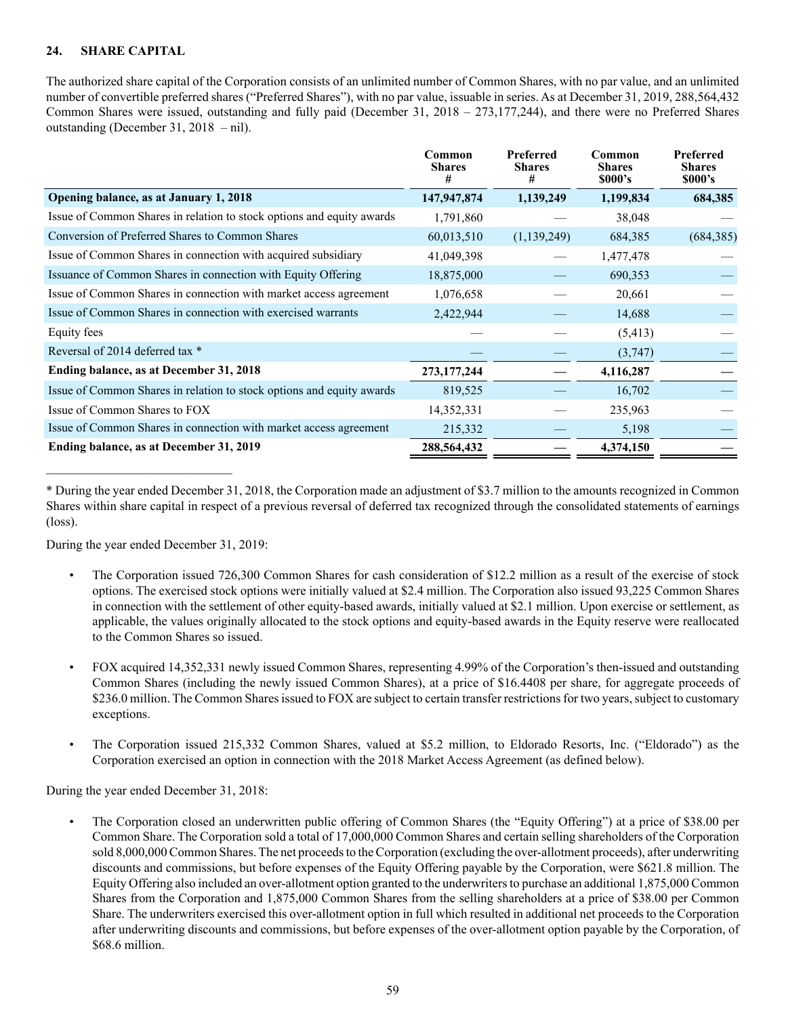### **24. SHARE CAPITAL**

The authorized share capital of the Corporation consists of an unlimited number of Common Shares, with no par value, and an unlimited number of convertible preferred shares ("Preferred Shares"), with no par value, issuable in series. As at December 31, 2019, 288,564,432 Common Shares were issued, outstanding and fully paid (December 31, 2018 – 273,177,244), and there were no Preferred Shares outstanding (December 31, 2018 – nil).

|                                                                       | Common<br><b>Shares</b><br># | <b>Preferred</b><br><b>Shares</b><br># | Common<br><b>Shares</b><br>\$000's | <b>Preferred</b><br><b>Shares</b><br>\$000's |
|-----------------------------------------------------------------------|------------------------------|----------------------------------------|------------------------------------|----------------------------------------------|
| Opening balance, as at January 1, 2018                                | 147,947,874                  | 1,139,249                              | 1,199,834                          | 684,385                                      |
| Issue of Common Shares in relation to stock options and equity awards | 1,791,860                    |                                        | 38,048                             |                                              |
| Conversion of Preferred Shares to Common Shares                       | 60,013,510                   | (1,139,249)                            | 684,385                            | (684, 385)                                   |
| Issue of Common Shares in connection with acquired subsidiary         | 41,049,398                   |                                        | 1,477,478                          |                                              |
| Issuance of Common Shares in connection with Equity Offering          | 18,875,000                   |                                        | 690,353                            |                                              |
| Issue of Common Shares in connection with market access agreement     | 1,076,658                    |                                        | 20,661                             |                                              |
| Issue of Common Shares in connection with exercised warrants          | 2,422,944                    |                                        | 14,688                             |                                              |
| Equity fees                                                           |                              |                                        | (5, 413)                           |                                              |
| Reversal of 2014 deferred tax *                                       |                              |                                        | (3,747)                            |                                              |
| Ending balance, as at December 31, 2018                               | 273, 177, 244                |                                        | 4,116,287                          |                                              |
| Issue of Common Shares in relation to stock options and equity awards | 819,525                      |                                        | 16,702                             |                                              |
| Issue of Common Shares to FOX                                         | 14,352,331                   |                                        | 235,963                            |                                              |
| Issue of Common Shares in connection with market access agreement     | 215,332                      |                                        | 5,198                              |                                              |
| Ending balance, as at December 31, 2019                               | 288,564,432                  |                                        | 4,374,150                          |                                              |

<sup>\*</sup> During the year ended December 31, 2018, the Corporation made an adjustment of \$3.7 million to the amounts recognized in Common Shares within share capital in respect of a previous reversal of deferred tax recognized through the consolidated statements of earnings (loss).

During the year ended December 31, 2019:

\_\_\_\_\_\_\_\_\_\_\_\_\_\_\_\_\_\_\_\_\_\_\_\_\_\_\_\_\_

- The Corporation issued 726,300 Common Shares for cash consideration of \$12.2 million as a result of the exercise of stock options. The exercised stock options were initially valued at \$2.4 million. The Corporation also issued 93,225 Common Shares in connection with the settlement of other equity-based awards, initially valued at \$2.1 million. Upon exercise or settlement, as applicable, the values originally allocated to the stock options and equity-based awards in the Equity reserve were reallocated to the Common Shares so issued.
- FOX acquired 14,352,331 newly issued Common Shares, representing 4.99% of the Corporation's then-issued and outstanding Common Shares (including the newly issued Common Shares), at a price of \$16.4408 per share, for aggregate proceeds of \$236.0 million. The Common Shares issued to FOX are subject to certain transfer restrictions for two years, subject to customary exceptions.
- The Corporation issued 215,332 Common Shares, valued at \$5.2 million, to Eldorado Resorts, Inc. ("Eldorado") as the Corporation exercised an option in connection with the 2018 Market Access Agreement (as defined below).

During the year ended December 31, 2018:

• The Corporation closed an underwritten public offering of Common Shares (the "Equity Offering") at a price of \$38.00 per Common Share. The Corporation sold a total of 17,000,000 Common Shares and certain selling shareholders of the Corporation sold 8,000,000 Common Shares. The net proceeds to the Corporation (excluding the over-allotment proceeds), after underwriting discounts and commissions, but before expenses of the Equity Offering payable by the Corporation, were \$621.8 million. The Equity Offering also included an over-allotment option granted to the underwriters to purchase an additional 1,875,000 Common Shares from the Corporation and 1,875,000 Common Shares from the selling shareholders at a price of \$38.00 per Common Share. The underwriters exercised this over-allotment option in full which resulted in additional net proceeds to the Corporation after underwriting discounts and commissions, but before expenses of the over-allotment option payable by the Corporation, of \$68.6 million.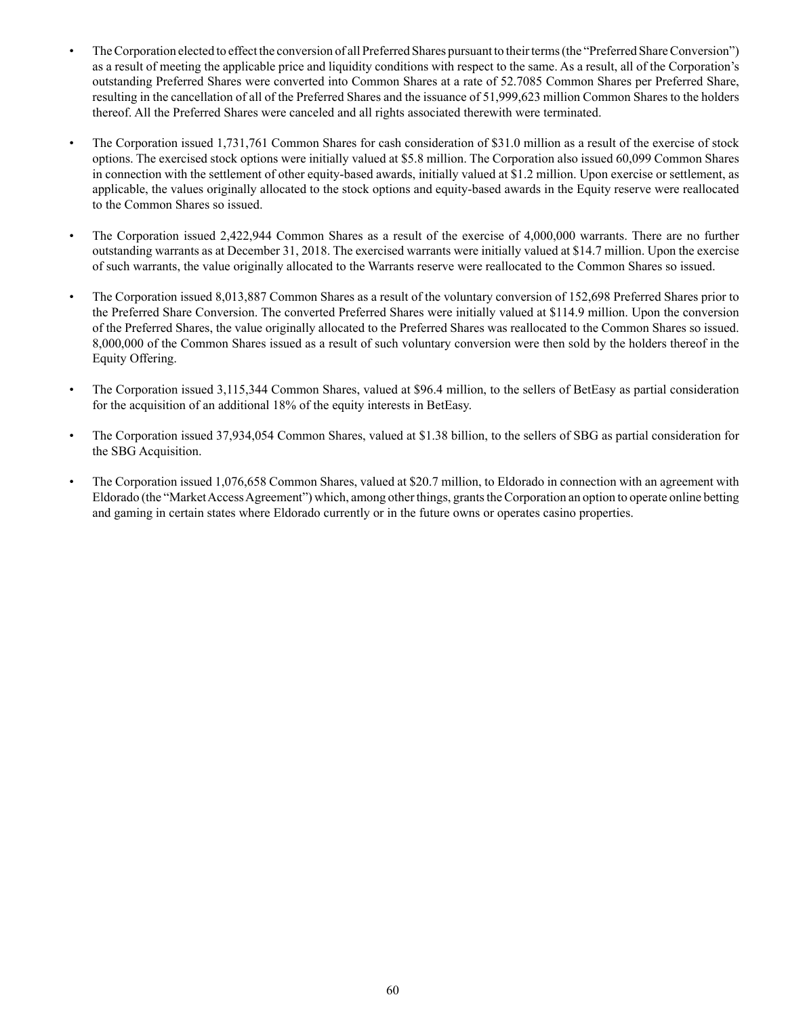- The Corporation elected to effect the conversion of all Preferred Shares pursuant to their terms (the "Preferred Share Conversion") as a result of meeting the applicable price and liquidity conditions with respect to the same. As a result, all of the Corporation's outstanding Preferred Shares were converted into Common Shares at a rate of 52.7085 Common Shares per Preferred Share, resulting in the cancellation of all of the Preferred Shares and the issuance of 51,999,623 million Common Shares to the holders thereof. All the Preferred Shares were canceled and all rights associated therewith were terminated.
- The Corporation issued 1,731,761 Common Shares for cash consideration of \$31.0 million as a result of the exercise of stock options. The exercised stock options were initially valued at \$5.8 million. The Corporation also issued 60,099 Common Shares in connection with the settlement of other equity-based awards, initially valued at \$1.2 million. Upon exercise or settlement, as applicable, the values originally allocated to the stock options and equity-based awards in the Equity reserve were reallocated to the Common Shares so issued.
- The Corporation issued 2,422,944 Common Shares as a result of the exercise of 4,000,000 warrants. There are no further outstanding warrants as at December 31, 2018. The exercised warrants were initially valued at \$14.7 million. Upon the exercise of such warrants, the value originally allocated to the Warrants reserve were reallocated to the Common Shares so issued.
- The Corporation issued 8,013,887 Common Shares as a result of the voluntary conversion of 152,698 Preferred Shares prior to the Preferred Share Conversion. The converted Preferred Shares were initially valued at \$114.9 million. Upon the conversion of the Preferred Shares, the value originally allocated to the Preferred Shares was reallocated to the Common Shares so issued. 8,000,000 of the Common Shares issued as a result of such voluntary conversion were then sold by the holders thereof in the Equity Offering.
- The Corporation issued 3,115,344 Common Shares, valued at \$96.4 million, to the sellers of BetEasy as partial consideration for the acquisition of an additional 18% of the equity interests in BetEasy.
- The Corporation issued 37,934,054 Common Shares, valued at \$1.38 billion, to the sellers of SBG as partial consideration for the SBG Acquisition.
- The Corporation issued 1,076,658 Common Shares, valued at \$20.7 million, to Eldorado in connection with an agreement with Eldorado (the "Market Access Agreement") which, among other things, grants the Corporation an option to operate online betting and gaming in certain states where Eldorado currently or in the future owns or operates casino properties.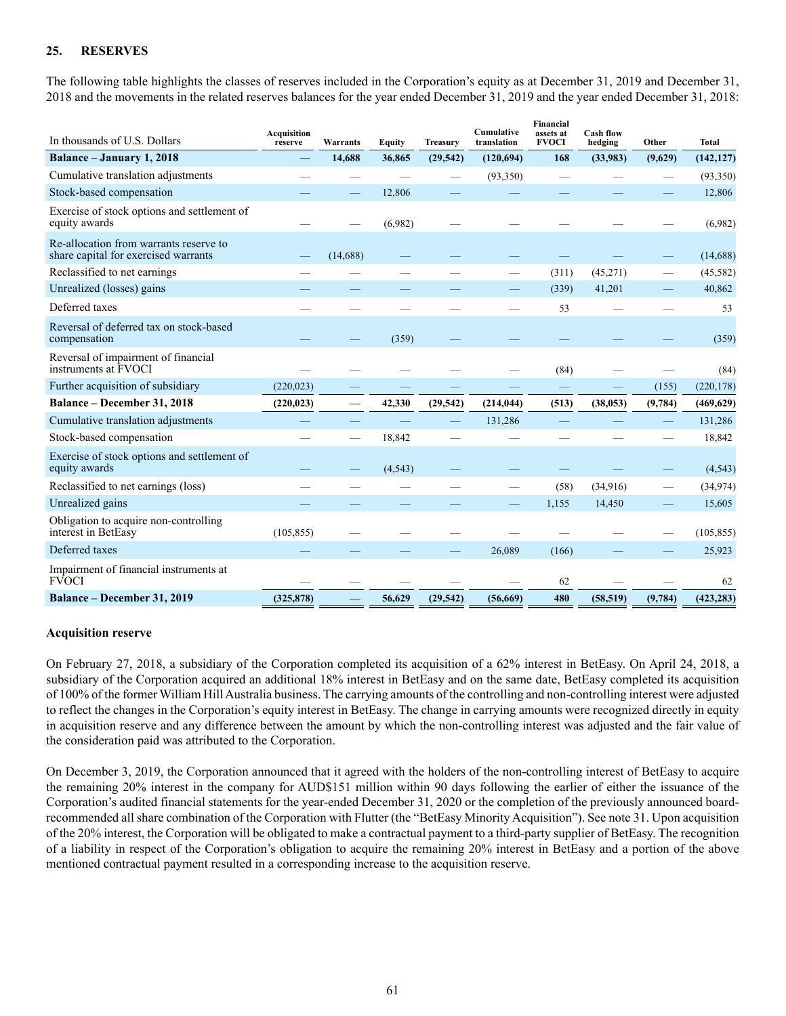### **25. RESERVES**

The following table highlights the classes of reserves included in the Corporation's equity as at December 31, 2019 and December 31, 2018 and the movements in the related reserves balances for the year ended December 31, 2019 and the year ended December 31, 2018:

| In thousands of U.S. Dollars                                                   | Acquisition<br>reserve | <b>Warrants</b> | Equity   | <b>Treasury</b>          | Cumulative<br>translation | Financial<br>assets at<br><b>FVOCI</b> | <b>Cash flow</b><br>hedging | Other                    | Total      |
|--------------------------------------------------------------------------------|------------------------|-----------------|----------|--------------------------|---------------------------|----------------------------------------|-----------------------------|--------------------------|------------|
| Balance - January 1, 2018                                                      |                        | 14,688          | 36,865   | (29, 542)                | (120,694)                 | 168                                    | (33,983)                    | (9,629)                  | (142, 127) |
| Cumulative translation adjustments                                             |                        |                 |          |                          | (93,350)                  |                                        |                             |                          | (93,350)   |
| Stock-based compensation                                                       |                        |                 | 12,806   |                          |                           |                                        |                             |                          | 12,806     |
| Exercise of stock options and settlement of<br>equity awards                   |                        |                 | (6,982)  |                          |                           |                                        |                             |                          | (6,982)    |
| Re-allocation from warrants reserve to<br>share capital for exercised warrants |                        | (14,688)        |          |                          |                           |                                        |                             |                          | (14,688)   |
| Reclassified to net earnings                                                   |                        |                 |          |                          |                           | (311)                                  | (45, 271)                   | $\overline{\phantom{0}}$ | (45, 582)  |
| Unrealized (losses) gains                                                      |                        |                 |          |                          |                           | (339)                                  | 41,201                      |                          | 40,862     |
| Deferred taxes                                                                 |                        |                 |          |                          |                           | 53                                     |                             |                          | 53         |
| Reversal of deferred tax on stock-based<br>compensation                        |                        |                 | (359)    |                          |                           |                                        |                             |                          | (359)      |
| Reversal of impairment of financial<br>instruments at FVOCI                    |                        |                 |          |                          |                           | (84)                                   |                             |                          | (84)       |
| Further acquisition of subsidiary                                              | (220, 023)             |                 |          |                          |                           |                                        |                             | (155)                    | (220, 178) |
| <b>Balance – December 31, 2018</b>                                             | (220, 023)             |                 | 42,330   | (29, 542)                | (214, 044)                | (513)                                  | (38, 053)                   | (9,784)                  | (469, 629) |
| Cumulative translation adjustments                                             |                        |                 |          | $\overline{\phantom{0}}$ | 131,286                   |                                        |                             | —                        | 131,286    |
| Stock-based compensation                                                       |                        |                 | 18,842   |                          |                           |                                        |                             |                          | 18,842     |
| Exercise of stock options and settlement of<br>equity awards                   |                        |                 | (4, 543) |                          |                           |                                        |                             |                          | (4, 543)   |
| Reclassified to net earnings (loss)                                            |                        |                 |          |                          |                           | (58)                                   | (34,916)                    | $\overline{\phantom{0}}$ | (34, 974)  |
| Unrealized gains                                                               |                        |                 |          |                          |                           | 1,155                                  | 14,450                      |                          | 15,605     |
| Obligation to acquire non-controlling<br>interest in BetEasy                   | (105, 855)             |                 |          |                          |                           |                                        |                             |                          | (105, 855) |
| Deferred taxes                                                                 |                        |                 |          |                          | 26,089                    | (166)                                  |                             |                          | 25,923     |
| Impairment of financial instruments at<br><b>FVOCI</b>                         |                        |                 |          |                          |                           | 62                                     |                             |                          | 62         |
| <b>Balance - December 31, 2019</b>                                             | (325, 878)             |                 | 56,629   | (29, 542)                | (56,669)                  | 480                                    | (58, 519)                   | (9, 784)                 | (423, 283) |

#### **Acquisition reserve**

On February 27, 2018, a subsidiary of the Corporation completed its acquisition of a 62% interest in BetEasy. On April 24, 2018, a subsidiary of the Corporation acquired an additional 18% interest in BetEasy and on the same date, BetEasy completed its acquisition of 100% of the former William Hill Australia business. The carrying amounts of the controlling and non-controlling interest were adjusted to reflect the changes in the Corporation's equity interest in BetEasy. The change in carrying amounts were recognized directly in equity in acquisition reserve and any difference between the amount by which the non-controlling interest was adjusted and the fair value of the consideration paid was attributed to the Corporation.

On December 3, 2019, the Corporation announced that it agreed with the holders of the non-controlling interest of BetEasy to acquire the remaining 20% interest in the company for AUD\$151 million within 90 days following the earlier of either the issuance of the Corporation's audited financial statements for the year-ended December 31, 2020 or the completion of the previously announced boardrecommended all share combination of the Corporation with Flutter (the "BetEasy Minority Acquisition"). See note 31. Upon acquisition of the 20% interest, the Corporation will be obligated to make a contractual payment to a third-party supplier of BetEasy. The recognition of a liability in respect of the Corporation's obligation to acquire the remaining 20% interest in BetEasy and a portion of the above mentioned contractual payment resulted in a corresponding increase to the acquisition reserve.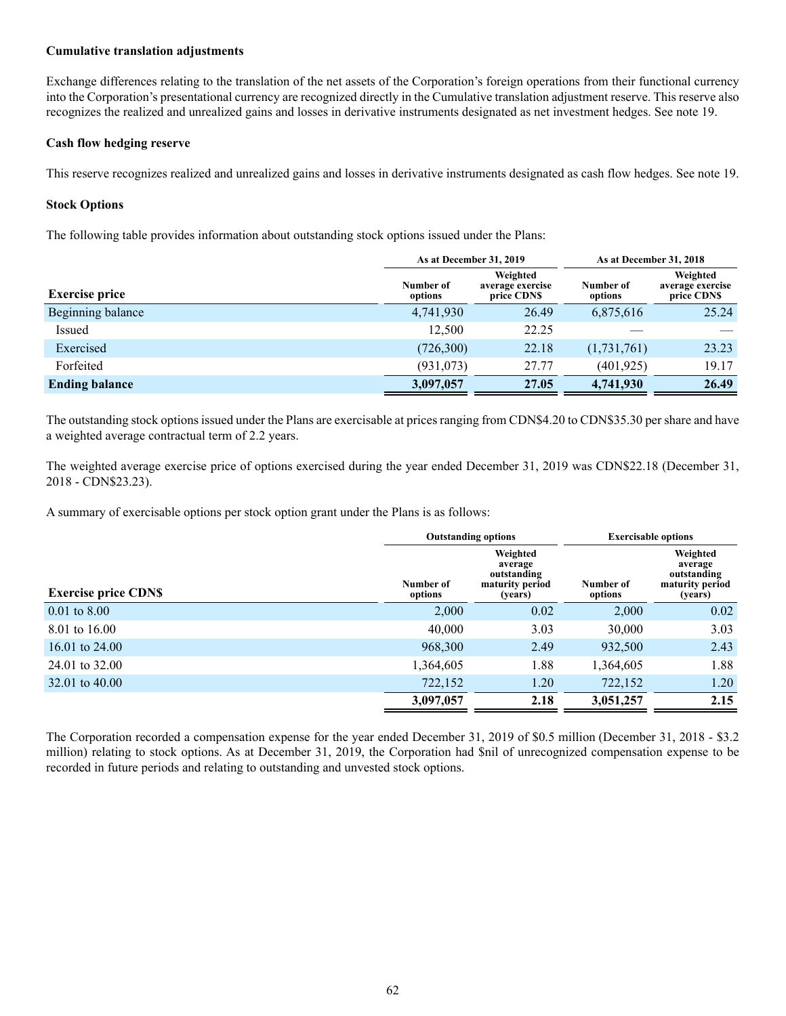#### **Cumulative translation adjustments**

Exchange differences relating to the translation of the net assets of the Corporation's foreign operations from their functional currency into the Corporation's presentational currency are recognized directly in the Cumulative translation adjustment reserve. This reserve also recognizes the realized and unrealized gains and losses in derivative instruments designated as net investment hedges. See note 19.

#### **Cash flow hedging reserve**

This reserve recognizes realized and unrealized gains and losses in derivative instruments designated as cash flow hedges. See note 19.

### **Stock Options**

The following table provides information about outstanding stock options issued under the Plans:

|                       | As at December 31, 2019 |                                            | As at December 31, 2018 |                                            |  |  |
|-----------------------|-------------------------|--------------------------------------------|-------------------------|--------------------------------------------|--|--|
| <b>Exercise price</b> | Number of<br>options    | Weighted<br>average exercise<br>price CDNS | Number of<br>options    | Weighted<br>average exercise<br>price CDNS |  |  |
| Beginning balance     | 4,741,930               | 26.49                                      | 6,875,616               | 25.24                                      |  |  |
| Issued                | 12.500                  | 22.25                                      |                         |                                            |  |  |
| Exercised             | (726,300)               | 22.18                                      | (1,731,761)             | 23.23                                      |  |  |
| Forfeited             | (931, 073)              | 27.77                                      | (401, 925)              | 19.17                                      |  |  |
| <b>Ending balance</b> | 3,097,057               | 27.05                                      | 4,741,930               | 26.49                                      |  |  |

The outstanding stock options issued under the Plans are exercisable at prices ranging from CDN\$4.20 to CDN\$35.30 per share and have a weighted average contractual term of 2.2 years.

The weighted average exercise price of options exercised during the year ended December 31, 2019 was CDN\$22.18 (December 31, 2018 - CDN\$23.23).

A summary of exercisable options per stock option grant under the Plans is as follows:

|                            | <b>Outstanding options</b> |                                                                  | <b>Exercisable options</b> |                                                                  |  |  |
|----------------------------|----------------------------|------------------------------------------------------------------|----------------------------|------------------------------------------------------------------|--|--|
| <b>Exercise price CDNS</b> | Number of<br>options       | Weighted<br>average<br>outstanding<br>maturity period<br>(years) | Number of<br>options       | Weighted<br>average<br>outstanding<br>maturity period<br>(years) |  |  |
| $0.01$ to $8.00$           | 2,000                      | 0.02                                                             | 2,000                      | 0.02                                                             |  |  |
| 8.01 to 16.00              | 40,000                     | 3.03                                                             | 30,000                     | 3.03                                                             |  |  |
| 16.01 to $24.00$           | 968,300                    | 2.49                                                             | 932,500                    | 2.43                                                             |  |  |
| 24.01 to 32.00             | 1,364,605                  | 1.88                                                             | 1,364,605                  | 1.88                                                             |  |  |
| 32.01 to 40.00             | 722,152                    | 1.20                                                             | 722,152                    | 1.20                                                             |  |  |
|                            | 3,097,057                  | 2.18                                                             | 3,051,257                  | 2.15                                                             |  |  |

The Corporation recorded a compensation expense for the year ended December 31, 2019 of \$0.5 million (December 31, 2018 - \$3.2 million) relating to stock options. As at December 31, 2019, the Corporation had \$nil of unrecognized compensation expense to be recorded in future periods and relating to outstanding and unvested stock options.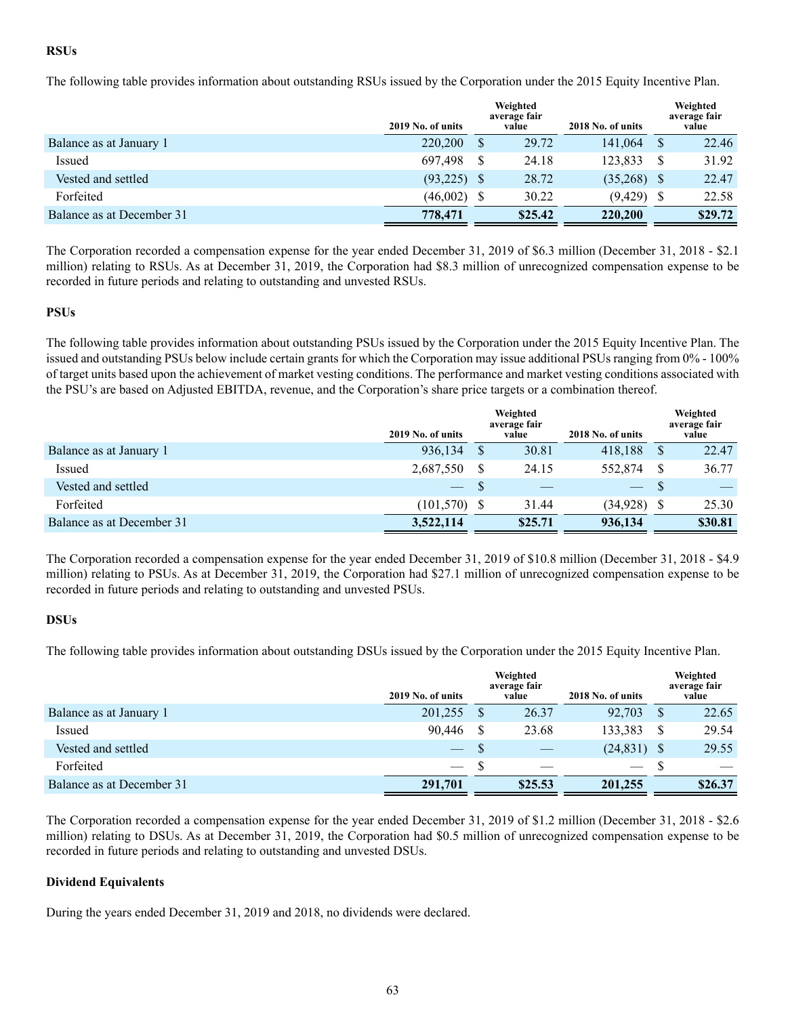### **RSUs**

The following table provides information about outstanding RSUs issued by the Corporation under the 2015 Equity Incentive Plan.

|                           | 2019 No. of units | Weighted<br>average fair<br>value | 2018 No. of units | Weighted<br>average fair<br>value |
|---------------------------|-------------------|-----------------------------------|-------------------|-----------------------------------|
| Balance as at January 1   | 220,200           | 29.72                             | 141.064           | 22.46                             |
| Issued                    | 697.498           | 24.18                             | 123.833           | 31.92                             |
| Vested and settled        | $(93,225)$ \$     | 28.72                             | (35,268)          | 22.47                             |
| Forfeited                 | (46,002)          | 30.22                             | (9.429)           | 22.58                             |
| Balance as at December 31 | 778,471           | \$25.42                           | 220,200           | \$29.72                           |

The Corporation recorded a compensation expense for the year ended December 31, 2019 of \$6.3 million (December 31, 2018 - \$2.1 million) relating to RSUs. As at December 31, 2019, the Corporation had \$8.3 million of unrecognized compensation expense to be recorded in future periods and relating to outstanding and unvested RSUs.

### **PSUs**

The following table provides information about outstanding PSUs issued by the Corporation under the 2015 Equity Incentive Plan. The issued and outstanding PSUs below include certain grants for which the Corporation may issue additional PSUs ranging from 0% - 100% of target units based upon the achievement of market vesting conditions. The performance and market vesting conditions associated with the PSU's are based on Adjusted EBITDA, revenue, and the Corporation's share price targets or a combination thereof.

|                           | 2019 No. of units | Weighted<br>average fair<br>value | 2018 No. of units        |          | Weighted<br>average fair<br>value |
|---------------------------|-------------------|-----------------------------------|--------------------------|----------|-----------------------------------|
|                           |                   |                                   |                          |          |                                   |
| Balance as at January 1   | 936,134           | 30.81                             | 418.188                  | S        | 22.47                             |
| Issued                    | 2,687,550         | 24.15                             | 552,874                  | S        | 36.77                             |
| Vested and settled        | $-$ S             |                                   | $\overline{\phantom{0}}$ | <u>ъ</u> |                                   |
| Forfeited                 | (101, 570)        | 31.44                             | (34, 928)                |          | 25.30                             |
| Balance as at December 31 | 3,522,114         | \$25.71                           | 936,134                  |          | \$30.81                           |

The Corporation recorded a compensation expense for the year ended December 31, 2019 of \$10.8 million (December 31, 2018 - \$4.9 million) relating to PSUs. As at December 31, 2019, the Corporation had \$27.1 million of unrecognized compensation expense to be recorded in future periods and relating to outstanding and unvested PSUs.

### **DSUs**

The following table provides information about outstanding DSUs issued by the Corporation under the 2015 Equity Incentive Plan.

|                           | 2019 No. of units               | Weighted<br>average fair<br>value | 2018 No. of units             |   | Weighted<br>average fair<br>value |
|---------------------------|---------------------------------|-----------------------------------|-------------------------------|---|-----------------------------------|
| Balance as at January 1   | 201,255                         | 26.37                             | 92,703                        | S | 22.65                             |
| Issued                    | 90,446                          | 23.68                             | 133,383                       | S | 29.54                             |
| Vested and settled        | $\overbrace{\hspace{25mm}}^{ }$ |                                   | $(24,831)$ \$                 |   | 29.55                             |
| Forfeited                 | $-$ S                           |                                   | $\overbrace{\phantom{aaaaa}}$ |   |                                   |
| Balance as at December 31 | 291,701                         | \$25.53                           | 201,255                       |   | \$26.37                           |

The Corporation recorded a compensation expense for the year ended December 31, 2019 of \$1.2 million (December 31, 2018 - \$2.6 million) relating to DSUs. As at December 31, 2019, the Corporation had \$0.5 million of unrecognized compensation expense to be recorded in future periods and relating to outstanding and unvested DSUs.

### **Dividend Equivalents**

During the years ended December 31, 2019 and 2018, no dividends were declared.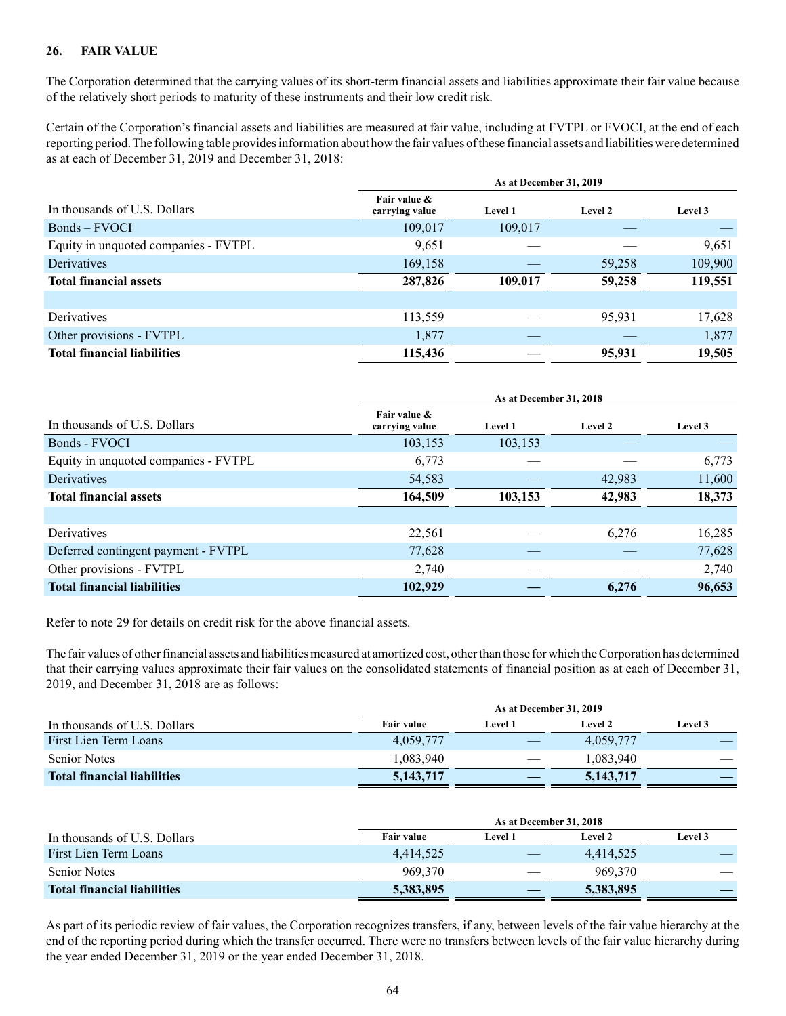### **26. FAIR VALUE**

The Corporation determined that the carrying values of its short-term financial assets and liabilities approximate their fair value because of the relatively short periods to maturity of these instruments and their low credit risk.

Certain of the Corporation's financial assets and liabilities are measured at fair value, including at FVTPL or FVOCI, at the end of each reporting period. The following table provides information about how the fair values of these financial assets and liabilities were determined as at each of December 31, 2019 and December 31, 2018:

|                                      | As at December 31, 2019        |                |         |         |  |  |
|--------------------------------------|--------------------------------|----------------|---------|---------|--|--|
| In thousands of U.S. Dollars         | Fair value &<br>carrying value | <b>Level 1</b> | Level 2 | Level 3 |  |  |
| $Bonds - FVOCI$                      | 109,017                        | 109,017        |         |         |  |  |
| Equity in unquoted companies - FVTPL | 9,651                          |                |         | 9,651   |  |  |
| Derivatives                          | 169,158                        |                | 59,258  | 109,900 |  |  |
| <b>Total financial assets</b>        | 287,826                        | 109,017        | 59,258  | 119,551 |  |  |
|                                      |                                |                |         |         |  |  |
| Derivatives                          | 113,559                        |                | 95,931  | 17,628  |  |  |
| Other provisions - FVTPL             | 1,877                          |                |         | 1,877   |  |  |
| <b>Total financial liabilities</b>   | 115,436                        |                | 95,931  | 19,505  |  |  |

|                                      | As at December 31, 2018        |                |         |         |  |
|--------------------------------------|--------------------------------|----------------|---------|---------|--|
| In thousands of U.S. Dollars         | Fair value &<br>carrying value | <b>Level 1</b> | Level 2 | Level 3 |  |
| Bonds - FVOCI                        | 103,153                        | 103,153        |         |         |  |
| Equity in unquoted companies - FVTPL | 6,773                          |                |         | 6,773   |  |
| Derivatives                          | 54,583                         |                | 42,983  | 11,600  |  |
| <b>Total financial assets</b>        | 164,509                        | 103,153        | 42,983  | 18,373  |  |
|                                      |                                |                |         |         |  |
| Derivatives                          | 22,561                         |                | 6,276   | 16,285  |  |
| Deferred contingent payment - FVTPL  | 77,628                         |                |         | 77,628  |  |
| Other provisions - FVTPL             | 2,740                          |                |         | 2,740   |  |
| <b>Total financial liabilities</b>   | 102,929                        |                | 6,276   | 96,653  |  |

Refer to note 29 for details on credit risk for the above financial assets.

The fair values of other financial assets and liabilities measured at amortized cost, other than those for which the Corporation has determined that their carrying values approximate their fair values on the consolidated statements of financial position as at each of December 31, 2019, and December 31, 2018 are as follows:

|                                    | As at December 31, 2019 |         |             |                |  |  |
|------------------------------------|-------------------------|---------|-------------|----------------|--|--|
| In thousands of U.S. Dollars       | <b>Fair value</b>       | Level 1 | Level 2     | <b>Level 3</b> |  |  |
| First Lien Term Loans              | 4,059,777               |         | 4,059,777   |                |  |  |
| <b>Senior Notes</b>                | 1,083,940               |         | 1,083,940   |                |  |  |
| <b>Total financial liabilities</b> | 5, 143, 717             |         | 5, 143, 717 |                |  |  |

|                                    | As at December 31, 2018 |                |           |                |  |  |
|------------------------------------|-------------------------|----------------|-----------|----------------|--|--|
| In thousands of U.S. Dollars       | <b>Fair value</b>       | <b>Level 1</b> | Level 2   | <b>Level 3</b> |  |  |
| First Lien Term Loans              | 4,414,525               |                | 4.414.525 |                |  |  |
| <b>Senior Notes</b>                | 969,370                 |                | 969,370   |                |  |  |
| <b>Total financial liabilities</b> | 5,383,895               |                | 5,383,895 |                |  |  |

As part of its periodic review of fair values, the Corporation recognizes transfers, if any, between levels of the fair value hierarchy at the end of the reporting period during which the transfer occurred. There were no transfers between levels of the fair value hierarchy during the year ended December 31, 2019 or the year ended December 31, 2018.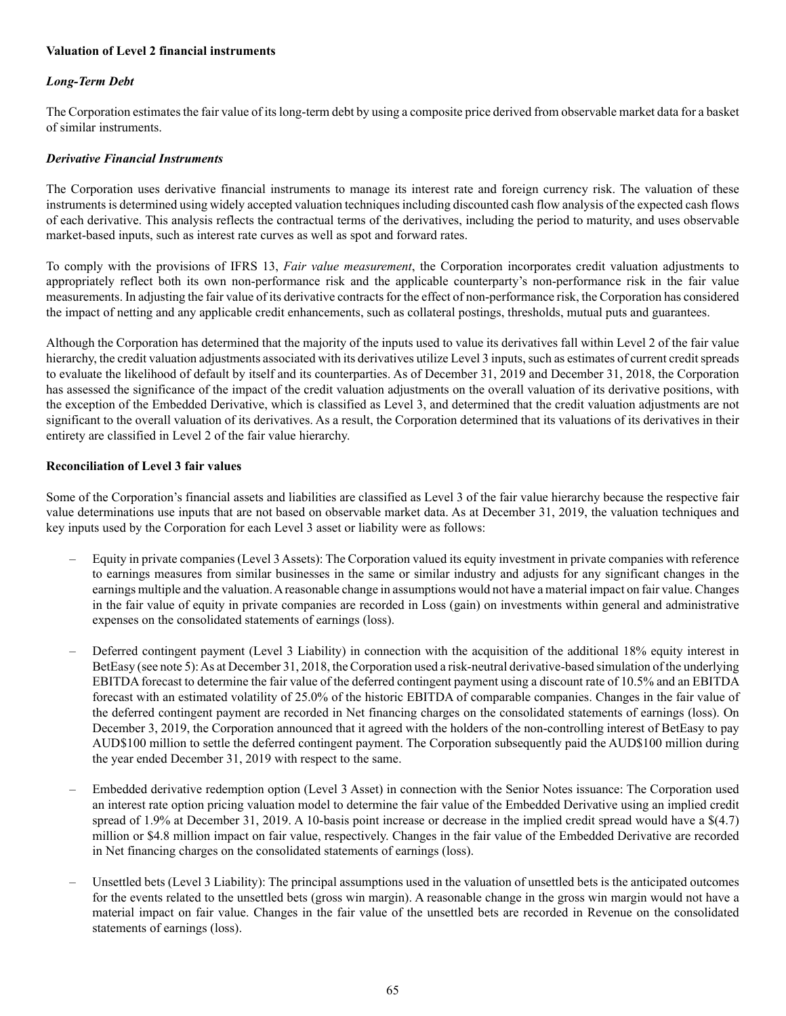### **Valuation of Level 2 financial instruments**

### *Long-Term Debt*

The Corporation estimates the fair value of its long-term debt by using a composite price derived from observable market data for a basket of similar instruments.

### *Derivative Financial Instruments*

The Corporation uses derivative financial instruments to manage its interest rate and foreign currency risk. The valuation of these instruments is determined using widely accepted valuation techniques including discounted cash flow analysis of the expected cash flows of each derivative. This analysis reflects the contractual terms of the derivatives, including the period to maturity, and uses observable market-based inputs, such as interest rate curves as well as spot and forward rates.

To comply with the provisions of IFRS 13, *Fair value measurement*, the Corporation incorporates credit valuation adjustments to appropriately reflect both its own non-performance risk and the applicable counterparty's non-performance risk in the fair value measurements. In adjusting the fair value of its derivative contracts for the effect of non-performance risk, the Corporation has considered the impact of netting and any applicable credit enhancements, such as collateral postings, thresholds, mutual puts and guarantees.

Although the Corporation has determined that the majority of the inputs used to value its derivatives fall within Level 2 of the fair value hierarchy, the credit valuation adjustments associated with its derivatives utilize Level 3 inputs, such as estimates of current credit spreads to evaluate the likelihood of default by itself and its counterparties. As of December 31, 2019 and December 31, 2018, the Corporation has assessed the significance of the impact of the credit valuation adjustments on the overall valuation of its derivative positions, with the exception of the Embedded Derivative, which is classified as Level 3, and determined that the credit valuation adjustments are not significant to the overall valuation of its derivatives. As a result, the Corporation determined that its valuations of its derivatives in their entirety are classified in Level 2 of the fair value hierarchy.

#### **Reconciliation of Level 3 fair values**

Some of the Corporation's financial assets and liabilities are classified as Level 3 of the fair value hierarchy because the respective fair value determinations use inputs that are not based on observable market data. As at December 31, 2019, the valuation techniques and key inputs used by the Corporation for each Level 3 asset or liability were as follows:

- Equity in private companies (Level 3 Assets): The Corporation valued its equity investment in private companies with reference to earnings measures from similar businesses in the same or similar industry and adjusts for any significant changes in the earnings multiple and the valuation. A reasonable change in assumptions would not have a material impact on fair value. Changes in the fair value of equity in private companies are recorded in Loss (gain) on investments within general and administrative expenses on the consolidated statements of earnings (loss).
- Deferred contingent payment (Level 3 Liability) in connection with the acquisition of the additional 18% equity interest in BetEasy (see note 5): As at December 31, 2018, the Corporation used a risk-neutral derivative-based simulation of the underlying EBITDA forecast to determine the fair value of the deferred contingent payment using a discount rate of 10.5% and an EBITDA forecast with an estimated volatility of 25.0% of the historic EBITDA of comparable companies. Changes in the fair value of the deferred contingent payment are recorded in Net financing charges on the consolidated statements of earnings (loss). On December 3, 2019, the Corporation announced that it agreed with the holders of the non-controlling interest of BetEasy to pay AUD\$100 million to settle the deferred contingent payment. The Corporation subsequently paid the AUD\$100 million during the year ended December 31, 2019 with respect to the same.
- Embedded derivative redemption option (Level 3 Asset) in connection with the Senior Notes issuance: The Corporation used an interest rate option pricing valuation model to determine the fair value of the Embedded Derivative using an implied credit spread of 1.9% at December 31, 2019. A 10-basis point increase or decrease in the implied credit spread would have a \$(4.7) million or \$4.8 million impact on fair value, respectively. Changes in the fair value of the Embedded Derivative are recorded in Net financing charges on the consolidated statements of earnings (loss).
- Unsettled bets (Level 3 Liability): The principal assumptions used in the valuation of unsettled bets is the anticipated outcomes for the events related to the unsettled bets (gross win margin). A reasonable change in the gross win margin would not have a material impact on fair value. Changes in the fair value of the unsettled bets are recorded in Revenue on the consolidated statements of earnings (loss).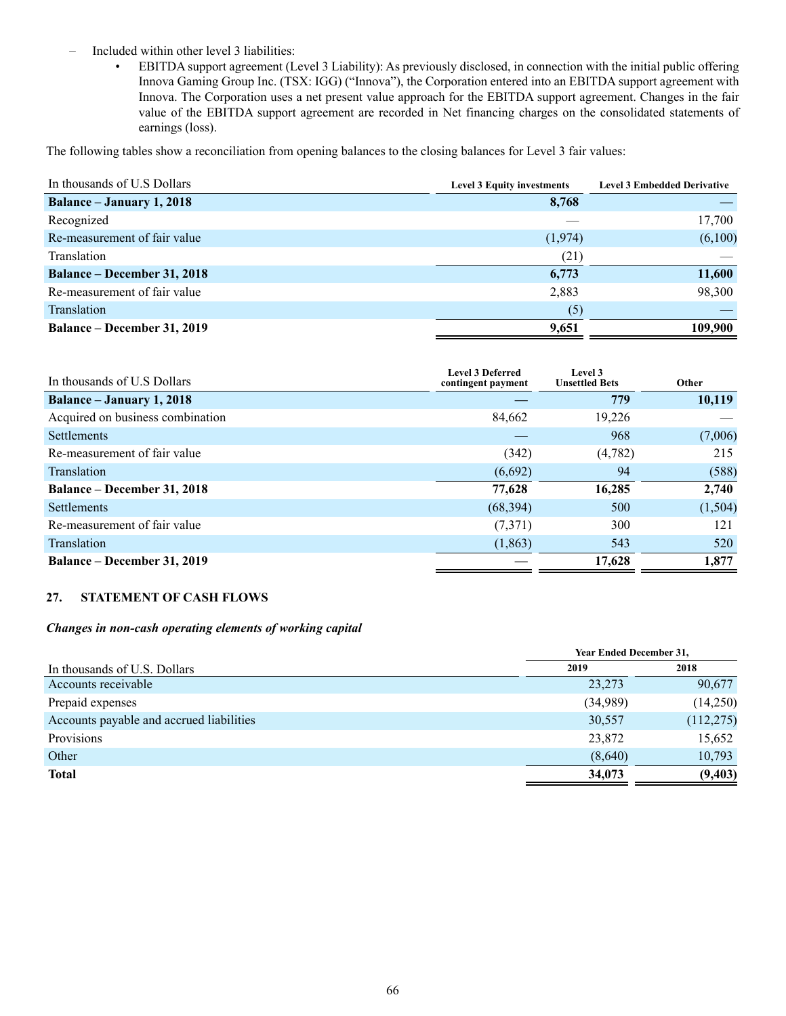- Included within other level 3 liabilities:
	- EBITDA support agreement (Level 3 Liability): As previously disclosed, in connection with the initial public offering Innova Gaming Group Inc. (TSX: IGG) ("Innova"), the Corporation entered into an EBITDA support agreement with Innova. The Corporation uses a net present value approach for the EBITDA support agreement. Changes in the fair value of the EBITDA support agreement are recorded in Net financing charges on the consolidated statements of earnings (loss).

The following tables show a reconciliation from opening balances to the closing balances for Level 3 fair values:

| In thousands of U.S Dollars        | <b>Level 3 Equity investments</b> | <b>Level 3 Embedded Derivative</b> |
|------------------------------------|-----------------------------------|------------------------------------|
| Balance – January 1, 2018          | 8,768                             |                                    |
| Recognized                         |                                   | 17,700                             |
| Re-measurement of fair value       | (1,974)                           | (6,100)                            |
| Translation                        | (21)                              |                                    |
| <b>Balance – December 31, 2018</b> | 6,773                             | 11,600                             |
| Re-measurement of fair value       | 2,883                             | 98,300                             |
| Translation                        | (5)                               |                                    |
| <b>Balance – December 31, 2019</b> | 9,651                             | 109,900                            |
|                                    |                                   |                                    |

| In thousands of U.S Dollars        | <b>Level 3 Deferred</b><br>contingent payment | Level 3<br><b>Unsettled Bets</b> | Other   |
|------------------------------------|-----------------------------------------------|----------------------------------|---------|
| Balance – January 1, 2018          |                                               | 779                              | 10,119  |
| Acquired on business combination   | 84,662                                        | 19,226                           |         |
| <b>Settlements</b>                 |                                               | 968                              | (7,006) |
| Re-measurement of fair value       | (342)                                         | (4,782)                          | 215     |
| <b>Translation</b>                 | (6,692)                                       | 94                               | (588)   |
| <b>Balance – December 31, 2018</b> | 77,628                                        | 16,285                           | 2,740   |
| <b>Settlements</b>                 | (68, 394)                                     | 500                              | (1,504) |
| Re-measurement of fair value       | (7,371)                                       | 300                              | 121     |
| <b>Translation</b>                 | (1, 863)                                      | 543                              | 520     |
| <b>Balance – December 31, 2019</b> |                                               | 17,628                           | 1,877   |

# **27. STATEMENT OF CASH FLOWS**

### *Changes in non-cash operating elements of working capital*

|                                          | <b>Year Ended December 31,</b> |            |
|------------------------------------------|--------------------------------|------------|
| In thousands of U.S. Dollars             | 2019                           | 2018       |
| Accounts receivable                      | 23,273                         | 90,677     |
| Prepaid expenses                         | (34,989)                       | (14,250)   |
| Accounts payable and accrued liabilities | 30,557                         | (112, 275) |
| Provisions                               | 23,872                         | 15,652     |
| Other                                    | (8,640)                        | 10,793     |
| Total                                    | 34,073                         | (9, 403)   |
|                                          |                                |            |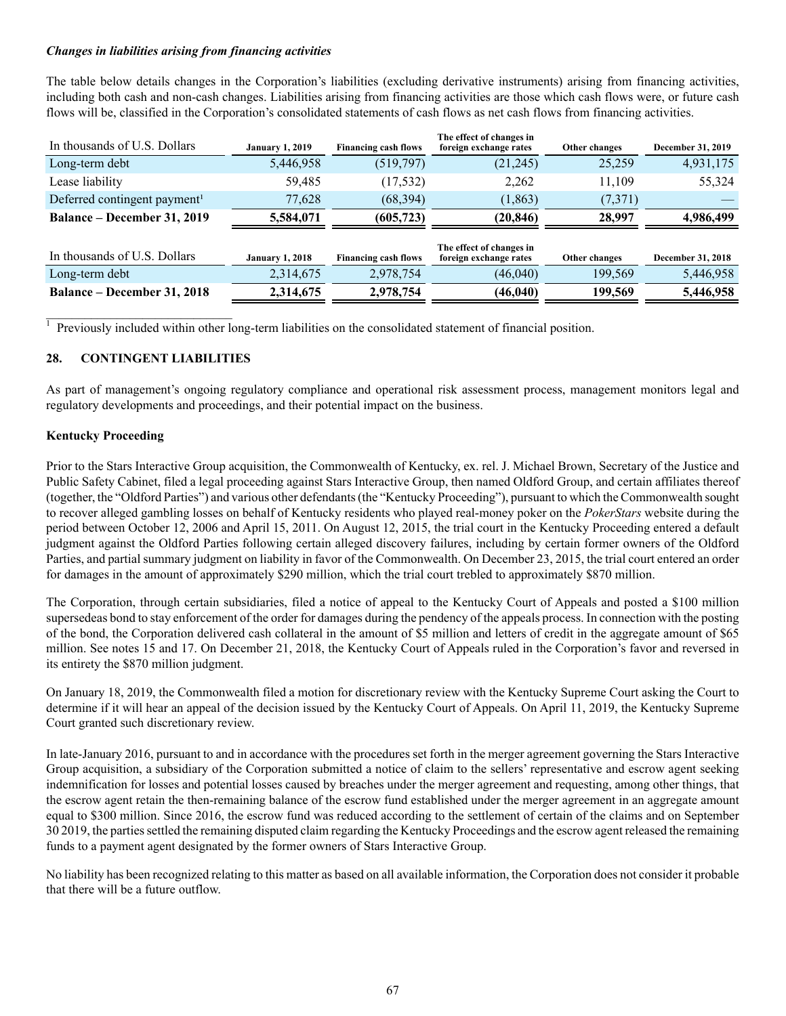### *Changes in liabilities arising from financing activities*

The table below details changes in the Corporation's liabilities (excluding derivative instruments) arising from financing activities, including both cash and non-cash changes. Liabilities arising from financing activities are those which cash flows were, or future cash flows will be, classified in the Corporation's consolidated statements of cash flows as net cash flows from financing activities.

| In thousands of U.S. Dollars             | <b>January 1, 2019</b> | <b>Financing cash flows</b> | The effect of changes in<br>foreign exchange rates | Other changes | <b>December 31, 2019</b> |
|------------------------------------------|------------------------|-----------------------------|----------------------------------------------------|---------------|--------------------------|
| Long-term debt                           | 5,446,958              | (519,797)                   | (21, 245)                                          | 25,259        | 4,931,175                |
| Lease liability                          | 59,485                 | (17, 532)                   | 2,262                                              | 11,109        | 55,324                   |
| Deferred contingent payment <sup>1</sup> | 77,628                 | (68, 394)                   | (1, 863)                                           | (7,371)       |                          |
| <b>Balance – December 31, 2019</b>       | 5,584,071              | (605, 723)                  | (20, 846)                                          | 28,997        | 4,986,499                |
| In thousands of U.S. Dollars             | <b>January 1, 2018</b> | <b>Financing cash flows</b> | The effect of changes in<br>foreign exchange rates | Other changes | <b>December 31, 2018</b> |
| Long-term debt                           | 2,314,675              | 2,978,754                   | (46, 040)                                          | 199,569       | 5,446,958                |
| <b>Balance – December 31, 2018</b>       | 2,314,675              | 2,978,754                   | (46, 040)                                          | 199,569       | 5,446,958                |

<sup>1</sup> Previously included within other long-term liabilities on the consolidated statement of financial position.

### **28. CONTINGENT LIABILITIES**

\_\_\_\_\_\_\_\_\_\_\_\_\_\_\_\_\_\_\_\_\_\_\_\_\_\_\_\_\_

As part of management's ongoing regulatory compliance and operational risk assessment process, management monitors legal and regulatory developments and proceedings, and their potential impact on the business.

### **Kentucky Proceeding**

Prior to the Stars Interactive Group acquisition, the Commonwealth of Kentucky, ex. rel. J. Michael Brown, Secretary of the Justice and Public Safety Cabinet, filed a legal proceeding against Stars Interactive Group, then named Oldford Group, and certain affiliates thereof (together, the "Oldford Parties") and various other defendants (the "Kentucky Proceeding"), pursuant to which the Commonwealth sought to recover alleged gambling losses on behalf of Kentucky residents who played real-money poker on the *PokerStars* website during the period between October 12, 2006 and April 15, 2011. On August 12, 2015, the trial court in the Kentucky Proceeding entered a default judgment against the Oldford Parties following certain alleged discovery failures, including by certain former owners of the Oldford Parties, and partial summary judgment on liability in favor of the Commonwealth. On December 23, 2015, the trial court entered an order for damages in the amount of approximately \$290 million, which the trial court trebled to approximately \$870 million.

The Corporation, through certain subsidiaries, filed a notice of appeal to the Kentucky Court of Appeals and posted a \$100 million supersedeas bond to stay enforcement of the order for damages during the pendency of the appeals process. In connection with the posting of the bond, the Corporation delivered cash collateral in the amount of \$5 million and letters of credit in the aggregate amount of \$65 million. See notes 15 and 17. On December 21, 2018, the Kentucky Court of Appeals ruled in the Corporation's favor and reversed in its entirety the \$870 million judgment.

On January 18, 2019, the Commonwealth filed a motion for discretionary review with the Kentucky Supreme Court asking the Court to determine if it will hear an appeal of the decision issued by the Kentucky Court of Appeals. On April 11, 2019, the Kentucky Supreme Court granted such discretionary review.

In late-January 2016, pursuant to and in accordance with the procedures set forth in the merger agreement governing the Stars Interactive Group acquisition, a subsidiary of the Corporation submitted a notice of claim to the sellers' representative and escrow agent seeking indemnification for losses and potential losses caused by breaches under the merger agreement and requesting, among other things, that the escrow agent retain the then-remaining balance of the escrow fund established under the merger agreement in an aggregate amount equal to \$300 million. Since 2016, the escrow fund was reduced according to the settlement of certain of the claims and on September 30 2019, the parties settled the remaining disputed claim regarding the Kentucky Proceedings and the escrow agent released the remaining funds to a payment agent designated by the former owners of Stars Interactive Group.

No liability has been recognized relating to this matter as based on all available information, the Corporation does not consider it probable that there will be a future outflow.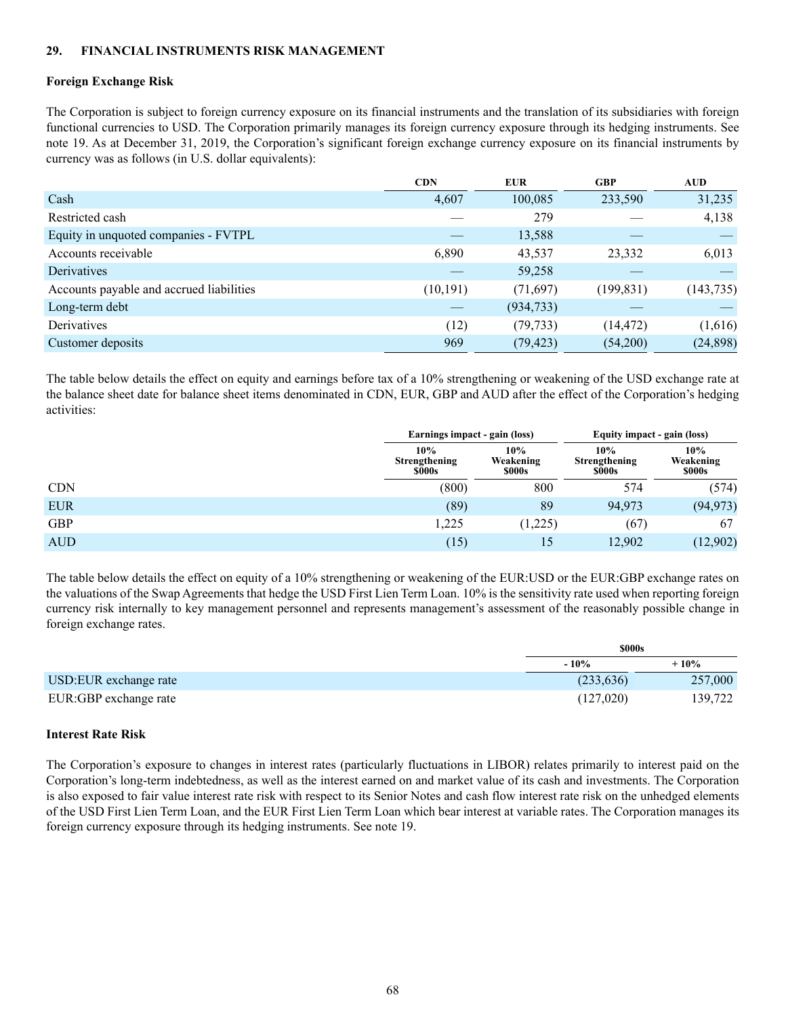### **29. FINANCIAL INSTRUMENTS RISK MANAGEMENT**

#### **Foreign Exchange Risk**

The Corporation is subject to foreign currency exposure on its financial instruments and the translation of its subsidiaries with foreign functional currencies to USD. The Corporation primarily manages its foreign currency exposure through its hedging instruments. See note 19. As at December 31, 2019, the Corporation's significant foreign exchange currency exposure on its financial instruments by currency was as follows (in U.S. dollar equivalents):

|                                          | <b>CDN</b> | <b>EUR</b> | <b>GBP</b> | <b>AUD</b> |
|------------------------------------------|------------|------------|------------|------------|
| Cash                                     | 4,607      | 100,085    | 233,590    | 31,235     |
| Restricted cash                          |            | 279        |            | 4,138      |
| Equity in unquoted companies - FVTPL     |            | 13,588     |            |            |
| Accounts receivable                      | 6,890      | 43,537     | 23,332     | 6,013      |
| Derivatives                              |            | 59,258     |            |            |
| Accounts payable and accrued liabilities | (10, 191)  | (71,697)   | (199, 831) | (143, 735) |
| Long-term debt                           |            | (934, 733) |            |            |
| Derivatives                              | (12)       | (79, 733)  | (14, 472)  | (1,616)    |
| Customer deposits                        | 969        | (79, 423)  | (54,200)   | (24, 898)  |

The table below details the effect on equity and earnings before tax of a 10% strengthening or weakening of the USD exchange rate at the balance sheet date for balance sheet items denominated in CDN, EUR, GBP and AUD after the effect of the Corporation's hedging activities:

|            | Earnings impact - gain (loss)        |                                  | Equity impact - gain (loss)           |                                  |
|------------|--------------------------------------|----------------------------------|---------------------------------------|----------------------------------|
|            | 10%<br>Strengthening<br><b>S000s</b> | 10%<br>Weakening<br><b>S000s</b> | 10%<br>Strengthening<br><b>\$000s</b> | 10%<br>Weakening<br><b>S000s</b> |
| <b>CDN</b> | (800)                                | 800                              | 574                                   | (574)                            |
| <b>EUR</b> | (89)                                 | 89                               | 94,973                                | (94, 973)                        |
| <b>GBP</b> | 1,225                                | (1,225)                          | (67)                                  | 67                               |
| <b>AUD</b> | (15)                                 | 15                               | 12,902                                | (12, 902)                        |

The table below details the effect on equity of a 10% strengthening or weakening of the EUR:USD or the EUR:GBP exchange rates on the valuations of the Swap Agreements that hedge the USD First Lien Term Loan. 10% is the sensitivity rate used when reporting foreign currency risk internally to key management personnel and represents management's assessment of the reasonably possible change in foreign exchange rates.

|                        | <b>\$000s</b> |         |  |
|------------------------|---------------|---------|--|
|                        | $-10%$        | $+10%$  |  |
| USD: EUR exchange rate | (233, 636)    | 257,000 |  |
| EUR:GBP exchange rate  | (127,020)     | 139,722 |  |

#### **Interest Rate Risk**

The Corporation's exposure to changes in interest rates (particularly fluctuations in LIBOR) relates primarily to interest paid on the Corporation's long-term indebtedness, as well as the interest earned on and market value of its cash and investments. The Corporation is also exposed to fair value interest rate risk with respect to its Senior Notes and cash flow interest rate risk on the unhedged elements of the USD First Lien Term Loan, and the EUR First Lien Term Loan which bear interest at variable rates. The Corporation manages its foreign currency exposure through its hedging instruments. See note 19.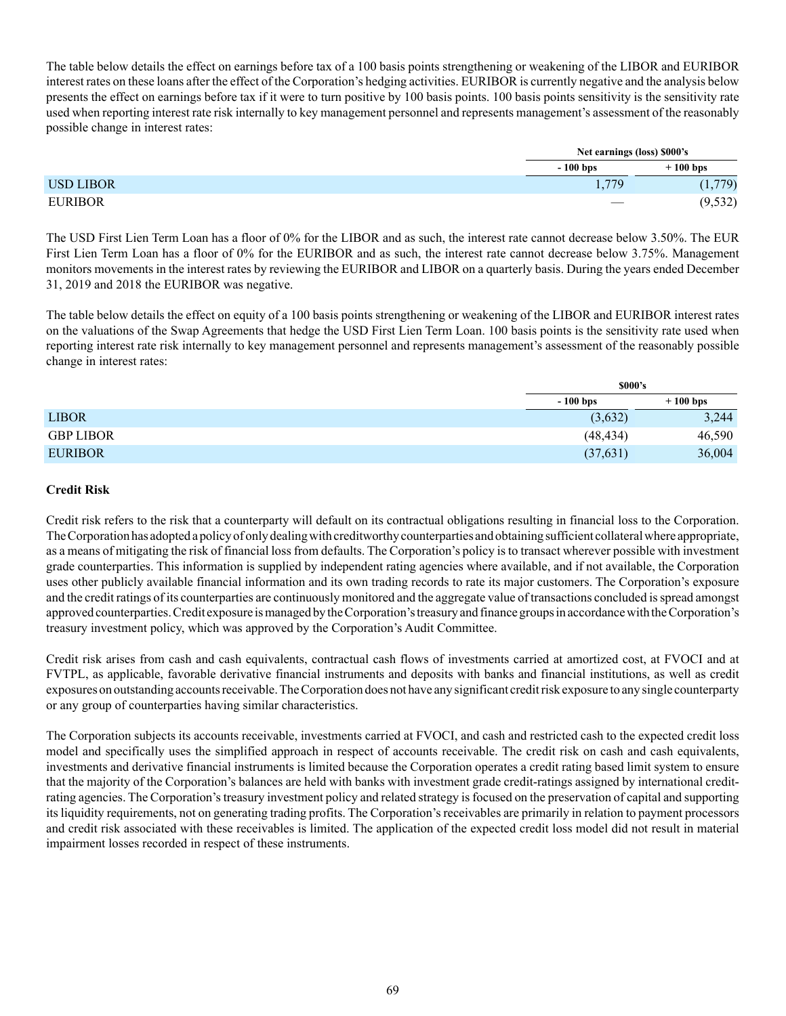The table below details the effect on earnings before tax of a 100 basis points strengthening or weakening of the LIBOR and EURIBOR interest rates on these loans after the effect of the Corporation's hedging activities. EURIBOR is currently negative and the analysis below presents the effect on earnings before tax if it were to turn positive by 100 basis points. 100 basis points sensitivity is the sensitivity rate used when reporting interest rate risk internally to key management personnel and represents management's assessment of the reasonably possible change in interest rates:

|                  | Net earnings (loss) \$000's |            |
|------------------|-----------------------------|------------|
|                  | $-100$ bps                  | $+100$ bps |
| <b>USD LIBOR</b> | 1,779                       | (1,779)    |
| <b>EURIBOR</b>   |                             | (9, 532)   |

The USD First Lien Term Loan has a floor of 0% for the LIBOR and as such, the interest rate cannot decrease below 3.50%. The EUR First Lien Term Loan has a floor of 0% for the EURIBOR and as such, the interest rate cannot decrease below 3.75%. Management monitors movements in the interest rates by reviewing the EURIBOR and LIBOR on a quarterly basis. During the years ended December 31, 2019 and 2018 the EURIBOR was negative.

The table below details the effect on equity of a 100 basis points strengthening or weakening of the LIBOR and EURIBOR interest rates on the valuations of the Swap Agreements that hedge the USD First Lien Term Loan. 100 basis points is the sensitivity rate used when reporting interest rate risk internally to key management personnel and represents management's assessment of the reasonably possible change in interest rates:

|                  |            | \$000's    |  |
|------------------|------------|------------|--|
|                  | $-100$ bps | $+100 bps$ |  |
| <b>LIBOR</b>     | (3,632)    | 3,244      |  |
| <b>GBP LIBOR</b> | (48, 434)  | 46,590     |  |
| <b>EURIBOR</b>   | (37, 631)  | 36,004     |  |

### **Credit Risk**

Credit risk refers to the risk that a counterparty will default on its contractual obligations resulting in financial loss to the Corporation. The Corporation has adopted a policy of only dealing with creditworthy counterparties and obtaining sufficient collateral where appropriate, as a means of mitigating the risk of financial loss from defaults. The Corporation's policy is to transact wherever possible with investment grade counterparties. This information is supplied by independent rating agencies where available, and if not available, the Corporation uses other publicly available financial information and its own trading records to rate its major customers. The Corporation's exposure and the credit ratings of its counterparties are continuously monitored and the aggregate value of transactions concluded is spread amongst approved counterparties. Credit exposure is managed by the Corporation's treasury and finance groups in accordance with the Corporation's treasury investment policy, which was approved by the Corporation's Audit Committee.

Credit risk arises from cash and cash equivalents, contractual cash flows of investments carried at amortized cost, at FVOCI and at FVTPL, as applicable, favorable derivative financial instruments and deposits with banks and financial institutions, as well as credit exposures on outstanding accounts receivable. The Corporation does not have any significant credit risk exposure to any single counterparty or any group of counterparties having similar characteristics.

The Corporation subjects its accounts receivable, investments carried at FVOCI, and cash and restricted cash to the expected credit loss model and specifically uses the simplified approach in respect of accounts receivable. The credit risk on cash and cash equivalents, investments and derivative financial instruments is limited because the Corporation operates a credit rating based limit system to ensure that the majority of the Corporation's balances are held with banks with investment grade credit-ratings assigned by international creditrating agencies. The Corporation's treasury investment policy and related strategy is focused on the preservation of capital and supporting its liquidity requirements, not on generating trading profits. The Corporation's receivables are primarily in relation to payment processors and credit risk associated with these receivables is limited. The application of the expected credit loss model did not result in material impairment losses recorded in respect of these instruments.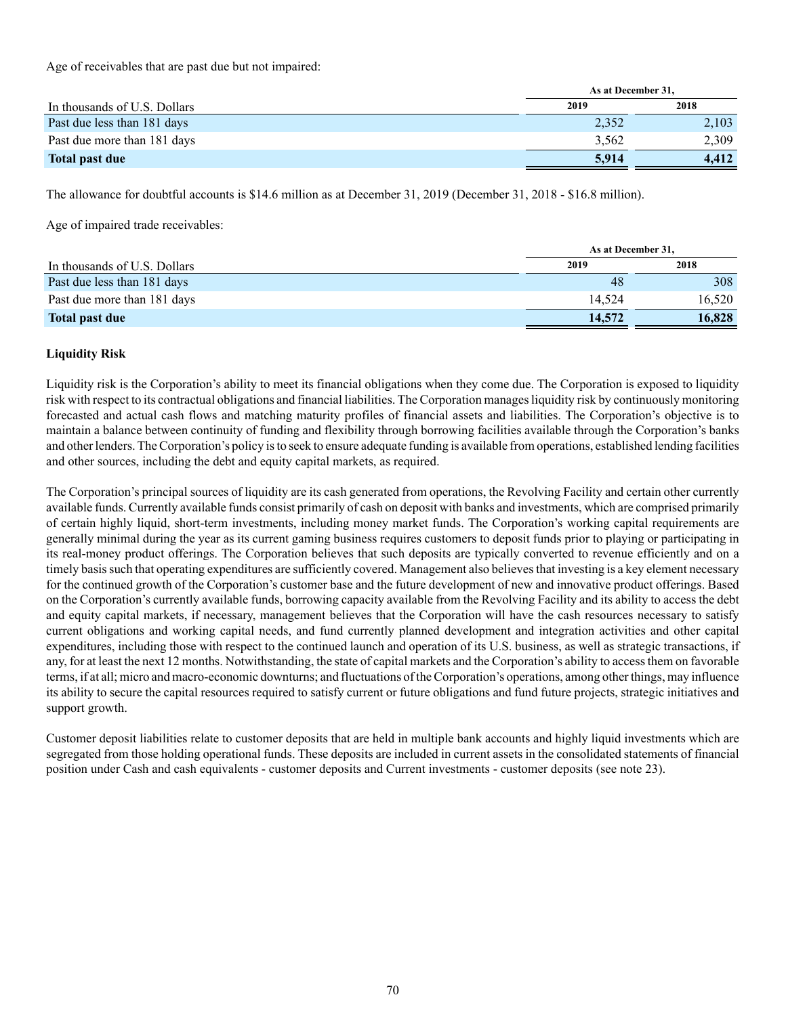Age of receivables that are past due but not impaired:

|                              | As at December 31, |       |  |
|------------------------------|--------------------|-------|--|
| In thousands of U.S. Dollars | 2019               | 2018  |  |
| Past due less than 181 days  | 2,352              | 2,103 |  |
| Past due more than 181 days  | 3,562              | 2,309 |  |
| Total past due               | 5,914              | 4.412 |  |

The allowance for doubtful accounts is \$14.6 million as at December 31, 2019 (December 31, 2018 - \$16.8 million).

Age of impaired trade receivables:

|                              | As at December 31, |        |
|------------------------------|--------------------|--------|
| In thousands of U.S. Dollars | 2019               | 2018   |
| Past due less than 181 days  | 48                 | 308    |
| Past due more than 181 days  | 14.524             | 16.520 |
| Total past due               | 14.572             | 16,828 |

### **Liquidity Risk**

Liquidity risk is the Corporation's ability to meet its financial obligations when they come due. The Corporation is exposed to liquidity risk with respect to its contractual obligations and financial liabilities. The Corporation manages liquidity risk by continuously monitoring forecasted and actual cash flows and matching maturity profiles of financial assets and liabilities. The Corporation's objective is to maintain a balance between continuity of funding and flexibility through borrowing facilities available through the Corporation's banks and other lenders. The Corporation's policy is to seek to ensure adequate funding is available from operations, established lending facilities and other sources, including the debt and equity capital markets, as required.

The Corporation's principal sources of liquidity are its cash generated from operations, the Revolving Facility and certain other currently available funds. Currently available funds consist primarily of cash on deposit with banks and investments, which are comprised primarily of certain highly liquid, short-term investments, including money market funds. The Corporation's working capital requirements are generally minimal during the year as its current gaming business requires customers to deposit funds prior to playing or participating in its real-money product offerings. The Corporation believes that such deposits are typically converted to revenue efficiently and on a timely basis such that operating expenditures are sufficiently covered. Management also believes that investing is a key element necessary for the continued growth of the Corporation's customer base and the future development of new and innovative product offerings. Based on the Corporation's currently available funds, borrowing capacity available from the Revolving Facility and its ability to access the debt and equity capital markets, if necessary, management believes that the Corporation will have the cash resources necessary to satisfy current obligations and working capital needs, and fund currently planned development and integration activities and other capital expenditures, including those with respect to the continued launch and operation of its U.S. business, as well as strategic transactions, if any, for at least the next 12 months. Notwithstanding, the state of capital markets and the Corporation's ability to access them on favorable terms, if at all; micro and macro-economic downturns; and fluctuations of the Corporation's operations, among other things, may influence its ability to secure the capital resources required to satisfy current or future obligations and fund future projects, strategic initiatives and support growth.

Customer deposit liabilities relate to customer deposits that are held in multiple bank accounts and highly liquid investments which are segregated from those holding operational funds. These deposits are included in current assets in the consolidated statements of financial position under Cash and cash equivalents - customer deposits and Current investments - customer deposits (see note 23).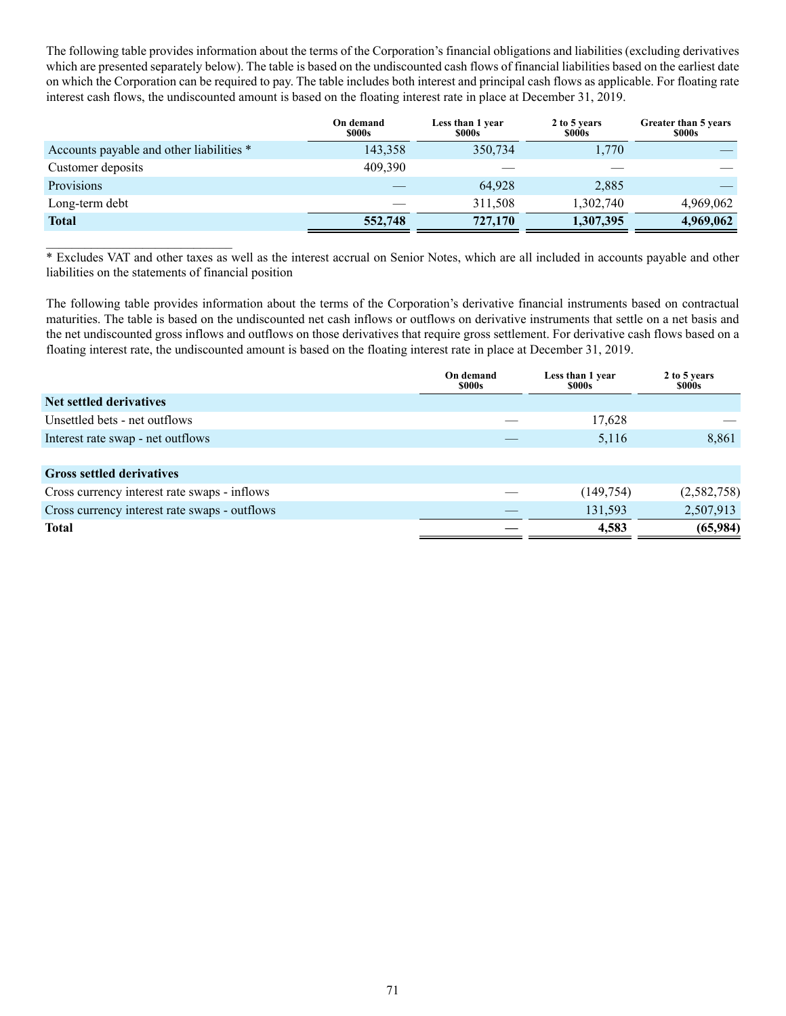The following table provides information about the terms of the Corporation's financial obligations and liabilities (excluding derivatives which are presented separately below). The table is based on the undiscounted cash flows of financial liabilities based on the earliest date on which the Corporation can be required to pay. The table includes both interest and principal cash flows as applicable. For floating rate interest cash flows, the undiscounted amount is based on the floating interest rate in place at December 31, 2019.

|                                          | On demand<br><b>S000s</b> | Less than 1 year<br><b>S000s</b> | 2 to 5 years<br><b>S000s</b> | Greater than 5 years<br><b>S000s</b> |
|------------------------------------------|---------------------------|----------------------------------|------------------------------|--------------------------------------|
| Accounts payable and other liabilities * | 143,358                   | 350,734                          | 1,770                        |                                      |
| Customer deposits                        | 409.390                   |                                  |                              |                                      |
| Provisions                               |                           | 64,928                           | 2,885                        |                                      |
| Long-term debt                           |                           | 311.508                          | 1,302,740                    | 4,969,062                            |
| <b>Total</b>                             | 552,748                   | 727,170                          | 1,307,395                    | 4,969,062                            |

\* Excludes VAT and other taxes as well as the interest accrual on Senior Notes, which are all included in accounts payable and other liabilities on the statements of financial position

\_\_\_\_\_\_\_\_\_\_\_\_\_\_\_\_\_\_\_\_\_\_\_\_\_\_\_\_\_

The following table provides information about the terms of the Corporation's derivative financial instruments based on contractual maturities. The table is based on the undiscounted net cash inflows or outflows on derivative instruments that settle on a net basis and the net undiscounted gross inflows and outflows on those derivatives that require gross settlement. For derivative cash flows based on a floating interest rate, the undiscounted amount is based on the floating interest rate in place at December 31, 2019.

|                                               | On demand<br><b>S000s</b> | Less than 1 year<br><b>S000s</b> | 2 to 5 years<br><b>\$000s</b> |
|-----------------------------------------------|---------------------------|----------------------------------|-------------------------------|
| Net settled derivatives                       |                           |                                  |                               |
| Unsettled bets - net outflows                 |                           | 17,628                           |                               |
| Interest rate swap - net outflows             |                           | 5,116                            | 8,861                         |
|                                               |                           |                                  |                               |
| <b>Gross settled derivatives</b>              |                           |                                  |                               |
| Cross currency interest rate swaps - inflows  |                           | (149, 754)                       | (2,582,758)                   |
| Cross currency interest rate swaps - outflows |                           | 131,593                          | 2,507,913                     |
| <b>Total</b>                                  |                           | 4,583                            | (65,984)                      |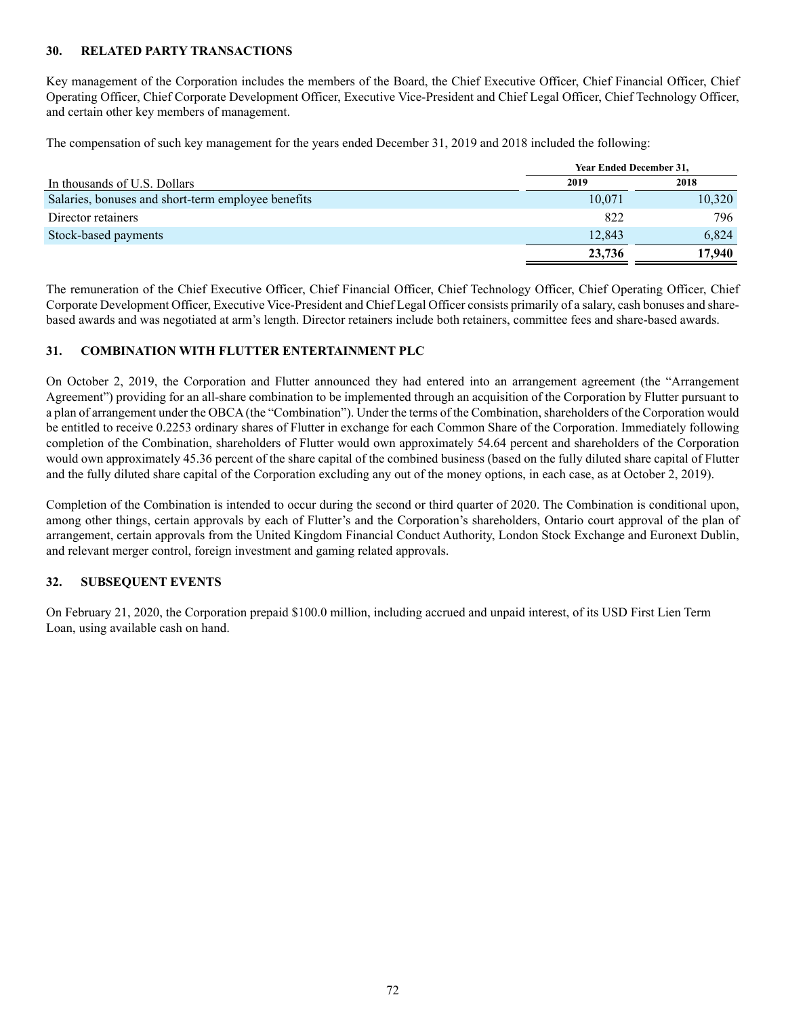### **30. RELATED PARTY TRANSACTIONS**

Key management of the Corporation includes the members of the Board, the Chief Executive Officer, Chief Financial Officer, Chief Operating Officer, Chief Corporate Development Officer, Executive Vice-President and Chief Legal Officer, Chief Technology Officer, and certain other key members of management.

The compensation of such key management for the years ended December 31, 2019 and 2018 included the following:

|                                                    | <b>Year Ended December 31,</b> |        |
|----------------------------------------------------|--------------------------------|--------|
| In thousands of U.S. Dollars                       | 2019                           | 2018   |
| Salaries, bonuses and short-term employee benefits | 10,071                         | 10,320 |
| Director retainers                                 | 822                            | 796    |
| Stock-based payments                               | 12.843                         | 6,824  |
|                                                    | 23,736                         | 17.940 |

The remuneration of the Chief Executive Officer, Chief Financial Officer, Chief Technology Officer, Chief Operating Officer, Chief Corporate Development Officer, Executive Vice-President and Chief Legal Officer consists primarily of a salary, cash bonuses and sharebased awards and was negotiated at arm's length. Director retainers include both retainers, committee fees and share-based awards.

### **31. COMBINATION WITH FLUTTER ENTERTAINMENT PLC**

On October 2, 2019, the Corporation and Flutter announced they had entered into an arrangement agreement (the "Arrangement Agreement") providing for an all-share combination to be implemented through an acquisition of the Corporation by Flutter pursuant to a plan of arrangement under the OBCA (the "Combination"). Under the terms of the Combination, shareholders of the Corporation would be entitled to receive 0.2253 ordinary shares of Flutter in exchange for each Common Share of the Corporation. Immediately following completion of the Combination, shareholders of Flutter would own approximately 54.64 percent and shareholders of the Corporation would own approximately 45.36 percent of the share capital of the combined business (based on the fully diluted share capital of Flutter and the fully diluted share capital of the Corporation excluding any out of the money options, in each case, as at October 2, 2019).

Completion of the Combination is intended to occur during the second or third quarter of 2020. The Combination is conditional upon, among other things, certain approvals by each of Flutter's and the Corporation's shareholders, Ontario court approval of the plan of arrangement, certain approvals from the United Kingdom Financial Conduct Authority, London Stock Exchange and Euronext Dublin, and relevant merger control, foreign investment and gaming related approvals.

# **32. SUBSEQUENT EVENTS**

On February 21, 2020, the Corporation prepaid \$100.0 million, including accrued and unpaid interest, of its USD First Lien Term Loan, using available cash on hand.